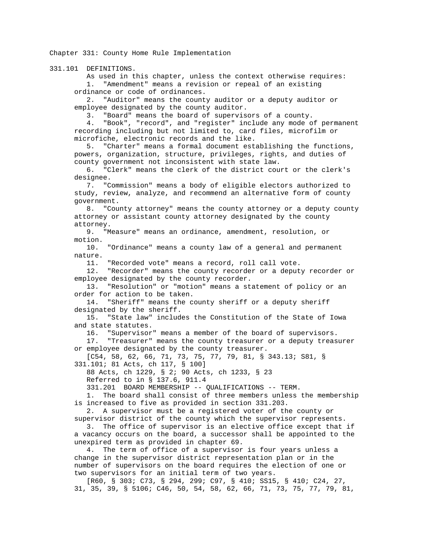Chapter 331: County Home Rule Implementation

331.101 DEFINITIONS.

 As used in this chapter, unless the context otherwise requires: 1. "Amendment" means a revision or repeal of an existing ordinance or code of ordinances.

 2. "Auditor" means the county auditor or a deputy auditor or employee designated by the county auditor.

3. "Board" means the board of supervisors of a county.

 4. "Book", "record", and "register" include any mode of permanent recording including but not limited to, card files, microfilm or microfiche, electronic records and the like.

 5. "Charter" means a formal document establishing the functions, powers, organization, structure, privileges, rights, and duties of county government not inconsistent with state law.

 6. "Clerk" means the clerk of the district court or the clerk's designee.

 7. "Commission" means a body of eligible electors authorized to study, review, analyze, and recommend an alternative form of county government.

 8. "County attorney" means the county attorney or a deputy county attorney or assistant county attorney designated by the county attorney.

 9. "Measure" means an ordinance, amendment, resolution, or motion.

 10. "Ordinance" means a county law of a general and permanent nature.

11. "Recorded vote" means a record, roll call vote.

 12. "Recorder" means the county recorder or a deputy recorder or employee designated by the county recorder.

 13. "Resolution" or "motion" means a statement of policy or an order for action to be taken.

 14. "Sheriff" means the county sheriff or a deputy sheriff designated by the sheriff.

 15. "State law" includes the Constitution of the State of Iowa and state statutes.

16. "Supervisor" means a member of the board of supervisors.

 17. "Treasurer" means the county treasurer or a deputy treasurer or employee designated by the county treasurer.

 [C54, 58, 62, 66, 71, 73, 75, 77, 79, 81, § 343.13; S81, § 331.101; 81 Acts, ch 117, § 100]

88 Acts, ch 1229, § 2; 90 Acts, ch 1233, § 23

Referred to in § 137.6, 911.4

331.201 BOARD MEMBERSHIP -- QUALIFICATIONS -- TERM.

 1. The board shall consist of three members unless the membership is increased to five as provided in section 331.203.

 2. A supervisor must be a registered voter of the county or supervisor district of the county which the supervisor represents.

 3. The office of supervisor is an elective office except that if a vacancy occurs on the board, a successor shall be appointed to the unexpired term as provided in chapter 69.

 4. The term of office of a supervisor is four years unless a change in the supervisor district representation plan or in the number of supervisors on the board requires the election of one or two supervisors for an initial term of two years.

 [R60, § 303; C73, § 294, 299; C97, § 410; SS15, § 410; C24, 27, 31, 35, 39, § 5106; C46, 50, 54, 58, 62, 66, 71, 73, 75, 77, 79, 81,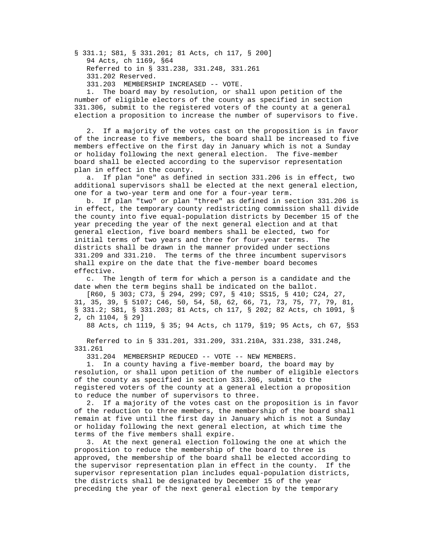§ 331.1; S81, § 331.201; 81 Acts, ch 117, § 200] 94 Acts, ch 1169, §64 Referred to in § 331.238, 331.248, 331.261 331.202 Reserved. 331.203 MEMBERSHIP INCREASED -- VOTE.

 1. The board may by resolution, or shall upon petition of the number of eligible electors of the county as specified in section 331.306, submit to the registered voters of the county at a general election a proposition to increase the number of supervisors to five.

 2. If a majority of the votes cast on the proposition is in favor of the increase to five members, the board shall be increased to five members effective on the first day in January which is not a Sunday or holiday following the next general election. The five-member board shall be elected according to the supervisor representation plan in effect in the county.

 a. If plan "one" as defined in section 331.206 is in effect, two additional supervisors shall be elected at the next general election, one for a two-year term and one for a four-year term.

 b. If plan "two" or plan "three" as defined in section 331.206 is in effect, the temporary county redistricting commission shall divide the county into five equal-population districts by December 15 of the year preceding the year of the next general election and at that general election, five board members shall be elected, two for initial terms of two years and three for four-year terms. The districts shall be drawn in the manner provided under sections 331.209 and 331.210. The terms of the three incumbent supervisors shall expire on the date that the five-member board becomes effective.

 c. The length of term for which a person is a candidate and the date when the term begins shall be indicated on the ballot.

 [R60, § 303; C73, § 294, 299; C97, § 410; SS15, § 410; C24, 27, 31, 35, 39, § 5107; C46, 50, 54, 58, 62, 66, 71, 73, 75, 77, 79, 81, § 331.2; S81, § 331.203; 81 Acts, ch 117, § 202; 82 Acts, ch 1091, § 2, ch 1104, § 29]

88 Acts, ch 1119, § 35; 94 Acts, ch 1179, §19; 95 Acts, ch 67, §53

 Referred to in § 331.201, 331.209, 331.210A, 331.238, 331.248, 331.261

331.204 MEMBERSHIP REDUCED -- VOTE -- NEW MEMBERS.

 1. In a county having a five-member board, the board may by resolution, or shall upon petition of the number of eligible electors of the county as specified in section 331.306, submit to the registered voters of the county at a general election a proposition to reduce the number of supervisors to three.

 2. If a majority of the votes cast on the proposition is in favor of the reduction to three members, the membership of the board shall remain at five until the first day in January which is not a Sunday or holiday following the next general election, at which time the terms of the five members shall expire.

 3. At the next general election following the one at which the proposition to reduce the membership of the board to three is approved, the membership of the board shall be elected according to the supervisor representation plan in effect in the county. If the supervisor representation plan includes equal-population districts, the districts shall be designated by December 15 of the year preceding the year of the next general election by the temporary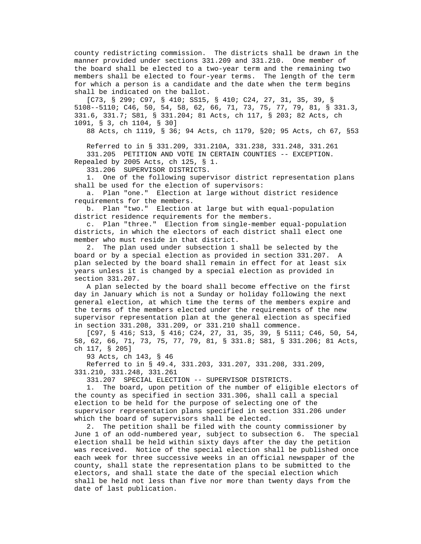county redistricting commission. The districts shall be drawn in the manner provided under sections 331.209 and 331.210. One member of the board shall be elected to a two-year term and the remaining two members shall be elected to four-year terms. The length of the term for which a person is a candidate and the date when the term begins shall be indicated on the ballot.

 [C73, § 299; C97, § 410; SS15, § 410; C24, 27, 31, 35, 39, § 5108--5110; C46, 50, 54, 58, 62, 66, 71, 73, 75, 77, 79, 81, § 331.3, 331.6, 331.7; S81, § 331.204; 81 Acts, ch 117, § 203; 82 Acts, ch 1091, § 3, ch 1104, § 30]

88 Acts, ch 1119, § 36; 94 Acts, ch 1179, §20; 95 Acts, ch 67, §53

 Referred to in § 331.209, 331.210A, 331.238, 331.248, 331.261 331.205 PETITION AND VOTE IN CERTAIN COUNTIES -- EXCEPTION. Repealed by 2005 Acts, ch 125, § 1.

331.206 SUPERVISOR DISTRICTS.

 1. One of the following supervisor district representation plans shall be used for the election of supervisors:

 a. Plan "one." Election at large without district residence requirements for the members.

 b. Plan "two." Election at large but with equal-population district residence requirements for the members.

 c. Plan "three." Election from single-member equal-population districts, in which the electors of each district shall elect one member who must reside in that district.

 2. The plan used under subsection 1 shall be selected by the board or by a special election as provided in section 331.207. A plan selected by the board shall remain in effect for at least six years unless it is changed by a special election as provided in section 331.207.

 A plan selected by the board shall become effective on the first day in January which is not a Sunday or holiday following the next general election, at which time the terms of the members expire and the terms of the members elected under the requirements of the new supervisor representation plan at the general election as specified in section 331.208, 331.209, or 331.210 shall commence.

 [C97, § 416; S13, § 416; C24, 27, 31, 35, 39, § 5111; C46, 50, 54, 58, 62, 66, 71, 73, 75, 77, 79, 81, § 331.8; S81, § 331.206; 81 Acts, ch 117, § 205]

93 Acts, ch 143, § 46

 Referred to in § 49.4, 331.203, 331.207, 331.208, 331.209, 331.210, 331.248, 331.261

331.207 SPECIAL ELECTION -- SUPERVISOR DISTRICTS.

 1. The board, upon petition of the number of eligible electors of the county as specified in section 331.306, shall call a special election to be held for the purpose of selecting one of the supervisor representation plans specified in section 331.206 under which the board of supervisors shall be elected.

 2. The petition shall be filed with the county commissioner by June 1 of an odd-numbered year, subject to subsection 6. The special election shall be held within sixty days after the day the petition was received. Notice of the special election shall be published once each week for three successive weeks in an official newspaper of the county, shall state the representation plans to be submitted to the electors, and shall state the date of the special election which shall be held not less than five nor more than twenty days from the date of last publication.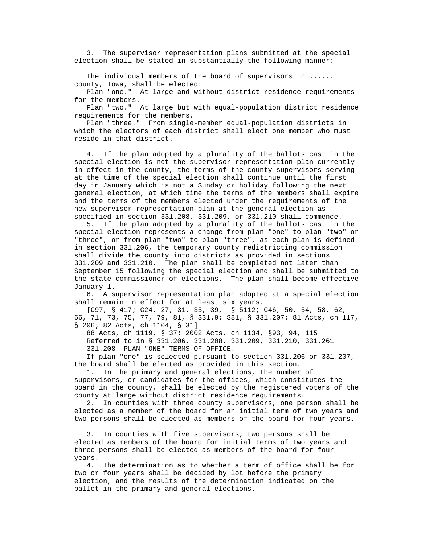3. The supervisor representation plans submitted at the special election shall be stated in substantially the following manner:

 The individual members of the board of supervisors in ...... county, Iowa, shall be elected:

 Plan "one." At large and without district residence requirements for the members.

 Plan "two." At large but with equal-population district residence requirements for the members.

 Plan "three." From single-member equal-population districts in which the electors of each district shall elect one member who must reside in that district.

 4. If the plan adopted by a plurality of the ballots cast in the special election is not the supervisor representation plan currently in effect in the county, the terms of the county supervisors serving at the time of the special election shall continue until the first day in January which is not a Sunday or holiday following the next general election, at which time the terms of the members shall expire and the terms of the members elected under the requirements of the new supervisor representation plan at the general election as specified in section 331.208, 331.209, or 331.210 shall commence.

 5. If the plan adopted by a plurality of the ballots cast in the special election represents a change from plan "one" to plan "two" or "three", or from plan "two" to plan "three", as each plan is defined in section 331.206, the temporary county redistricting commission shall divide the county into districts as provided in sections 331.209 and 331.210. The plan shall be completed not later than September 15 following the special election and shall be submitted to the state commissioner of elections. The plan shall become effective January 1.

 6. A supervisor representation plan adopted at a special election shall remain in effect for at least six years.

 [C97, § 417; C24, 27, 31, 35, 39, § 5112; C46, 50, 54, 58, 62, 66, 71, 73, 75, 77, 79, 81, § 331.9; S81, § 331.207; 81 Acts, ch 117, § 206; 82 Acts, ch 1104, § 31]

 88 Acts, ch 1119, § 37; 2002 Acts, ch 1134, §93, 94, 115 Referred to in § 331.206, 331.208, 331.209, 331.210, 331.261 331.208 PLAN "ONE" TERMS OF OFFICE.

 If plan "one" is selected pursuant to section 331.206 or 331.207, the board shall be elected as provided in this section.

 1. In the primary and general elections, the number of supervisors, or candidates for the offices, which constitutes the board in the county, shall be elected by the registered voters of the county at large without district residence requirements.

 2. In counties with three county supervisors, one person shall be elected as a member of the board for an initial term of two years and two persons shall be elected as members of the board for four years.

 3. In counties with five supervisors, two persons shall be elected as members of the board for initial terms of two years and three persons shall be elected as members of the board for four years.

 4. The determination as to whether a term of office shall be for two or four years shall be decided by lot before the primary election, and the results of the determination indicated on the ballot in the primary and general elections.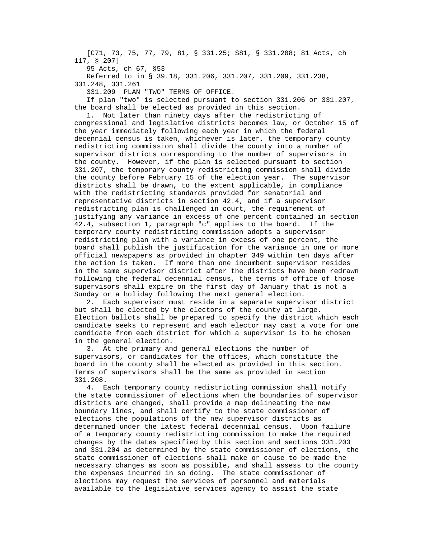[C71, 73, 75, 77, 79, 81, § 331.25; S81, § 331.208; 81 Acts, ch 117, § 207]

95 Acts, ch 67, §53

 Referred to in § 39.18, 331.206, 331.207, 331.209, 331.238, 331.248, 331.261

331.209 PLAN "TWO" TERMS OF OFFICE.

 If plan "two" is selected pursuant to section 331.206 or 331.207, the board shall be elected as provided in this section.

 1. Not later than ninety days after the redistricting of congressional and legislative districts becomes law, or October 15 of the year immediately following each year in which the federal decennial census is taken, whichever is later, the temporary county redistricting commission shall divide the county into a number of supervisor districts corresponding to the number of supervisors in the county. However, if the plan is selected pursuant to section 331.207, the temporary county redistricting commission shall divide the county before February 15 of the election year. The supervisor districts shall be drawn, to the extent applicable, in compliance with the redistricting standards provided for senatorial and representative districts in section 42.4, and if a supervisor redistricting plan is challenged in court, the requirement of justifying any variance in excess of one percent contained in section 42.4, subsection 1, paragraph "c" applies to the board. If the temporary county redistricting commission adopts a supervisor redistricting plan with a variance in excess of one percent, the board shall publish the justification for the variance in one or more official newspapers as provided in chapter 349 within ten days after the action is taken. If more than one incumbent supervisor resides in the same supervisor district after the districts have been redrawn following the federal decennial census, the terms of office of those supervisors shall expire on the first day of January that is not a Sunday or a holiday following the next general election.

 2. Each supervisor must reside in a separate supervisor district but shall be elected by the electors of the county at large. Election ballots shall be prepared to specify the district which each candidate seeks to represent and each elector may cast a vote for one candidate from each district for which a supervisor is to be chosen in the general election.

 3. At the primary and general elections the number of supervisors, or candidates for the offices, which constitute the board in the county shall be elected as provided in this section. Terms of supervisors shall be the same as provided in section 331.208.

 4. Each temporary county redistricting commission shall notify the state commissioner of elections when the boundaries of supervisor districts are changed, shall provide a map delineating the new boundary lines, and shall certify to the state commissioner of elections the populations of the new supervisor districts as determined under the latest federal decennial census. Upon failure of a temporary county redistricting commission to make the required changes by the dates specified by this section and sections 331.203 and 331.204 as determined by the state commissioner of elections, the state commissioner of elections shall make or cause to be made the necessary changes as soon as possible, and shall assess to the county the expenses incurred in so doing. The state commissioner of elections may request the services of personnel and materials available to the legislative services agency to assist the state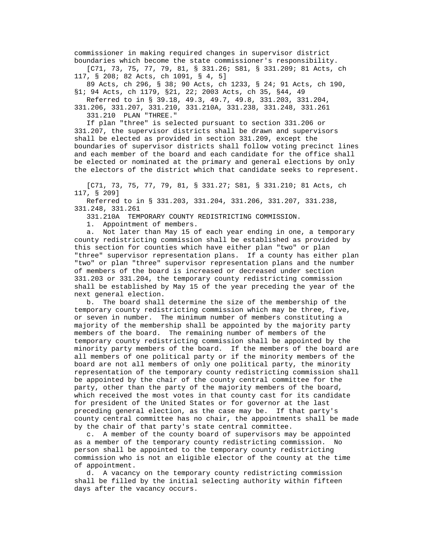commissioner in making required changes in supervisor district boundaries which become the state commissioner's responsibility.

 [C71, 73, 75, 77, 79, 81, § 331.26; S81, § 331.209; 81 Acts, ch 117, § 208; 82 Acts, ch 1091, § 4, 5]

 89 Acts, ch 296, § 38; 90 Acts, ch 1233, § 24; 91 Acts, ch 190, §1; 94 Acts, ch 1179, §21, 22; 2003 Acts, ch 35, §44, 49

 Referred to in § 39.18, 49.3, 49.7, 49.8, 331.203, 331.204, 331.206, 331.207, 331.210, 331.210A, 331.238, 331.248, 331.261

331.210 PLAN "THREE."

 If plan "three" is selected pursuant to section 331.206 or 331.207, the supervisor districts shall be drawn and supervisors shall be elected as provided in section 331.209, except the boundaries of supervisor districts shall follow voting precinct lines and each member of the board and each candidate for the office shall be elected or nominated at the primary and general elections by only the electors of the district which that candidate seeks to represent.

 [C71, 73, 75, 77, 79, 81, § 331.27; S81, § 331.210; 81 Acts, ch 117, § 209]

 Referred to in § 331.203, 331.204, 331.206, 331.207, 331.238, 331.248, 331.261

331.210A TEMPORARY COUNTY REDISTRICTING COMMISSION.

1. Appointment of members.

 a. Not later than May 15 of each year ending in one, a temporary county redistricting commission shall be established as provided by this section for counties which have either plan "two" or plan "three" supervisor representation plans. If a county has either plan "two" or plan "three" supervisor representation plans and the number of members of the board is increased or decreased under section 331.203 or 331.204, the temporary county redistricting commission shall be established by May 15 of the year preceding the year of the next general election.

 b. The board shall determine the size of the membership of the temporary county redistricting commission which may be three, five, or seven in number. The minimum number of members constituting a majority of the membership shall be appointed by the majority party members of the board. The remaining number of members of the temporary county redistricting commission shall be appointed by the minority party members of the board. If the members of the board are all members of one political party or if the minority members of the board are not all members of only one political party, the minority representation of the temporary county redistricting commission shall be appointed by the chair of the county central committee for the party, other than the party of the majority members of the board, which received the most votes in that county cast for its candidate for president of the United States or for governor at the last preceding general election, as the case may be. If that party's county central committee has no chair, the appointments shall be made by the chair of that party's state central committee.

 c. A member of the county board of supervisors may be appointed as a member of the temporary county redistricting commission. No person shall be appointed to the temporary county redistricting commission who is not an eligible elector of the county at the time of appointment.

 d. A vacancy on the temporary county redistricting commission shall be filled by the initial selecting authority within fifteen days after the vacancy occurs.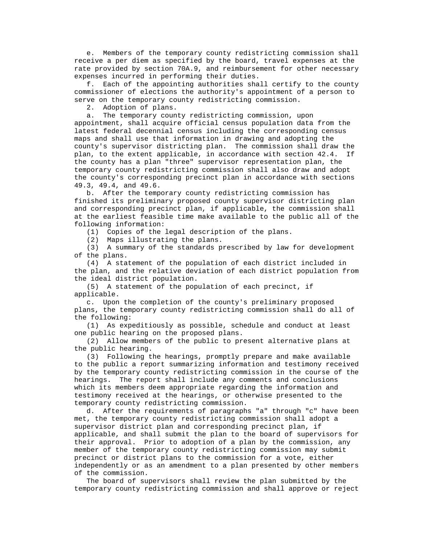e. Members of the temporary county redistricting commission shall receive a per diem as specified by the board, travel expenses at the rate provided by section 70A.9, and reimbursement for other necessary expenses incurred in performing their duties.

 f. Each of the appointing authorities shall certify to the county commissioner of elections the authority's appointment of a person to serve on the temporary county redistricting commission.

2. Adoption of plans.

 a. The temporary county redistricting commission, upon appointment, shall acquire official census population data from the latest federal decennial census including the corresponding census maps and shall use that information in drawing and adopting the county's supervisor districting plan. The commission shall draw the plan, to the extent applicable, in accordance with section 42.4. If the county has a plan "three" supervisor representation plan, the temporary county redistricting commission shall also draw and adopt the county's corresponding precinct plan in accordance with sections 49.3, 49.4, and 49.6.

 b. After the temporary county redistricting commission has finished its preliminary proposed county supervisor districting plan and corresponding precinct plan, if applicable, the commission shall at the earliest feasible time make available to the public all of the following information:

(1) Copies of the legal description of the plans.

(2) Maps illustrating the plans.

 (3) A summary of the standards prescribed by law for development of the plans.

 (4) A statement of the population of each district included in the plan, and the relative deviation of each district population from the ideal district population.

 (5) A statement of the population of each precinct, if applicable.

 c. Upon the completion of the county's preliminary proposed plans, the temporary county redistricting commission shall do all of the following:

 (1) As expeditiously as possible, schedule and conduct at least one public hearing on the proposed plans.

 (2) Allow members of the public to present alternative plans at the public hearing.

 (3) Following the hearings, promptly prepare and make available to the public a report summarizing information and testimony received by the temporary county redistricting commission in the course of the hearings. The report shall include any comments and conclusions which its members deem appropriate regarding the information and testimony received at the hearings, or otherwise presented to the temporary county redistricting commission.

 d. After the requirements of paragraphs "a" through "c" have been met, the temporary county redistricting commission shall adopt a supervisor district plan and corresponding precinct plan, if applicable, and shall submit the plan to the board of supervisors for their approval. Prior to adoption of a plan by the commission, any member of the temporary county redistricting commission may submit precinct or district plans to the commission for a vote, either independently or as an amendment to a plan presented by other members of the commission.

 The board of supervisors shall review the plan submitted by the temporary county redistricting commission and shall approve or reject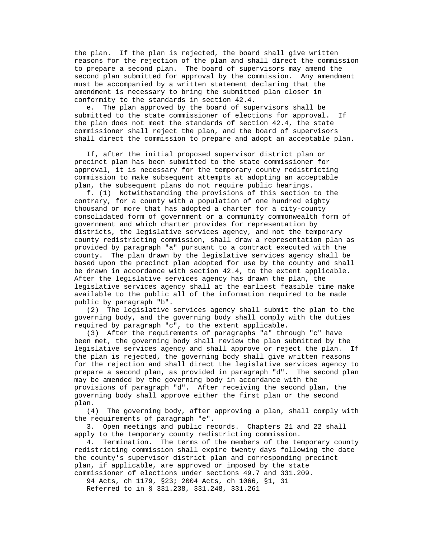the plan. If the plan is rejected, the board shall give written reasons for the rejection of the plan and shall direct the commission to prepare a second plan. The board of supervisors may amend the second plan submitted for approval by the commission. Any amendment must be accompanied by a written statement declaring that the amendment is necessary to bring the submitted plan closer in conformity to the standards in section 42.4.

 e. The plan approved by the board of supervisors shall be submitted to the state commissioner of elections for approval. If the plan does not meet the standards of section 42.4, the state commissioner shall reject the plan, and the board of supervisors shall direct the commission to prepare and adopt an acceptable plan.

 If, after the initial proposed supervisor district plan or precinct plan has been submitted to the state commissioner for approval, it is necessary for the temporary county redistricting commission to make subsequent attempts at adopting an acceptable plan, the subsequent plans do not require public hearings.

 f. (1) Notwithstanding the provisions of this section to the contrary, for a county with a population of one hundred eighty thousand or more that has adopted a charter for a city-county consolidated form of government or a community commonwealth form of government and which charter provides for representation by districts, the legislative services agency, and not the temporary county redistricting commission, shall draw a representation plan as provided by paragraph "a" pursuant to a contract executed with the county. The plan drawn by the legislative services agency shall be based upon the precinct plan adopted for use by the county and shall be drawn in accordance with section 42.4, to the extent applicable. After the legislative services agency has drawn the plan, the legislative services agency shall at the earliest feasible time make available to the public all of the information required to be made public by paragraph "b".

 (2) The legislative services agency shall submit the plan to the governing body, and the governing body shall comply with the duties required by paragraph "c", to the extent applicable.

 (3) After the requirements of paragraphs "a" through "c" have been met, the governing body shall review the plan submitted by the legislative services agency and shall approve or reject the plan. If the plan is rejected, the governing body shall give written reasons for the rejection and shall direct the legislative services agency to prepare a second plan, as provided in paragraph "d". The second plan may be amended by the governing body in accordance with the provisions of paragraph "d". After receiving the second plan, the governing body shall approve either the first plan or the second plan.

 (4) The governing body, after approving a plan, shall comply with the requirements of paragraph "e".

 3. Open meetings and public records. Chapters 21 and 22 shall apply to the temporary county redistricting commission.

 4. Termination. The terms of the members of the temporary county redistricting commission shall expire twenty days following the date the county's supervisor district plan and corresponding precinct plan, if applicable, are approved or imposed by the state commissioner of elections under sections 49.7 and 331.209.

 94 Acts, ch 1179, §23; 2004 Acts, ch 1066, §1, 31 Referred to in § 331.238, 331.248, 331.261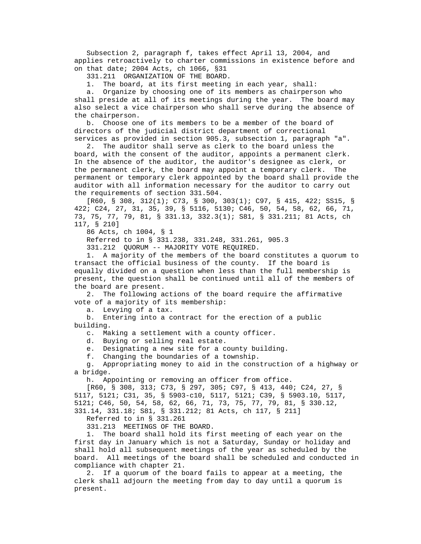Subsection 2, paragraph f, takes effect April 13, 2004, and applies retroactively to charter commissions in existence before and on that date; 2004 Acts, ch 1066, §31

331.211 ORGANIZATION OF THE BOARD.

1. The board, at its first meeting in each year, shall:

 a. Organize by choosing one of its members as chairperson who shall preside at all of its meetings during the year. The board may also select a vice chairperson who shall serve during the absence of the chairperson.

 b. Choose one of its members to be a member of the board of directors of the judicial district department of correctional services as provided in section 905.3, subsection 1, paragraph "a".

 2. The auditor shall serve as clerk to the board unless the board, with the consent of the auditor, appoints a permanent clerk. In the absence of the auditor, the auditor's designee as clerk, or the permanent clerk, the board may appoint a temporary clerk. The permanent or temporary clerk appointed by the board shall provide the auditor with all information necessary for the auditor to carry out the requirements of section 331.504.

 [R60, § 308, 312(1); C73, § 300, 303(1); C97, § 415, 422; SS15, § 422; C24, 27, 31, 35, 39, § 5116, 5130; C46, 50, 54, 58, 62, 66, 71, 73, 75, 77, 79, 81, § 331.13, 332.3(1); S81, § 331.211; 81 Acts, ch 117, § 210]

86 Acts, ch 1004, § 1

Referred to in § 331.238, 331.248, 331.261, 905.3

331.212 QUORUM -- MAJORITY VOTE REQUIRED.

 1. A majority of the members of the board constitutes a quorum to transact the official business of the county. If the board is equally divided on a question when less than the full membership is present, the question shall be continued until all of the members of the board are present.

 2. The following actions of the board require the affirmative vote of a majority of its membership:

a. Levying of a tax.

 b. Entering into a contract for the erection of a public building.

c. Making a settlement with a county officer.

d. Buying or selling real estate.

e. Designating a new site for a county building.

f. Changing the boundaries of a township.

 g. Appropriating money to aid in the construction of a highway or a bridge.

h. Appointing or removing an officer from office.

 [R60, § 308, 313; C73, § 297, 305; C97, § 413, 440; C24, 27, § 5117, 5121; C31, 35, § 5903-c10, 5117, 5121; C39, § 5903.10, 5117, 5121; C46, 50, 54, 58, 62, 66, 71, 73, 75, 77, 79, 81, § 330.12, 331.14, 331.18; S81, § 331.212; 81 Acts, ch 117, § 211]

Referred to in § 331.261

331.213 MEETINGS OF THE BOARD.

 1. The board shall hold its first meeting of each year on the first day in January which is not a Saturday, Sunday or holiday and shall hold all subsequent meetings of the year as scheduled by the board. All meetings of the board shall be scheduled and conducted in compliance with chapter 21.

 2. If a quorum of the board fails to appear at a meeting, the clerk shall adjourn the meeting from day to day until a quorum is present.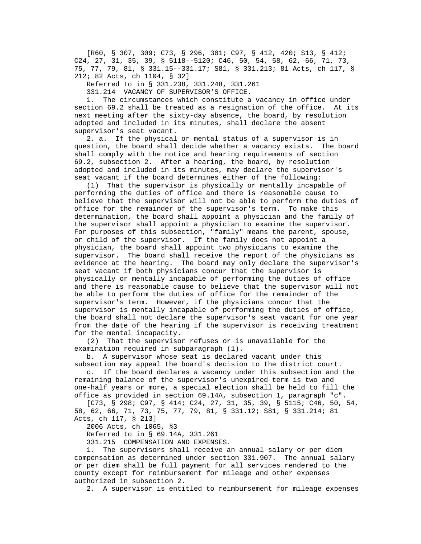[R60, § 307, 309; C73, § 296, 301; C97, § 412, 420; S13, § 412; C24, 27, 31, 35, 39, § 5118--5120; C46, 50, 54, 58, 62, 66, 71, 73, 75, 77, 79, 81, § 331.15--331.17; S81, § 331.213; 81 Acts, ch 117, § 212; 82 Acts, ch 1104, § 32]

Referred to in § 331.238, 331.248, 331.261

331.214 VACANCY OF SUPERVISOR'S OFFICE.

 1. The circumstances which constitute a vacancy in office under section 69.2 shall be treated as a resignation of the office. At its next meeting after the sixty-day absence, the board, by resolution adopted and included in its minutes, shall declare the absent supervisor's seat vacant.

 2. a. If the physical or mental status of a supervisor is in question, the board shall decide whether a vacancy exists. The board shall comply with the notice and hearing requirements of section 69.2, subsection 2. After a hearing, the board, by resolution adopted and included in its minutes, may declare the supervisor's seat vacant if the board determines either of the following:

 (1) That the supervisor is physically or mentally incapable of performing the duties of office and there is reasonable cause to believe that the supervisor will not be able to perform the duties of office for the remainder of the supervisor's term. To make this determination, the board shall appoint a physician and the family of the supervisor shall appoint a physician to examine the supervisor. For purposes of this subsection, "family" means the parent, spouse, or child of the supervisor. If the family does not appoint a physician, the board shall appoint two physicians to examine the supervisor. The board shall receive the report of the physicians as evidence at the hearing. The board may only declare the supervisor's seat vacant if both physicians concur that the supervisor is physically or mentally incapable of performing the duties of office and there is reasonable cause to believe that the supervisor will not be able to perform the duties of office for the remainder of the supervisor's term. However, if the physicians concur that the supervisor is mentally incapable of performing the duties of office, the board shall not declare the supervisor's seat vacant for one year from the date of the hearing if the supervisor is receiving treatment for the mental incapacity.

 (2) That the supervisor refuses or is unavailable for the examination required in subparagraph (1).

 b. A supervisor whose seat is declared vacant under this subsection may appeal the board's decision to the district court.

 c. If the board declares a vacancy under this subsection and the remaining balance of the supervisor's unexpired term is two and one-half years or more, a special election shall be held to fill the office as provided in section 69.14A, subsection 1, paragraph "c".

 [C73, § 298; C97, § 414; C24, 27, 31, 35, 39, § 5115; C46, 50, 54, 58, 62, 66, 71, 73, 75, 77, 79, 81, § 331.12; S81, § 331.214; 81 Acts, ch 117, § 213]

2006 Acts, ch 1065, §3

Referred to in § 69.14A, 331.261

331.215 COMPENSATION AND EXPENSES.

 1. The supervisors shall receive an annual salary or per diem compensation as determined under section 331.907. The annual salary or per diem shall be full payment for all services rendered to the county except for reimbursement for mileage and other expenses authorized in subsection 2.

2. A supervisor is entitled to reimbursement for mileage expenses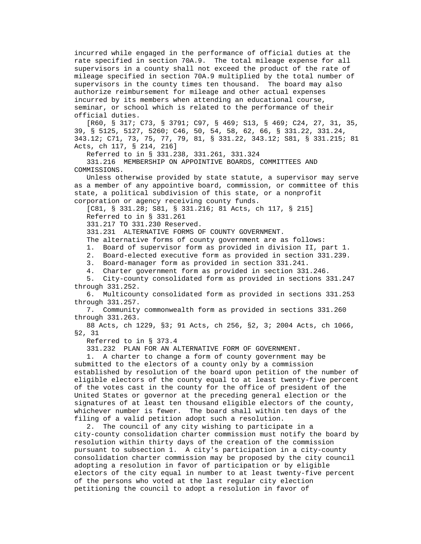incurred while engaged in the performance of official duties at the rate specified in section 70A.9. The total mileage expense for all supervisors in a county shall not exceed the product of the rate of mileage specified in section 70A.9 multiplied by the total number of supervisors in the county times ten thousand. The board may also authorize reimbursement for mileage and other actual expenses incurred by its members when attending an educational course, seminar, or school which is related to the performance of their official duties.

 [R60, § 317; C73, § 3791; C97, § 469; S13, § 469; C24, 27, 31, 35, 39, § 5125, 5127, 5260; C46, 50, 54, 58, 62, 66, § 331.22, 331.24, 343.12; C71, 73, 75, 77, 79, 81, § 331.22, 343.12; S81, § 331.215; 81 Acts, ch 117, § 214, 216]

Referred to in § 331.238, 331.261, 331.324

 331.216 MEMBERSHIP ON APPOINTIVE BOARDS, COMMITTEES AND COMMISSIONS.

 Unless otherwise provided by state statute, a supervisor may serve as a member of any appointive board, commission, or committee of this state, a political subdivision of this state, or a nonprofit corporation or agency receiving county funds.

[C81, § 331.28; S81, § 331.216; 81 Acts, ch 117, § 215]

Referred to in § 331.261

331.217 TO 331.230 Reserved.

331.231 ALTERNATIVE FORMS OF COUNTY GOVERNMENT.

The alternative forms of county government are as follows:

1. Board of supervisor form as provided in division II, part 1.

2. Board-elected executive form as provided in section 331.239.

3. Board-manager form as provided in section 331.241.

4. Charter government form as provided in section 331.246.

 5. City-county consolidated form as provided in sections 331.247 through 331.252.

 6. Multicounty consolidated form as provided in sections 331.253 through 331.257.

 7. Community commonwealth form as provided in sections 331.260 through 331.263.

 88 Acts, ch 1229, §3; 91 Acts, ch 256, §2, 3; 2004 Acts, ch 1066, §2, 31

Referred to in § 373.4

331.232 PLAN FOR AN ALTERNATIVE FORM OF GOVERNMENT.

 1. A charter to change a form of county government may be submitted to the electors of a county only by a commission established by resolution of the board upon petition of the number of eligible electors of the county equal to at least twenty-five percent of the votes cast in the county for the office of president of the United States or governor at the preceding general election or the signatures of at least ten thousand eligible electors of the county, whichever number is fewer. The board shall within ten days of the filing of a valid petition adopt such a resolution.

 2. The council of any city wishing to participate in a city-county consolidation charter commission must notify the board by resolution within thirty days of the creation of the commission pursuant to subsection 1. A city's participation in a city-county consolidation charter commission may be proposed by the city council adopting a resolution in favor of participation or by eligible electors of the city equal in number to at least twenty-five percent of the persons who voted at the last regular city election petitioning the council to adopt a resolution in favor of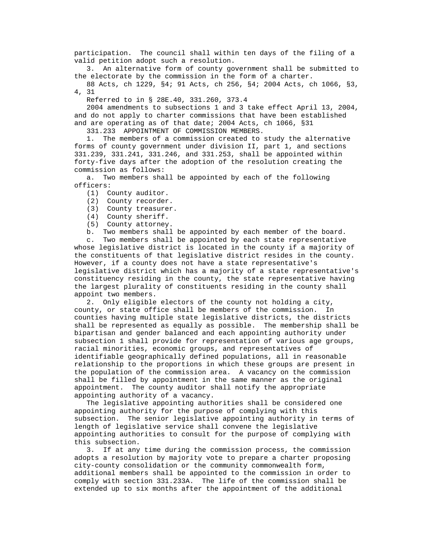participation. The council shall within ten days of the filing of a valid petition adopt such a resolution.

 3. An alternative form of county government shall be submitted to the electorate by the commission in the form of a charter.

 88 Acts, ch 1229, §4; 91 Acts, ch 256, §4; 2004 Acts, ch 1066, §3, 4, 31

Referred to in § 28E.40, 331.260, 373.4

 2004 amendments to subsections 1 and 3 take effect April 13, 2004, and do not apply to charter commissions that have been established and are operating as of that date; 2004 Acts, ch 1066, §31

331.233 APPOINTMENT OF COMMISSION MEMBERS.

 1. The members of a commission created to study the alternative forms of county government under division II, part 1, and sections 331.239, 331.241, 331.246, and 331.253, shall be appointed within forty-five days after the adoption of the resolution creating the commission as follows:

 a. Two members shall be appointed by each of the following officers:

- (1) County auditor.
- (2) County recorder.

(3) County treasurer.

(4) County sheriff.

(5) County attorney.

b. Two members shall be appointed by each member of the board.

 c. Two members shall be appointed by each state representative whose legislative district is located in the county if a majority of the constituents of that legislative district resides in the county. However, if a county does not have a state representative's legislative district which has a majority of a state representative's constituency residing in the county, the state representative having the largest plurality of constituents residing in the county shall appoint two members.

 2. Only eligible electors of the county not holding a city, county, or state office shall be members of the commission. In counties having multiple state legislative districts, the districts shall be represented as equally as possible. The membership shall be bipartisan and gender balanced and each appointing authority under subsection 1 shall provide for representation of various age groups, racial minorities, economic groups, and representatives of identifiable geographically defined populations, all in reasonable relationship to the proportions in which these groups are present in the population of the commission area. A vacancy on the commission shall be filled by appointment in the same manner as the original appointment. The county auditor shall notify the appropriate appointing authority of a vacancy.

 The legislative appointing authorities shall be considered one appointing authority for the purpose of complying with this subsection. The senior legislative appointing authority in terms of length of legislative service shall convene the legislative appointing authorities to consult for the purpose of complying with this subsection.

 3. If at any time during the commission process, the commission adopts a resolution by majority vote to prepare a charter proposing city-county consolidation or the community commonwealth form, additional members shall be appointed to the commission in order to comply with section 331.233A. The life of the commission shall be extended up to six months after the appointment of the additional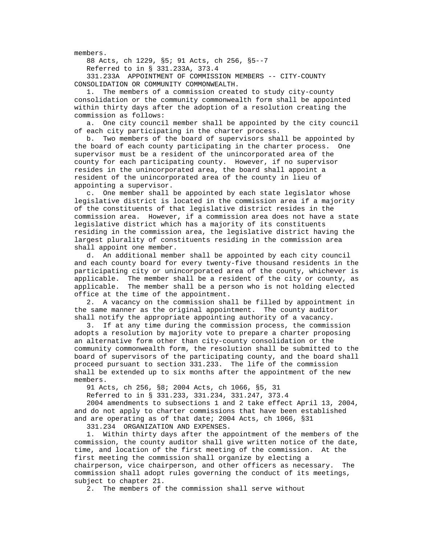members.

88 Acts, ch 1229, §5; 91 Acts, ch 256, §5--7

Referred to in § 331.233A, 373.4

 331.233A APPOINTMENT OF COMMISSION MEMBERS -- CITY-COUNTY CONSOLIDATION OR COMMUNITY COMMONWEALTH.

 1. The members of a commission created to study city-county consolidation or the community commonwealth form shall be appointed within thirty days after the adoption of a resolution creating the commission as follows:

 a. One city council member shall be appointed by the city council of each city participating in the charter process.

 b. Two members of the board of supervisors shall be appointed by the board of each county participating in the charter process. One supervisor must be a resident of the unincorporated area of the county for each participating county. However, if no supervisor resides in the unincorporated area, the board shall appoint a resident of the unincorporated area of the county in lieu of appointing a supervisor.

 c. One member shall be appointed by each state legislator whose legislative district is located in the commission area if a majority of the constituents of that legislative district resides in the commission area. However, if a commission area does not have a state legislative district which has a majority of its constituents residing in the commission area, the legislative district having the largest plurality of constituents residing in the commission area shall appoint one member.

 d. An additional member shall be appointed by each city council and each county board for every twenty-five thousand residents in the participating city or unincorporated area of the county, whichever is applicable. The member shall be a resident of the city or county, as applicable. The member shall be a person who is not holding elected office at the time of the appointment.

 2. A vacancy on the commission shall be filled by appointment in the same manner as the original appointment. The county auditor shall notify the appropriate appointing authority of a vacancy.

 3. If at any time during the commission process, the commission adopts a resolution by majority vote to prepare a charter proposing an alternative form other than city-county consolidation or the community commonwealth form, the resolution shall be submitted to the board of supervisors of the participating county, and the board shall proceed pursuant to section 331.233. The life of the commission shall be extended up to six months after the appointment of the new members.

91 Acts, ch 256, §8; 2004 Acts, ch 1066, §5, 31

Referred to in § 331.233, 331.234, 331.247, 373.4

 2004 amendments to subsections 1 and 2 take effect April 13, 2004, and do not apply to charter commissions that have been established and are operating as of that date; 2004 Acts, ch 1066, §31

331.234 ORGANIZATION AND EXPENSES.

 1. Within thirty days after the appointment of the members of the commission, the county auditor shall give written notice of the date, time, and location of the first meeting of the commission. At the first meeting the commission shall organize by electing a chairperson, vice chairperson, and other officers as necessary. The commission shall adopt rules governing the conduct of its meetings, subject to chapter 21.

2. The members of the commission shall serve without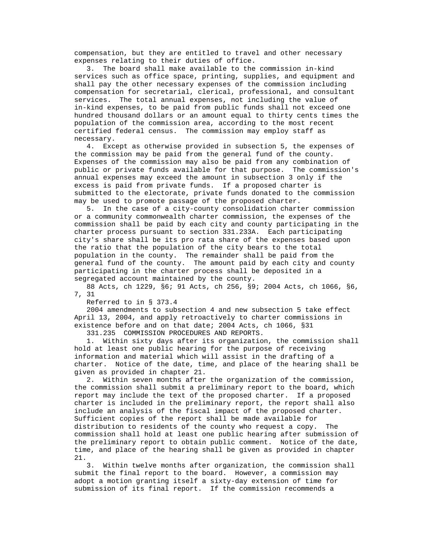compensation, but they are entitled to travel and other necessary expenses relating to their duties of office.

 3. The board shall make available to the commission in-kind services such as office space, printing, supplies, and equipment and shall pay the other necessary expenses of the commission including compensation for secretarial, clerical, professional, and consultant services. The total annual expenses, not including the value of in-kind expenses, to be paid from public funds shall not exceed one hundred thousand dollars or an amount equal to thirty cents times the population of the commission area, according to the most recent certified federal census. The commission may employ staff as necessary.

 4. Except as otherwise provided in subsection 5, the expenses of the commission may be paid from the general fund of the county. Expenses of the commission may also be paid from any combination of public or private funds available for that purpose. The commission's annual expenses may exceed the amount in subsection 3 only if the excess is paid from private funds. If a proposed charter is submitted to the electorate, private funds donated to the commission may be used to promote passage of the proposed charter.

 5. In the case of a city-county consolidation charter commission or a community commonwealth charter commission, the expenses of the commission shall be paid by each city and county participating in the charter process pursuant to section 331.233A. Each participating city's share shall be its pro rata share of the expenses based upon the ratio that the population of the city bears to the total population in the county. The remainder shall be paid from the general fund of the county. The amount paid by each city and county participating in the charter process shall be deposited in a segregated account maintained by the county.

 88 Acts, ch 1229, §6; 91 Acts, ch 256, §9; 2004 Acts, ch 1066, §6, 7, 31

Referred to in § 373.4

 2004 amendments to subsection 4 and new subsection 5 take effect April 13, 2004, and apply retroactively to charter commissions in existence before and on that date; 2004 Acts, ch 1066, §31

331.235 COMMISSION PROCEDURES AND REPORTS.

 1. Within sixty days after its organization, the commission shall hold at least one public hearing for the purpose of receiving information and material which will assist in the drafting of a charter. Notice of the date, time, and place of the hearing shall be given as provided in chapter 21.

 2. Within seven months after the organization of the commission, the commission shall submit a preliminary report to the board, which report may include the text of the proposed charter. If a proposed charter is included in the preliminary report, the report shall also include an analysis of the fiscal impact of the proposed charter. Sufficient copies of the report shall be made available for distribution to residents of the county who request a copy. The commission shall hold at least one public hearing after submission of the preliminary report to obtain public comment. Notice of the date, time, and place of the hearing shall be given as provided in chapter 21.

 3. Within twelve months after organization, the commission shall submit the final report to the board. However, a commission may adopt a motion granting itself a sixty-day extension of time for submission of its final report. If the commission recommends a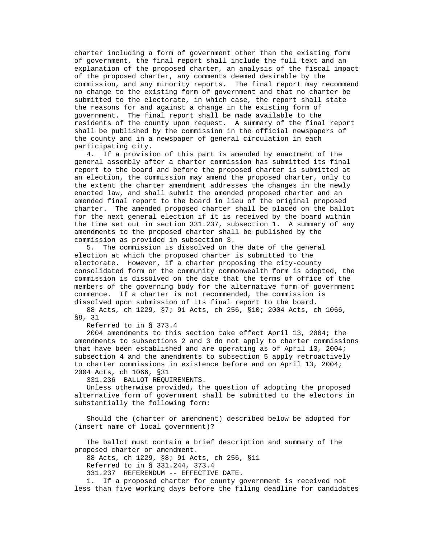charter including a form of government other than the existing form of government, the final report shall include the full text and an explanation of the proposed charter, an analysis of the fiscal impact of the proposed charter, any comments deemed desirable by the commission, and any minority reports. The final report may recommend no change to the existing form of government and that no charter be submitted to the electorate, in which case, the report shall state the reasons for and against a change in the existing form of government. The final report shall be made available to the residents of the county upon request. A summary of the final report shall be published by the commission in the official newspapers of the county and in a newspaper of general circulation in each participating city.

 4. If a provision of this part is amended by enactment of the general assembly after a charter commission has submitted its final report to the board and before the proposed charter is submitted at an election, the commission may amend the proposed charter, only to the extent the charter amendment addresses the changes in the newly enacted law, and shall submit the amended proposed charter and an amended final report to the board in lieu of the original proposed charter. The amended proposed charter shall be placed on the ballot for the next general election if it is received by the board within the time set out in section 331.237, subsection 1. A summary of any amendments to the proposed charter shall be published by the commission as provided in subsection 3.

 5. The commission is dissolved on the date of the general election at which the proposed charter is submitted to the electorate. However, if a charter proposing the city-county consolidated form or the community commonwealth form is adopted, the commission is dissolved on the date that the terms of office of the members of the governing body for the alternative form of government commence. If a charter is not recommended, the commission is dissolved upon submission of its final report to the board.

 88 Acts, ch 1229, §7; 91 Acts, ch 256, §10; 2004 Acts, ch 1066, §8, 31

Referred to in § 373.4

 2004 amendments to this section take effect April 13, 2004; the amendments to subsections 2 and 3 do not apply to charter commissions that have been established and are operating as of April 13, 2004; subsection 4 and the amendments to subsection 5 apply retroactively to charter commissions in existence before and on April 13, 2004; 2004 Acts, ch 1066, §31

331.236 BALLOT REQUIREMENTS.

 Unless otherwise provided, the question of adopting the proposed alternative form of government shall be submitted to the electors in substantially the following form:

 Should the (charter or amendment) described below be adopted for (insert name of local government)?

 The ballot must contain a brief description and summary of the proposed charter or amendment.

88 Acts, ch 1229, §8; 91 Acts, ch 256, §11

Referred to in § 331.244, 373.4

331.237 REFERENDUM -- EFFECTIVE DATE.

 1. If a proposed charter for county government is received not less than five working days before the filing deadline for candidates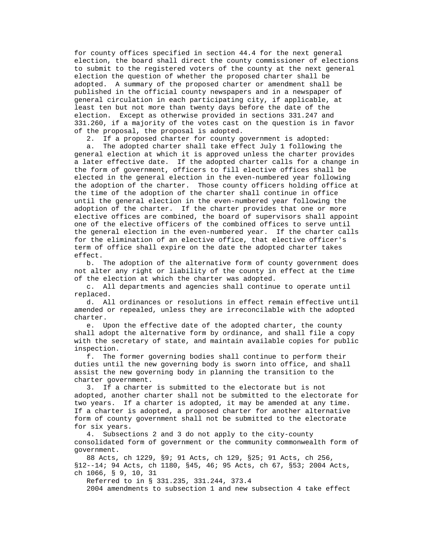for county offices specified in section 44.4 for the next general election, the board shall direct the county commissioner of elections to submit to the registered voters of the county at the next general election the question of whether the proposed charter shall be adopted. A summary of the proposed charter or amendment shall be published in the official county newspapers and in a newspaper of general circulation in each participating city, if applicable, at least ten but not more than twenty days before the date of the election. Except as otherwise provided in sections 331.247 and 331.260, if a majority of the votes cast on the question is in favor of the proposal, the proposal is adopted.

2. If a proposed charter for county government is adopted:

 a. The adopted charter shall take effect July 1 following the general election at which it is approved unless the charter provides a later effective date. If the adopted charter calls for a change in the form of government, officers to fill elective offices shall be elected in the general election in the even-numbered year following the adoption of the charter. Those county officers holding office at the time of the adoption of the charter shall continue in office until the general election in the even-numbered year following the adoption of the charter. If the charter provides that one or more elective offices are combined, the board of supervisors shall appoint one of the elective officers of the combined offices to serve until the general election in the even-numbered year. If the charter calls for the elimination of an elective office, that elective officer's term of office shall expire on the date the adopted charter takes effect.

 b. The adoption of the alternative form of county government does not alter any right or liability of the county in effect at the time of the election at which the charter was adopted.

 c. All departments and agencies shall continue to operate until replaced.

 d. All ordinances or resolutions in effect remain effective until amended or repealed, unless they are irreconcilable with the adopted charter.

 e. Upon the effective date of the adopted charter, the county shall adopt the alternative form by ordinance, and shall file a copy with the secretary of state, and maintain available copies for public inspection.

 f. The former governing bodies shall continue to perform their duties until the new governing body is sworn into office, and shall assist the new governing body in planning the transition to the charter government.

 3. If a charter is submitted to the electorate but is not adopted, another charter shall not be submitted to the electorate for two years. If a charter is adopted, it may be amended at any time. If a charter is adopted, a proposed charter for another alternative form of county government shall not be submitted to the electorate for six years.

 4. Subsections 2 and 3 do not apply to the city-county consolidated form of government or the community commonwealth form of government.

 88 Acts, ch 1229, §9; 91 Acts, ch 129, §25; 91 Acts, ch 256, §12--14; 94 Acts, ch 1180, §45, 46; 95 Acts, ch 67, §53; 2004 Acts, ch 1066, § 9, 10, 31

Referred to in § 331.235, 331.244, 373.4

2004 amendments to subsection 1 and new subsection 4 take effect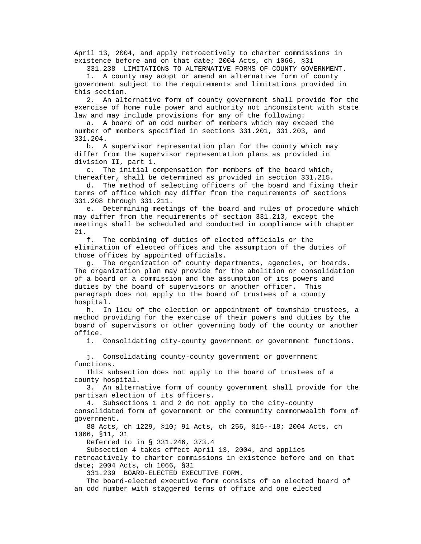April 13, 2004, and apply retroactively to charter commissions in existence before and on that date; 2004 Acts, ch 1066, §31

331.238 LIMITATIONS TO ALTERNATIVE FORMS OF COUNTY GOVERNMENT.

 1. A county may adopt or amend an alternative form of county government subject to the requirements and limitations provided in this section.

 2. An alternative form of county government shall provide for the exercise of home rule power and authority not inconsistent with state law and may include provisions for any of the following:

 a. A board of an odd number of members which may exceed the number of members specified in sections 331.201, 331.203, and 331.204.

 b. A supervisor representation plan for the county which may differ from the supervisor representation plans as provided in division II, part 1.

 c. The initial compensation for members of the board which, thereafter, shall be determined as provided in section 331.215.

 d. The method of selecting officers of the board and fixing their terms of office which may differ from the requirements of sections 331.208 through 331.211.

 e. Determining meetings of the board and rules of procedure which may differ from the requirements of section 331.213, except the meetings shall be scheduled and conducted in compliance with chapter 21.

 f. The combining of duties of elected officials or the elimination of elected offices and the assumption of the duties of those offices by appointed officials.

 g. The organization of county departments, agencies, or boards. The organization plan may provide for the abolition or consolidation of a board or a commission and the assumption of its powers and duties by the board of supervisors or another officer. This paragraph does not apply to the board of trustees of a county hospital.

 h. In lieu of the election or appointment of township trustees, a method providing for the exercise of their powers and duties by the board of supervisors or other governing body of the county or another office.

i. Consolidating city-county government or government functions.

 j. Consolidating county-county government or government functions.

 This subsection does not apply to the board of trustees of a county hospital.

 3. An alternative form of county government shall provide for the partisan election of its officers.

4. Subsections 1 and 2 do not apply to the city-county

 consolidated form of government or the community commonwealth form of government.

 88 Acts, ch 1229, §10; 91 Acts, ch 256, §15--18; 2004 Acts, ch 1066, §11, 31

Referred to in § 331.246, 373.4

 Subsection 4 takes effect April 13, 2004, and applies retroactively to charter commissions in existence before and on that date; 2004 Acts, ch 1066, §31

331.239 BOARD-ELECTED EXECUTIVE FORM.

 The board-elected executive form consists of an elected board of an odd number with staggered terms of office and one elected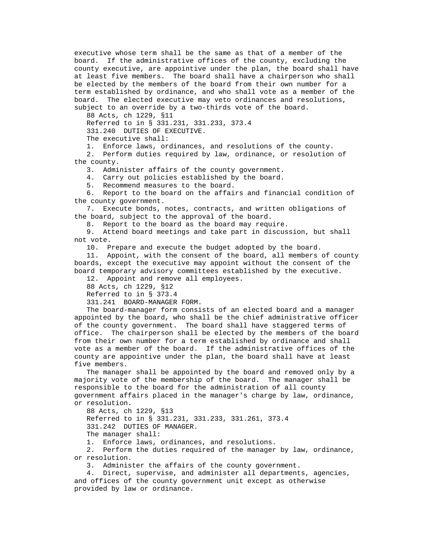executive whose term shall be the same as that of a member of the board. If the administrative offices of the county, excluding the county executive, are appointive under the plan, the board shall have at least five members. The board shall have a chairperson who shall be elected by the members of the board from their own number for a term established by ordinance, and who shall vote as a member of the board. The elected executive may veto ordinances and resolutions, subject to an override by a two-thirds vote of the board.

88 Acts, ch 1229, §11

Referred to in § 331.231, 331.233, 373.4

331.240 DUTIES OF EXECUTIVE.

The executive shall:

1. Enforce laws, ordinances, and resolutions of the county.

 2. Perform duties required by law, ordinance, or resolution of the county.

3. Administer affairs of the county government.

4. Carry out policies established by the board.

5. Recommend measures to the board.

 6. Report to the board on the affairs and financial condition of the county government.

 7. Execute bonds, notes, contracts, and written obligations of the board, subject to the approval of the board.

8. Report to the board as the board may require.<br>9. Attend board meetings and take part in discus

Attend board meetings and take part in discussion, but shall not vote.

10. Prepare and execute the budget adopted by the board.

 11. Appoint, with the consent of the board, all members of county boards, except the executive may appoint without the consent of the board temporary advisory committees established by the executive.

12. Appoint and remove all employees.

88 Acts, ch 1229, §12

Referred to in § 373.4

331.241 BOARD-MANAGER FORM.

 The board-manager form consists of an elected board and a manager appointed by the board, who shall be the chief administrative officer of the county government. The board shall have staggered terms of office. The chairperson shall be elected by the members of the board from their own number for a term established by ordinance and shall vote as a member of the board. If the administrative offices of the county are appointive under the plan, the board shall have at least five members.

 The manager shall be appointed by the board and removed only by a majority vote of the membership of the board. The manager shall be responsible to the board for the administration of all county government affairs placed in the manager's charge by law, ordinance, or resolution.

 88 Acts, ch 1229, §13 Referred to in § 331.231, 331.233, 331.261, 373.4 331.242 DUTIES OF MANAGER. The manager shall:

1. Enforce laws, ordinances, and resolutions.

 2. Perform the duties required of the manager by law, ordinance, or resolution.

3. Administer the affairs of the county government.

 4. Direct, supervise, and administer all departments, agencies, and offices of the county government unit except as otherwise provided by law or ordinance.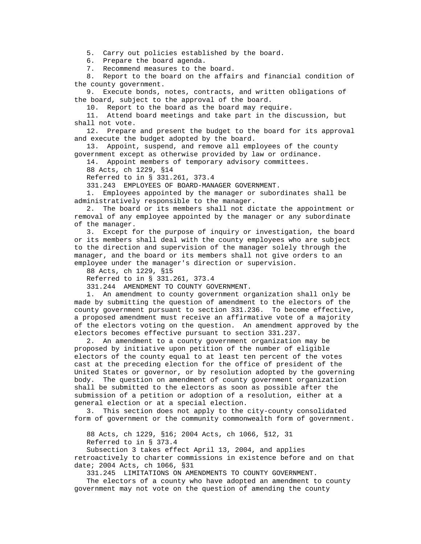5. Carry out policies established by the board.

6. Prepare the board agenda.

7. Recommend measures to the board.

 8. Report to the board on the affairs and financial condition of the county government.

 9. Execute bonds, notes, contracts, and written obligations of the board, subject to the approval of the board.

10. Report to the board as the board may require.

 11. Attend board meetings and take part in the discussion, but shall not vote.

 12. Prepare and present the budget to the board for its approval and execute the budget adopted by the board.

 13. Appoint, suspend, and remove all employees of the county government except as otherwise provided by law or ordinance.

14. Appoint members of temporary advisory committees.

88 Acts, ch 1229, §14

Referred to in § 331.261, 373.4

331.243 EMPLOYEES OF BOARD-MANAGER GOVERNMENT.

 1. Employees appointed by the manager or subordinates shall be administratively responsible to the manager.

 2. The board or its members shall not dictate the appointment or removal of any employee appointed by the manager or any subordinate of the manager.

 3. Except for the purpose of inquiry or investigation, the board or its members shall deal with the county employees who are subject to the direction and supervision of the manager solely through the manager, and the board or its members shall not give orders to an employee under the manager's direction or supervision.

88 Acts, ch 1229, §15

Referred to in § 331.261, 373.4

331.244 AMENDMENT TO COUNTY GOVERNMENT.

 1. An amendment to county government organization shall only be made by submitting the question of amendment to the electors of the county government pursuant to section 331.236. To become effective, a proposed amendment must receive an affirmative vote of a majority of the electors voting on the question. An amendment approved by the electors becomes effective pursuant to section 331.237.

 2. An amendment to a county government organization may be proposed by initiative upon petition of the number of eligible electors of the county equal to at least ten percent of the votes cast at the preceding election for the office of president of the United States or governor, or by resolution adopted by the governing body. The question on amendment of county government organization shall be submitted to the electors as soon as possible after the submission of a petition or adoption of a resolution, either at a general election or at a special election.

 3. This section does not apply to the city-county consolidated form of government or the community commonwealth form of government.

88 Acts, ch 1229, §16; 2004 Acts, ch 1066, §12, 31

Referred to in § 373.4

 Subsection 3 takes effect April 13, 2004, and applies retroactively to charter commissions in existence before and on that date; 2004 Acts, ch 1066, §31

331.245 LIMITATIONS ON AMENDMENTS TO COUNTY GOVERNMENT.

 The electors of a county who have adopted an amendment to county government may not vote on the question of amending the county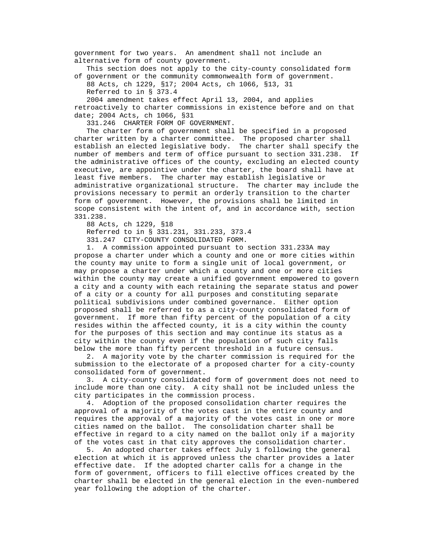government for two years. An amendment shall not include an alternative form of county government.

 This section does not apply to the city-county consolidated form of government or the community commonwealth form of government.

 88 Acts, ch 1229, §17; 2004 Acts, ch 1066, §13, 31 Referred to in § 373.4

 2004 amendment takes effect April 13, 2004, and applies retroactively to charter commissions in existence before and on that date; 2004 Acts, ch 1066, §31

331.246 CHARTER FORM OF GOVERNMENT.

 The charter form of government shall be specified in a proposed charter written by a charter committee. The proposed charter shall establish an elected legislative body. The charter shall specify the number of members and term of office pursuant to section 331.238. If the administrative offices of the county, excluding an elected county executive, are appointive under the charter, the board shall have at least five members. The charter may establish legislative or administrative organizational structure. The charter may include the provisions necessary to permit an orderly transition to the charter form of government. However, the provisions shall be limited in scope consistent with the intent of, and in accordance with, section 331.238.

88 Acts, ch 1229, §18

Referred to in § 331.231, 331.233, 373.4

331.247 CITY-COUNTY CONSOLIDATED FORM.

 1. A commission appointed pursuant to section 331.233A may propose a charter under which a county and one or more cities within the county may unite to form a single unit of local government, or may propose a charter under which a county and one or more cities within the county may create a unified government empowered to govern a city and a county with each retaining the separate status and power of a city or a county for all purposes and constituting separate political subdivisions under combined governance. Either option proposed shall be referred to as a city-county consolidated form of government. If more than fifty percent of the population of a city resides within the affected county, it is a city within the county for the purposes of this section and may continue its status as a city within the county even if the population of such city falls below the more than fifty percent threshold in a future census.

 2. A majority vote by the charter commission is required for the submission to the electorate of a proposed charter for a city-county consolidated form of government.

 3. A city-county consolidated form of government does not need to include more than one city. A city shall not be included unless the city participates in the commission process.

 4. Adoption of the proposed consolidation charter requires the approval of a majority of the votes cast in the entire county and requires the approval of a majority of the votes cast in one or more cities named on the ballot. The consolidation charter shall be effective in regard to a city named on the ballot only if a majority of the votes cast in that city approves the consolidation charter.

 5. An adopted charter takes effect July 1 following the general election at which it is approved unless the charter provides a later effective date. If the adopted charter calls for a change in the form of government, officers to fill elective offices created by the charter shall be elected in the general election in the even-numbered year following the adoption of the charter.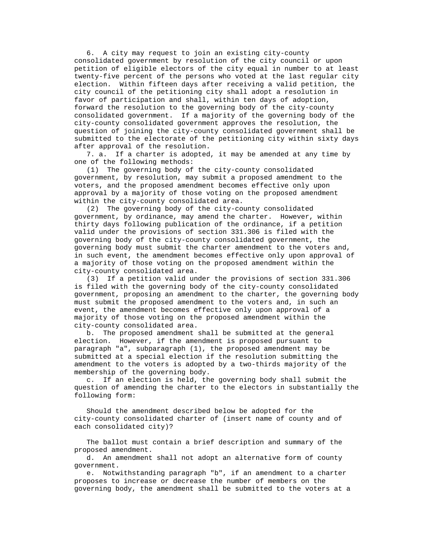6. A city may request to join an existing city-county consolidated government by resolution of the city council or upon petition of eligible electors of the city equal in number to at least twenty-five percent of the persons who voted at the last regular city election. Within fifteen days after receiving a valid petition, the city council of the petitioning city shall adopt a resolution in favor of participation and shall, within ten days of adoption, forward the resolution to the governing body of the city-county consolidated government. If a majority of the governing body of the city-county consolidated government approves the resolution, the question of joining the city-county consolidated government shall be submitted to the electorate of the petitioning city within sixty days after approval of the resolution.

 7. a. If a charter is adopted, it may be amended at any time by one of the following methods:

 (1) The governing body of the city-county consolidated government, by resolution, may submit a proposed amendment to the voters, and the proposed amendment becomes effective only upon approval by a majority of those voting on the proposed amendment within the city-county consolidated area.

 (2) The governing body of the city-county consolidated government, by ordinance, may amend the charter. However, within thirty days following publication of the ordinance, if a petition valid under the provisions of section 331.306 is filed with the governing body of the city-county consolidated government, the governing body must submit the charter amendment to the voters and, in such event, the amendment becomes effective only upon approval of a majority of those voting on the proposed amendment within the city-county consolidated area.

 (3) If a petition valid under the provisions of section 331.306 is filed with the governing body of the city-county consolidated government, proposing an amendment to the charter, the governing body must submit the proposed amendment to the voters and, in such an event, the amendment becomes effective only upon approval of a majority of those voting on the proposed amendment within the city-county consolidated area.

 b. The proposed amendment shall be submitted at the general election. However, if the amendment is proposed pursuant to paragraph "a", subparagraph (1), the proposed amendment may be submitted at a special election if the resolution submitting the amendment to the voters is adopted by a two-thirds majority of the membership of the governing body.

 c. If an election is held, the governing body shall submit the question of amending the charter to the electors in substantially the following form:

 Should the amendment described below be adopted for the city-county consolidated charter of (insert name of county and of each consolidated city)?

 The ballot must contain a brief description and summary of the proposed amendment.

 d. An amendment shall not adopt an alternative form of county government.

 e. Notwithstanding paragraph "b", if an amendment to a charter proposes to increase or decrease the number of members on the governing body, the amendment shall be submitted to the voters at a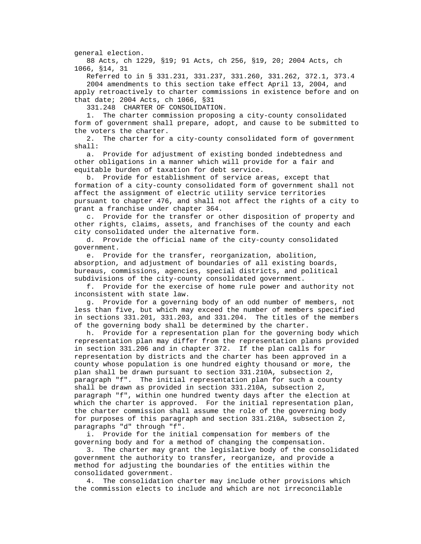general election.

 88 Acts, ch 1229, §19; 91 Acts, ch 256, §19, 20; 2004 Acts, ch 1066, §14, 31

 Referred to in § 331.231, 331.237, 331.260, 331.262, 372.1, 373.4 2004 amendments to this section take effect April 13, 2004, and apply retroactively to charter commissions in existence before and on that date; 2004 Acts, ch 1066, §31

331.248 CHARTER OF CONSOLIDATION.

 1. The charter commission proposing a city-county consolidated form of government shall prepare, adopt, and cause to be submitted to the voters the charter.

 2. The charter for a city-county consolidated form of government shall:

 a. Provide for adjustment of existing bonded indebtedness and other obligations in a manner which will provide for a fair and equitable burden of taxation for debt service.

 b. Provide for establishment of service areas, except that formation of a city-county consolidated form of government shall not affect the assignment of electric utility service territories pursuant to chapter 476, and shall not affect the rights of a city to grant a franchise under chapter 364.

 c. Provide for the transfer or other disposition of property and other rights, claims, assets, and franchises of the county and each city consolidated under the alternative form.

 d. Provide the official name of the city-county consolidated government.

 e. Provide for the transfer, reorganization, abolition, absorption, and adjustment of boundaries of all existing boards, bureaus, commissions, agencies, special districts, and political subdivisions of the city-county consolidated government.

 f. Provide for the exercise of home rule power and authority not inconsistent with state law.

 g. Provide for a governing body of an odd number of members, not less than five, but which may exceed the number of members specified in sections 331.201, 331.203, and 331.204. The titles of the members of the governing body shall be determined by the charter.

 h. Provide for a representation plan for the governing body which representation plan may differ from the representation plans provided in section 331.206 and in chapter 372. If the plan calls for representation by districts and the charter has been approved in a county whose population is one hundred eighty thousand or more, the plan shall be drawn pursuant to section 331.210A, subsection 2, paragraph "f". The initial representation plan for such a county shall be drawn as provided in section 331.210A, subsection 2, paragraph "f", within one hundred twenty days after the election at which the charter is approved. For the initial representation plan, the charter commission shall assume the role of the governing body for purposes of this paragraph and section 331.210A, subsection 2, paragraphs "d" through "f".

 i. Provide for the initial compensation for members of the governing body and for a method of changing the compensation.

 3. The charter may grant the legislative body of the consolidated government the authority to transfer, reorganize, and provide a method for adjusting the boundaries of the entities within the consolidated government.

 4. The consolidation charter may include other provisions which the commission elects to include and which are not irreconcilable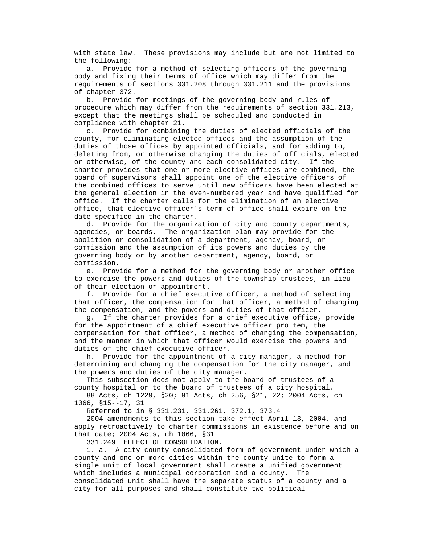with state law. These provisions may include but are not limited to the following:

 a. Provide for a method of selecting officers of the governing body and fixing their terms of office which may differ from the requirements of sections 331.208 through 331.211 and the provisions of chapter 372.

 b. Provide for meetings of the governing body and rules of procedure which may differ from the requirements of section 331.213, except that the meetings shall be scheduled and conducted in compliance with chapter 21.

 c. Provide for combining the duties of elected officials of the county, for eliminating elected offices and the assumption of the duties of those offices by appointed officials, and for adding to, deleting from, or otherwise changing the duties of officials, elected or otherwise, of the county and each consolidated city. If the charter provides that one or more elective offices are combined, the board of supervisors shall appoint one of the elective officers of the combined offices to serve until new officers have been elected at the general election in the even-numbered year and have qualified for office. If the charter calls for the elimination of an elective office, that elective officer's term of office shall expire on the date specified in the charter.

 d. Provide for the organization of city and county departments, agencies, or boards. The organization plan may provide for the abolition or consolidation of a department, agency, board, or commission and the assumption of its powers and duties by the governing body or by another department, agency, board, or commission.

 e. Provide for a method for the governing body or another office to exercise the powers and duties of the township trustees, in lieu of their election or appointment.

 f. Provide for a chief executive officer, a method of selecting that officer, the compensation for that officer, a method of changing the compensation, and the powers and duties of that officer.

 g. If the charter provides for a chief executive office, provide for the appointment of a chief executive officer pro tem, the compensation for that officer, a method of changing the compensation, and the manner in which that officer would exercise the powers and duties of the chief executive officer.

 h. Provide for the appointment of a city manager, a method for determining and changing the compensation for the city manager, and the powers and duties of the city manager.

 This subsection does not apply to the board of trustees of a county hospital or to the board of trustees of a city hospital.

 88 Acts, ch 1229, §20; 91 Acts, ch 256, §21, 22; 2004 Acts, ch 1066, §15--17, 31

Referred to in § 331.231, 331.261, 372.1, 373.4

 2004 amendments to this section take effect April 13, 2004, and apply retroactively to charter commissions in existence before and on that date; 2004 Acts, ch 1066, §31

331.249 EFFECT OF CONSOLIDATION.

 1. a. A city-county consolidated form of government under which a county and one or more cities within the county unite to form a single unit of local government shall create a unified government which includes a municipal corporation and a county. The consolidated unit shall have the separate status of a county and a city for all purposes and shall constitute two political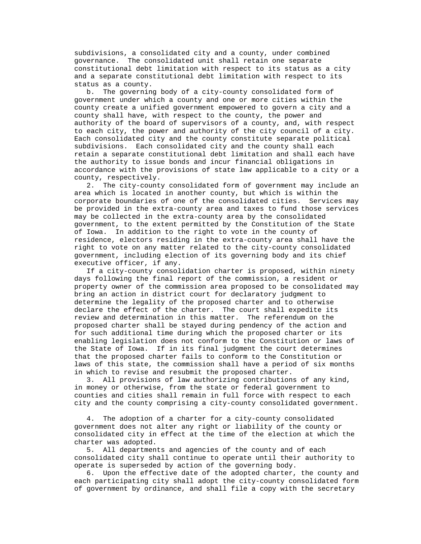subdivisions, a consolidated city and a county, under combined governance. The consolidated unit shall retain one separate constitutional debt limitation with respect to its status as a city and a separate constitutional debt limitation with respect to its status as a county.

 b. The governing body of a city-county consolidated form of government under which a county and one or more cities within the county create a unified government empowered to govern a city and a county shall have, with respect to the county, the power and authority of the board of supervisors of a county, and, with respect to each city, the power and authority of the city council of a city. Each consolidated city and the county constitute separate political subdivisions. Each consolidated city and the county shall each retain a separate constitutional debt limitation and shall each have the authority to issue bonds and incur financial obligations in accordance with the provisions of state law applicable to a city or a county, respectively.

 2. The city-county consolidated form of government may include an area which is located in another county, but which is within the corporate boundaries of one of the consolidated cities. Services may be provided in the extra-county area and taxes to fund those services may be collected in the extra-county area by the consolidated government, to the extent permitted by the Constitution of the State of Iowa. In addition to the right to vote in the county of residence, electors residing in the extra-county area shall have the right to vote on any matter related to the city-county consolidated government, including election of its governing body and its chief executive officer, if any.

 If a city-county consolidation charter is proposed, within ninety days following the final report of the commission, a resident or property owner of the commission area proposed to be consolidated may bring an action in district court for declaratory judgment to determine the legality of the proposed charter and to otherwise declare the effect of the charter. The court shall expedite its review and determination in this matter. The referendum on the proposed charter shall be stayed during pendency of the action and for such additional time during which the proposed charter or its enabling legislation does not conform to the Constitution or laws of the State of Iowa. If in its final judgment the court determines that the proposed charter fails to conform to the Constitution or laws of this state, the commission shall have a period of six months in which to revise and resubmit the proposed charter.

 3. All provisions of law authorizing contributions of any kind, in money or otherwise, from the state or federal government to counties and cities shall remain in full force with respect to each city and the county comprising a city-county consolidated government.

 4. The adoption of a charter for a city-county consolidated government does not alter any right or liability of the county or consolidated city in effect at the time of the election at which the charter was adopted.

 5. All departments and agencies of the county and of each consolidated city shall continue to operate until their authority to operate is superseded by action of the governing body.

 6. Upon the effective date of the adopted charter, the county and each participating city shall adopt the city-county consolidated form of government by ordinance, and shall file a copy with the secretary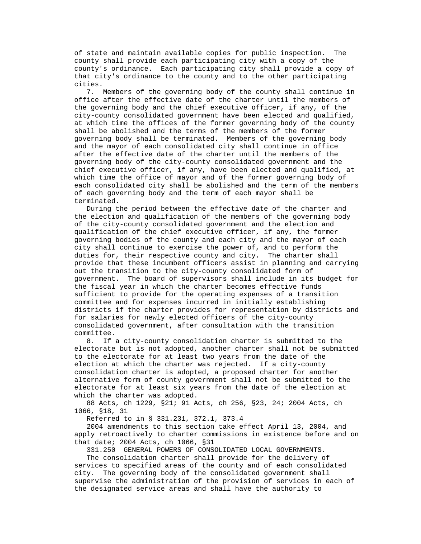of state and maintain available copies for public inspection. The county shall provide each participating city with a copy of the county's ordinance. Each participating city shall provide a copy of that city's ordinance to the county and to the other participating cities.

 7. Members of the governing body of the county shall continue in office after the effective date of the charter until the members of the governing body and the chief executive officer, if any, of the city-county consolidated government have been elected and qualified, at which time the offices of the former governing body of the county shall be abolished and the terms of the members of the former governing body shall be terminated. Members of the governing body and the mayor of each consolidated city shall continue in office after the effective date of the charter until the members of the governing body of the city-county consolidated government and the chief executive officer, if any, have been elected and qualified, at which time the office of mayor and of the former governing body of each consolidated city shall be abolished and the term of the members of each governing body and the term of each mayor shall be terminated.

 During the period between the effective date of the charter and the election and qualification of the members of the governing body of the city-county consolidated government and the election and qualification of the chief executive officer, if any, the former governing bodies of the county and each city and the mayor of each city shall continue to exercise the power of, and to perform the duties for, their respective county and city. The charter shall provide that these incumbent officers assist in planning and carrying out the transition to the city-county consolidated form of government. The board of supervisors shall include in its budget for the fiscal year in which the charter becomes effective funds sufficient to provide for the operating expenses of a transition committee and for expenses incurred in initially establishing districts if the charter provides for representation by districts and for salaries for newly elected officers of the city-county consolidated government, after consultation with the transition committee.

 8. If a city-county consolidation charter is submitted to the electorate but is not adopted, another charter shall not be submitted to the electorate for at least two years from the date of the election at which the charter was rejected. If a city-county consolidation charter is adopted, a proposed charter for another alternative form of county government shall not be submitted to the electorate for at least six years from the date of the election at which the charter was adopted.

 88 Acts, ch 1229, §21; 91 Acts, ch 256, §23, 24; 2004 Acts, ch 1066, §18, 31

Referred to in § 331.231, 372.1, 373.4

 2004 amendments to this section take effect April 13, 2004, and apply retroactively to charter commissions in existence before and on that date; 2004 Acts, ch 1066, §31

331.250 GENERAL POWERS OF CONSOLIDATED LOCAL GOVERNMENTS.

 The consolidation charter shall provide for the delivery of services to specified areas of the county and of each consolidated city. The governing body of the consolidated government shall supervise the administration of the provision of services in each of the designated service areas and shall have the authority to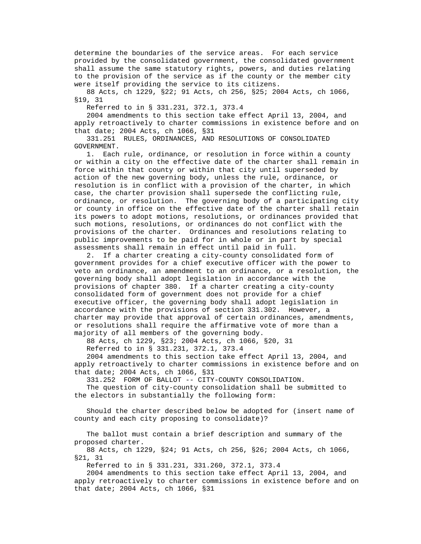determine the boundaries of the service areas. For each service provided by the consolidated government, the consolidated government shall assume the same statutory rights, powers, and duties relating to the provision of the service as if the county or the member city were itself providing the service to its citizens.

 88 Acts, ch 1229, §22; 91 Acts, ch 256, §25; 2004 Acts, ch 1066, §19, 31

Referred to in § 331.231, 372.1, 373.4

 2004 amendments to this section take effect April 13, 2004, and apply retroactively to charter commissions in existence before and on that date; 2004 Acts, ch 1066, §31

 331.251 RULES, ORDINANCES, AND RESOLUTIONS OF CONSOLIDATED GOVERNMENT.

 1. Each rule, ordinance, or resolution in force within a county or within a city on the effective date of the charter shall remain in force within that county or within that city until superseded by action of the new governing body, unless the rule, ordinance, or resolution is in conflict with a provision of the charter, in which case, the charter provision shall supersede the conflicting rule, ordinance, or resolution. The governing body of a participating city or county in office on the effective date of the charter shall retain its powers to adopt motions, resolutions, or ordinances provided that such motions, resolutions, or ordinances do not conflict with the provisions of the charter. Ordinances and resolutions relating to public improvements to be paid for in whole or in part by special assessments shall remain in effect until paid in full.

 2. If a charter creating a city-county consolidated form of government provides for a chief executive officer with the power to veto an ordinance, an amendment to an ordinance, or a resolution, the governing body shall adopt legislation in accordance with the provisions of chapter 380. If a charter creating a city-county consolidated form of government does not provide for a chief executive officer, the governing body shall adopt legislation in accordance with the provisions of section 331.302. However, a charter may provide that approval of certain ordinances, amendments, or resolutions shall require the affirmative vote of more than a majority of all members of the governing body.

88 Acts, ch 1229, §23; 2004 Acts, ch 1066, §20, 31

Referred to in § 331.231, 372.1, 373.4

 2004 amendments to this section take effect April 13, 2004, and apply retroactively to charter commissions in existence before and on that date; 2004 Acts, ch 1066, §31

331.252 FORM OF BALLOT -- CITY-COUNTY CONSOLIDATION.

 The question of city-county consolidation shall be submitted to the electors in substantially the following form:

 Should the charter described below be adopted for (insert name of county and each city proposing to consolidate)?

 The ballot must contain a brief description and summary of the proposed charter.

 88 Acts, ch 1229, §24; 91 Acts, ch 256, §26; 2004 Acts, ch 1066, §21, 31

Referred to in § 331.231, 331.260, 372.1, 373.4

 2004 amendments to this section take effect April 13, 2004, and apply retroactively to charter commissions in existence before and on that date; 2004 Acts, ch 1066, §31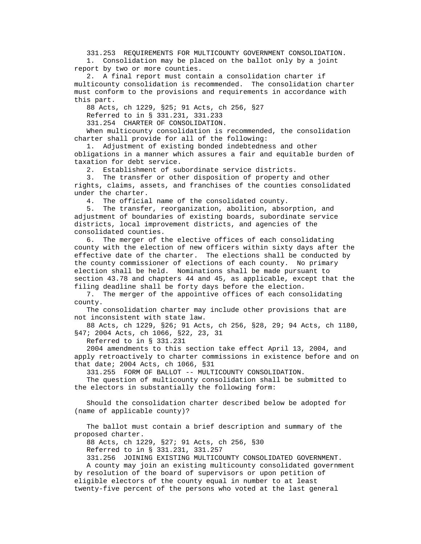331.253 REQUIREMENTS FOR MULTICOUNTY GOVERNMENT CONSOLIDATION.

 1. Consolidation may be placed on the ballot only by a joint report by two or more counties.

 2. A final report must contain a consolidation charter if multicounty consolidation is recommended. The consolidation charter must conform to the provisions and requirements in accordance with this part.

88 Acts, ch 1229, §25; 91 Acts, ch 256, §27

Referred to in § 331.231, 331.233

331.254 CHARTER OF CONSOLIDATION.

 When multicounty consolidation is recommended, the consolidation charter shall provide for all of the following:

 1. Adjustment of existing bonded indebtedness and other obligations in a manner which assures a fair and equitable burden of taxation for debt service.

2. Establishment of subordinate service districts.

 3. The transfer or other disposition of property and other rights, claims, assets, and franchises of the counties consolidated under the charter.

4. The official name of the consolidated county.

 5. The transfer, reorganization, abolition, absorption, and adjustment of boundaries of existing boards, subordinate service districts, local improvement districts, and agencies of the consolidated counties.

 6. The merger of the elective offices of each consolidating county with the election of new officers within sixty days after the effective date of the charter. The elections shall be conducted by the county commissioner of elections of each county. No primary election shall be held. Nominations shall be made pursuant to section 43.78 and chapters 44 and 45, as applicable, except that the filing deadline shall be forty days before the election.

 7. The merger of the appointive offices of each consolidating county.

 The consolidation charter may include other provisions that are not inconsistent with state law.

 88 Acts, ch 1229, §26; 91 Acts, ch 256, §28, 29; 94 Acts, ch 1180, §47; 2004 Acts, ch 1066, §22, 23, 31

Referred to in § 331.231

 2004 amendments to this section take effect April 13, 2004, and apply retroactively to charter commissions in existence before and on that date; 2004 Acts, ch 1066, §31

331.255 FORM OF BALLOT -- MULTICOUNTY CONSOLIDATION.

 The question of multicounty consolidation shall be submitted to the electors in substantially the following form:

 Should the consolidation charter described below be adopted for (name of applicable county)?

 The ballot must contain a brief description and summary of the proposed charter.

88 Acts, ch 1229, §27; 91 Acts, ch 256, §30

Referred to in § 331.231, 331.257

331.256 JOINING EXISTING MULTICOUNTY CONSOLIDATED GOVERNMENT.

 A county may join an existing multicounty consolidated government by resolution of the board of supervisors or upon petition of eligible electors of the county equal in number to at least twenty-five percent of the persons who voted at the last general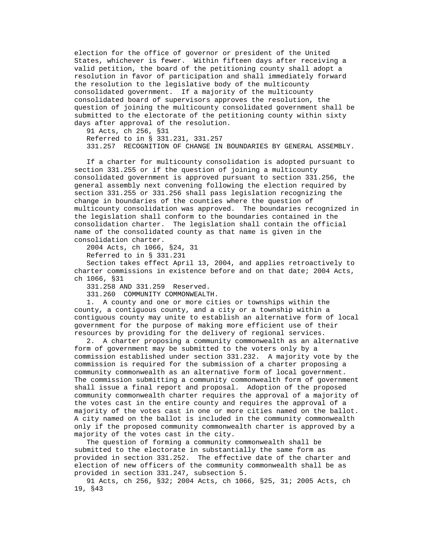election for the office of governor or president of the United States, whichever is fewer. Within fifteen days after receiving a valid petition, the board of the petitioning county shall adopt a resolution in favor of participation and shall immediately forward the resolution to the legislative body of the multicounty consolidated government. If a majority of the multicounty consolidated board of supervisors approves the resolution, the question of joining the multicounty consolidated government shall be submitted to the electorate of the petitioning county within sixty days after approval of the resolution.

 91 Acts, ch 256, §31 Referred to in § 331.231, 331.257 331.257 RECOGNITION OF CHANGE IN BOUNDARIES BY GENERAL ASSEMBLY.

 If a charter for multicounty consolidation is adopted pursuant to section 331.255 or if the question of joining a multicounty consolidated government is approved pursuant to section 331.256, the general assembly next convening following the election required by section 331.255 or 331.256 shall pass legislation recognizing the change in boundaries of the counties where the question of multicounty consolidation was approved. The boundaries recognized in the legislation shall conform to the boundaries contained in the consolidation charter. The legislation shall contain the official name of the consolidated county as that name is given in the consolidation charter.

2004 Acts, ch 1066, §24, 31

Referred to in § 331.231

 Section takes effect April 13, 2004, and applies retroactively to charter commissions in existence before and on that date; 2004 Acts, ch 1066, §31

331.258 AND 331.259 Reserved.

331.260 COMMUNITY COMMONWEALTH.

 1. A county and one or more cities or townships within the county, a contiguous county, and a city or a township within a contiguous county may unite to establish an alternative form of local government for the purpose of making more efficient use of their resources by providing for the delivery of regional services.

 2. A charter proposing a community commonwealth as an alternative form of government may be submitted to the voters only by a commission established under section 331.232. A majority vote by the commission is required for the submission of a charter proposing a community commonwealth as an alternative form of local government. The commission submitting a community commonwealth form of government shall issue a final report and proposal. Adoption of the proposed community commonwealth charter requires the approval of a majority of the votes cast in the entire county and requires the approval of a majority of the votes cast in one or more cities named on the ballot. A city named on the ballot is included in the community commonwealth only if the proposed community commonwealth charter is approved by a majority of the votes cast in the city.

 The question of forming a community commonwealth shall be submitted to the electorate in substantially the same form as provided in section 331.252. The effective date of the charter and election of new officers of the community commonwealth shall be as provided in section 331.247, subsection 5.

 91 Acts, ch 256, §32; 2004 Acts, ch 1066, §25, 31; 2005 Acts, ch 19, §43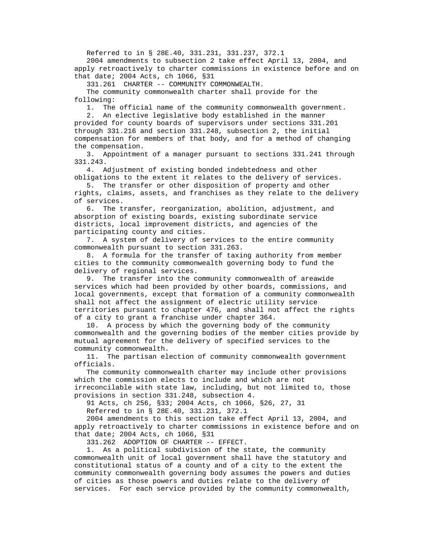Referred to in § 28E.40, 331.231, 331.237, 372.1

 2004 amendments to subsection 2 take effect April 13, 2004, and apply retroactively to charter commissions in existence before and on that date; 2004 Acts, ch 1066, §31

331.261 CHARTER -- COMMUNITY COMMONWEALTH.

 The community commonwealth charter shall provide for the following:

1. The official name of the community commonwealth government.

 2. An elective legislative body established in the manner provided for county boards of supervisors under sections 331.201 through 331.216 and section 331.248, subsection 2, the initial compensation for members of that body, and for a method of changing the compensation.

 3. Appointment of a manager pursuant to sections 331.241 through 331.243.

 4. Adjustment of existing bonded indebtedness and other obligations to the extent it relates to the delivery of services.

 5. The transfer or other disposition of property and other rights, claims, assets, and franchises as they relate to the delivery of services.

 6. The transfer, reorganization, abolition, adjustment, and absorption of existing boards, existing subordinate service districts, local improvement districts, and agencies of the participating county and cities.

 7. A system of delivery of services to the entire community commonwealth pursuant to section 331.263.

 8. A formula for the transfer of taxing authority from member cities to the community commonwealth governing body to fund the delivery of regional services.

 9. The transfer into the community commonwealth of areawide services which had been provided by other boards, commissions, and local governments, except that formation of a community commonwealth shall not affect the assignment of electric utility service territories pursuant to chapter 476, and shall not affect the rights of a city to grant a franchise under chapter 364.

 10. A process by which the governing body of the community commonwealth and the governing bodies of the member cities provide by mutual agreement for the delivery of specified services to the community commonwealth.

 11. The partisan election of community commonwealth government officials.

 The community commonwealth charter may include other provisions which the commission elects to include and which are not irreconcilable with state law, including, but not limited to, those provisions in section 331.248, subsection 4.

91 Acts, ch 256, §33; 2004 Acts, ch 1066, §26, 27, 31

Referred to in § 28E.40, 331.231, 372.1

 2004 amendments to this section take effect April 13, 2004, and apply retroactively to charter commissions in existence before and on that date; 2004 Acts, ch 1066, §31

331.262 ADOPTION OF CHARTER -- EFFECT.

 1. As a political subdivision of the state, the community commonwealth unit of local government shall have the statutory and constitutional status of a county and of a city to the extent the community commonwealth governing body assumes the powers and duties of cities as those powers and duties relate to the delivery of services. For each service provided by the community commonwealth,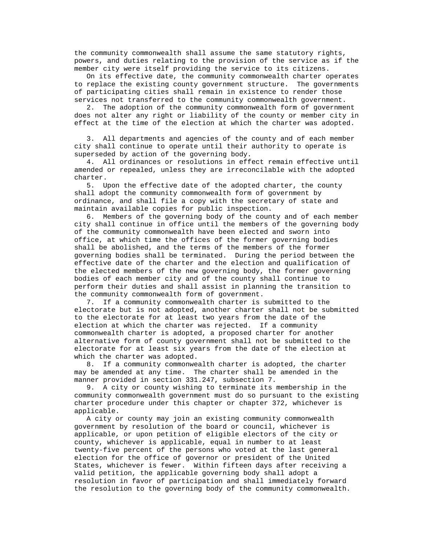the community commonwealth shall assume the same statutory rights, powers, and duties relating to the provision of the service as if the member city were itself providing the service to its citizens.

 On its effective date, the community commonwealth charter operates to replace the existing county government structure. The governments of participating cities shall remain in existence to render those services not transferred to the community commonwealth government.

 2. The adoption of the community commonwealth form of government does not alter any right or liability of the county or member city in effect at the time of the election at which the charter was adopted.

 3. All departments and agencies of the county and of each member city shall continue to operate until their authority to operate is superseded by action of the governing body.

 4. All ordinances or resolutions in effect remain effective until amended or repealed, unless they are irreconcilable with the adopted charter.

 5. Upon the effective date of the adopted charter, the county shall adopt the community commonwealth form of government by ordinance, and shall file a copy with the secretary of state and maintain available copies for public inspection.

 6. Members of the governing body of the county and of each member city shall continue in office until the members of the governing body of the community commonwealth have been elected and sworn into office, at which time the offices of the former governing bodies shall be abolished, and the terms of the members of the former governing bodies shall be terminated. During the period between the effective date of the charter and the election and qualification of the elected members of the new governing body, the former governing bodies of each member city and of the county shall continue to perform their duties and shall assist in planning the transition to the community commonwealth form of government.

 7. If a community commonwealth charter is submitted to the electorate but is not adopted, another charter shall not be submitted to the electorate for at least two years from the date of the election at which the charter was rejected. If a community commonwealth charter is adopted, a proposed charter for another alternative form of county government shall not be submitted to the electorate for at least six years from the date of the election at which the charter was adopted.

 8. If a community commonwealth charter is adopted, the charter may be amended at any time. The charter shall be amended in the manner provided in section 331.247, subsection 7.

 9. A city or county wishing to terminate its membership in the community commonwealth government must do so pursuant to the existing charter procedure under this chapter or chapter 372, whichever is applicable.

 A city or county may join an existing community commonwealth government by resolution of the board or council, whichever is applicable, or upon petition of eligible electors of the city or county, whichever is applicable, equal in number to at least twenty-five percent of the persons who voted at the last general election for the office of governor or president of the United States, whichever is fewer. Within fifteen days after receiving a valid petition, the applicable governing body shall adopt a resolution in favor of participation and shall immediately forward the resolution to the governing body of the community commonwealth.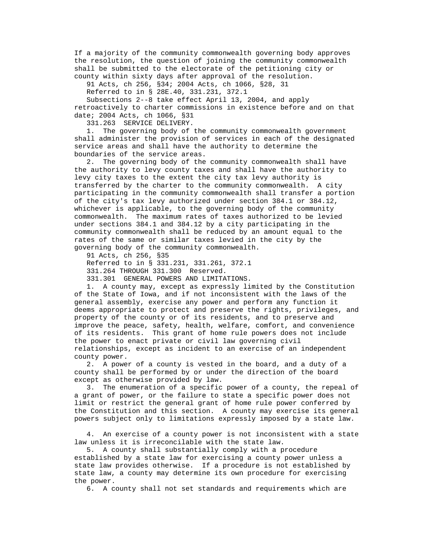If a majority of the community commonwealth governing body approves the resolution, the question of joining the community commonwealth shall be submitted to the electorate of the petitioning city or county within sixty days after approval of the resolution.

91 Acts, ch 256, §34; 2004 Acts, ch 1066, §28, 31

Referred to in § 28E.40, 331.231, 372.1

 Subsections 2--8 take effect April 13, 2004, and apply retroactively to charter commissions in existence before and on that date; 2004 Acts, ch 1066, §31

331.263 SERVICE DELIVERY.

 1. The governing body of the community commonwealth government shall administer the provision of services in each of the designated service areas and shall have the authority to determine the boundaries of the service areas.

 2. The governing body of the community commonwealth shall have the authority to levy county taxes and shall have the authority to levy city taxes to the extent the city tax levy authority is transferred by the charter to the community commonwealth. A city participating in the community commonwealth shall transfer a portion of the city's tax levy authorized under section 384.1 or 384.12, whichever is applicable, to the governing body of the community commonwealth. The maximum rates of taxes authorized to be levied under sections 384.1 and 384.12 by a city participating in the community commonwealth shall be reduced by an amount equal to the rates of the same or similar taxes levied in the city by the governing body of the community commonwealth.

91 Acts, ch 256, §35

Referred to in § 331.231, 331.261, 372.1

331.264 THROUGH 331.300 Reserved.

331.301 GENERAL POWERS AND LIMITATIONS.

 1. A county may, except as expressly limited by the Constitution of the State of Iowa, and if not inconsistent with the laws of the general assembly, exercise any power and perform any function it deems appropriate to protect and preserve the rights, privileges, and property of the county or of its residents, and to preserve and improve the peace, safety, health, welfare, comfort, and convenience of its residents. This grant of home rule powers does not include the power to enact private or civil law governing civil relationships, except as incident to an exercise of an independent county power.

 2. A power of a county is vested in the board, and a duty of a county shall be performed by or under the direction of the board except as otherwise provided by law.

 3. The enumeration of a specific power of a county, the repeal of a grant of power, or the failure to state a specific power does not limit or restrict the general grant of home rule power conferred by the Constitution and this section. A county may exercise its general powers subject only to limitations expressly imposed by a state law.

 4. An exercise of a county power is not inconsistent with a state law unless it is irreconcilable with the state law.

 5. A county shall substantially comply with a procedure established by a state law for exercising a county power unless a state law provides otherwise. If a procedure is not established by state law, a county may determine its own procedure for exercising the power.

6. A county shall not set standards and requirements which are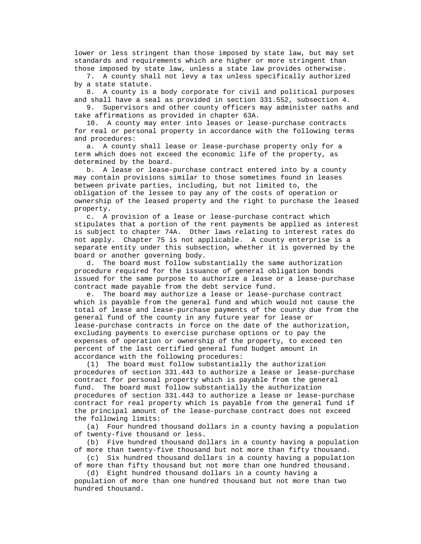lower or less stringent than those imposed by state law, but may set standards and requirements which are higher or more stringent than those imposed by state law, unless a state law provides otherwise.

 7. A county shall not levy a tax unless specifically authorized by a state statute.

 8. A county is a body corporate for civil and political purposes and shall have a seal as provided in section 331.552, subsection 4.

 9. Supervisors and other county officers may administer oaths and take affirmations as provided in chapter 63A.

 10. A county may enter into leases or lease-purchase contracts for real or personal property in accordance with the following terms and procedures:

 a. A county shall lease or lease-purchase property only for a term which does not exceed the economic life of the property, as determined by the board.

 b. A lease or lease-purchase contract entered into by a county may contain provisions similar to those sometimes found in leases between private parties, including, but not limited to, the obligation of the lessee to pay any of the costs of operation or ownership of the leased property and the right to purchase the leased property.

 c. A provision of a lease or lease-purchase contract which stipulates that a portion of the rent payments be applied as interest is subject to chapter 74A. Other laws relating to interest rates do not apply. Chapter 75 is not applicable. A county enterprise is a separate entity under this subsection, whether it is governed by the board or another governing body.

 d. The board must follow substantially the same authorization procedure required for the issuance of general obligation bonds issued for the same purpose to authorize a lease or a lease-purchase contract made payable from the debt service fund.

 e. The board may authorize a lease or lease-purchase contract which is payable from the general fund and which would not cause the total of lease and lease-purchase payments of the county due from the general fund of the county in any future year for lease or lease-purchase contracts in force on the date of the authorization, excluding payments to exercise purchase options or to pay the expenses of operation or ownership of the property, to exceed ten percent of the last certified general fund budget amount in accordance with the following procedures:

 (1) The board must follow substantially the authorization procedures of section 331.443 to authorize a lease or lease-purchase contract for personal property which is payable from the general fund. The board must follow substantially the authorization procedures of section 331.443 to authorize a lease or lease-purchase contract for real property which is payable from the general fund if the principal amount of the lease-purchase contract does not exceed the following limits:

 (a) Four hundred thousand dollars in a county having a population of twenty-five thousand or less.

 (b) Five hundred thousand dollars in a county having a population of more than twenty-five thousand but not more than fifty thousand.

 (c) Six hundred thousand dollars in a county having a population of more than fifty thousand but not more than one hundred thousand.

 population of more than one hundred thousand but not more than two hundred thousand.

(d) Eight hundred thousand dollars in a county having a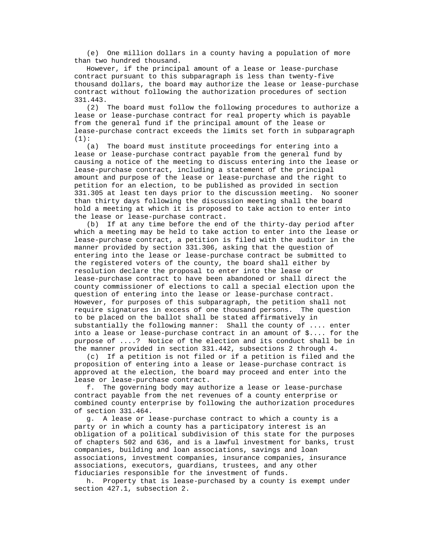(e) One million dollars in a county having a population of more than two hundred thousand.

 However, if the principal amount of a lease or lease-purchase contract pursuant to this subparagraph is less than twenty-five thousand dollars, the board may authorize the lease or lease-purchase contract without following the authorization procedures of section 331.443.

 (2) The board must follow the following procedures to authorize a lease or lease-purchase contract for real property which is payable from the general fund if the principal amount of the lease or lease-purchase contract exceeds the limits set forth in subparagraph  $(1):$ 

 (a) The board must institute proceedings for entering into a lease or lease-purchase contract payable from the general fund by causing a notice of the meeting to discuss entering into the lease or lease-purchase contract, including a statement of the principal amount and purpose of the lease or lease-purchase and the right to petition for an election, to be published as provided in section 331.305 at least ten days prior to the discussion meeting. No sooner than thirty days following the discussion meeting shall the board hold a meeting at which it is proposed to take action to enter into the lease or lease-purchase contract.

 (b) If at any time before the end of the thirty-day period after which a meeting may be held to take action to enter into the lease or lease-purchase contract, a petition is filed with the auditor in the manner provided by section 331.306, asking that the question of entering into the lease or lease-purchase contract be submitted to the registered voters of the county, the board shall either by resolution declare the proposal to enter into the lease or lease-purchase contract to have been abandoned or shall direct the county commissioner of elections to call a special election upon the question of entering into the lease or lease-purchase contract. However, for purposes of this subparagraph, the petition shall not require signatures in excess of one thousand persons. The question to be placed on the ballot shall be stated affirmatively in substantially the following manner: Shall the county of .... enter into a lease or lease-purchase contract in an amount of \$.... for the purpose of ....? Notice of the election and its conduct shall be in the manner provided in section 331.442, subsections 2 through 4.

 (c) If a petition is not filed or if a petition is filed and the proposition of entering into a lease or lease-purchase contract is approved at the election, the board may proceed and enter into the lease or lease-purchase contract.

 f. The governing body may authorize a lease or lease-purchase contract payable from the net revenues of a county enterprise or combined county enterprise by following the authorization procedures of section 331.464.

 g. A lease or lease-purchase contract to which a county is a party or in which a county has a participatory interest is an obligation of a political subdivision of this state for the purposes of chapters 502 and 636, and is a lawful investment for banks, trust companies, building and loan associations, savings and loan associations, investment companies, insurance companies, insurance associations, executors, guardians, trustees, and any other fiduciaries responsible for the investment of funds.

 h. Property that is lease-purchased by a county is exempt under section 427.1, subsection 2.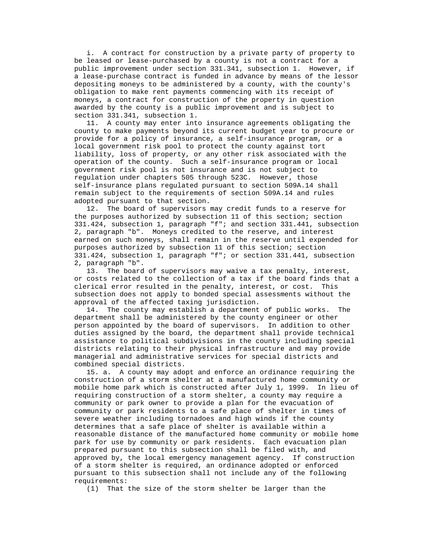i. A contract for construction by a private party of property to be leased or lease-purchased by a county is not a contract for a public improvement under section 331.341, subsection 1. However, if a lease-purchase contract is funded in advance by means of the lessor depositing moneys to be administered by a county, with the county's obligation to make rent payments commencing with its receipt of moneys, a contract for construction of the property in question awarded by the county is a public improvement and is subject to section 331.341, subsection 1.

 11. A county may enter into insurance agreements obligating the county to make payments beyond its current budget year to procure or provide for a policy of insurance, a self-insurance program, or a local government risk pool to protect the county against tort liability, loss of property, or any other risk associated with the operation of the county. Such a self-insurance program or local government risk pool is not insurance and is not subject to regulation under chapters 505 through 523C. However, those self-insurance plans regulated pursuant to section 509A.14 shall remain subject to the requirements of section 509A.14 and rules adopted pursuant to that section.

 12. The board of supervisors may credit funds to a reserve for the purposes authorized by subsection 11 of this section; section 331.424, subsection 1, paragraph "f"; and section 331.441, subsection 2, paragraph "b". Moneys credited to the reserve, and interest earned on such moneys, shall remain in the reserve until expended for purposes authorized by subsection 11 of this section; section 331.424, subsection 1, paragraph "f"; or section 331.441, subsection 2, paragraph "b".

 13. The board of supervisors may waive a tax penalty, interest, or costs related to the collection of a tax if the board finds that a clerical error resulted in the penalty, interest, or cost. This subsection does not apply to bonded special assessments without the approval of the affected taxing jurisdiction.

 14. The county may establish a department of public works. The department shall be administered by the county engineer or other person appointed by the board of supervisors. In addition to other duties assigned by the board, the department shall provide technical assistance to political subdivisions in the county including special districts relating to their physical infrastructure and may provide managerial and administrative services for special districts and combined special districts.

 15. a. A county may adopt and enforce an ordinance requiring the construction of a storm shelter at a manufactured home community or mobile home park which is constructed after July 1, 1999. In lieu of requiring construction of a storm shelter, a county may require a community or park owner to provide a plan for the evacuation of community or park residents to a safe place of shelter in times of severe weather including tornadoes and high winds if the county determines that a safe place of shelter is available within a reasonable distance of the manufactured home community or mobile home park for use by community or park residents. Each evacuation plan prepared pursuant to this subsection shall be filed with, and approved by, the local emergency management agency. If construction of a storm shelter is required, an ordinance adopted or enforced pursuant to this subsection shall not include any of the following requirements:

(1) That the size of the storm shelter be larger than the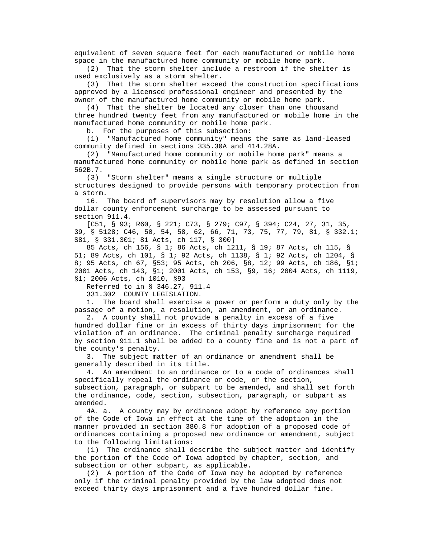equivalent of seven square feet for each manufactured or mobile home space in the manufactured home community or mobile home park.

 (2) That the storm shelter include a restroom if the shelter is used exclusively as a storm shelter.

 (3) That the storm shelter exceed the construction specifications approved by a licensed professional engineer and presented by the owner of the manufactured home community or mobile home park.

 (4) That the shelter be located any closer than one thousand three hundred twenty feet from any manufactured or mobile home in the manufactured home community or mobile home park.

b. For the purposes of this subsection:

 (1) "Manufactured home community" means the same as land-leased community defined in sections 335.30A and 414.28A.

 (2) "Manufactured home community or mobile home park" means a manufactured home community or mobile home park as defined in section 562B.7.

 (3) "Storm shelter" means a single structure or multiple structures designed to provide persons with temporary protection from a storm.

 16. The board of supervisors may by resolution allow a five dollar county enforcement surcharge to be assessed pursuant to section 911.4.

 [C51, § 93; R60, § 221; C73, § 279; C97, § 394; C24, 27, 31, 35, 39, § 5128; C46, 50, 54, 58, 62, 66, 71, 73, 75, 77, 79, 81, § 332.1; S81, § 331.301; 81 Acts, ch 117, § 300]

 85 Acts, ch 156, § 1; 86 Acts, ch 1211, § 19; 87 Acts, ch 115, § 51; 89 Acts, ch 101, § 1; 92 Acts, ch 1138, § 1; 92 Acts, ch 1204, § 8; 95 Acts, ch 67, §53; 95 Acts, ch 206, §8, 12; 99 Acts, ch 186, §1; 2001 Acts, ch 143, §1; 2001 Acts, ch 153, §9, 16; 2004 Acts, ch 1119, §1; 2006 Acts, ch 1010, §93

Referred to in § 346.27, 911.4

331.302 COUNTY LEGISLATION.

 1. The board shall exercise a power or perform a duty only by the passage of a motion, a resolution, an amendment, or an ordinance.

 2. A county shall not provide a penalty in excess of a five hundred dollar fine or in excess of thirty days imprisonment for the violation of an ordinance. The criminal penalty surcharge required by section 911.1 shall be added to a county fine and is not a part of the county's penalty.

 3. The subject matter of an ordinance or amendment shall be generally described in its title.

 4. An amendment to an ordinance or to a code of ordinances shall specifically repeal the ordinance or code, or the section, subsection, paragraph, or subpart to be amended, and shall set forth the ordinance, code, section, subsection, paragraph, or subpart as amended.

 4A. a. A county may by ordinance adopt by reference any portion of the Code of Iowa in effect at the time of the adoption in the manner provided in section 380.8 for adoption of a proposed code of ordinances containing a proposed new ordinance or amendment, subject to the following limitations:

 (1) The ordinance shall describe the subject matter and identify the portion of the Code of Iowa adopted by chapter, section, and subsection or other subpart, as applicable.

 (2) A portion of the Code of Iowa may be adopted by reference only if the criminal penalty provided by the law adopted does not exceed thirty days imprisonment and a five hundred dollar fine.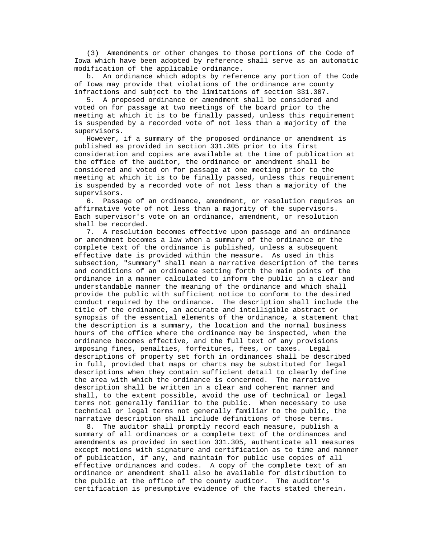(3) Amendments or other changes to those portions of the Code of Iowa which have been adopted by reference shall serve as an automatic modification of the applicable ordinance.

 b. An ordinance which adopts by reference any portion of the Code of Iowa may provide that violations of the ordinance are county infractions and subject to the limitations of section 331.307.

 5. A proposed ordinance or amendment shall be considered and voted on for passage at two meetings of the board prior to the meeting at which it is to be finally passed, unless this requirement is suspended by a recorded vote of not less than a majority of the supervisors.

 However, if a summary of the proposed ordinance or amendment is published as provided in section 331.305 prior to its first consideration and copies are available at the time of publication at the office of the auditor, the ordinance or amendment shall be considered and voted on for passage at one meeting prior to the meeting at which it is to be finally passed, unless this requirement is suspended by a recorded vote of not less than a majority of the supervisors.

 6. Passage of an ordinance, amendment, or resolution requires an affirmative vote of not less than a majority of the supervisors. Each supervisor's vote on an ordinance, amendment, or resolution shall be recorded.

 7. A resolution becomes effective upon passage and an ordinance or amendment becomes a law when a summary of the ordinance or the complete text of the ordinance is published, unless a subsequent effective date is provided within the measure. As used in this subsection, "summary" shall mean a narrative description of the terms and conditions of an ordinance setting forth the main points of the ordinance in a manner calculated to inform the public in a clear and understandable manner the meaning of the ordinance and which shall provide the public with sufficient notice to conform to the desired conduct required by the ordinance. The description shall include the title of the ordinance, an accurate and intelligible abstract or synopsis of the essential elements of the ordinance, a statement that the description is a summary, the location and the normal business hours of the office where the ordinance may be inspected, when the ordinance becomes effective, and the full text of any provisions imposing fines, penalties, forfeitures, fees, or taxes. Legal descriptions of property set forth in ordinances shall be described in full, provided that maps or charts may be substituted for legal descriptions when they contain sufficient detail to clearly define the area with which the ordinance is concerned. The narrative description shall be written in a clear and coherent manner and shall, to the extent possible, avoid the use of technical or legal terms not generally familiar to the public. When necessary to use technical or legal terms not generally familiar to the public, the narrative description shall include definitions of those terms.

 8. The auditor shall promptly record each measure, publish a summary of all ordinances or a complete text of the ordinances and amendments as provided in section 331.305, authenticate all measures except motions with signature and certification as to time and manner of publication, if any, and maintain for public use copies of all effective ordinances and codes. A copy of the complete text of an ordinance or amendment shall also be available for distribution to the public at the office of the county auditor. The auditor's certification is presumptive evidence of the facts stated therein.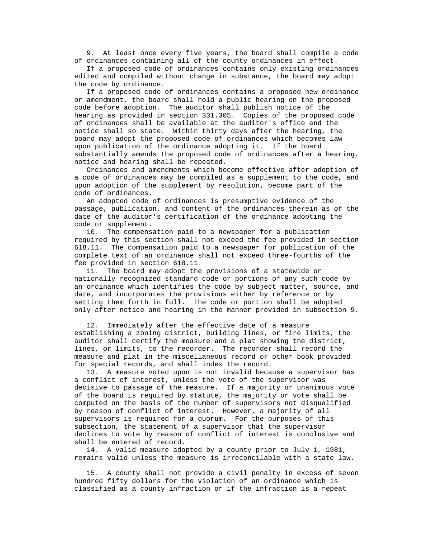9. At least once every five years, the board shall compile a code of ordinances containing all of the county ordinances in effect.

 If a proposed code of ordinances contains only existing ordinances edited and compiled without change in substance, the board may adopt the code by ordinance.

 If a proposed code of ordinances contains a proposed new ordinance or amendment, the board shall hold a public hearing on the proposed code before adoption. The auditor shall publish notice of the hearing as provided in section 331.305. Copies of the proposed code of ordinances shall be available at the auditor's office and the notice shall so state. Within thirty days after the hearing, the board may adopt the proposed code of ordinances which becomes law upon publication of the ordinance adopting it. If the board substantially amends the proposed code of ordinances after a hearing, notice and hearing shall be repeated.

 Ordinances and amendments which become effective after adoption of a code of ordinances may be compiled as a supplement to the code, and upon adoption of the supplement by resolution, become part of the code of ordinances.

 An adopted code of ordinances is presumptive evidence of the passage, publication, and content of the ordinances therein as of the date of the auditor's certification of the ordinance adopting the code or supplement.

 10. The compensation paid to a newspaper for a publication required by this section shall not exceed the fee provided in section 618.11. The compensation paid to a newspaper for publication of the complete text of an ordinance shall not exceed three-fourths of the fee provided in section 618.11.

 11. The board may adopt the provisions of a statewide or nationally recognized standard code or portions of any such code by an ordinance which identifies the code by subject matter, source, and date, and incorporates the provisions either by reference or by setting them forth in full. The code or portion shall be adopted only after notice and hearing in the manner provided in subsection 9.

 12. Immediately after the effective date of a measure establishing a zoning district, building lines, or fire limits, the auditor shall certify the measure and a plat showing the district, lines, or limits, to the recorder. The recorder shall record the measure and plat in the miscellaneous record or other book provided for special records, and shall index the record.

 13. A measure voted upon is not invalid because a supervisor has a conflict of interest, unless the vote of the supervisor was decisive to passage of the measure. If a majority or unanimous vote of the board is required by statute, the majority or vote shall be computed on the basis of the number of supervisors not disqualified by reason of conflict of interest. However, a majority of all supervisors is required for a quorum. For the purposes of this subsection, the statement of a supervisor that the supervisor declines to vote by reason of conflict of interest is conclusive and shall be entered of record.

 14. A valid measure adopted by a county prior to July 1, 1981, remains valid unless the measure is irreconcilable with a state law.

 15. A county shall not provide a civil penalty in excess of seven hundred fifty dollars for the violation of an ordinance which is classified as a county infraction or if the infraction is a repeat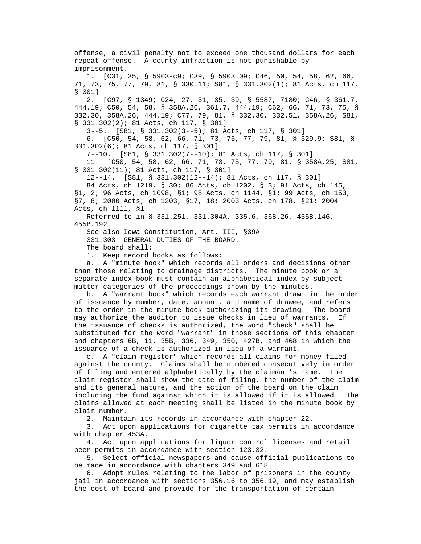offense, a civil penalty not to exceed one thousand dollars for each repeat offense. A county infraction is not punishable by imprisonment. 1. [C31, 35, § 5903-c9; C39, § 5903.09; C46, 50, 54, 58, 62, 66, 71, 73, 75, 77, 79, 81, § 330.11; S81, § 331.302(1); 81 Acts, ch 117, § 301] 2. [C97, § 1349; C24, 27, 31, 35, 39, § 5587, 7180; C46, § 361.7, 444.19; C50, 54, 58, § 358A.26, 361.7, 444.19; C62, 66, 71, 73, 75, § 332.30, 358A.26, 444.19; C77, 79, 81, § 332.30, 332.51, 358A.26; S81, § 331.302(2); 81 Acts, ch 117, § 301] 3--5. [S81, § 331.302(3--5); 81 Acts, ch 117, § 301] 6. [C50, 54, 58, 62, 66, 71, 73, 75, 77, 79, 81, § 329.9; S81, § 331.302(6); 81 Acts, ch 117, § 301] 7--10. [S81, § 331.302(7--10); 81 Acts, ch 117, § 301] 11. [C50, 54, 58, 62, 66, 71, 73, 75, 77, 79, 81, § 358A.25; S81, § 331.302(11); 81 Acts, ch 117, § 301] 12--14. [S81, § 331.302(12--14); 81 Acts, ch 117, § 301] 84 Acts, ch 1219, § 30; 86 Acts, ch 1202, § 3; 91 Acts, ch 145, §1, 2; 96 Acts, ch 1098, §1; 98 Acts, ch 1144, §1; 99 Acts, ch 153, §7, 8; 2000 Acts, ch 1203, §17, 18; 2003 Acts, ch 178, §21; 2004 Acts, ch 1111, §1 Referred to in § 331.251, 331.304A, 335.6, 368.26, 455B.146, 455B.192 See also Iowa Constitution, Art. III, §39A 331.303 GENERAL DUTIES OF THE BOARD. The board shall: 1. Keep record books as follows: a. A "minute book" which records all orders and decisions other than those relating to drainage districts. The minute book or a separate index book must contain an alphabetical index by subject matter categories of the proceedings shown by the minutes. b. A "warrant book" which records each warrant drawn in the order of issuance by number, date, amount, and name of drawee, and refers to the order in the minute book authorizing its drawing. The board may authorize the auditor to issue checks in lieu of warrants. If the issuance of checks is authorized, the word "check" shall be substituted for the word "warrant" in those sections of this chapter and chapters 6B, 11, 35B, 336, 349, 350, 427B, and 468 in which the issuance of a check is authorized in lieu of a warrant. c. A "claim register" which records all claims for money filed against the county. Claims shall be numbered consecutively in order of filing and entered alphabetically by the claimant's name. The claim register shall show the date of filing, the number of the claim and its general nature, and the action of the board on the claim including the fund against which it is allowed if it is allowed. The claims allowed at each meeting shall be listed in the minute book by claim number.

2. Maintain its records in accordance with chapter 22.

 3. Act upon applications for cigarette tax permits in accordance with chapter 453A.

 4. Act upon applications for liquor control licenses and retail beer permits in accordance with section 123.32.

 5. Select official newspapers and cause official publications to be made in accordance with chapters 349 and 618.

 6. Adopt rules relating to the labor of prisoners in the county jail in accordance with sections 356.16 to 356.19, and may establish the cost of board and provide for the transportation of certain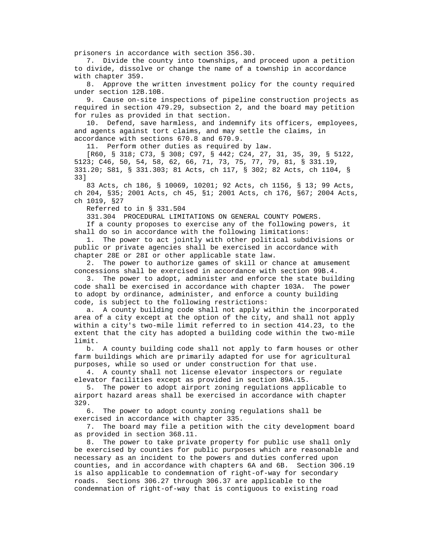prisoners in accordance with section 356.30.

 7. Divide the county into townships, and proceed upon a petition to divide, dissolve or change the name of a township in accordance with chapter 359.

 8. Approve the written investment policy for the county required under section 12B.10B.

 9. Cause on-site inspections of pipeline construction projects as required in section 479.29, subsection 2, and the board may petition for rules as provided in that section.

 10. Defend, save harmless, and indemnify its officers, employees, and agents against tort claims, and may settle the claims, in accordance with sections 670.8 and 670.9.

11. Perform other duties as required by law.

 [R60, § 318; C73, § 308; C97, § 442; C24, 27, 31, 35, 39, § 5122, 5123; C46, 50, 54, 58, 62, 66, 71, 73, 75, 77, 79, 81, § 331.19, 331.20; S81, § 331.303; 81 Acts, ch 117, § 302; 82 Acts, ch 1104, § 33]

 83 Acts, ch 186, § 10069, 10201; 92 Acts, ch 1156, § 13; 99 Acts, ch 204, §35; 2001 Acts, ch 45, §1; 2001 Acts, ch 176, §67; 2004 Acts, ch 1019, §27

Referred to in § 331.504

331.304 PROCEDURAL LIMITATIONS ON GENERAL COUNTY POWERS.

 If a county proposes to exercise any of the following powers, it shall do so in accordance with the following limitations:

 1. The power to act jointly with other political subdivisions or public or private agencies shall be exercised in accordance with chapter 28E or 28I or other applicable state law.

 2. The power to authorize games of skill or chance at amusement concessions shall be exercised in accordance with section 99B.4.

 3. The power to adopt, administer and enforce the state building code shall be exercised in accordance with chapter 103A. The power to adopt by ordinance, administer, and enforce a county building code, is subject to the following restrictions:

 a. A county building code shall not apply within the incorporated area of a city except at the option of the city, and shall not apply within a city's two-mile limit referred to in section 414.23, to the extent that the city has adopted a building code within the two-mile limit.

 b. A county building code shall not apply to farm houses or other farm buildings which are primarily adapted for use for agricultural purposes, while so used or under construction for that use.

 4. A county shall not license elevator inspectors or regulate elevator facilities except as provided in section 89A.15.

 5. The power to adopt airport zoning regulations applicable to airport hazard areas shall be exercised in accordance with chapter 329.

 6. The power to adopt county zoning regulations shall be exercised in accordance with chapter 335.

 7. The board may file a petition with the city development board as provided in section 368.11.

 8. The power to take private property for public use shall only be exercised by counties for public purposes which are reasonable and necessary as an incident to the powers and duties conferred upon counties, and in accordance with chapters 6A and 6B. Section 306.19 is also applicable to condemnation of right-of-way for secondary roads. Sections 306.27 through 306.37 are applicable to the condemnation of right-of-way that is contiguous to existing road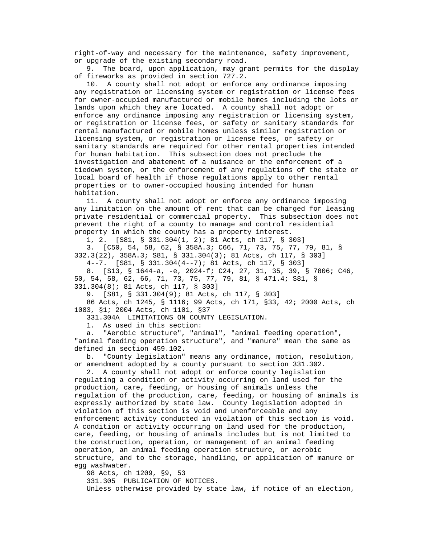right-of-way and necessary for the maintenance, safety improvement, or upgrade of the existing secondary road.

 9. The board, upon application, may grant permits for the display of fireworks as provided in section 727.2.

 10. A county shall not adopt or enforce any ordinance imposing any registration or licensing system or registration or license fees for owner-occupied manufactured or mobile homes including the lots or lands upon which they are located. A county shall not adopt or enforce any ordinance imposing any registration or licensing system, or registration or license fees, or safety or sanitary standards for rental manufactured or mobile homes unless similar registration or licensing system, or registration or license fees, or safety or sanitary standards are required for other rental properties intended for human habitation. This subsection does not preclude the investigation and abatement of a nuisance or the enforcement of a tiedown system, or the enforcement of any regulations of the state or local board of health if those regulations apply to other rental properties or to owner-occupied housing intended for human habitation.

 11. A county shall not adopt or enforce any ordinance imposing any limitation on the amount of rent that can be charged for leasing private residential or commercial property. This subsection does not prevent the right of a county to manage and control residential property in which the county has a property interest.

1, 2. [S81, § 331.304(1, 2); 81 Acts, ch 117, § 303]

 3. [C50, 54, 58, 62, § 358A.3; C66, 71, 73, 75, 77, 79, 81, § 332.3(22), 358A.3; S81, § 331.304(3); 81 Acts, ch 117, § 303]

 4--7. [S81, § 331.304(4--7); 81 Acts, ch 117, § 303] 8. [S13, § 1644-a, -e, 2024-f; C24, 27, 31, 35, 39, § 7806; C46, 50, 54, 58, 62, 66, 71, 73, 75, 77, 79, 81, § 471.4; S81, §

331.304(8); 81 Acts, ch 117, § 303]

9. [S81, § 331.304(9); 81 Acts, ch 117, § 303]

 86 Acts, ch 1245, § 1116; 99 Acts, ch 171, §33, 42; 2000 Acts, ch 1083, §1; 2004 Acts, ch 1101, §37

331.304A LIMITATIONS ON COUNTY LEGISLATION.

1. As used in this section:

 a. "Aerobic structure", "animal", "animal feeding operation", "animal feeding operation structure", and "manure" mean the same as defined in section 459.102.

 b. "County legislation" means any ordinance, motion, resolution, or amendment adopted by a county pursuant to section 331.302.

 2. A county shall not adopt or enforce county legislation regulating a condition or activity occurring on land used for the production, care, feeding, or housing of animals unless the regulation of the production, care, feeding, or housing of animals is expressly authorized by state law. County legislation adopted in violation of this section is void and unenforceable and any enforcement activity conducted in violation of this section is void. A condition or activity occurring on land used for the production, care, feeding, or housing of animals includes but is not limited to the construction, operation, or management of an animal feeding operation, an animal feeding operation structure, or aerobic structure, and to the storage, handling, or application of manure or egg washwater.

98 Acts, ch 1209, §9, 53

331.305 PUBLICATION OF NOTICES.

Unless otherwise provided by state law, if notice of an election,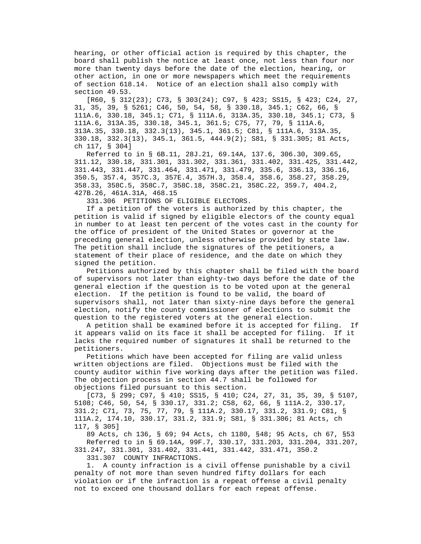hearing, or other official action is required by this chapter, the board shall publish the notice at least once, not less than four nor more than twenty days before the date of the election, hearing, or other action, in one or more newspapers which meet the requirements of section 618.14. Notice of an election shall also comply with section 49.53.

 [R60, § 312(23); C73, § 303(24); C97, § 423; SS15, § 423; C24, 27, 31, 35, 39, § 5261; C46, 50, 54, 58, § 330.18, 345.1; C62, 66, § 111A.6, 330.18, 345.1; C71, § 111A.6, 313A.35, 330.18, 345.1; C73, § 111A.6, 313A.35, 330.18, 345.1, 361.5; C75, 77, 79, § 111A.6, 313A.35, 330.18, 332.3(13), 345.1, 361.5; C81, § 111A.6, 313A.35, 330.18, 332.3(13), 345.1, 361.5, 444.9(2); S81, § 331.305; 81 Acts, ch 117, § 304]

 Referred to in § 6B.11, 28J.21, 69.14A, 137.6, 306.30, 309.65, 311.12, 330.18, 331.301, 331.302, 331.361, 331.402, 331.425, 331.442, 331.443, 331.447, 331.464, 331.471, 331.479, 335.6, 336.13, 336.16, 350.5, 357.4, 357C.3, 357E.4, 357H.3, 358.4, 358.6, 358.27, 358.29, 358.33, 358C.5, 358C.7, 358C.18, 358C.21, 358C.22, 359.7, 404.2, 427B.26, 461A.31A, 468.15

331.306 PETITIONS OF ELIGIBLE ELECTORS.

 If a petition of the voters is authorized by this chapter, the petition is valid if signed by eligible electors of the county equal in number to at least ten percent of the votes cast in the county for the office of president of the United States or governor at the preceding general election, unless otherwise provided by state law. The petition shall include the signatures of the petitioners, a statement of their place of residence, and the date on which they signed the petition.

 Petitions authorized by this chapter shall be filed with the board of supervisors not later than eighty-two days before the date of the general election if the question is to be voted upon at the general election. If the petition is found to be valid, the board of supervisors shall, not later than sixty-nine days before the general election, notify the county commissioner of elections to submit the question to the registered voters at the general election.

 A petition shall be examined before it is accepted for filing. If it appears valid on its face it shall be accepted for filing. If it lacks the required number of signatures it shall be returned to the petitioners.

 Petitions which have been accepted for filing are valid unless written objections are filed. Objections must be filed with the county auditor within five working days after the petition was filed. The objection process in section 44.7 shall be followed for objections filed pursuant to this section.

 [C73, § 299; C97, § 410; SS15, § 410; C24, 27, 31, 35, 39, § 5107, 5108; C46, 50, 54, § 330.17, 331.2; C58, 62, 66, § 111A.2, 330.17, 331.2; C71, 73, 75, 77, 79, § 111A.2, 330.17, 331.2, 331.9; C81, § 111A.2, 174.10, 330.17, 331.2, 331.9; S81, § 331.306; 81 Acts, ch 117, § 305]

 89 Acts, ch 136, § 69; 94 Acts, ch 1180, §48; 95 Acts, ch 67, §53 Referred to in § 69.14A, 99F.7, 330.17, 331.203, 331.204, 331.207, 331.247, 331.301, 331.402, 331.441, 331.442, 331.471, 350.2

331.307 COUNTY INFRACTIONS.

 1. A county infraction is a civil offense punishable by a civil penalty of not more than seven hundred fifty dollars for each violation or if the infraction is a repeat offense a civil penalty not to exceed one thousand dollars for each repeat offense.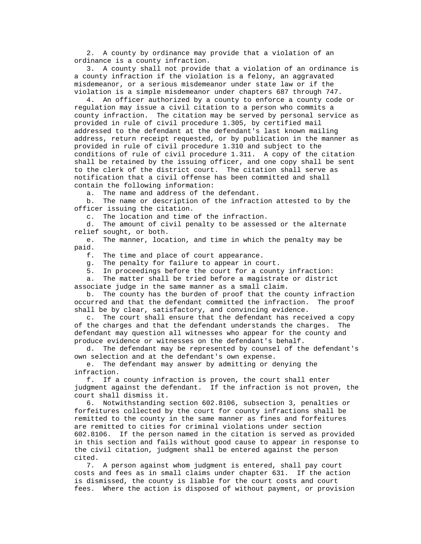2. A county by ordinance may provide that a violation of an ordinance is a county infraction.

 3. A county shall not provide that a violation of an ordinance is a county infraction if the violation is a felony, an aggravated misdemeanor, or a serious misdemeanor under state law or if the violation is a simple misdemeanor under chapters 687 through 747.

 4. An officer authorized by a county to enforce a county code or regulation may issue a civil citation to a person who commits a county infraction. The citation may be served by personal service as provided in rule of civil procedure 1.305, by certified mail addressed to the defendant at the defendant's last known mailing address, return receipt requested, or by publication in the manner as provided in rule of civil procedure 1.310 and subject to the conditions of rule of civil procedure 1.311. A copy of the citation shall be retained by the issuing officer, and one copy shall be sent to the clerk of the district court. The citation shall serve as notification that a civil offense has been committed and shall contain the following information:

a. The name and address of the defendant.

 b. The name or description of the infraction attested to by the officer issuing the citation.

c. The location and time of the infraction.

 d. The amount of civil penalty to be assessed or the alternate relief sought, or both.

 e. The manner, location, and time in which the penalty may be paid.

f. The time and place of court appearance.

g. The penalty for failure to appear in court.

5. In proceedings before the court for a county infraction:

 a. The matter shall be tried before a magistrate or district associate judge in the same manner as a small claim.

 b. The county has the burden of proof that the county infraction occurred and that the defendant committed the infraction. The proof shall be by clear, satisfactory, and convincing evidence.

 c. The court shall ensure that the defendant has received a copy of the charges and that the defendant understands the charges. The defendant may question all witnesses who appear for the county and produce evidence or witnesses on the defendant's behalf.

 d. The defendant may be represented by counsel of the defendant's own selection and at the defendant's own expense.

 e. The defendant may answer by admitting or denying the infraction.

 f. If a county infraction is proven, the court shall enter judgment against the defendant. If the infraction is not proven, the court shall dismiss it.

 6. Notwithstanding section 602.8106, subsection 3, penalties or forfeitures collected by the court for county infractions shall be remitted to the county in the same manner as fines and forfeitures are remitted to cities for criminal violations under section 602.8106. If the person named in the citation is served as provided in this section and fails without good cause to appear in response to the civil citation, judgment shall be entered against the person cited.

 7. A person against whom judgment is entered, shall pay court costs and fees as in small claims under chapter 631. If the action is dismissed, the county is liable for the court costs and court fees. Where the action is disposed of without payment, or provision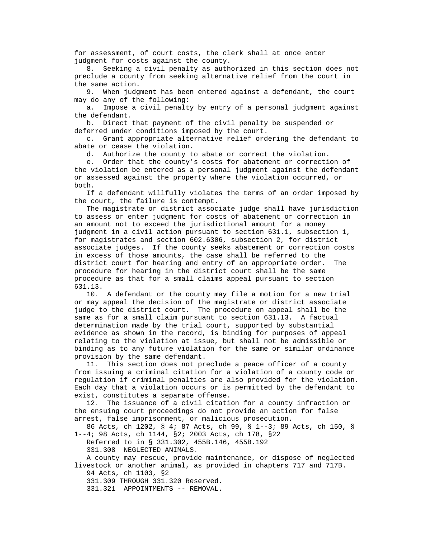for assessment, of court costs, the clerk shall at once enter judgment for costs against the county.

 8. Seeking a civil penalty as authorized in this section does not preclude a county from seeking alternative relief from the court in the same action.

 9. When judgment has been entered against a defendant, the court may do any of the following:

 a. Impose a civil penalty by entry of a personal judgment against the defendant.

 b. Direct that payment of the civil penalty be suspended or deferred under conditions imposed by the court.

 c. Grant appropriate alternative relief ordering the defendant to abate or cease the violation.

d. Authorize the county to abate or correct the violation.

 e. Order that the county's costs for abatement or correction of the violation be entered as a personal judgment against the defendant or assessed against the property where the violation occurred, or both.

 If a defendant willfully violates the terms of an order imposed by the court, the failure is contempt.

 The magistrate or district associate judge shall have jurisdiction to assess or enter judgment for costs of abatement or correction in an amount not to exceed the jurisdictional amount for a money judgment in a civil action pursuant to section 631.1, subsection 1, for magistrates and section 602.6306, subsection 2, for district associate judges. If the county seeks abatement or correction costs in excess of those amounts, the case shall be referred to the district court for hearing and entry of an appropriate order. The procedure for hearing in the district court shall be the same procedure as that for a small claims appeal pursuant to section 631.13.

 10. A defendant or the county may file a motion for a new trial or may appeal the decision of the magistrate or district associate judge to the district court. The procedure on appeal shall be the same as for a small claim pursuant to section 631.13. A factual determination made by the trial court, supported by substantial evidence as shown in the record, is binding for purposes of appeal relating to the violation at issue, but shall not be admissible or binding as to any future violation for the same or similar ordinance provision by the same defendant.

 11. This section does not preclude a peace officer of a county from issuing a criminal citation for a violation of a county code or regulation if criminal penalties are also provided for the violation. Each day that a violation occurs or is permitted by the defendant to exist, constitutes a separate offense.

 12. The issuance of a civil citation for a county infraction or the ensuing court proceedings do not provide an action for false arrest, false imprisonment, or malicious prosecution.

 86 Acts, ch 1202, § 4; 87 Acts, ch 99, § 1--3; 89 Acts, ch 150, § 1--4; 98 Acts, ch 1144, §2; 2003 Acts, ch 178, §22

 Referred to in § 331.302, 455B.146, 455B.192 331.308 NEGLECTED ANIMALS.

 A county may rescue, provide maintenance, or dispose of neglected livestock or another animal, as provided in chapters 717 and 717B.

94 Acts, ch 1103, §2

331.309 THROUGH 331.320 Reserved.

331.321 APPOINTMENTS -- REMOVAL.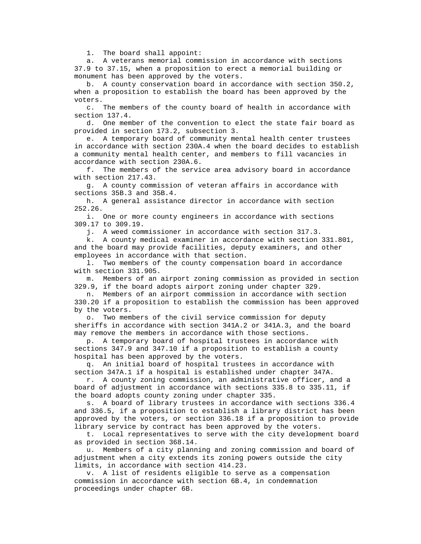1. The board shall appoint:

 a. A veterans memorial commission in accordance with sections 37.9 to 37.15, when a proposition to erect a memorial building or monument has been approved by the voters.

 b. A county conservation board in accordance with section 350.2, when a proposition to establish the board has been approved by the voters.

 c. The members of the county board of health in accordance with section 137.4.

 d. One member of the convention to elect the state fair board as provided in section 173.2, subsection 3.

 e. A temporary board of community mental health center trustees in accordance with section 230A.4 when the board decides to establish a community mental health center, and members to fill vacancies in accordance with section 230A.6.

 f. The members of the service area advisory board in accordance with section 217.43.

 g. A county commission of veteran affairs in accordance with sections 35B.3 and 35B.4.

 h. A general assistance director in accordance with section 252.26.

 i. One or more county engineers in accordance with sections 309.17 to 309.19.

j. A weed commissioner in accordance with section 317.3.

 k. A county medical examiner in accordance with section 331.801, and the board may provide facilities, deputy examiners, and other employees in accordance with that section.

 l. Two members of the county compensation board in accordance with section 331.905.

 m. Members of an airport zoning commission as provided in section 329.9, if the board adopts airport zoning under chapter 329.

 n. Members of an airport commission in accordance with section 330.20 if a proposition to establish the commission has been approved by the voters.

 o. Two members of the civil service commission for deputy sheriffs in accordance with section 341A.2 or 341A.3, and the board may remove the members in accordance with those sections.

 p. A temporary board of hospital trustees in accordance with sections 347.9 and 347.10 if a proposition to establish a county hospital has been approved by the voters.

 q. An initial board of hospital trustees in accordance with section 347A.1 if a hospital is established under chapter 347A.

 r. A county zoning commission, an administrative officer, and a board of adjustment in accordance with sections 335.8 to 335.11, if the board adopts county zoning under chapter 335.

 s. A board of library trustees in accordance with sections 336.4 and 336.5, if a proposition to establish a library district has been approved by the voters, or section 336.18 if a proposition to provide library service by contract has been approved by the voters.

 t. Local representatives to serve with the city development board as provided in section 368.14.

 u. Members of a city planning and zoning commission and board of adjustment when a city extends its zoning powers outside the city limits, in accordance with section 414.23.

 v. A list of residents eligible to serve as a compensation commission in accordance with section 6B.4, in condemnation proceedings under chapter 6B.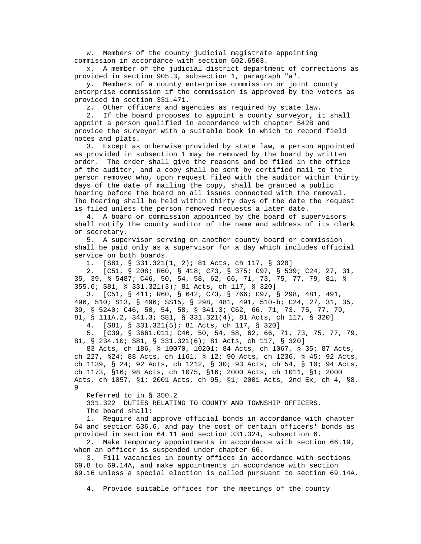w. Members of the county judicial magistrate appointing commission in accordance with section 602.6503.

 x. A member of the judicial district department of corrections as provided in section 905.3, subsection 1, paragraph "a".

 y. Members of a county enterprise commission or joint county enterprise commission if the commission is approved by the voters as provided in section 331.471.

z. Other officers and agencies as required by state law.

 2. If the board proposes to appoint a county surveyor, it shall appoint a person qualified in accordance with chapter 542B and provide the surveyor with a suitable book in which to record field notes and plats.

 3. Except as otherwise provided by state law, a person appointed as provided in subsection 1 may be removed by the board by written order. The order shall give the reasons and be filed in the office of the auditor, and a copy shall be sent by certified mail to the person removed who, upon request filed with the auditor within thirty days of the date of mailing the copy, shall be granted a public hearing before the board on all issues connected with the removal. The hearing shall be held within thirty days of the date the request is filed unless the person removed requests a later date.

 4. A board or commission appointed by the board of supervisors shall notify the county auditor of the name and address of its clerk or secretary.

 5. A supervisor serving on another county board or commission shall be paid only as a supervisor for a day which includes official service on both boards.

1. [S81, § 331.321(1, 2); 81 Acts, ch 117, § 320]

 2. [C51, § 208; R60, § 418; C73, § 375; C97, § 539; C24, 27, 31, 35, 39, § 5487; C46, 50, 54, 58, 62, 66, 71, 73, 75, 77, 79, 81, § 355.6; S81, § 331.321(3); 81 Acts, ch 117, § 320]

 3. [C51, § 411; R60, § 642; C73, § 766; C97, § 298, 481, 491, 496, 510; S13, § 496; SS15, § 298, 481, 491, 510-b; C24, 27, 31, 35, 39, § 5240; C46, 50, 54, 58, § 341.3; C62, 66, 71, 73, 75, 77, 79, 81, § 111A.2, 341.3; S81, § 331.321(4); 81 Acts, ch 117, § 320]

4. [S81, § 331.321(5); 81 Acts, ch 117, § 320]

 5. [C39, § 3661.011; C46, 50, 54, 58, 62, 66, 71, 73, 75, 77, 79, 81, § 234.10; S81, § 331.321(6); 81 Acts, ch 117, § 320]

 83 Acts, ch 186, § 10070, 10201; 84 Acts, ch 1067, § 35; 87 Acts, ch 227, §24; 88 Acts, ch 1161, § 12; 90 Acts, ch 1236, § 45; 92 Acts, ch 1139, § 24; 92 Acts, ch 1212, § 30; 93 Acts, ch 54, § 10; 94 Acts, ch 1173, §16; 98 Acts, ch 1075, §16; 2000 Acts, ch 1011, §1; 2000 Acts, ch 1057, §1; 2001 Acts, ch 95, §1; 2001 Acts, 2nd Ex, ch 4, §8, 9

Referred to in § 350.2

 331.322 DUTIES RELATING TO COUNTY AND TOWNSHIP OFFICERS. The board shall:

 1. Require and approve official bonds in accordance with chapter 64 and section 636.6, and pay the cost of certain officers' bonds as provided in section 64.11 and section 331.324, subsection 6.

 2. Make temporary appointments in accordance with section 66.19, when an officer is suspended under chapter 66.

 3. Fill vacancies in county offices in accordance with sections 69.8 to 69.14A, and make appointments in accordance with section 69.16 unless a special election is called pursuant to section 69.14A.

4. Provide suitable offices for the meetings of the county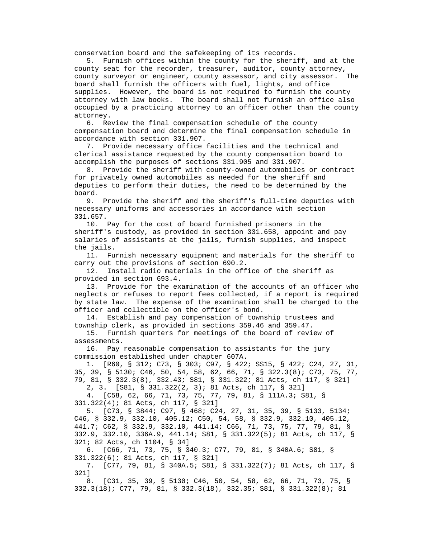conservation board and the safekeeping of its records.

 5. Furnish offices within the county for the sheriff, and at the county seat for the recorder, treasurer, auditor, county attorney, county surveyor or engineer, county assessor, and city assessor. The board shall furnish the officers with fuel, lights, and office supplies. However, the board is not required to furnish the county attorney with law books. The board shall not furnish an office also occupied by a practicing attorney to an officer other than the county attorney.

 6. Review the final compensation schedule of the county compensation board and determine the final compensation schedule in accordance with section 331.907.

 7. Provide necessary office facilities and the technical and clerical assistance requested by the county compensation board to accomplish the purposes of sections 331.905 and 331.907.

 8. Provide the sheriff with county-owned automobiles or contract for privately owned automobiles as needed for the sheriff and deputies to perform their duties, the need to be determined by the board.

 9. Provide the sheriff and the sheriff's full-time deputies with necessary uniforms and accessories in accordance with section 331.657.

 10. Pay for the cost of board furnished prisoners in the sheriff's custody, as provided in section 331.658, appoint and pay salaries of assistants at the jails, furnish supplies, and inspect the jails.

 11. Furnish necessary equipment and materials for the sheriff to carry out the provisions of section 690.2.

 12. Install radio materials in the office of the sheriff as provided in section 693.4.

 13. Provide for the examination of the accounts of an officer who neglects or refuses to report fees collected, if a report is required by state law. The expense of the examination shall be charged to the officer and collectible on the officer's bond.

 14. Establish and pay compensation of township trustees and township clerk, as provided in sections 359.46 and 359.47.

 15. Furnish quarters for meetings of the board of review of assessments.

 16. Pay reasonable compensation to assistants for the jury commission established under chapter 607A.

 1. [R60, § 312; C73, § 303; C97, § 422; SS15, § 422; C24, 27, 31, 35, 39, § 5130; C46, 50, 54, 58, 62, 66, 71, § 322.3(8); C73, 75, 77, 79, 81, § 332.3(8), 332.43; S81, § 331.322; 81 Acts, ch 117, § 321]

2, 3. [S81, § 331.322(2, 3); 81 Acts, ch 117, § 321]

 4. [C58, 62, 66, 71, 73, 75, 77, 79, 81, § 111A.3; S81, § 331.322(4); 81 Acts, ch 117, § 321]

 5. [C73, § 3844; C97, § 468; C24, 27, 31, 35, 39, § 5133, 5134; C46, § 332.9, 332.10, 405.12; C50, 54, 58, § 332.9, 332.10, 405.12, 441.7; C62, § 332.9, 332.10, 441.14; C66, 71, 73, 75, 77, 79, 81, § 332.9, 332.10, 336A.9, 441.14; S81, § 331.322(5); 81 Acts, ch 117, § 321; 82 Acts, ch 1104, § 34]

 6. [C66, 71, 73, 75, § 340.3; C77, 79, 81, § 340A.6; S81, § 331.322(6); 81 Acts, ch 117, § 321]

 7. [C77, 79, 81, § 340A.5; S81, § 331.322(7); 81 Acts, ch 117, § 321]

 8. [C31, 35, 39, § 5130; C46, 50, 54, 58, 62, 66, 71, 73, 75, § 332.3(18); C77, 79, 81, § 332.3(18), 332.35; S81, § 331.322(8); 81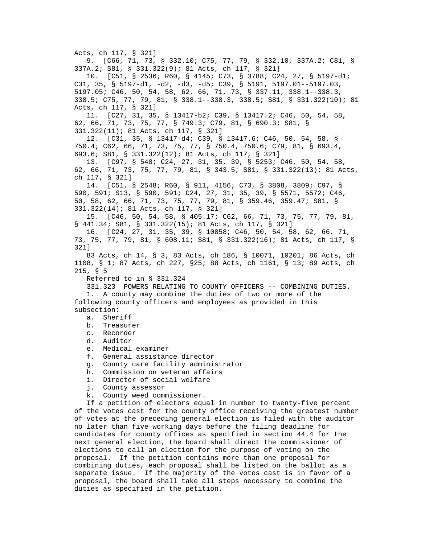Acts, ch 117, § 321] 9. [C66, 71, 73, § 332.10; C75, 77, 79, § 332.10, 337A.2; C81, § 337A.2; S81, § 331.322(9); 81 Acts, ch 117, § 321] 10. [C51, § 2536; R60, § 4145; C73, § 3788; C24, 27, § 5197-d1; C31, 35, § 5197-d1, -d2, -d3, -d5; C39, § 5191, 5197.01--5197.03, 5197.05; C46, 50, 54, 58, 62, 66, 71, 73, § 337.11, 338.1--338.3, 338.5; C75, 77, 79, 81, § 338.1--338.3, 338.5; S81, § 331.322(10); 81 Acts, ch 117, § 321] 11. [C27, 31, 35, § 13417-b2; C39, § 13417.2; C46, 50, 54, 58, 62, 66, 71, 73, 75, 77, § 749.3; C79, 81, § 690.3; S81, § 331.322(11); 81 Acts, ch 117, § 321] 12. [C31, 35, § 13417-d4; C39, § 13417.6; C46, 50, 54, 58, § 750.4; C62, 66, 71, 73, 75, 77, § 750.4, 750.6; C79, 81, § 693.4, 693.6; S81, § 331.322(12); 81 Acts, ch 117, § 321] 13. [C97, § 548; C24, 27, 31, 35, 39, § 5253; C46, 50, 54, 58, 62, 66, 71, 73, 75, 77, 79, 81, § 343.5; S81, § 331.322(13); 81 Acts, ch 117, § 321] 14. [C51, § 2548; R60, § 911, 4156; C73, § 3808, 3809; C97, § 590, 591; S13, § 590, 591; C24, 27, 31, 35, 39, § 5571, 5572; C46, 50, 58, 62, 66, 71, 73, 75, 77, 79, 81, § 359.46, 359.47; S81, § 331.322(14); 81 Acts, ch 117, § 321] 15. [C46, 50, 54, 58, § 405.17; C62, 66, 71, 73, 75, 77, 79, 81, § 441.34; S81, § 331.322(15); 81 Acts, ch 117, § 321] 16. [C24, 27, 31, 35, 39, § 10858; C46, 50, 54, 58, 62, 66, 71, 73, 75, 77, 79, 81, § 608.11; S81, § 331.322(16); 81 Acts, ch 117, § 321] 83 Acts, ch 14, § 3; 83 Acts, ch 186, § 10071, 10201; 86 Acts, ch 1108, § 1; 87 Acts, ch 227, §25; 88 Acts, ch 1161, § 13; 89 Acts, ch 215, § 5 Referred to in § 331.324 331.323 POWERS RELATING TO COUNTY OFFICERS -- COMBINING DUTIES. 1. A county may combine the duties of two or more of the following county officers and employees as provided in this subsection: a. Sheriff b. Treasurer c. Recorder d. Auditor e. Medical examiner f. General assistance director g. County care facility administrator h. Commission on veteran affairs i. Director of social welfare j. County assessor k. County weed commissioner. If a petition of electors equal in number to twenty-five percent of the votes cast for the county office receiving the greatest number of votes at the preceding general election is filed with the auditor no later than five working days before the filing deadline for candidates for county offices as specified in section 44.4 for the next general election, the board shall direct the commissioner of elections to call an election for the purpose of voting on the proposal. If the petition contains more than one proposal for combining duties, each proposal shall be listed on the ballot as a separate issue. If the majority of the votes cast is in favor of a proposal, the board shall take all steps necessary to combine the duties as specified in the petition.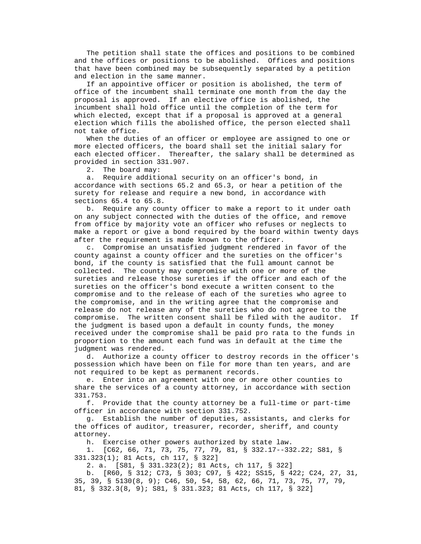The petition shall state the offices and positions to be combined and the offices or positions to be abolished. Offices and positions that have been combined may be subsequently separated by a petition and election in the same manner.

 If an appointive officer or position is abolished, the term of office of the incumbent shall terminate one month from the day the proposal is approved. If an elective office is abolished, the incumbent shall hold office until the completion of the term for which elected, except that if a proposal is approved at a general election which fills the abolished office, the person elected shall not take office.

 When the duties of an officer or employee are assigned to one or more elected officers, the board shall set the initial salary for each elected officer. Thereafter, the salary shall be determined as provided in section 331.907.

2. The board may:

 a. Require additional security on an officer's bond, in accordance with sections 65.2 and 65.3, or hear a petition of the surety for release and require a new bond, in accordance with sections 65.4 to 65.8.

 b. Require any county officer to make a report to it under oath on any subject connected with the duties of the office, and remove from office by majority vote an officer who refuses or neglects to make a report or give a bond required by the board within twenty days after the requirement is made known to the officer.

 c. Compromise an unsatisfied judgment rendered in favor of the county against a county officer and the sureties on the officer's bond, if the county is satisfied that the full amount cannot be collected. The county may compromise with one or more of the sureties and release those sureties if the officer and each of the sureties on the officer's bond execute a written consent to the compromise and to the release of each of the sureties who agree to the compromise, and in the writing agree that the compromise and release do not release any of the sureties who do not agree to the compromise. The written consent shall be filed with the auditor. If the judgment is based upon a default in county funds, the money received under the compromise shall be paid pro rata to the funds in proportion to the amount each fund was in default at the time the judgment was rendered.

 d. Authorize a county officer to destroy records in the officer's possession which have been on file for more than ten years, and are not required to be kept as permanent records.

 e. Enter into an agreement with one or more other counties to share the services of a county attorney, in accordance with section 331.753.

 f. Provide that the county attorney be a full-time or part-time officer in accordance with section 331.752.

 g. Establish the number of deputies, assistants, and clerks for the offices of auditor, treasurer, recorder, sheriff, and county attorney.

h. Exercise other powers authorized by state law.

 1. [C62, 66, 71, 73, 75, 77, 79, 81, § 332.17--332.22; S81, § 331.323(1); 81 Acts, ch 117, § 322]

2. a. [S81, § 331.323(2); 81 Acts, ch 117, § 322]

 b. [R60, § 312; C73, § 303; C97, § 422; SS15, § 422; C24, 27, 31, 35, 39, § 5130(8, 9); C46, 50, 54, 58, 62, 66, 71, 73, 75, 77, 79, 81, § 332.3(8, 9); S81, § 331.323; 81 Acts, ch 117, § 322]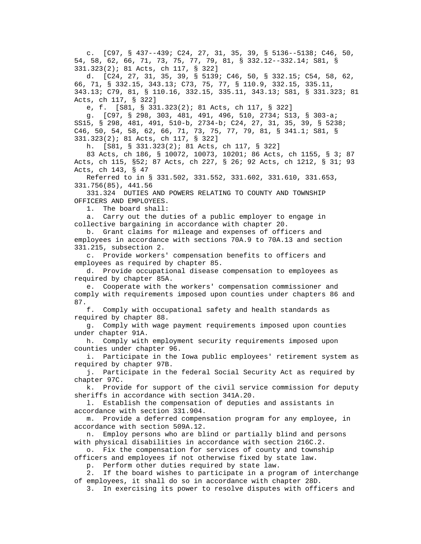c. [C97, § 437--439; C24, 27, 31, 35, 39, § 5136--5138; C46, 50, 54, 58, 62, 66, 71, 73, 75, 77, 79, 81, § 332.12--332.14; S81, § 331.323(2); 81 Acts, ch 117, § 322]

 d. [C24, 27, 31, 35, 39, § 5139; C46, 50, § 332.15; C54, 58, 62, 66, 71, § 332.15, 343.13; C73, 75, 77, § 110.9, 332.15, 335.11, 343.13; C79, 81, § 110.16, 332.15, 335.11, 343.13; S81, § 331.323; 81 Acts, ch 117, § 322]

e, f. [S81, § 331.323(2); 81 Acts, ch 117, § 322]

 g. [C97, § 298, 303, 481, 491, 496, 510, 2734; S13, § 303-a; SS15, § 298, 481, 491, 510-b, 2734-b; C24, 27, 31, 35, 39, § 5238; C46, 50, 54, 58, 62, 66, 71, 73, 75, 77, 79, 81, § 341.1; S81, § 331.323(2); 81 Acts, ch 117, § 322]

h. [S81, § 331.323(2); 81 Acts, ch 117, § 322]

 83 Acts, ch 186, § 10072, 10073, 10201; 86 Acts, ch 1155, § 3; 87 Acts, ch 115, §52; 87 Acts, ch 227, § 26; 92 Acts, ch 1212, § 31; 93 Acts, ch 143, § 47

 Referred to in § 331.502, 331.552, 331.602, 331.610, 331.653, 331.756(85), 441.56

 331.324 DUTIES AND POWERS RELATING TO COUNTY AND TOWNSHIP OFFICERS AND EMPLOYEES.

1. The board shall:

 a. Carry out the duties of a public employer to engage in collective bargaining in accordance with chapter 20.

 b. Grant claims for mileage and expenses of officers and employees in accordance with sections 70A.9 to 70A.13 and section 331.215, subsection 2.

 c. Provide workers' compensation benefits to officers and employees as required by chapter 85.

 d. Provide occupational disease compensation to employees as required by chapter 85A.

 e. Cooperate with the workers' compensation commissioner and comply with requirements imposed upon counties under chapters 86 and 87.

 f. Comply with occupational safety and health standards as required by chapter 88.

 g. Comply with wage payment requirements imposed upon counties under chapter 91A.

 h. Comply with employment security requirements imposed upon counties under chapter 96.

 i. Participate in the Iowa public employees' retirement system as required by chapter 97B.

 j. Participate in the federal Social Security Act as required by chapter 97C.

 k. Provide for support of the civil service commission for deputy sheriffs in accordance with section 341A.20.

 l. Establish the compensation of deputies and assistants in accordance with section 331.904.

 m. Provide a deferred compensation program for any employee, in accordance with section 509A.12.

 n. Employ persons who are blind or partially blind and persons with physical disabilities in accordance with section 216C.2.

 o. Fix the compensation for services of county and township officers and employees if not otherwise fixed by state law.

p. Perform other duties required by state law.

 2. If the board wishes to participate in a program of interchange of employees, it shall do so in accordance with chapter 28D.

3. In exercising its power to resolve disputes with officers and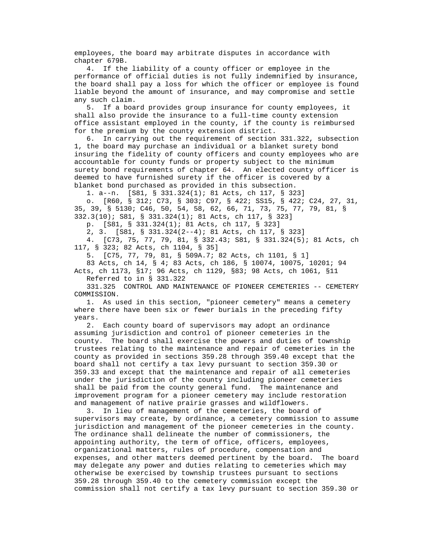employees, the board may arbitrate disputes in accordance with chapter 679B.

 4. If the liability of a county officer or employee in the performance of official duties is not fully indemnified by insurance, the board shall pay a loss for which the officer or employee is found liable beyond the amount of insurance, and may compromise and settle any such claim.

 5. If a board provides group insurance for county employees, it shall also provide the insurance to a full-time county extension office assistant employed in the county, if the county is reimbursed for the premium by the county extension district.

 6. In carrying out the requirement of section 331.322, subsection 1, the board may purchase an individual or a blanket surety bond insuring the fidelity of county officers and county employees who are accountable for county funds or property subject to the minimum surety bond requirements of chapter 64. An elected county officer is deemed to have furnished surety if the officer is covered by a blanket bond purchased as provided in this subsection.

1. a--n. [S81, § 331.324(1); 81 Acts, ch 117, § 323]

 o. [R60, § 312; C73, § 303; C97, § 422; SS15, § 422; C24, 27, 31, 35, 39, § 5130; C46, 50, 54, 58, 62, 66, 71, 73, 75, 77, 79, 81, § 332.3(10); S81, § 331.324(1); 81 Acts, ch 117, § 323]

p. [S81, § 331.324(1); 81 Acts, ch 117, § 323]

2, 3. [S81, § 331.324(2--4); 81 Acts, ch 117, § 323]

 4. [C73, 75, 77, 79, 81, § 332.43; S81, § 331.324(5); 81 Acts, ch 117, § 323; 82 Acts, ch 1104, § 35]

5. [C75, 77, 79, 81, § 509A.7; 82 Acts, ch 1101, § 1]

 83 Acts, ch 14, § 4; 83 Acts, ch 186, § 10074, 10075, 10201; 94 Acts, ch 1173, §17; 96 Acts, ch 1129, §83; 98 Acts, ch 1061, §11

Referred to in § 331.322

 331.325 CONTROL AND MAINTENANCE OF PIONEER CEMETERIES -- CEMETERY COMMISSION.

 1. As used in this section, "pioneer cemetery" means a cemetery where there have been six or fewer burials in the preceding fifty years.

 2. Each county board of supervisors may adopt an ordinance assuming jurisdiction and control of pioneer cemeteries in the county. The board shall exercise the powers and duties of township trustees relating to the maintenance and repair of cemeteries in the county as provided in sections 359.28 through 359.40 except that the board shall not certify a tax levy pursuant to section 359.30 or 359.33 and except that the maintenance and repair of all cemeteries under the jurisdiction of the county including pioneer cemeteries shall be paid from the county general fund. The maintenance and improvement program for a pioneer cemetery may include restoration and management of native prairie grasses and wildflowers.

 3. In lieu of management of the cemeteries, the board of supervisors may create, by ordinance, a cemetery commission to assume jurisdiction and management of the pioneer cemeteries in the county. The ordinance shall delineate the number of commissioners, the appointing authority, the term of office, officers, employees, organizational matters, rules of procedure, compensation and expenses, and other matters deemed pertinent by the board. The board may delegate any power and duties relating to cemeteries which may otherwise be exercised by township trustees pursuant to sections 359.28 through 359.40 to the cemetery commission except the commission shall not certify a tax levy pursuant to section 359.30 or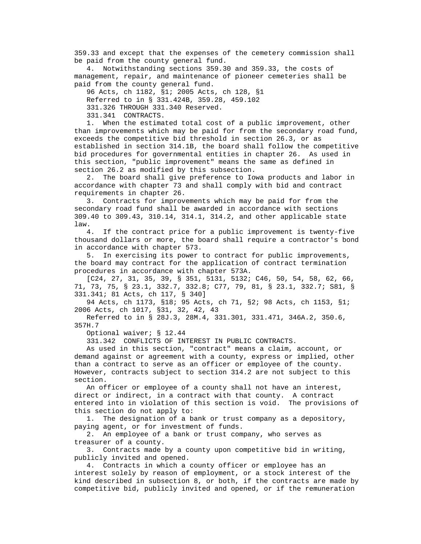359.33 and except that the expenses of the cemetery commission shall be paid from the county general fund.

 4. Notwithstanding sections 359.30 and 359.33, the costs of management, repair, and maintenance of pioneer cemeteries shall be paid from the county general fund.

 96 Acts, ch 1182, §1; 2005 Acts, ch 128, §1 Referred to in § 331.424B, 359.28, 459.102

331.326 THROUGH 331.340 Reserved.

331.341 CONTRACTS.

 1. When the estimated total cost of a public improvement, other than improvements which may be paid for from the secondary road fund, exceeds the competitive bid threshold in section 26.3, or as established in section 314.1B, the board shall follow the competitive bid procedures for governmental entities in chapter 26. As used in this section, "public improvement" means the same as defined in section 26.2 as modified by this subsection.

 2. The board shall give preference to Iowa products and labor in accordance with chapter 73 and shall comply with bid and contract requirements in chapter 26.

 3. Contracts for improvements which may be paid for from the secondary road fund shall be awarded in accordance with sections 309.40 to 309.43, 310.14, 314.1, 314.2, and other applicable state law.

 4. If the contract price for a public improvement is twenty-five thousand dollars or more, the board shall require a contractor's bond in accordance with chapter 573.

 5. In exercising its power to contract for public improvements, the board may contract for the application of contract termination procedures in accordance with chapter 573A.

 [C24, 27, 31, 35, 39, § 351, 5131, 5132; C46, 50, 54, 58, 62, 66, 71, 73, 75, § 23.1, 332.7, 332.8; C77, 79, 81, § 23.1, 332.7; S81, § 331.341; 81 Acts, ch 117, § 340]

 94 Acts, ch 1173, §18; 95 Acts, ch 71, §2; 98 Acts, ch 1153, §1; 2006 Acts, ch 1017, §31, 32, 42, 43

 Referred to in § 28J.3, 28M.4, 331.301, 331.471, 346A.2, 350.6, 357H.7

Optional waiver; § 12.44

331.342 CONFLICTS OF INTEREST IN PUBLIC CONTRACTS.

 As used in this section, "contract" means a claim, account, or demand against or agreement with a county, express or implied, other than a contract to serve as an officer or employee of the county. However, contracts subject to section 314.2 are not subject to this section.

 An officer or employee of a county shall not have an interest, direct or indirect, in a contract with that county. A contract entered into in violation of this section is void. The provisions of this section do not apply to:

 1. The designation of a bank or trust company as a depository, paying agent, or for investment of funds.

 2. An employee of a bank or trust company, who serves as treasurer of a county.

 3. Contracts made by a county upon competitive bid in writing, publicly invited and opened.

 4. Contracts in which a county officer or employee has an interest solely by reason of employment, or a stock interest of the kind described in subsection 8, or both, if the contracts are made by competitive bid, publicly invited and opened, or if the remuneration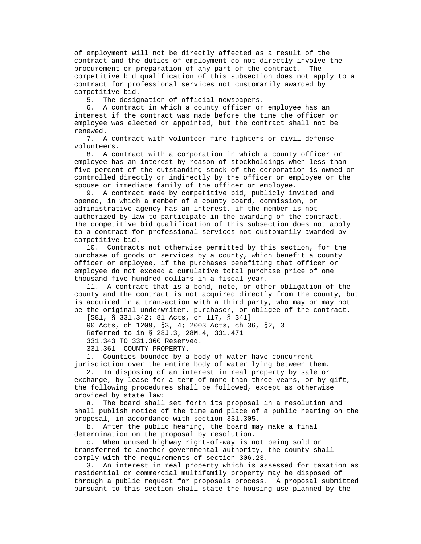of employment will not be directly affected as a result of the contract and the duties of employment do not directly involve the procurement or preparation of any part of the contract. The competitive bid qualification of this subsection does not apply to a contract for professional services not customarily awarded by competitive bid.

5. The designation of official newspapers.

 6. A contract in which a county officer or employee has an interest if the contract was made before the time the officer or employee was elected or appointed, but the contract shall not be renewed.

 7. A contract with volunteer fire fighters or civil defense volunteers.

 8. A contract with a corporation in which a county officer or employee has an interest by reason of stockholdings when less than five percent of the outstanding stock of the corporation is owned or controlled directly or indirectly by the officer or employee or the spouse or immediate family of the officer or employee.

 9. A contract made by competitive bid, publicly invited and opened, in which a member of a county board, commission, or administrative agency has an interest, if the member is not authorized by law to participate in the awarding of the contract. The competitive bid qualification of this subsection does not apply to a contract for professional services not customarily awarded by competitive bid.

 10. Contracts not otherwise permitted by this section, for the purchase of goods or services by a county, which benefit a county officer or employee, if the purchases benefiting that officer or employee do not exceed a cumulative total purchase price of one thousand five hundred dollars in a fiscal year.

 11. A contract that is a bond, note, or other obligation of the county and the contract is not acquired directly from the county, but is acquired in a transaction with a third party, who may or may not be the original underwriter, purchaser, or obligee of the contract.

 [S81, § 331.342; 81 Acts, ch 117, § 341] 90 Acts, ch 1209, §3, 4; 2003 Acts, ch 36, §2, 3 Referred to in § 28J.3, 28M.4, 331.471 331.343 TO 331.360 Reserved. 331.361 COUNTY PROPERTY.

 1. Counties bounded by a body of water have concurrent jurisdiction over the entire body of water lying between them.

 2. In disposing of an interest in real property by sale or exchange, by lease for a term of more than three years, or by gift, the following procedures shall be followed, except as otherwise provided by state law:

 a. The board shall set forth its proposal in a resolution and shall publish notice of the time and place of a public hearing on the proposal, in accordance with section 331.305.

 b. After the public hearing, the board may make a final determination on the proposal by resolution.

 c. When unused highway right-of-way is not being sold or transferred to another governmental authority, the county shall comply with the requirements of section 306.23.

 3. An interest in real property which is assessed for taxation as residential or commercial multifamily property may be disposed of through a public request for proposals process. A proposal submitted pursuant to this section shall state the housing use planned by the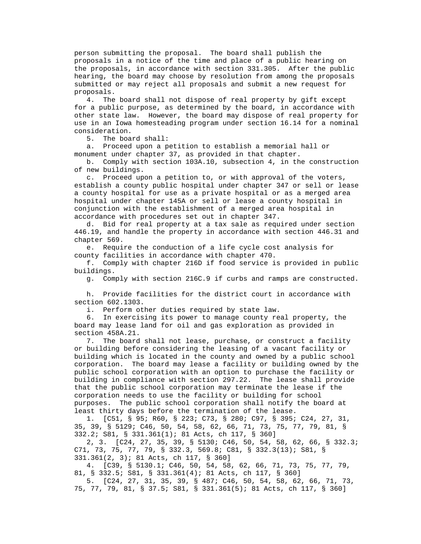person submitting the proposal. The board shall publish the proposals in a notice of the time and place of a public hearing on the proposals, in accordance with section 331.305. After the public hearing, the board may choose by resolution from among the proposals submitted or may reject all proposals and submit a new request for proposals.

 4. The board shall not dispose of real property by gift except for a public purpose, as determined by the board, in accordance with other state law. However, the board may dispose of real property for use in an Iowa homesteading program under section 16.14 for a nominal consideration.

5. The board shall:

 a. Proceed upon a petition to establish a memorial hall or monument under chapter 37, as provided in that chapter.

 b. Comply with section 103A.10, subsection 4, in the construction of new buildings.

 c. Proceed upon a petition to, or with approval of the voters, establish a county public hospital under chapter 347 or sell or lease a county hospital for use as a private hospital or as a merged area hospital under chapter 145A or sell or lease a county hospital in conjunction with the establishment of a merged area hospital in accordance with procedures set out in chapter 347.

 d. Bid for real property at a tax sale as required under section 446.19, and handle the property in accordance with section 446.31 and chapter 569.

 e. Require the conduction of a life cycle cost analysis for county facilities in accordance with chapter 470.

 f. Comply with chapter 216D if food service is provided in public buildings.

g. Comply with section 216C.9 if curbs and ramps are constructed.

 h. Provide facilities for the district court in accordance with section 602.1303.

i. Perform other duties required by state law.

 6. In exercising its power to manage county real property, the board may lease land for oil and gas exploration as provided in section 458A.21.

 7. The board shall not lease, purchase, or construct a facility or building before considering the leasing of a vacant facility or building which is located in the county and owned by a public school corporation. The board may lease a facility or building owned by the public school corporation with an option to purchase the facility or building in compliance with section 297.22. The lease shall provide that the public school corporation may terminate the lease if the corporation needs to use the facility or building for school purposes. The public school corporation shall notify the board at least thirty days before the termination of the lease.

 1. [C51, § 95; R60, § 223; C73, § 280; C97, § 395; C24, 27, 31, 35, 39, § 5129; C46, 50, 54, 58, 62, 66, 71, 73, 75, 77, 79, 81, § 332.2; S81, § 331.361(1); 81 Acts, ch 117, § 360]

 2, 3. [C24, 27, 35, 39, § 5130; C46, 50, 54, 58, 62, 66, § 332.3; C71, 73, 75, 77, 79, § 332.3, 569.8; C81, § 332.3(13); S81, § 331.361(2, 3); 81 Acts, ch 117, § 360]

 4. [C39, § 5130.1; C46, 50, 54, 58, 62, 66, 71, 73, 75, 77, 79, 81, § 332.5; S81, § 331.361(4); 81 Acts, ch 117, § 360]

 5. [C24, 27, 31, 35, 39, § 487; C46, 50, 54, 58, 62, 66, 71, 73, 75, 77, 79, 81, § 37.5; S81, § 331.361(5); 81 Acts, ch 117, § 360]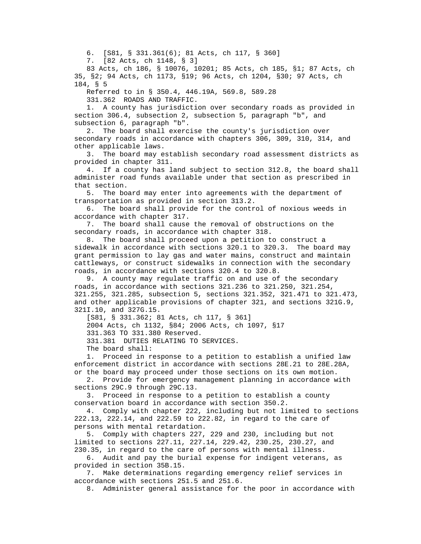6. [S81, § 331.361(6); 81 Acts, ch 117, § 360]

7. [82 Acts, ch 1148, § 3]

 83 Acts, ch 186, § 10076, 10201; 85 Acts, ch 185, §1; 87 Acts, ch 35, §2; 94 Acts, ch 1173, §19; 96 Acts, ch 1204, §30; 97 Acts, ch 184, § 5

Referred to in § 350.4, 446.19A, 569.8, 589.28

331.362 ROADS AND TRAFFIC.

 1. A county has jurisdiction over secondary roads as provided in section 306.4, subsection 2, subsection 5, paragraph "b", and subsection 6, paragraph "b".

 2. The board shall exercise the county's jurisdiction over secondary roads in accordance with chapters 306, 309, 310, 314, and other applicable laws.

 3. The board may establish secondary road assessment districts as provided in chapter 311.

 4. If a county has land subject to section 312.8, the board shall administer road funds available under that section as prescribed in that section.

 5. The board may enter into agreements with the department of transportation as provided in section 313.2.

 6. The board shall provide for the control of noxious weeds in accordance with chapter 317.

 7. The board shall cause the removal of obstructions on the secondary roads, in accordance with chapter 318.

 8. The board shall proceed upon a petition to construct a sidewalk in accordance with sections 320.1 to 320.3. The board may grant permission to lay gas and water mains, construct and maintain cattleways, or construct sidewalks in connection with the secondary roads, in accordance with sections 320.4 to 320.8.

 9. A county may regulate traffic on and use of the secondary roads, in accordance with sections 321.236 to 321.250, 321.254, 321.255, 321.285, subsection 5, sections 321.352, 321.471 to 321.473, and other applicable provisions of chapter 321, and sections 321G.9, 321I.10, and 327G.15.

[S81, § 331.362; 81 Acts, ch 117, § 361]

2004 Acts, ch 1132, §84; 2006 Acts, ch 1097, §17

331.363 TO 331.380 Reserved.

331.381 DUTIES RELATING TO SERVICES.

The board shall:

 1. Proceed in response to a petition to establish a unified law enforcement district in accordance with sections 28E.21 to 28E.28A, or the board may proceed under those sections on its own motion.

 2. Provide for emergency management planning in accordance with sections 29C.9 through 29C.13.

 3. Proceed in response to a petition to establish a county conservation board in accordance with section 350.2.

 4. Comply with chapter 222, including but not limited to sections 222.13, 222.14, and 222.59 to 222.82, in regard to the care of persons with mental retardation.

 5. Comply with chapters 227, 229 and 230, including but not limited to sections 227.11, 227.14, 229.42, 230.25, 230.27, and 230.35, in regard to the care of persons with mental illness.

 6. Audit and pay the burial expense for indigent veterans, as provided in section 35B.15.

 7. Make determinations regarding emergency relief services in accordance with sections 251.5 and 251.6.

8. Administer general assistance for the poor in accordance with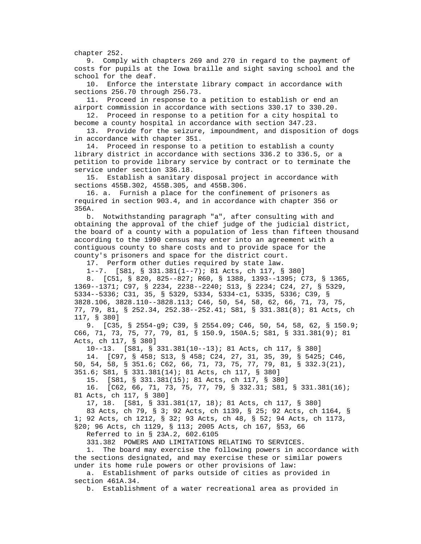chapter 252.

 9. Comply with chapters 269 and 270 in regard to the payment of costs for pupils at the Iowa braille and sight saving school and the school for the deaf.

 10. Enforce the interstate library compact in accordance with sections 256.70 through 256.73.

 11. Proceed in response to a petition to establish or end an airport commission in accordance with sections 330.17 to 330.20.

 12. Proceed in response to a petition for a city hospital to become a county hospital in accordance with section 347.23.

 13. Provide for the seizure, impoundment, and disposition of dogs in accordance with chapter 351.

 14. Proceed in response to a petition to establish a county library district in accordance with sections 336.2 to 336.5, or a petition to provide library service by contract or to terminate the service under section 336.18.

 15. Establish a sanitary disposal project in accordance with sections 455B.302, 455B.305, and 455B.306.

 16. a. Furnish a place for the confinement of prisoners as required in section 903.4, and in accordance with chapter 356 or 356A.

 b. Notwithstanding paragraph "a", after consulting with and obtaining the approval of the chief judge of the judicial district, the board of a county with a population of less than fifteen thousand according to the 1990 census may enter into an agreement with a contiguous county to share costs and to provide space for the county's prisoners and space for the district court.

17. Perform other duties required by state law.

1--7. [S81, § 331.381(1--7); 81 Acts, ch 117, § 380]

 8. [C51, § 820, 825--827; R60, § 1388, 1393--1395; C73, § 1365, 1369--1371; C97, § 2234, 2238--2240; S13, § 2234; C24, 27, § 5329, 5334--5336; C31, 35, § 5329, 5334, 5334-c1, 5335, 5336; C39, § 3828.106, 3828.110--3828.113; C46, 50, 54, 58, 62, 66, 71, 73, 75, 77, 79, 81, § 252.34, 252.38--252.41; S81, § 331.381(8); 81 Acts, ch 117, § 380]

 9. [C35, § 2554-g9; C39, § 2554.09; C46, 50, 54, 58, 62, § 150.9; C66, 71, 73, 75, 77, 79, 81, § 150.9, 150A.5; S81, § 331.381(9); 81 Acts, ch 117, § 380]

10--13. [S81, § 331.381(10--13); 81 Acts, ch 117, § 380]

14. [C97, § 458; S13, § 458; C24, 27, 31, 35, 39, § 5425; C46,

50, 54, 58, § 351.6; C62, 66, 71, 73, 75, 77, 79, 81, § 332.3(21),

351.6; S81, § 331.381(14); 81 Acts, ch 117, § 380]

 15. [S81, § 331.381(15); 81 Acts, ch 117, § 380] 16. [C62, 66, 71, 73, 75, 77, 79, § 332.31; S81, § 331.381(16);

81 Acts, ch 117, § 380]

17, 18. [S81, § 331.381(17, 18); 81 Acts, ch 117, § 380]

 83 Acts, ch 79, § 3; 92 Acts, ch 1139, § 25; 92 Acts, ch 1164, § 1; 92 Acts, ch 1212, § 32; 93 Acts, ch 48, § 52; 94 Acts, ch 1173, §20; 96 Acts, ch 1129, § 113; 2005 Acts, ch 167, §53, 66

Referred to in § 23A.2, 602.6105

331.382 POWERS AND LIMITATIONS RELATING TO SERVICES.

 1. The board may exercise the following powers in accordance with the sections designated, and may exercise these or similar powers under its home rule powers or other provisions of law:

 a. Establishment of parks outside of cities as provided in section 461A.34.

b. Establishment of a water recreational area as provided in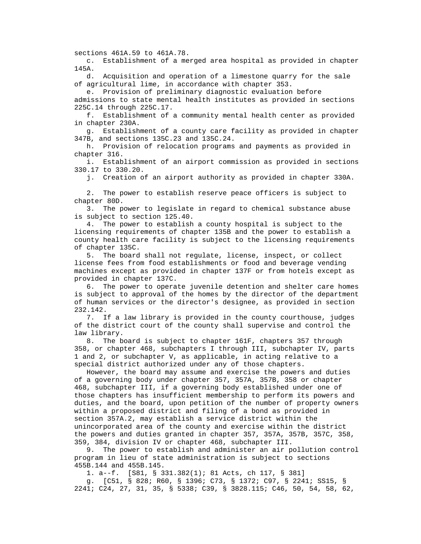sections 461A.59 to 461A.78.

 c. Establishment of a merged area hospital as provided in chapter 145A.

 d. Acquisition and operation of a limestone quarry for the sale of agricultural lime, in accordance with chapter 353.

 e. Provision of preliminary diagnostic evaluation before admissions to state mental health institutes as provided in sections

225C.14 through 225C.17.

 f. Establishment of a community mental health center as provided in chapter 230A.

 g. Establishment of a county care facility as provided in chapter 347B, and sections 135C.23 and 135C.24.

 h. Provision of relocation programs and payments as provided in chapter 316.

 i. Establishment of an airport commission as provided in sections 330.17 to 330.20.

j. Creation of an airport authority as provided in chapter 330A.

 2. The power to establish reserve peace officers is subject to chapter 80D.

 3. The power to legislate in regard to chemical substance abuse is subject to section 125.40.

 4. The power to establish a county hospital is subject to the licensing requirements of chapter 135B and the power to establish a county health care facility is subject to the licensing requirements of chapter 135C.

 5. The board shall not regulate, license, inspect, or collect license fees from food establishments or food and beverage vending machines except as provided in chapter 137F or from hotels except as provided in chapter 137C.

 6. The power to operate juvenile detention and shelter care homes is subject to approval of the homes by the director of the department of human services or the director's designee, as provided in section 232.142.

 7. If a law library is provided in the county courthouse, judges of the district court of the county shall supervise and control the law library.

 8. The board is subject to chapter 161F, chapters 357 through 358, or chapter 468, subchapters I through III, subchapter IV, parts 1 and 2, or subchapter V, as applicable, in acting relative to a special district authorized under any of those chapters.

 However, the board may assume and exercise the powers and duties of a governing body under chapter 357, 357A, 357B, 358 or chapter 468, subchapter III, if a governing body established under one of those chapters has insufficient membership to perform its powers and duties, and the board, upon petition of the number of property owners within a proposed district and filing of a bond as provided in section 357A.2, may establish a service district within the unincorporated area of the county and exercise within the district the powers and duties granted in chapter 357, 357A, 357B, 357C, 358, 359, 384, division IV or chapter 468, subchapter III.

 9. The power to establish and administer an air pollution control program in lieu of state administration is subject to sections 455B.144 and 455B.145.

1. a--f. [S81, § 331.382(1); 81 Acts, ch 117, § 381]

 g. [C51, § 828; R60, § 1396; C73, § 1372; C97, § 2241; SS15, § 2241; C24, 27, 31, 35, § 5338; C39, § 3828.115; C46, 50, 54, 58, 62,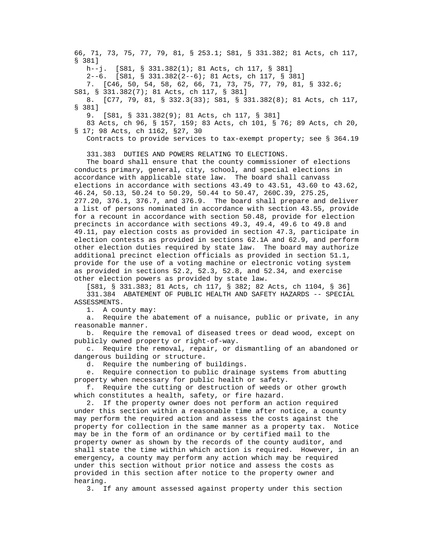66, 71, 73, 75, 77, 79, 81, § 253.1; S81, § 331.382; 81 Acts, ch 117, § 381]

h--j. [S81, § 331.382(1); 81 Acts, ch 117, § 381]

2--6. [S81, § 331.382(2--6); 81 Acts, ch 117, § 381]

7. [C46, 50, 54, 58, 62, 66, 71, 73, 75, 77, 79, 81, § 332.6;

S81, § 331.382(7); 81 Acts, ch 117, § 381]

 8. [C77, 79, 81, § 332.3(33); S81, § 331.382(8); 81 Acts, ch 117, § 381]

9. [S81, § 331.382(9); 81 Acts, ch 117, § 381]

 83 Acts, ch 96, § 157, 159; 83 Acts, ch 101, § 76; 89 Acts, ch 20, § 17; 98 Acts, ch 1162, §27, 30

Contracts to provide services to tax-exempt property; see § 364.19

331.383 DUTIES AND POWERS RELATING TO ELECTIONS.

 The board shall ensure that the county commissioner of elections conducts primary, general, city, school, and special elections in accordance with applicable state law. The board shall canvass elections in accordance with sections 43.49 to 43.51, 43.60 to 43.62, 46.24, 50.13, 50.24 to 50.29, 50.44 to 50.47, 260C.39, 275.25, 277.20, 376.1, 376.7, and 376.9. The board shall prepare and deliver a list of persons nominated in accordance with section 43.55, provide for a recount in accordance with section 50.48, provide for election precincts in accordance with sections 49.3, 49.4, 49.6 to 49.8 and 49.11, pay election costs as provided in section 47.3, participate in election contests as provided in sections 62.1A and 62.9, and perform other election duties required by state law. The board may authorize additional precinct election officials as provided in section 51.1, provide for the use of a voting machine or electronic voting system as provided in sections 52.2, 52.3, 52.8, and 52.34, and exercise other election powers as provided by state law.

 [S81, § 331.383; 81 Acts, ch 117, § 382; 82 Acts, ch 1104, § 36] 331.384 ABATEMENT OF PUBLIC HEALTH AND SAFETY HAZARDS -- SPECIAL ASSESSMENTS.

1. A county may:

 a. Require the abatement of a nuisance, public or private, in any reasonable manner.

 b. Require the removal of diseased trees or dead wood, except on publicly owned property or right-of-way.

 c. Require the removal, repair, or dismantling of an abandoned or dangerous building or structure.

d. Require the numbering of buildings.

 e. Require connection to public drainage systems from abutting property when necessary for public health or safety.

 f. Require the cutting or destruction of weeds or other growth which constitutes a health, safety, or fire hazard.

 2. If the property owner does not perform an action required under this section within a reasonable time after notice, a county may perform the required action and assess the costs against the property for collection in the same manner as a property tax. Notice may be in the form of an ordinance or by certified mail to the property owner as shown by the records of the county auditor, and shall state the time within which action is required. However, in an emergency, a county may perform any action which may be required under this section without prior notice and assess the costs as provided in this section after notice to the property owner and hearing.

3. If any amount assessed against property under this section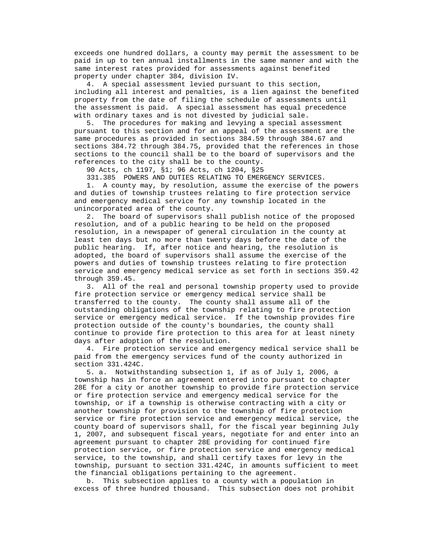exceeds one hundred dollars, a county may permit the assessment to be paid in up to ten annual installments in the same manner and with the same interest rates provided for assessments against benefited property under chapter 384, division IV.

 4. A special assessment levied pursuant to this section, including all interest and penalties, is a lien against the benefited property from the date of filing the schedule of assessments until the assessment is paid. A special assessment has equal precedence with ordinary taxes and is not divested by judicial sale.

 5. The procedures for making and levying a special assessment pursuant to this section and for an appeal of the assessment are the same procedures as provided in sections 384.59 through 384.67 and sections 384.72 through 384.75, provided that the references in those sections to the council shall be to the board of supervisors and the references to the city shall be to the county.

90 Acts, ch 1197, §1; 96 Acts, ch 1204, §25

331.385 POWERS AND DUTIES RELATING TO EMERGENCY SERVICES.

 1. A county may, by resolution, assume the exercise of the powers and duties of township trustees relating to fire protection service and emergency medical service for any township located in the unincorporated area of the county.

 2. The board of supervisors shall publish notice of the proposed resolution, and of a public hearing to be held on the proposed resolution, in a newspaper of general circulation in the county at least ten days but no more than twenty days before the date of the public hearing. If, after notice and hearing, the resolution is adopted, the board of supervisors shall assume the exercise of the powers and duties of township trustees relating to fire protection service and emergency medical service as set forth in sections 359.42 through 359.45.

 3. All of the real and personal township property used to provide fire protection service or emergency medical service shall be transferred to the county. The county shall assume all of the outstanding obligations of the township relating to fire protection service or emergency medical service. If the township provides fire protection outside of the county's boundaries, the county shall continue to provide fire protection to this area for at least ninety days after adoption of the resolution.

 4. Fire protection service and emergency medical service shall be paid from the emergency services fund of the county authorized in section 331.424C.

 5. a. Notwithstanding subsection 1, if as of July 1, 2006, a township has in force an agreement entered into pursuant to chapter 28E for a city or another township to provide fire protection service or fire protection service and emergency medical service for the township, or if a township is otherwise contracting with a city or another township for provision to the township of fire protection service or fire protection service and emergency medical service, the county board of supervisors shall, for the fiscal year beginning July 1, 2007, and subsequent fiscal years, negotiate for and enter into an agreement pursuant to chapter 28E providing for continued fire protection service, or fire protection service and emergency medical service, to the township, and shall certify taxes for levy in the township, pursuant to section 331.424C, in amounts sufficient to meet the financial obligations pertaining to the agreement.

 b. This subsection applies to a county with a population in excess of three hundred thousand. This subsection does not prohibit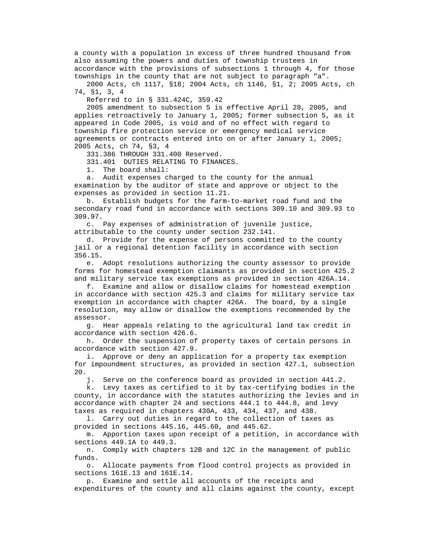a county with a population in excess of three hundred thousand from also assuming the powers and duties of township trustees in accordance with the provisions of subsections 1 through 4, for those townships in the county that are not subject to paragraph "a".

 2000 Acts, ch 1117, §18; 2004 Acts, ch 1146, §1, 2; 2005 Acts, ch 74, §1, 3, 4

Referred to in § 331.424C, 359.42

 2005 amendment to subsection 5 is effective April 28, 2005, and applies retroactively to January 1, 2005; former subsection 5, as it appeared in Code 2005, is void and of no effect with regard to township fire protection service or emergency medical service agreements or contracts entered into on or after January 1, 2005; 2005 Acts, ch 74, §3, 4

331.386 THROUGH 331.400 Reserved.

331.401 DUTIES RELATING TO FINANCES.

1. The board shall:

 a. Audit expenses charged to the county for the annual examination by the auditor of state and approve or object to the expenses as provided in section 11.21.

 b. Establish budgets for the farm-to-market road fund and the secondary road fund in accordance with sections 309.10 and 309.93 to 309.97.

 c. Pay expenses of administration of juvenile justice, attributable to the county under section 232.141.

 d. Provide for the expense of persons committed to the county jail or a regional detention facility in accordance with section 356.15.

 e. Adopt resolutions authorizing the county assessor to provide forms for homestead exemption claimants as provided in section 425.2 and military service tax exemptions as provided in section 426A.14.

 f. Examine and allow or disallow claims for homestead exemption in accordance with section 425.3 and claims for military service tax exemption in accordance with chapter 426A. The board, by a single resolution, may allow or disallow the exemptions recommended by the assessor.

 g. Hear appeals relating to the agricultural land tax credit in accordance with section 426.6.

 h. Order the suspension of property taxes of certain persons in accordance with section 427.9.

 i. Approve or deny an application for a property tax exemption for impoundment structures, as provided in section 427.1, subsection 20.

j. Serve on the conference board as provided in section 441.2.

 k. Levy taxes as certified to it by tax-certifying bodies in the county, in accordance with the statutes authorizing the levies and in accordance with chapter 24 and sections 444.1 to 444.8, and levy taxes as required in chapters 430A, 433, 434, 437, and 438.

 l. Carry out duties in regard to the collection of taxes as provided in sections 445.16, 445.60, and 445.62.

 m. Apportion taxes upon receipt of a petition, in accordance with sections 449.1A to 449.3.

 n. Comply with chapters 12B and 12C in the management of public funds.

 o. Allocate payments from flood control projects as provided in sections 161E.13 and 161E.14.

 p. Examine and settle all accounts of the receipts and expenditures of the county and all claims against the county, except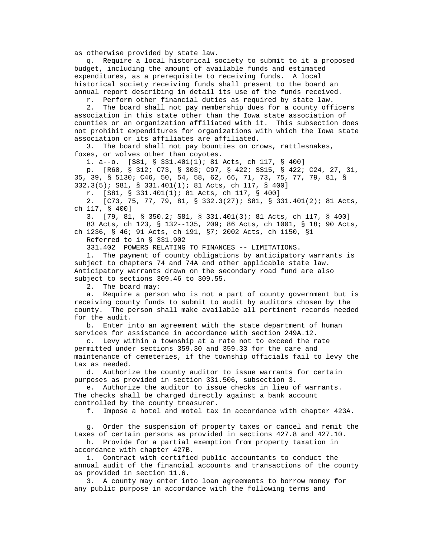as otherwise provided by state law.

 q. Require a local historical society to submit to it a proposed budget, including the amount of available funds and estimated expenditures, as a prerequisite to receiving funds. A local historical society receiving funds shall present to the board an annual report describing in detail its use of the funds received.

r. Perform other financial duties as required by state law.

 2. The board shall not pay membership dues for a county officers association in this state other than the Iowa state association of counties or an organization affiliated with it. This subsection does not prohibit expenditures for organizations with which the Iowa state association or its affiliates are affiliated.

 3. The board shall not pay bounties on crows, rattlesnakes, foxes, or wolves other than coyotes.

1. a--o. [S81, § 331.401(1); 81 Acts, ch 117, § 400]

 p. [R60, § 312; C73, § 303; C97, § 422; SS15, § 422; C24, 27, 31, 35, 39, § 5130; C46, 50, 54, 58, 62, 66, 71, 73, 75, 77, 79, 81, § 332.3(5); S81, § 331.401(1); 81 Acts, ch 117, § 400]

r. [S81, § 331.401(1); 81 Acts, ch 117, § 400]

 2. [C73, 75, 77, 79, 81, § 332.3(27); S81, § 331.401(2); 81 Acts, ch 117, § 400]

 3. [79, 81, § 350.2; S81, § 331.401(3); 81 Acts, ch 117, § 400] 83 Acts, ch 123, § 132--135, 209; 86 Acts, ch 1001, § 18; 90 Acts,

 ch 1236, § 46; 91 Acts, ch 191, §7; 2002 Acts, ch 1150, §1 Referred to in § 331.902

331.402 POWERS RELATING TO FINANCES -- LIMITATIONS.

 1. The payment of county obligations by anticipatory warrants is subject to chapters 74 and 74A and other applicable state law. Anticipatory warrants drawn on the secondary road fund are also subject to sections 309.46 to 309.55.

2. The board may:

 a. Require a person who is not a part of county government but is receiving county funds to submit to audit by auditors chosen by the county. The person shall make available all pertinent records needed for the audit.

 b. Enter into an agreement with the state department of human services for assistance in accordance with section 249A.12.

 c. Levy within a township at a rate not to exceed the rate permitted under sections 359.30 and 359.33 for the care and maintenance of cemeteries, if the township officials fail to levy the tax as needed.

 d. Authorize the county auditor to issue warrants for certain purposes as provided in section 331.506, subsection 3.

 e. Authorize the auditor to issue checks in lieu of warrants. The checks shall be charged directly against a bank account controlled by the county treasurer.

f. Impose a hotel and motel tax in accordance with chapter 423A.

 g. Order the suspension of property taxes or cancel and remit the taxes of certain persons as provided in sections 427.8 and 427.10.

 h. Provide for a partial exemption from property taxation in accordance with chapter 427B.

 i. Contract with certified public accountants to conduct the annual audit of the financial accounts and transactions of the county as provided in section 11.6.

 3. A county may enter into loan agreements to borrow money for any public purpose in accordance with the following terms and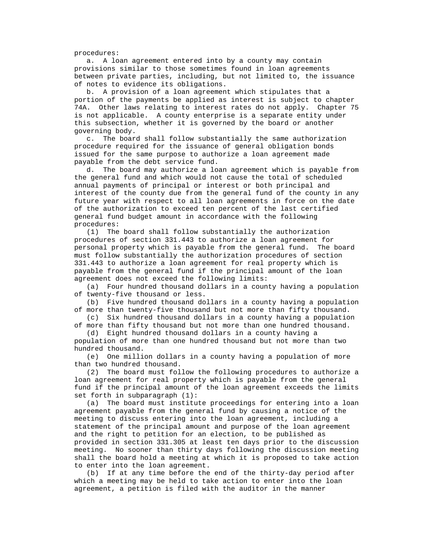procedures:

 a. A loan agreement entered into by a county may contain provisions similar to those sometimes found in loan agreements between private parties, including, but not limited to, the issuance of notes to evidence its obligations.

 b. A provision of a loan agreement which stipulates that a portion of the payments be applied as interest is subject to chapter 74A. Other laws relating to interest rates do not apply. Chapter 75 is not applicable. A county enterprise is a separate entity under this subsection, whether it is governed by the board or another governing body.

 c. The board shall follow substantially the same authorization procedure required for the issuance of general obligation bonds issued for the same purpose to authorize a loan agreement made payable from the debt service fund.

 d. The board may authorize a loan agreement which is payable from the general fund and which would not cause the total of scheduled annual payments of principal or interest or both principal and interest of the county due from the general fund of the county in any future year with respect to all loan agreements in force on the date of the authorization to exceed ten percent of the last certified general fund budget amount in accordance with the following procedures:

 (1) The board shall follow substantially the authorization procedures of section 331.443 to authorize a loan agreement for personal property which is payable from the general fund. The board must follow substantially the authorization procedures of section 331.443 to authorize a loan agreement for real property which is payable from the general fund if the principal amount of the loan agreement does not exceed the following limits:

 (a) Four hundred thousand dollars in a county having a population of twenty-five thousand or less.

 (b) Five hundred thousand dollars in a county having a population of more than twenty-five thousand but not more than fifty thousand.

 (c) Six hundred thousand dollars in a county having a population of more than fifty thousand but not more than one hundred thousand.

 (d) Eight hundred thousand dollars in a county having a population of more than one hundred thousand but not more than two hundred thousand.

 (e) One million dollars in a county having a population of more than two hundred thousand.

 (2) The board must follow the following procedures to authorize a loan agreement for real property which is payable from the general fund if the principal amount of the loan agreement exceeds the limits set forth in subparagraph (1):

 (a) The board must institute proceedings for entering into a loan agreement payable from the general fund by causing a notice of the meeting to discuss entering into the loan agreement, including a statement of the principal amount and purpose of the loan agreement and the right to petition for an election, to be published as provided in section 331.305 at least ten days prior to the discussion meeting. No sooner than thirty days following the discussion meeting shall the board hold a meeting at which it is proposed to take action to enter into the loan agreement.

 (b) If at any time before the end of the thirty-day period after which a meeting may be held to take action to enter into the loan agreement, a petition is filed with the auditor in the manner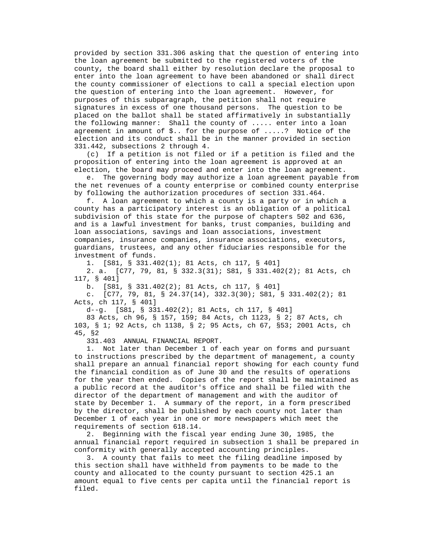provided by section 331.306 asking that the question of entering into the loan agreement be submitted to the registered voters of the county, the board shall either by resolution declare the proposal to enter into the loan agreement to have been abandoned or shall direct the county commissioner of elections to call a special election upon the question of entering into the loan agreement. However, for purposes of this subparagraph, the petition shall not require signatures in excess of one thousand persons. The question to be placed on the ballot shall be stated affirmatively in substantially the following manner: Shall the county of ..... enter into a loan agreement in amount of \$.. for the purpose of .....? Notice of the election and its conduct shall be in the manner provided in section 331.442, subsections 2 through 4.

 (c) If a petition is not filed or if a petition is filed and the proposition of entering into the loan agreement is approved at an election, the board may proceed and enter into the loan agreement.

 e. The governing body may authorize a loan agreement payable from the net revenues of a county enterprise or combined county enterprise by following the authorization procedures of section 331.464.

 f. A loan agreement to which a county is a party or in which a county has a participatory interest is an obligation of a political subdivision of this state for the purpose of chapters 502 and 636, and is a lawful investment for banks, trust companies, building and loan associations, savings and loan associations, investment companies, insurance companies, insurance associations, executors, guardians, trustees, and any other fiduciaries responsible for the investment of funds.

1. [S81, § 331.402(1); 81 Acts, ch 117, § 401]

 2. a. [C77, 79, 81, § 332.3(31); S81, § 331.402(2); 81 Acts, ch 117, § 401]

b. [S81, § 331.402(2); 81 Acts, ch 117, § 401]

 c. [C77, 79, 81, § 24.37(14), 332.3(30); S81, § 331.402(2); 81 Acts, ch 117, § 401]

d--g. [S81, § 331.402(2); 81 Acts, ch 117, § 401]

 83 Acts, ch 96, § 157, 159; 84 Acts, ch 1123, § 2; 87 Acts, ch 103, § 1; 92 Acts, ch 1138, § 2; 95 Acts, ch 67, §53; 2001 Acts, ch 45, §2

331.403 ANNUAL FINANCIAL REPORT.

 1. Not later than December 1 of each year on forms and pursuant to instructions prescribed by the department of management, a county shall prepare an annual financial report showing for each county fund the financial condition as of June 30 and the results of operations for the year then ended. Copies of the report shall be maintained as a public record at the auditor's office and shall be filed with the director of the department of management and with the auditor of state by December 1. A summary of the report, in a form prescribed by the director, shall be published by each county not later than December 1 of each year in one or more newspapers which meet the requirements of section 618.14.

 2. Beginning with the fiscal year ending June 30, 1985, the annual financial report required in subsection 1 shall be prepared in conformity with generally accepted accounting principles.

 3. A county that fails to meet the filing deadline imposed by this section shall have withheld from payments to be made to the county and allocated to the county pursuant to section 425.1 an amount equal to five cents per capita until the financial report is filed.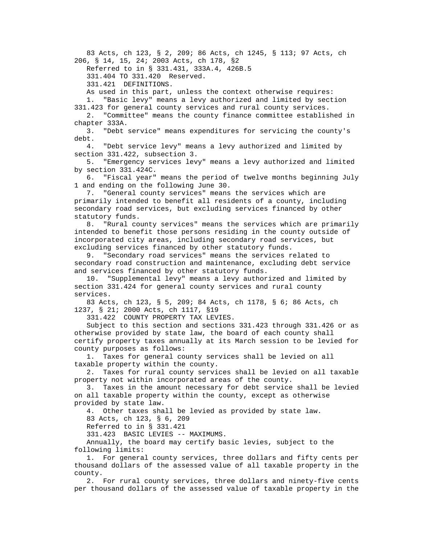83 Acts, ch 123, § 2, 209; 86 Acts, ch 1245, § 113; 97 Acts, ch 206, § 14, 15, 24; 2003 Acts, ch 178, §2

Referred to in § 331.431, 333A.4, 426B.5

331.404 TO 331.420 Reserved.

331.421 DEFINITIONS.

As used in this part, unless the context otherwise requires:

 1. "Basic levy" means a levy authorized and limited by section 331.423 for general county services and rural county services.

 2. "Committee" means the county finance committee established in chapter 333A.

 3. "Debt service" means expenditures for servicing the county's debt.

 4. "Debt service levy" means a levy authorized and limited by section 331.422, subsection 3.

 5. "Emergency services levy" means a levy authorized and limited by section 331.424C.

 6. "Fiscal year" means the period of twelve months beginning July 1 and ending on the following June 30.

 7. "General county services" means the services which are primarily intended to benefit all residents of a county, including secondary road services, but excluding services financed by other statutory funds.

 8. "Rural county services" means the services which are primarily intended to benefit those persons residing in the county outside of incorporated city areas, including secondary road services, but excluding services financed by other statutory funds.

 9. "Secondary road services" means the services related to secondary road construction and maintenance, excluding debt service and services financed by other statutory funds.

 10. "Supplemental levy" means a levy authorized and limited by section 331.424 for general county services and rural county services.

 83 Acts, ch 123, § 5, 209; 84 Acts, ch 1178, § 6; 86 Acts, ch 1237, § 21; 2000 Acts, ch 1117, §19

331.422 COUNTY PROPERTY TAX LEVIES.

 Subject to this section and sections 331.423 through 331.426 or as otherwise provided by state law, the board of each county shall certify property taxes annually at its March session to be levied for county purposes as follows:

 1. Taxes for general county services shall be levied on all taxable property within the county.

 2. Taxes for rural county services shall be levied on all taxable property not within incorporated areas of the county.

 3. Taxes in the amount necessary for debt service shall be levied on all taxable property within the county, except as otherwise provided by state law.

4. Other taxes shall be levied as provided by state law.

83 Acts, ch 123, § 6, 209

Referred to in § 331.421

331.423 BASIC LEVIES -- MAXIMUMS.

 Annually, the board may certify basic levies, subject to the following limits:

 1. For general county services, three dollars and fifty cents per thousand dollars of the assessed value of all taxable property in the county.

 2. For rural county services, three dollars and ninety-five cents per thousand dollars of the assessed value of taxable property in the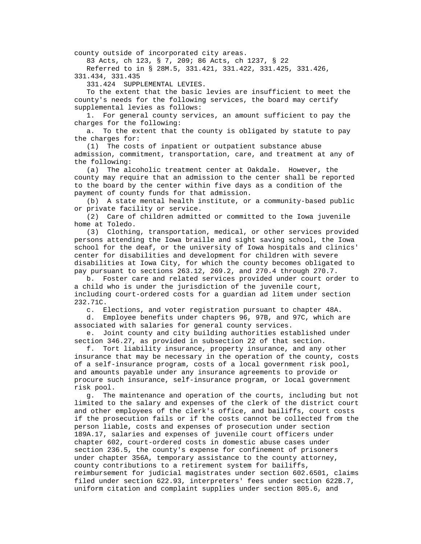county outside of incorporated city areas.

83 Acts, ch 123, § 7, 209; 86 Acts, ch 1237, § 22

 Referred to in § 28M.5, 331.421, 331.422, 331.425, 331.426, 331.434, 331.435

331.424 SUPPLEMENTAL LEVIES.

 To the extent that the basic levies are insufficient to meet the county's needs for the following services, the board may certify supplemental levies as follows:

 1. For general county services, an amount sufficient to pay the charges for the following:

 a. To the extent that the county is obligated by statute to pay the charges for:

 (1) The costs of inpatient or outpatient substance abuse admission, commitment, transportation, care, and treatment at any of the following:

 (a) The alcoholic treatment center at Oakdale. However, the county may require that an admission to the center shall be reported to the board by the center within five days as a condition of the payment of county funds for that admission.

 (b) A state mental health institute, or a community-based public or private facility or service.

 (2) Care of children admitted or committed to the Iowa juvenile home at Toledo.

 (3) Clothing, transportation, medical, or other services provided persons attending the Iowa braille and sight saving school, the Iowa school for the deaf, or the university of Iowa hospitals and clinics' center for disabilities and development for children with severe disabilities at Iowa City, for which the county becomes obligated to pay pursuant to sections 263.12, 269.2, and 270.4 through 270.7.

 b. Foster care and related services provided under court order to a child who is under the jurisdiction of the juvenile court, including court-ordered costs for a guardian ad litem under section 232.71C.

c. Elections, and voter registration pursuant to chapter 48A.

 d. Employee benefits under chapters 96, 97B, and 97C, which are associated with salaries for general county services.

 e. Joint county and city building authorities established under section 346.27, as provided in subsection 22 of that section.

 f. Tort liability insurance, property insurance, and any other insurance that may be necessary in the operation of the county, costs of a self-insurance program, costs of a local government risk pool, and amounts payable under any insurance agreements to provide or procure such insurance, self-insurance program, or local government risk pool.

 g. The maintenance and operation of the courts, including but not limited to the salary and expenses of the clerk of the district court and other employees of the clerk's office, and bailiffs, court costs if the prosecution fails or if the costs cannot be collected from the person liable, costs and expenses of prosecution under section 189A.17, salaries and expenses of juvenile court officers under chapter 602, court-ordered costs in domestic abuse cases under section 236.5, the county's expense for confinement of prisoners under chapter 356A, temporary assistance to the county attorney, county contributions to a retirement system for bailiffs, reimbursement for judicial magistrates under section 602.6501, claims filed under section 622.93, interpreters' fees under section 622B.7, uniform citation and complaint supplies under section 805.6, and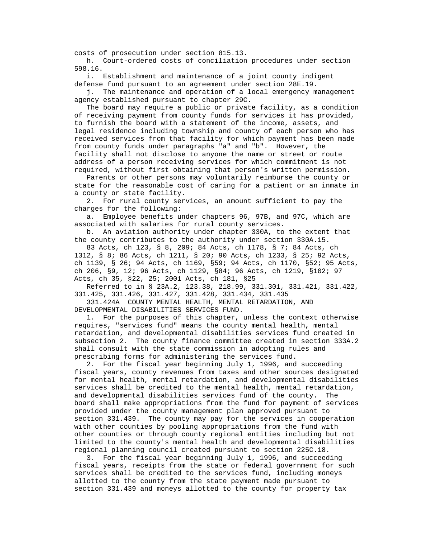costs of prosecution under section 815.13.

 h. Court-ordered costs of conciliation procedures under section 598.16.

 i. Establishment and maintenance of a joint county indigent defense fund pursuant to an agreement under section 28E.19.

 j. The maintenance and operation of a local emergency management agency established pursuant to chapter 29C.

 The board may require a public or private facility, as a condition of receiving payment from county funds for services it has provided, to furnish the board with a statement of the income, assets, and legal residence including township and county of each person who has received services from that facility for which payment has been made from county funds under paragraphs "a" and "b". However, the facility shall not disclose to anyone the name or street or route address of a person receiving services for which commitment is not required, without first obtaining that person's written permission.

 Parents or other persons may voluntarily reimburse the county or state for the reasonable cost of caring for a patient or an inmate in a county or state facility.

 2. For rural county services, an amount sufficient to pay the charges for the following:

 a. Employee benefits under chapters 96, 97B, and 97C, which are associated with salaries for rural county services.

 b. An aviation authority under chapter 330A, to the extent that the county contributes to the authority under section 330A.15.

 83 Acts, ch 123, § 8, 209; 84 Acts, ch 1178, § 7; 84 Acts, ch 1312, § 8; 86 Acts, ch 1211, § 20; 90 Acts, ch 1233, § 25; 92 Acts, ch 1139, § 26; 94 Acts, ch 1169, §59; 94 Acts, ch 1170, §52; 95 Acts, ch 206, §9, 12; 96 Acts, ch 1129, §84; 96 Acts, ch 1219, §102; 97 Acts, ch 35, §22, 25; 2001 Acts, ch 181, §25

 Referred to in § 23A.2, 123.38, 218.99, 331.301, 331.421, 331.422, 331.425, 331.426, 331.427, 331.428, 331.434, 331.435

 331.424A COUNTY MENTAL HEALTH, MENTAL RETARDATION, AND DEVELOPMENTAL DISABILITIES SERVICES FUND.

 1. For the purposes of this chapter, unless the context otherwise requires, "services fund" means the county mental health, mental retardation, and developmental disabilities services fund created in subsection 2. The county finance committee created in section 333A.2 shall consult with the state commission in adopting rules and prescribing forms for administering the services fund.

 2. For the fiscal year beginning July 1, 1996, and succeeding fiscal years, county revenues from taxes and other sources designated for mental health, mental retardation, and developmental disabilities services shall be credited to the mental health, mental retardation, and developmental disabilities services fund of the county. The board shall make appropriations from the fund for payment of services provided under the county management plan approved pursuant to section 331.439. The county may pay for the services in cooperation with other counties by pooling appropriations from the fund with other counties or through county regional entities including but not limited to the county's mental health and developmental disabilities regional planning council created pursuant to section 225C.18.

 3. For the fiscal year beginning July 1, 1996, and succeeding fiscal years, receipts from the state or federal government for such services shall be credited to the services fund, including moneys allotted to the county from the state payment made pursuant to section 331.439 and moneys allotted to the county for property tax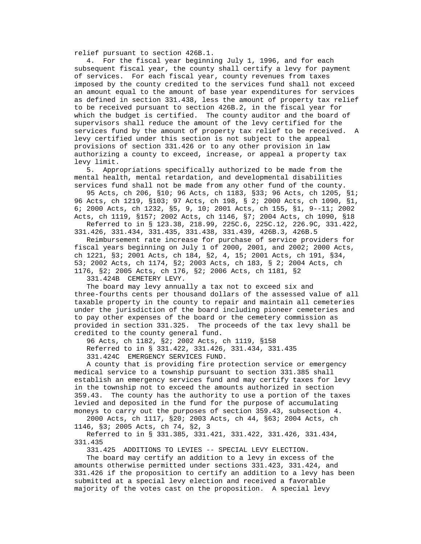relief pursuant to section 426B.1.

 4. For the fiscal year beginning July 1, 1996, and for each subsequent fiscal year, the county shall certify a levy for payment of services. For each fiscal year, county revenues from taxes imposed by the county credited to the services fund shall not exceed an amount equal to the amount of base year expenditures for services as defined in section 331.438, less the amount of property tax relief to be received pursuant to section 426B.2, in the fiscal year for which the budget is certified. The county auditor and the board of supervisors shall reduce the amount of the levy certified for the services fund by the amount of property tax relief to be received. A levy certified under this section is not subject to the appeal provisions of section 331.426 or to any other provision in law authorizing a county to exceed, increase, or appeal a property tax levy limit.

 5. Appropriations specifically authorized to be made from the mental health, mental retardation, and developmental disabilities services fund shall not be made from any other fund of the county.

 95 Acts, ch 206, §10; 96 Acts, ch 1183, §33; 96 Acts, ch 1205, §1; 96 Acts, ch 1219, §103; 97 Acts, ch 198, § 2; 2000 Acts, ch 1090, §1, 6; 2000 Acts, ch 1232, §5, 9, 10; 2001 Acts, ch 155, §1, 9--11; 2002 Acts, ch 1119, §157; 2002 Acts, ch 1146, §7; 2004 Acts, ch 1090, §18

 Referred to in § 123.38, 218.99, 225C.6, 225C.12, 226.9C, 331.422, 331.426, 331.434, 331.435, 331.438, 331.439, 426B.3, 426B.5

 Reimbursement rate increase for purchase of service providers for fiscal years beginning on July 1 of 2000, 2001, and 2002; 2000 Acts, ch 1221, §3; 2001 Acts, ch 184, §2, 4, 15; 2001 Acts, ch 191, §34, 53; 2002 Acts, ch 1174, §2; 2003 Acts, ch 183, § 2; 2004 Acts, ch 1176, §2; 2005 Acts, ch 176, §2; 2006 Acts, ch 1181, §2

331.424B CEMETERY LEVY.

 The board may levy annually a tax not to exceed six and three-fourths cents per thousand dollars of the assessed value of all taxable property in the county to repair and maintain all cemeteries under the jurisdiction of the board including pioneer cemeteries and to pay other expenses of the board or the cemetery commission as provided in section 331.325. The proceeds of the tax levy shall be credited to the county general fund.

96 Acts, ch 1182, §2; 2002 Acts, ch 1119, §158

 Referred to in § 331.422, 331.426, 331.434, 331.435 331.424C EMERGENCY SERVICES FUND.

 A county that is providing fire protection service or emergency medical service to a township pursuant to section 331.385 shall establish an emergency services fund and may certify taxes for levy in the township not to exceed the amounts authorized in section 359.43. The county has the authority to use a portion of the taxes levied and deposited in the fund for the purpose of accumulating moneys to carry out the purposes of section 359.43, subsection 4.

 2000 Acts, ch 1117, §20; 2003 Acts, ch 44, §63; 2004 Acts, ch 1146, §3; 2005 Acts, ch 74, §2, 3

 Referred to in § 331.385, 331.421, 331.422, 331.426, 331.434, 331.435

331.425 ADDITIONS TO LEVIES -- SPECIAL LEVY ELECTION.

 The board may certify an addition to a levy in excess of the amounts otherwise permitted under sections 331.423, 331.424, and 331.426 if the proposition to certify an addition to a levy has been submitted at a special levy election and received a favorable majority of the votes cast on the proposition. A special levy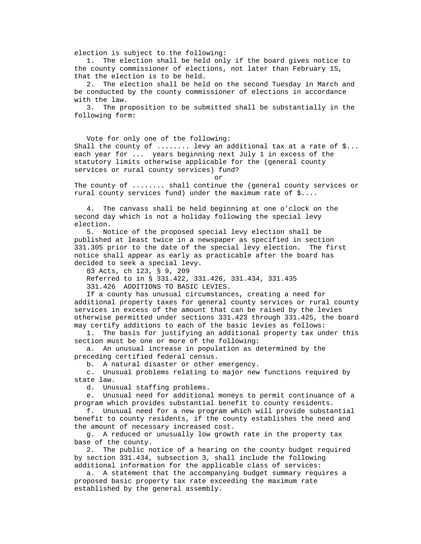election is subject to the following:

 1. The election shall be held only if the board gives notice to the county commissioner of elections, not later than February 15, that the election is to be held.

 2. The election shall be held on the second Tuesday in March and be conducted by the county commissioner of elections in accordance with the law.

 3. The proposition to be submitted shall be substantially in the following form:

 Vote for only one of the following: Shall the county of  $\dots$ ...... levy an additional tax at a rate of  $\S\dots$  each year for ... years beginning next July 1 in excess of the statutory limits otherwise applicable for the (general county services or rural county services) fund?

or

 The county of ........ shall continue the (general county services or rural county services fund) under the maximum rate of \$....

 4. The canvass shall be held beginning at one o'clock on the second day which is not a holiday following the special levy election.

 5. Notice of the proposed special levy election shall be published at least twice in a newspaper as specified in section 331.305 prior to the date of the special levy election. The first notice shall appear as early as practicable after the board has decided to seek a special levy.

83 Acts, ch 123, § 9, 209

Referred to in § 331.422, 331.426, 331.434, 331.435

331.426 ADDITIONS TO BASIC LEVIES.

 If a county has unusual circumstances, creating a need for additional property taxes for general county services or rural county services in excess of the amount that can be raised by the levies otherwise permitted under sections 331.423 through 331.425, the board may certify additions to each of the basic levies as follows:

 1. The basis for justifying an additional property tax under this section must be one or more of the following:

 a. An unusual increase in population as determined by the preceding certified federal census.

b. A natural disaster or other emergency.

 c. Unusual problems relating to major new functions required by state law.

d. Unusual staffing problems.

 e. Unusual need for additional moneys to permit continuance of a program which provides substantial benefit to county residents.

 f. Unusual need for a new program which will provide substantial benefit to county residents, if the county establishes the need and the amount of necessary increased cost.

 g. A reduced or unusually low growth rate in the property tax base of the county.

 2. The public notice of a hearing on the county budget required by section 331.434, subsection 3, shall include the following additional information for the applicable class of services:

 a. A statement that the accompanying budget summary requires a proposed basic property tax rate exceeding the maximum rate established by the general assembly.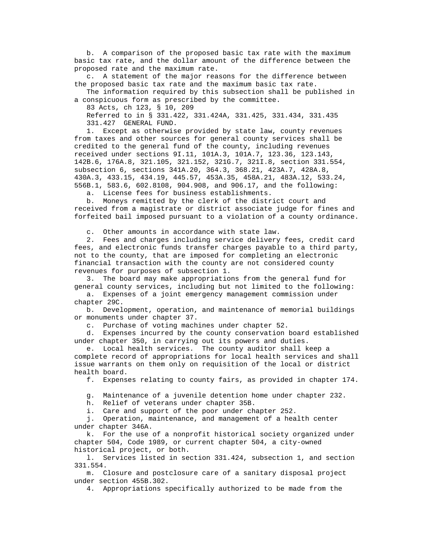b. A comparison of the proposed basic tax rate with the maximum basic tax rate, and the dollar amount of the difference between the proposed rate and the maximum rate.

 c. A statement of the major reasons for the difference between the proposed basic tax rate and the maximum basic tax rate.

 The information required by this subsection shall be published in a conspicuous form as prescribed by the committee.

83 Acts, ch 123, § 10, 209

 Referred to in § 331.422, 331.424A, 331.425, 331.434, 331.435 331.427 GENERAL FUND.

 1. Except as otherwise provided by state law, county revenues from taxes and other sources for general county services shall be credited to the general fund of the county, including revenues received under sections 9I.11, 101A.3, 101A.7, 123.36, 123.143, 142B.6, 176A.8, 321.105, 321.152, 321G.7, 321I.8, section 331.554, subsection 6, sections 341A.20, 364.3, 368.21, 423A.7, 428A.8, 430A.3, 433.15, 434.19, 445.57, 453A.35, 458A.21, 483A.12, 533.24, 556B.1, 583.6, 602.8108, 904.908, and 906.17, and the following:

a. License fees for business establishments.

 b. Moneys remitted by the clerk of the district court and received from a magistrate or district associate judge for fines and forfeited bail imposed pursuant to a violation of a county ordinance.

c. Other amounts in accordance with state law.

 2. Fees and charges including service delivery fees, credit card fees, and electronic funds transfer charges payable to a third party, not to the county, that are imposed for completing an electronic financial transaction with the county are not considered county revenues for purposes of subsection 1.

 3. The board may make appropriations from the general fund for general county services, including but not limited to the following:

 a. Expenses of a joint emergency management commission under chapter 29C.

 b. Development, operation, and maintenance of memorial buildings or monuments under chapter 37.

c. Purchase of voting machines under chapter 52.

 d. Expenses incurred by the county conservation board established under chapter 350, in carrying out its powers and duties.

 e. Local health services. The county auditor shall keep a complete record of appropriations for local health services and shall issue warrants on them only on requisition of the local or district health board.

f. Expenses relating to county fairs, as provided in chapter 174.

g. Maintenance of a juvenile detention home under chapter 232.

h. Relief of veterans under chapter 35B.

i. Care and support of the poor under chapter 252.

 j. Operation, maintenance, and management of a health center under chapter 346A.

 k. For the use of a nonprofit historical society organized under chapter 504, Code 1989, or current chapter 504, a city-owned historical project, or both.

 l. Services listed in section 331.424, subsection 1, and section 331.554.

 m. Closure and postclosure care of a sanitary disposal project under section 455B.302.

4. Appropriations specifically authorized to be made from the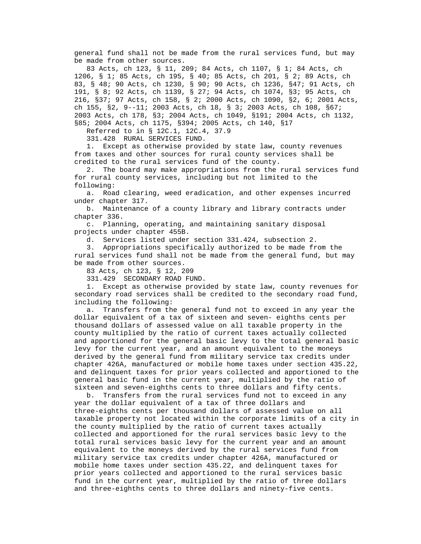general fund shall not be made from the rural services fund, but may be made from other sources.

 83 Acts, ch 123, § 11, 209; 84 Acts, ch 1107, § 1; 84 Acts, ch 1206, § 1; 85 Acts, ch 195, § 40; 85 Acts, ch 201, § 2; 89 Acts, ch 83, § 48; 90 Acts, ch 1230, § 90; 90 Acts, ch 1236, §47; 91 Acts, ch 191, § 8; 92 Acts, ch 1139, § 27; 94 Acts, ch 1074, §3; 95 Acts, ch 216, §37; 97 Acts, ch 158, § 2; 2000 Acts, ch 1090, §2, 6; 2001 Acts, ch 155, §2, 9--11; 2003 Acts, ch 18, § 3; 2003 Acts, ch 108, §67; 2003 Acts, ch 178, §3; 2004 Acts, ch 1049, §191; 2004 Acts, ch 1132, §85; 2004 Acts, ch 1175, §394; 2005 Acts, ch 140, §17

Referred to in § 12C.1, 12C.4, 37.9

331.428 RURAL SERVICES FUND.

 1. Except as otherwise provided by state law, county revenues from taxes and other sources for rural county services shall be credited to the rural services fund of the county.

 2. The board may make appropriations from the rural services fund for rural county services, including but not limited to the following:

 a. Road clearing, weed eradication, and other expenses incurred under chapter 317.

 b. Maintenance of a county library and library contracts under chapter 336.

 c. Planning, operating, and maintaining sanitary disposal projects under chapter 455B.

d. Services listed under section 331.424, subsection 2.

 3. Appropriations specifically authorized to be made from the rural services fund shall not be made from the general fund, but may be made from other sources.

83 Acts, ch 123, § 12, 209

331.429 SECONDARY ROAD FUND.

 1. Except as otherwise provided by state law, county revenues for secondary road services shall be credited to the secondary road fund, including the following:

 a. Transfers from the general fund not to exceed in any year the dollar equivalent of a tax of sixteen and seven- eighths cents per thousand dollars of assessed value on all taxable property in the county multiplied by the ratio of current taxes actually collected and apportioned for the general basic levy to the total general basic levy for the current year, and an amount equivalent to the moneys derived by the general fund from military service tax credits under chapter 426A, manufactured or mobile home taxes under section 435.22, and delinquent taxes for prior years collected and apportioned to the general basic fund in the current year, multiplied by the ratio of sixteen and seven-eighths cents to three dollars and fifty cents.

 b. Transfers from the rural services fund not to exceed in any year the dollar equivalent of a tax of three dollars and three-eighths cents per thousand dollars of assessed value on all taxable property not located within the corporate limits of a city in the county multiplied by the ratio of current taxes actually collected and apportioned for the rural services basic levy to the total rural services basic levy for the current year and an amount equivalent to the moneys derived by the rural services fund from military service tax credits under chapter 426A, manufactured or mobile home taxes under section 435.22, and delinquent taxes for prior years collected and apportioned to the rural services basic fund in the current year, multiplied by the ratio of three dollars and three-eighths cents to three dollars and ninety-five cents.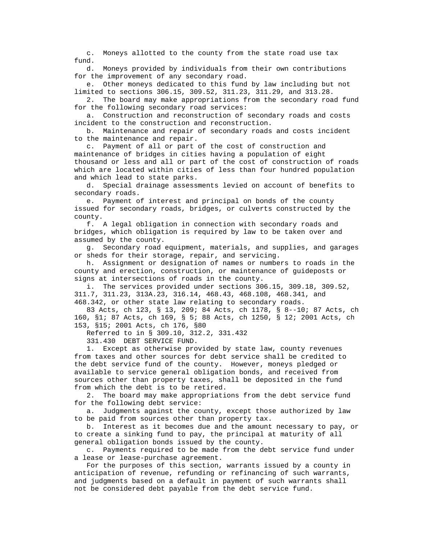c. Moneys allotted to the county from the state road use tax fund.

 d. Moneys provided by individuals from their own contributions for the improvement of any secondary road.

 e. Other moneys dedicated to this fund by law including but not limited to sections 306.15, 309.52, 311.23, 311.29, and 313.28.

 2. The board may make appropriations from the secondary road fund for the following secondary road services:

 a. Construction and reconstruction of secondary roads and costs incident to the construction and reconstruction.

 b. Maintenance and repair of secondary roads and costs incident to the maintenance and repair.

 c. Payment of all or part of the cost of construction and maintenance of bridges in cities having a population of eight thousand or less and all or part of the cost of construction of roads which are located within cities of less than four hundred population and which lead to state parks.

 d. Special drainage assessments levied on account of benefits to secondary roads.

 e. Payment of interest and principal on bonds of the county issued for secondary roads, bridges, or culverts constructed by the county.

 f. A legal obligation in connection with secondary roads and bridges, which obligation is required by law to be taken over and assumed by the county.

 g. Secondary road equipment, materials, and supplies, and garages or sheds for their storage, repair, and servicing.

 h. Assignment or designation of names or numbers to roads in the county and erection, construction, or maintenance of guideposts or signs at intersections of roads in the county.

 i. The services provided under sections 306.15, 309.18, 309.52, 311.7, 311.23, 313A.23, 316.14, 468.43, 468.108, 468.341, and 468.342, or other state law relating to secondary roads.

 83 Acts, ch 123, § 13, 209; 84 Acts, ch 1178, § 8--10; 87 Acts, ch 160, §1; 87 Acts, ch 169, § 5; 88 Acts, ch 1250, § 12; 2001 Acts, ch 153, §15; 2001 Acts, ch 176, §80

Referred to in § 309.10, 312.2, 331.432

331.430 DEBT SERVICE FUND.

 1. Except as otherwise provided by state law, county revenues from taxes and other sources for debt service shall be credited to the debt service fund of the county. However, moneys pledged or available to service general obligation bonds, and received from sources other than property taxes, shall be deposited in the fund from which the debt is to be retired.

 2. The board may make appropriations from the debt service fund for the following debt service:

 a. Judgments against the county, except those authorized by law to be paid from sources other than property tax.

 b. Interest as it becomes due and the amount necessary to pay, or to create a sinking fund to pay, the principal at maturity of all general obligation bonds issued by the county.

 c. Payments required to be made from the debt service fund under a lease or lease-purchase agreement.

 For the purposes of this section, warrants issued by a county in anticipation of revenue, refunding or refinancing of such warrants, and judgments based on a default in payment of such warrants shall not be considered debt payable from the debt service fund.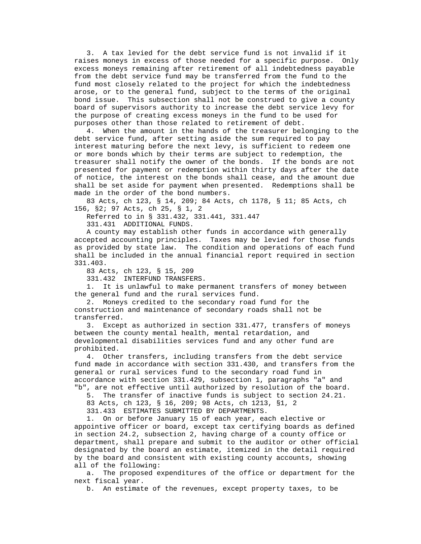3. A tax levied for the debt service fund is not invalid if it raises moneys in excess of those needed for a specific purpose. Only excess moneys remaining after retirement of all indebtedness payable from the debt service fund may be transferred from the fund to the fund most closely related to the project for which the indebtedness arose, or to the general fund, subject to the terms of the original bond issue. This subsection shall not be construed to give a county board of supervisors authority to increase the debt service levy for the purpose of creating excess moneys in the fund to be used for purposes other than those related to retirement of debt.

 4. When the amount in the hands of the treasurer belonging to the debt service fund, after setting aside the sum required to pay interest maturing before the next levy, is sufficient to redeem one or more bonds which by their terms are subject to redemption, the treasurer shall notify the owner of the bonds. If the bonds are not presented for payment or redemption within thirty days after the date of notice, the interest on the bonds shall cease, and the amount due shall be set aside for payment when presented. Redemptions shall be made in the order of the bond numbers.

 83 Acts, ch 123, § 14, 209; 84 Acts, ch 1178, § 11; 85 Acts, ch 156, §2; 97 Acts, ch 25, § 1, 2

Referred to in § 331.432, 331.441, 331.447

331.431 ADDITIONAL FUNDS.

 A county may establish other funds in accordance with generally accepted accounting principles. Taxes may be levied for those funds as provided by state law. The condition and operations of each fund shall be included in the annual financial report required in section 331.403.

83 Acts, ch 123, § 15, 209

331.432 INTERFUND TRANSFERS.

 1. It is unlawful to make permanent transfers of money between the general fund and the rural services fund.

 2. Moneys credited to the secondary road fund for the construction and maintenance of secondary roads shall not be transferred.

 3. Except as authorized in section 331.477, transfers of moneys between the county mental health, mental retardation, and developmental disabilities services fund and any other fund are prohibited.

 4. Other transfers, including transfers from the debt service fund made in accordance with section 331.430, and transfers from the general or rural services fund to the secondary road fund in accordance with section 331.429, subsection 1, paragraphs "a" and "b", are not effective until authorized by resolution of the board.

5. The transfer of inactive funds is subject to section 24.21.

83 Acts, ch 123, § 16, 209; 98 Acts, ch 1213, §1, 2

331.433 ESTIMATES SUBMITTED BY DEPARTMENTS.

 1. On or before January 15 of each year, each elective or appointive officer or board, except tax certifying boards as defined in section 24.2, subsection 2, having charge of a county office or department, shall prepare and submit to the auditor or other official designated by the board an estimate, itemized in the detail required by the board and consistent with existing county accounts, showing all of the following:

 a. The proposed expenditures of the office or department for the next fiscal year.

b. An estimate of the revenues, except property taxes, to be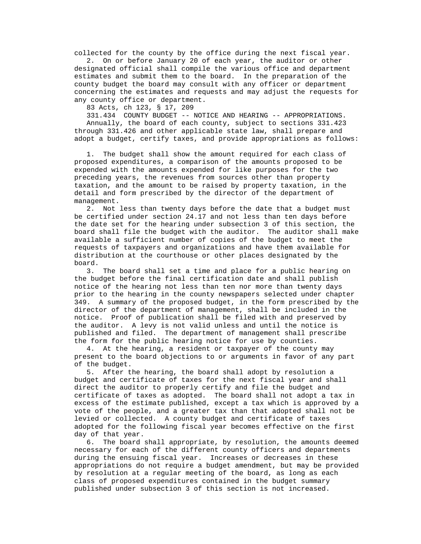collected for the county by the office during the next fiscal year.

 2. On or before January 20 of each year, the auditor or other designated official shall compile the various office and department estimates and submit them to the board. In the preparation of the county budget the board may consult with any officer or department concerning the estimates and requests and may adjust the requests for any county office or department.

83 Acts, ch 123, § 17, 209

 331.434 COUNTY BUDGET -- NOTICE AND HEARING -- APPROPRIATIONS. Annually, the board of each county, subject to sections 331.423 through 331.426 and other applicable state law, shall prepare and adopt a budget, certify taxes, and provide appropriations as follows:

 1. The budget shall show the amount required for each class of proposed expenditures, a comparison of the amounts proposed to be expended with the amounts expended for like purposes for the two preceding years, the revenues from sources other than property taxation, and the amount to be raised by property taxation, in the detail and form prescribed by the director of the department of management.

 2. Not less than twenty days before the date that a budget must be certified under section 24.17 and not less than ten days before the date set for the hearing under subsection 3 of this section, the board shall file the budget with the auditor. The auditor shall make available a sufficient number of copies of the budget to meet the requests of taxpayers and organizations and have them available for distribution at the courthouse or other places designated by the board.

 3. The board shall set a time and place for a public hearing on the budget before the final certification date and shall publish notice of the hearing not less than ten nor more than twenty days prior to the hearing in the county newspapers selected under chapter 349. A summary of the proposed budget, in the form prescribed by the director of the department of management, shall be included in the notice. Proof of publication shall be filed with and preserved by the auditor. A levy is not valid unless and until the notice is published and filed. The department of management shall prescribe the form for the public hearing notice for use by counties.

 4. At the hearing, a resident or taxpayer of the county may present to the board objections to or arguments in favor of any part of the budget.

 5. After the hearing, the board shall adopt by resolution a budget and certificate of taxes for the next fiscal year and shall direct the auditor to properly certify and file the budget and certificate of taxes as adopted. The board shall not adopt a tax in excess of the estimate published, except a tax which is approved by a vote of the people, and a greater tax than that adopted shall not be levied or collected. A county budget and certificate of taxes adopted for the following fiscal year becomes effective on the first day of that year.

 6. The board shall appropriate, by resolution, the amounts deemed necessary for each of the different county officers and departments during the ensuing fiscal year. Increases or decreases in these appropriations do not require a budget amendment, but may be provided by resolution at a regular meeting of the board, as long as each class of proposed expenditures contained in the budget summary published under subsection 3 of this section is not increased.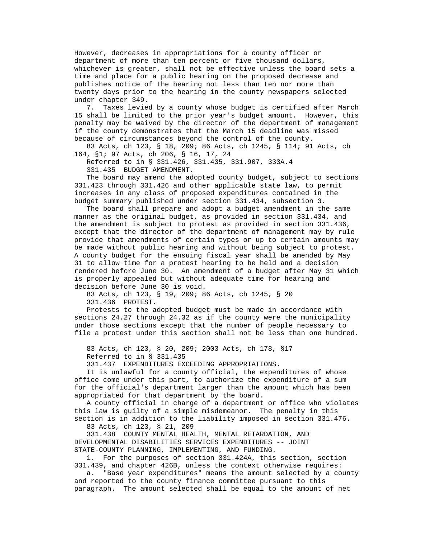However, decreases in appropriations for a county officer or department of more than ten percent or five thousand dollars, whichever is greater, shall not be effective unless the board sets a time and place for a public hearing on the proposed decrease and publishes notice of the hearing not less than ten nor more than twenty days prior to the hearing in the county newspapers selected under chapter 349.

 7. Taxes levied by a county whose budget is certified after March 15 shall be limited to the prior year's budget amount. However, this penalty may be waived by the director of the department of management if the county demonstrates that the March 15 deadline was missed because of circumstances beyond the control of the county.

 83 Acts, ch 123, § 18, 209; 86 Acts, ch 1245, § 114; 91 Acts, ch 164, §1; 97 Acts, ch 206, § 16, 17, 24

Referred to in § 331.426, 331.435, 331.907, 333A.4

331.435 BUDGET AMENDMENT.

 The board may amend the adopted county budget, subject to sections 331.423 through 331.426 and other applicable state law, to permit increases in any class of proposed expenditures contained in the budget summary published under section 331.434, subsection 3.

 The board shall prepare and adopt a budget amendment in the same manner as the original budget, as provided in section 331.434, and the amendment is subject to protest as provided in section 331.436, except that the director of the department of management may by rule provide that amendments of certain types or up to certain amounts may be made without public hearing and without being subject to protest. A county budget for the ensuing fiscal year shall be amended by May 31 to allow time for a protest hearing to be held and a decision rendered before June 30. An amendment of a budget after May 31 which is properly appealed but without adequate time for hearing and decision before June 30 is void.

 83 Acts, ch 123, § 19, 209; 86 Acts, ch 1245, § 20 331.436 PROTEST.

 Protests to the adopted budget must be made in accordance with sections 24.27 through 24.32 as if the county were the municipality under those sections except that the number of people necessary to file a protest under this section shall not be less than one hundred.

 83 Acts, ch 123, § 20, 209; 2003 Acts, ch 178, §17 Referred to in § 331.435

331.437 EXPENDITURES EXCEEDING APPROPRIATIONS.

 It is unlawful for a county official, the expenditures of whose office come under this part, to authorize the expenditure of a sum for the official's department larger than the amount which has been appropriated for that department by the board.

 A county official in charge of a department or office who violates this law is guilty of a simple misdemeanor. The penalty in this section is in addition to the liability imposed in section 331.476.

83 Acts, ch 123, § 21, 209

 331.438 COUNTY MENTAL HEALTH, MENTAL RETARDATION, AND DEVELOPMENTAL DISABILITIES SERVICES EXPENDITURES -- JOINT STATE-COUNTY PLANNING, IMPLEMENTING, AND FUNDING.

 1. For the purposes of section 331.424A, this section, section 331.439, and chapter 426B, unless the context otherwise requires:

 a. "Base year expenditures" means the amount selected by a county and reported to the county finance committee pursuant to this paragraph. The amount selected shall be equal to the amount of net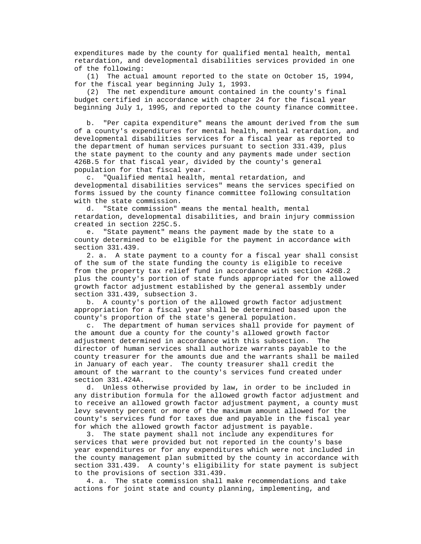expenditures made by the county for qualified mental health, mental retardation, and developmental disabilities services provided in one of the following:

 (1) The actual amount reported to the state on October 15, 1994, for the fiscal year beginning July 1, 1993.

 (2) The net expenditure amount contained in the county's final budget certified in accordance with chapter 24 for the fiscal year beginning July 1, 1995, and reported to the county finance committee.

 b. "Per capita expenditure" means the amount derived from the sum of a county's expenditures for mental health, mental retardation, and developmental disabilities services for a fiscal year as reported to the department of human services pursuant to section 331.439, plus the state payment to the county and any payments made under section 426B.5 for that fiscal year, divided by the county's general population for that fiscal year.

 c. "Qualified mental health, mental retardation, and developmental disabilities services" means the services specified on forms issued by the county finance committee following consultation with the state commission.

 d. "State commission" means the mental health, mental retardation, developmental disabilities, and brain injury commission created in section 225C.5.

 e. "State payment" means the payment made by the state to a county determined to be eligible for the payment in accordance with section 331.439.

 2. a. A state payment to a county for a fiscal year shall consist of the sum of the state funding the county is eligible to receive from the property tax relief fund in accordance with section 426B.2 plus the county's portion of state funds appropriated for the allowed growth factor adjustment established by the general assembly under section 331.439, subsection 3.

 b. A county's portion of the allowed growth factor adjustment appropriation for a fiscal year shall be determined based upon the county's proportion of the state's general population.

 c. The department of human services shall provide for payment of the amount due a county for the county's allowed growth factor adjustment determined in accordance with this subsection. The director of human services shall authorize warrants payable to the county treasurer for the amounts due and the warrants shall be mailed in January of each year. The county treasurer shall credit the amount of the warrant to the county's services fund created under section 331.424A.

 d. Unless otherwise provided by law, in order to be included in any distribution formula for the allowed growth factor adjustment and to receive an allowed growth factor adjustment payment, a county must levy seventy percent or more of the maximum amount allowed for the county's services fund for taxes due and payable in the fiscal year for which the allowed growth factor adjustment is payable.

 3. The state payment shall not include any expenditures for services that were provided but not reported in the county's base year expenditures or for any expenditures which were not included in the county management plan submitted by the county in accordance with section 331.439. A county's eligibility for state payment is subject to the provisions of section 331.439.

 4. a. The state commission shall make recommendations and take actions for joint state and county planning, implementing, and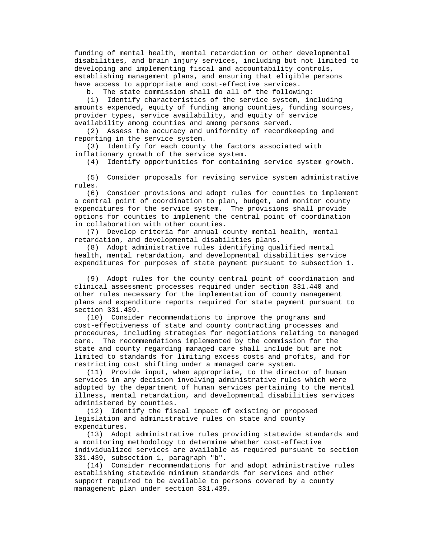funding of mental health, mental retardation or other developmental disabilities, and brain injury services, including but not limited to developing and implementing fiscal and accountability controls, establishing management plans, and ensuring that eligible persons have access to appropriate and cost-effective services.

b. The state commission shall do all of the following:

 (1) Identify characteristics of the service system, including amounts expended, equity of funding among counties, funding sources, provider types, service availability, and equity of service availability among counties and among persons served.

 (2) Assess the accuracy and uniformity of recordkeeping and reporting in the service system.

 (3) Identify for each county the factors associated with inflationary growth of the service system.

(4) Identify opportunities for containing service system growth.

 (5) Consider proposals for revising service system administrative rules.

 (6) Consider provisions and adopt rules for counties to implement a central point of coordination to plan, budget, and monitor county expenditures for the service system. The provisions shall provide options for counties to implement the central point of coordination in collaboration with other counties.

 (7) Develop criteria for annual county mental health, mental retardation, and developmental disabilities plans.

 (8) Adopt administrative rules identifying qualified mental health, mental retardation, and developmental disabilities service expenditures for purposes of state payment pursuant to subsection 1.

 (9) Adopt rules for the county central point of coordination and clinical assessment processes required under section 331.440 and other rules necessary for the implementation of county management plans and expenditure reports required for state payment pursuant to section 331.439.

 (10) Consider recommendations to improve the programs and cost-effectiveness of state and county contracting processes and procedures, including strategies for negotiations relating to managed care. The recommendations implemented by the commission for the state and county regarding managed care shall include but are not limited to standards for limiting excess costs and profits, and for restricting cost shifting under a managed care system.

 (11) Provide input, when appropriate, to the director of human services in any decision involving administrative rules which were adopted by the department of human services pertaining to the mental illness, mental retardation, and developmental disabilities services administered by counties.

 (12) Identify the fiscal impact of existing or proposed legislation and administrative rules on state and county expenditures.

 (13) Adopt administrative rules providing statewide standards and a monitoring methodology to determine whether cost-effective individualized services are available as required pursuant to section 331.439, subsection 1, paragraph "b".

 (14) Consider recommendations for and adopt administrative rules establishing statewide minimum standards for services and other support required to be available to persons covered by a county management plan under section 331.439.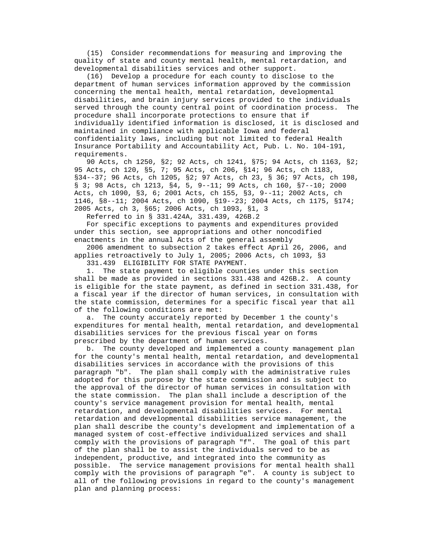(15) Consider recommendations for measuring and improving the quality of state and county mental health, mental retardation, and developmental disabilities services and other support.

 (16) Develop a procedure for each county to disclose to the department of human services information approved by the commission concerning the mental health, mental retardation, developmental disabilities, and brain injury services provided to the individuals served through the county central point of coordination process. The procedure shall incorporate protections to ensure that if individually identified information is disclosed, it is disclosed and maintained in compliance with applicable Iowa and federal confidentiality laws, including but not limited to federal Health Insurance Portability and Accountability Act, Pub. L. No. 104-191, requirements.

 90 Acts, ch 1250, §2; 92 Acts, ch 1241, §75; 94 Acts, ch 1163, §2; 95 Acts, ch 120, §5, 7; 95 Acts, ch 206, §14; 96 Acts, ch 1183, §34--37; 96 Acts, ch 1205, §2; 97 Acts, ch 23, § 36; 97 Acts, ch 198, § 3; 98 Acts, ch 1213, §4, 5, 9--11; 99 Acts, ch 160, §7--10; 2000 Acts, ch 1090, §3, 6; 2001 Acts, ch 155, §3, 9--11; 2002 Acts, ch 1146, §8--11; 2004 Acts, ch 1090, §19--23; 2004 Acts, ch 1175, §174; 2005 Acts, ch 3, §65; 2006 Acts, ch 1093, §1, 3

Referred to in § 331.424A, 331.439, 426B.2

 For specific exceptions to payments and expenditures provided under this section, see appropriations and other noncodified enactments in the annual Acts of the general assembly

 2006 amendment to subsection 2 takes effect April 26, 2006, and applies retroactively to July 1, 2005; 2006 Acts, ch 1093, §3

331.439 ELIGIBILITY FOR STATE PAYMENT.

 1. The state payment to eligible counties under this section shall be made as provided in sections 331.438 and 426B.2. A county is eligible for the state payment, as defined in section 331.438, for a fiscal year if the director of human services, in consultation with the state commission, determines for a specific fiscal year that all of the following conditions are met:

 a. The county accurately reported by December 1 the county's expenditures for mental health, mental retardation, and developmental disabilities services for the previous fiscal year on forms prescribed by the department of human services.

 b. The county developed and implemented a county management plan for the county's mental health, mental retardation, and developmental disabilities services in accordance with the provisions of this paragraph "b". The plan shall comply with the administrative rules adopted for this purpose by the state commission and is subject to the approval of the director of human services in consultation with the state commission. The plan shall include a description of the county's service management provision for mental health, mental retardation, and developmental disabilities services. For mental retardation and developmental disabilities service management, the plan shall describe the county's development and implementation of a managed system of cost-effective individualized services and shall comply with the provisions of paragraph "f". The goal of this part of the plan shall be to assist the individuals served to be as independent, productive, and integrated into the community as possible. The service management provisions for mental health shall comply with the provisions of paragraph "e". A county is subject to all of the following provisions in regard to the county's management plan and planning process: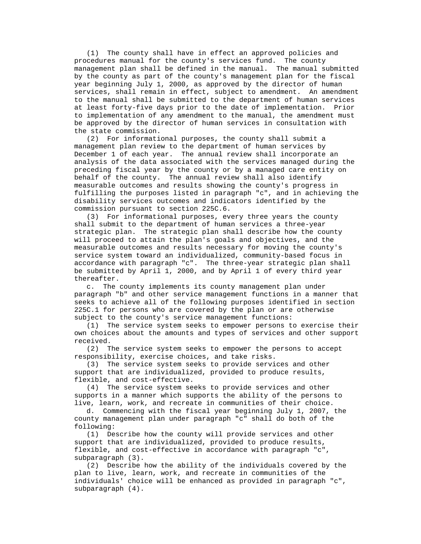(1) The county shall have in effect an approved policies and procedures manual for the county's services fund. The county management plan shall be defined in the manual. The manual submitted by the county as part of the county's management plan for the fiscal year beginning July 1, 2000, as approved by the director of human services, shall remain in effect, subject to amendment. An amendment to the manual shall be submitted to the department of human services at least forty-five days prior to the date of implementation. Prior to implementation of any amendment to the manual, the amendment must be approved by the director of human services in consultation with the state commission.

 (2) For informational purposes, the county shall submit a management plan review to the department of human services by December 1 of each year. The annual review shall incorporate an analysis of the data associated with the services managed during the preceding fiscal year by the county or by a managed care entity on behalf of the county. The annual review shall also identify measurable outcomes and results showing the county's progress in fulfilling the purposes listed in paragraph "c", and in achieving the disability services outcomes and indicators identified by the commission pursuant to section 225C.6.

 (3) For informational purposes, every three years the county shall submit to the department of human services a three-year strategic plan. The strategic plan shall describe how the county will proceed to attain the plan's goals and objectives, and the measurable outcomes and results necessary for moving the county's service system toward an individualized, community-based focus in accordance with paragraph "c". The three-year strategic plan shall be submitted by April 1, 2000, and by April 1 of every third year thereafter.

 c. The county implements its county management plan under paragraph "b" and other service management functions in a manner that seeks to achieve all of the following purposes identified in section 225C.1 for persons who are covered by the plan or are otherwise subject to the county's service management functions:

 (1) The service system seeks to empower persons to exercise their own choices about the amounts and types of services and other support received.

 (2) The service system seeks to empower the persons to accept responsibility, exercise choices, and take risks.

 (3) The service system seeks to provide services and other support that are individualized, provided to produce results, flexible, and cost-effective.

 (4) The service system seeks to provide services and other supports in a manner which supports the ability of the persons to live, learn, work, and recreate in communities of their choice.

 d. Commencing with the fiscal year beginning July 1, 2007, the county management plan under paragraph "c" shall do both of the following:

 (1) Describe how the county will provide services and other support that are individualized, provided to produce results, flexible, and cost-effective in accordance with paragraph "c", subparagraph (3).

 (2) Describe how the ability of the individuals covered by the plan to live, learn, work, and recreate in communities of the individuals' choice will be enhanced as provided in paragraph "c", subparagraph (4).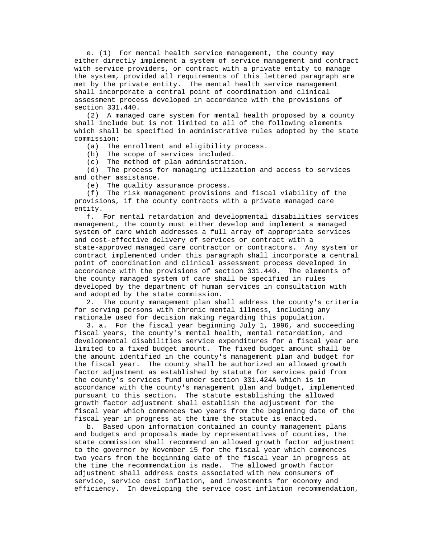e. (1) For mental health service management, the county may either directly implement a system of service management and contract with service providers, or contract with a private entity to manage the system, provided all requirements of this lettered paragraph are met by the private entity. The mental health service management shall incorporate a central point of coordination and clinical assessment process developed in accordance with the provisions of section 331.440.

 (2) A managed care system for mental health proposed by a county shall include but is not limited to all of the following elements which shall be specified in administrative rules adopted by the state commission:

(a) The enrollment and eligibility process.

(b) The scope of services included.

(c) The method of plan administration.

 (d) The process for managing utilization and access to services and other assistance.

(e) The quality assurance process.

 (f) The risk management provisions and fiscal viability of the provisions, if the county contracts with a private managed care entity.

 f. For mental retardation and developmental disabilities services management, the county must either develop and implement a managed system of care which addresses a full array of appropriate services and cost-effective delivery of services or contract with a state-approved managed care contractor or contractors. Any system or contract implemented under this paragraph shall incorporate a central point of coordination and clinical assessment process developed in accordance with the provisions of section 331.440. The elements of the county managed system of care shall be specified in rules developed by the department of human services in consultation with and adopted by the state commission.

 2. The county management plan shall address the county's criteria for serving persons with chronic mental illness, including any rationale used for decision making regarding this population.

 3. a. For the fiscal year beginning July 1, 1996, and succeeding fiscal years, the county's mental health, mental retardation, and developmental disabilities service expenditures for a fiscal year are limited to a fixed budget amount. The fixed budget amount shall be the amount identified in the county's management plan and budget for the fiscal year. The county shall be authorized an allowed growth factor adjustment as established by statute for services paid from the county's services fund under section 331.424A which is in accordance with the county's management plan and budget, implemented pursuant to this section. The statute establishing the allowed growth factor adjustment shall establish the adjustment for the fiscal year which commences two years from the beginning date of the fiscal year in progress at the time the statute is enacted.

 b. Based upon information contained in county management plans and budgets and proposals made by representatives of counties, the state commission shall recommend an allowed growth factor adjustment to the governor by November 15 for the fiscal year which commences two years from the beginning date of the fiscal year in progress at the time the recommendation is made. The allowed growth factor adjustment shall address costs associated with new consumers of service, service cost inflation, and investments for economy and efficiency. In developing the service cost inflation recommendation,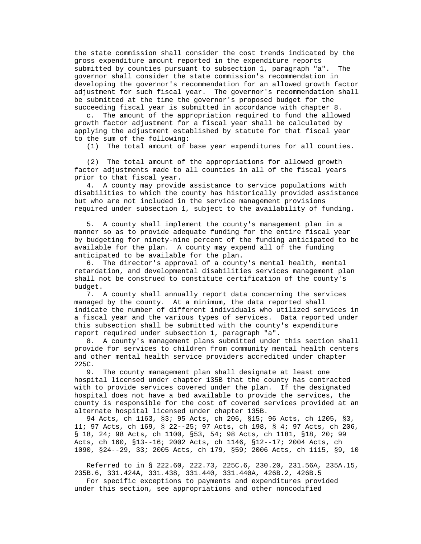the state commission shall consider the cost trends indicated by the gross expenditure amount reported in the expenditure reports submitted by counties pursuant to subsection 1, paragraph "a". The governor shall consider the state commission's recommendation in developing the governor's recommendation for an allowed growth factor adjustment for such fiscal year. The governor's recommendation shall be submitted at the time the governor's proposed budget for the succeeding fiscal year is submitted in accordance with chapter 8.

 c. The amount of the appropriation required to fund the allowed growth factor adjustment for a fiscal year shall be calculated by applying the adjustment established by statute for that fiscal year to the sum of the following:

(1) The total amount of base year expenditures for all counties.

 (2) The total amount of the appropriations for allowed growth factor adjustments made to all counties in all of the fiscal years prior to that fiscal year.

 4. A county may provide assistance to service populations with disabilities to which the county has historically provided assistance but who are not included in the service management provisions required under subsection 1, subject to the availability of funding.

 5. A county shall implement the county's management plan in a manner so as to provide adequate funding for the entire fiscal year by budgeting for ninety-nine percent of the funding anticipated to be available for the plan. A county may expend all of the funding anticipated to be available for the plan.

 6. The director's approval of a county's mental health, mental retardation, and developmental disabilities services management plan shall not be construed to constitute certification of the county's budget.

 7. A county shall annually report data concerning the services managed by the county. At a minimum, the data reported shall indicate the number of different individuals who utilized services in a fiscal year and the various types of services. Data reported under this subsection shall be submitted with the county's expenditure report required under subsection 1, paragraph "a".

 8. A county's management plans submitted under this section shall provide for services to children from community mental health centers and other mental health service providers accredited under chapter 225C.

 9. The county management plan shall designate at least one hospital licensed under chapter 135B that the county has contracted with to provide services covered under the plan. If the designated hospital does not have a bed available to provide the services, the county is responsible for the cost of covered services provided at an alternate hospital licensed under chapter 135B.

 94 Acts, ch 1163, §3; 95 Acts, ch 206, §15; 96 Acts, ch 1205, §3, 11; 97 Acts, ch 169, § 22--25; 97 Acts, ch 198, § 4; 97 Acts, ch 206, § 18, 24; 98 Acts, ch 1100, §53, 54; 98 Acts, ch 1181, §18, 20; 99 Acts, ch 160, §13--16; 2002 Acts, ch 1146, §12--17; 2004 Acts, ch 1090, §24--29, 33; 2005 Acts, ch 179, §59; 2006 Acts, ch 1115, §9, 10

 Referred to in § 222.60, 222.73, 225C.6, 230.20, 231.56A, 235A.15, 235B.6, 331.424A, 331.438, 331.440, 331.440A, 426B.2, 426B.5

 For specific exceptions to payments and expenditures provided under this section, see appropriations and other noncodified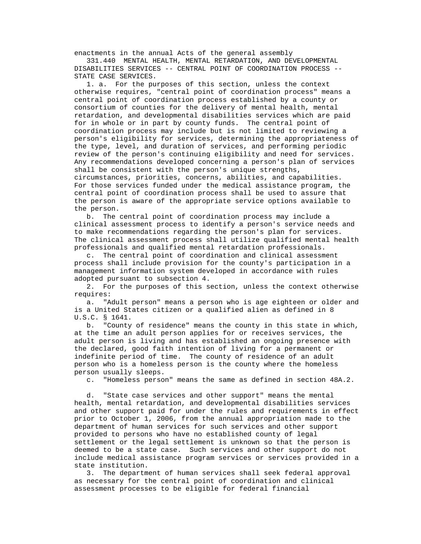enactments in the annual Acts of the general assembly

 331.440 MENTAL HEALTH, MENTAL RETARDATION, AND DEVELOPMENTAL DISABILITIES SERVICES -- CENTRAL POINT OF COORDINATION PROCESS -- STATE CASE SERVICES.

 1. a. For the purposes of this section, unless the context otherwise requires, "central point of coordination process" means a central point of coordination process established by a county or consortium of counties for the delivery of mental health, mental retardation, and developmental disabilities services which are paid for in whole or in part by county funds. The central point of coordination process may include but is not limited to reviewing a person's eligibility for services, determining the appropriateness of the type, level, and duration of services, and performing periodic review of the person's continuing eligibility and need for services. Any recommendations developed concerning a person's plan of services shall be consistent with the person's unique strengths, circumstances, priorities, concerns, abilities, and capabilities. For those services funded under the medical assistance program, the central point of coordination process shall be used to assure that the person is aware of the appropriate service options available to the person.

 b. The central point of coordination process may include a clinical assessment process to identify a person's service needs and to make recommendations regarding the person's plan for services. The clinical assessment process shall utilize qualified mental health professionals and qualified mental retardation professionals.

 c. The central point of coordination and clinical assessment process shall include provision for the county's participation in a management information system developed in accordance with rules adopted pursuant to subsection 4.

 2. For the purposes of this section, unless the context otherwise requires:

 a. "Adult person" means a person who is age eighteen or older and is a United States citizen or a qualified alien as defined in 8 U.S.C. § 1641.

 b. "County of residence" means the county in this state in which, at the time an adult person applies for or receives services, the adult person is living and has established an ongoing presence with the declared, good faith intention of living for a permanent or indefinite period of time. The county of residence of an adult person who is a homeless person is the county where the homeless person usually sleeps.

c. "Homeless person" means the same as defined in section 48A.2.

 d. "State case services and other support" means the mental health, mental retardation, and developmental disabilities services and other support paid for under the rules and requirements in effect prior to October 1, 2006, from the annual appropriation made to the department of human services for such services and other support provided to persons who have no established county of legal settlement or the legal settlement is unknown so that the person is deemed to be a state case. Such services and other support do not include medical assistance program services or services provided in a state institution.

 3. The department of human services shall seek federal approval as necessary for the central point of coordination and clinical assessment processes to be eligible for federal financial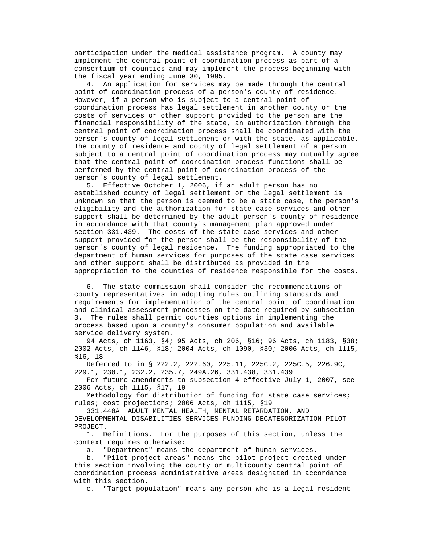participation under the medical assistance program. A county may implement the central point of coordination process as part of a consortium of counties and may implement the process beginning with the fiscal year ending June 30, 1995.

 4. An application for services may be made through the central point of coordination process of a person's county of residence. However, if a person who is subject to a central point of coordination process has legal settlement in another county or the costs of services or other support provided to the person are the financial responsibility of the state, an authorization through the central point of coordination process shall be coordinated with the person's county of legal settlement or with the state, as applicable. The county of residence and county of legal settlement of a person subject to a central point of coordination process may mutually agree that the central point of coordination process functions shall be performed by the central point of coordination process of the person's county of legal settlement.

 5. Effective October 1, 2006, if an adult person has no established county of legal settlement or the legal settlement is unknown so that the person is deemed to be a state case, the person's eligibility and the authorization for state case services and other support shall be determined by the adult person's county of residence in accordance with that county's management plan approved under section 331.439. The costs of the state case services and other support provided for the person shall be the responsibility of the person's county of legal residence. The funding appropriated to the department of human services for purposes of the state case services and other support shall be distributed as provided in the appropriation to the counties of residence responsible for the costs.

 6. The state commission shall consider the recommendations of county representatives in adopting rules outlining standards and requirements for implementation of the central point of coordination and clinical assessment processes on the date required by subsection 3. The rules shall permit counties options in implementing the process based upon a county's consumer population and available service delivery system.

 94 Acts, ch 1163, §4; 95 Acts, ch 206, §16; 96 Acts, ch 1183, §38; 2002 Acts, ch 1146, §18; 2004 Acts, ch 1090, §30; 2006 Acts, ch 1115, §16, 18

 Referred to in § 222.2, 222.60, 225.11, 225C.2, 225C.5, 226.9C, 229.1, 230.1, 232.2, 235.7, 249A.26, 331.438, 331.439

 For future amendments to subsection 4 effective July 1, 2007, see 2006 Acts, ch 1115, §17, 19

 Methodology for distribution of funding for state case services; rules; cost projections; 2006 Acts, ch 1115, §19

 331.440A ADULT MENTAL HEALTH, MENTAL RETARDATION, AND DEVELOPMENTAL DISABILITIES SERVICES FUNDING DECATEGORIZATION PILOT PROJECT.

 1. Definitions. For the purposes of this section, unless the context requires otherwise:

a. "Department" means the department of human services.

 b. "Pilot project areas" means the pilot project created under this section involving the county or multicounty central point of coordination process administrative areas designated in accordance with this section.

c. "Target population" means any person who is a legal resident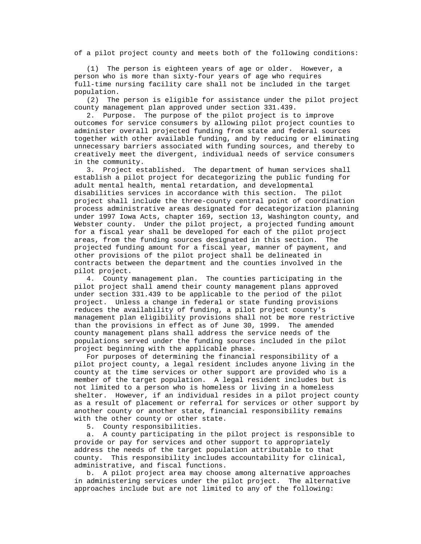of a pilot project county and meets both of the following conditions:

 (1) The person is eighteen years of age or older. However, a person who is more than sixty-four years of age who requires full-time nursing facility care shall not be included in the target population.

 (2) The person is eligible for assistance under the pilot project county management plan approved under section 331.439.

 2. Purpose. The purpose of the pilot project is to improve outcomes for service consumers by allowing pilot project counties to administer overall projected funding from state and federal sources together with other available funding, and by reducing or eliminating unnecessary barriers associated with funding sources, and thereby to creatively meet the divergent, individual needs of service consumers in the community.

 3. Project established. The department of human services shall establish a pilot project for decategorizing the public funding for adult mental health, mental retardation, and developmental disabilities services in accordance with this section. The pilot project shall include the three-county central point of coordination process administrative areas designated for decategorization planning under 1997 Iowa Acts, chapter 169, section 13, Washington county, and Webster county. Under the pilot project, a projected funding amount for a fiscal year shall be developed for each of the pilot project areas, from the funding sources designated in this section. The projected funding amount for a fiscal year, manner of payment, and other provisions of the pilot project shall be delineated in contracts between the department and the counties involved in the pilot project.

 4. County management plan. The counties participating in the pilot project shall amend their county management plans approved under section 331.439 to be applicable to the period of the pilot project. Unless a change in federal or state funding provisions reduces the availability of funding, a pilot project county's management plan eligibility provisions shall not be more restrictive than the provisions in effect as of June 30, 1999. The amended county management plans shall address the service needs of the populations served under the funding sources included in the pilot project beginning with the applicable phase.

 For purposes of determining the financial responsibility of a pilot project county, a legal resident includes anyone living in the county at the time services or other support are provided who is a member of the target population. A legal resident includes but is not limited to a person who is homeless or living in a homeless shelter. However, if an individual resides in a pilot project county as a result of placement or referral for services or other support by another county or another state, financial responsibility remains with the other county or other state.

5. County responsibilities.

 a. A county participating in the pilot project is responsible to provide or pay for services and other support to appropriately address the needs of the target population attributable to that county. This responsibility includes accountability for clinical, administrative, and fiscal functions.

 b. A pilot project area may choose among alternative approaches in administering services under the pilot project. The alternative approaches include but are not limited to any of the following: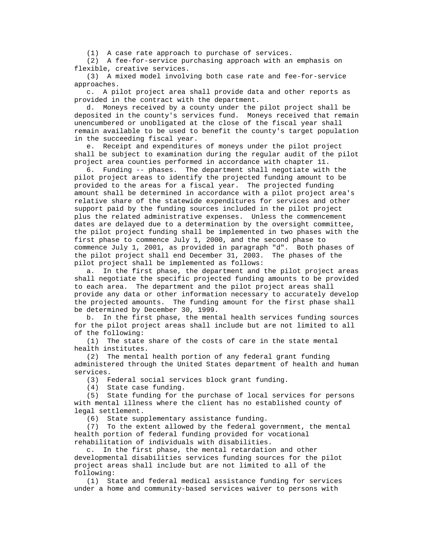(1) A case rate approach to purchase of services.

 (2) A fee-for-service purchasing approach with an emphasis on flexible, creative services.

 (3) A mixed model involving both case rate and fee-for-service approaches.

 c. A pilot project area shall provide data and other reports as provided in the contract with the department.

 d. Moneys received by a county under the pilot project shall be deposited in the county's services fund. Moneys received that remain unencumbered or unobligated at the close of the fiscal year shall remain available to be used to benefit the county's target population in the succeeding fiscal year.

 e. Receipt and expenditures of moneys under the pilot project shall be subject to examination during the regular audit of the pilot project area counties performed in accordance with chapter 11.

 6. Funding -- phases. The department shall negotiate with the pilot project areas to identify the projected funding amount to be provided to the areas for a fiscal year. The projected funding amount shall be determined in accordance with a pilot project area's relative share of the statewide expenditures for services and other support paid by the funding sources included in the pilot project plus the related administrative expenses. Unless the commencement dates are delayed due to a determination by the oversight committee, the pilot project funding shall be implemented in two phases with the first phase to commence July 1, 2000, and the second phase to commence July 1, 2001, as provided in paragraph "d". Both phases of the pilot project shall end December 31, 2003. The phases of the pilot project shall be implemented as follows:

 a. In the first phase, the department and the pilot project areas shall negotiate the specific projected funding amounts to be provided to each area. The department and the pilot project areas shall provide any data or other information necessary to accurately develop the projected amounts. The funding amount for the first phase shall be determined by December 30, 1999.

 b. In the first phase, the mental health services funding sources for the pilot project areas shall include but are not limited to all of the following:

 (1) The state share of the costs of care in the state mental health institutes.

 (2) The mental health portion of any federal grant funding administered through the United States department of health and human services.

(3) Federal social services block grant funding.

(4) State case funding.

 (5) State funding for the purchase of local services for persons with mental illness where the client has no established county of legal settlement.

(6) State supplementary assistance funding.

 (7) To the extent allowed by the federal government, the mental health portion of federal funding provided for vocational rehabilitation of individuals with disabilities.

 c. In the first phase, the mental retardation and other developmental disabilities services funding sources for the pilot project areas shall include but are not limited to all of the following:

 (1) State and federal medical assistance funding for services under a home and community-based services waiver to persons with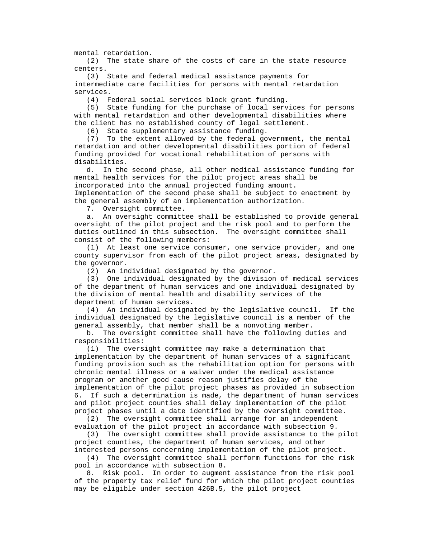mental retardation.

 (2) The state share of the costs of care in the state resource centers.

 (3) State and federal medical assistance payments for intermediate care facilities for persons with mental retardation services.

(4) Federal social services block grant funding.

 (5) State funding for the purchase of local services for persons with mental retardation and other developmental disabilities where the client has no established county of legal settlement.

(6) State supplementary assistance funding.

 (7) To the extent allowed by the federal government, the mental retardation and other developmental disabilities portion of federal funding provided for vocational rehabilitation of persons with disabilities.

 d. In the second phase, all other medical assistance funding for mental health services for the pilot project areas shall be incorporated into the annual projected funding amount. Implementation of the second phase shall be subject to enactment by the general assembly of an implementation authorization.

7. Oversight committee.

 a. An oversight committee shall be established to provide general oversight of the pilot project and the risk pool and to perform the duties outlined in this subsection. The oversight committee shall consist of the following members:

 (1) At least one service consumer, one service provider, and one county supervisor from each of the pilot project areas, designated by the governor.

(2) An individual designated by the governor.

 (3) One individual designated by the division of medical services of the department of human services and one individual designated by the division of mental health and disability services of the department of human services.

 (4) An individual designated by the legislative council. If the individual designated by the legislative council is a member of the general assembly, that member shall be a nonvoting member.

 b. The oversight committee shall have the following duties and responsibilities:

 (1) The oversight committee may make a determination that implementation by the department of human services of a significant funding provision such as the rehabilitation option for persons with chronic mental illness or a waiver under the medical assistance program or another good cause reason justifies delay of the implementation of the pilot project phases as provided in subsection 6. If such a determination is made, the department of human services and pilot project counties shall delay implementation of the pilot project phases until a date identified by the oversight committee.

 (2) The oversight committee shall arrange for an independent evaluation of the pilot project in accordance with subsection 9.

 (3) The oversight committee shall provide assistance to the pilot project counties, the department of human services, and other interested persons concerning implementation of the pilot project.

 (4) The oversight committee shall perform functions for the risk pool in accordance with subsection 8.

 8. Risk pool. In order to augment assistance from the risk pool of the property tax relief fund for which the pilot project counties may be eligible under section 426B.5, the pilot project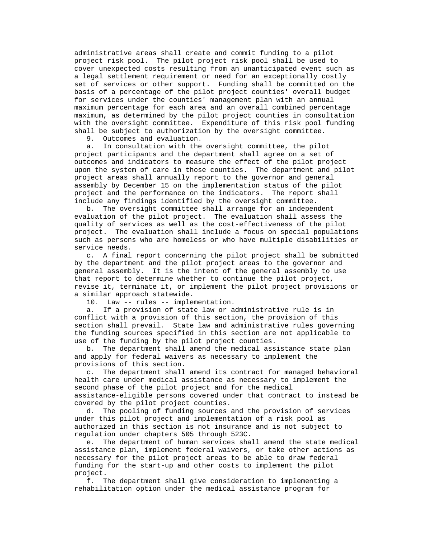administrative areas shall create and commit funding to a pilot project risk pool. The pilot project risk pool shall be used to cover unexpected costs resulting from an unanticipated event such as a legal settlement requirement or need for an exceptionally costly set of services or other support. Funding shall be committed on the basis of a percentage of the pilot project counties' overall budget for services under the counties' management plan with an annual maximum percentage for each area and an overall combined percentage maximum, as determined by the pilot project counties in consultation with the oversight committee. Expenditure of this risk pool funding shall be subject to authorization by the oversight committee.

9. Outcomes and evaluation.

 a. In consultation with the oversight committee, the pilot project participants and the department shall agree on a set of outcomes and indicators to measure the effect of the pilot project upon the system of care in those counties. The department and pilot project areas shall annually report to the governor and general assembly by December 15 on the implementation status of the pilot project and the performance on the indicators. The report shall include any findings identified by the oversight committee.

 b. The oversight committee shall arrange for an independent evaluation of the pilot project. The evaluation shall assess the quality of services as well as the cost-effectiveness of the pilot project. The evaluation shall include a focus on special populations such as persons who are homeless or who have multiple disabilities or service needs.

 c. A final report concerning the pilot project shall be submitted by the department and the pilot project areas to the governor and general assembly. It is the intent of the general assembly to use that report to determine whether to continue the pilot project, revise it, terminate it, or implement the pilot project provisions or a similar approach statewide.

10. Law -- rules -- implementation.

 a. If a provision of state law or administrative rule is in conflict with a provision of this section, the provision of this section shall prevail. State law and administrative rules governing the funding sources specified in this section are not applicable to use of the funding by the pilot project counties.

 b. The department shall amend the medical assistance state plan and apply for federal waivers as necessary to implement the provisions of this section.

 c. The department shall amend its contract for managed behavioral health care under medical assistance as necessary to implement the second phase of the pilot project and for the medical assistance-eligible persons covered under that contract to instead be covered by the pilot project counties.

 d. The pooling of funding sources and the provision of services under this pilot project and implementation of a risk pool as authorized in this section is not insurance and is not subject to regulation under chapters 505 through 523C.

 e. The department of human services shall amend the state medical assistance plan, implement federal waivers, or take other actions as necessary for the pilot project areas to be able to draw federal funding for the start-up and other costs to implement the pilot project.

 f. The department shall give consideration to implementing a rehabilitation option under the medical assistance program for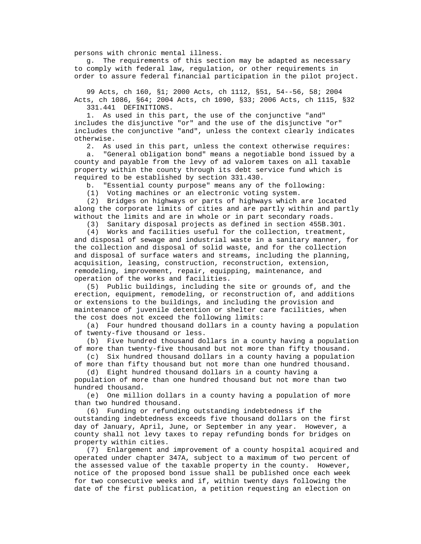persons with chronic mental illness.

 g. The requirements of this section may be adapted as necessary to comply with federal law, regulation, or other requirements in order to assure federal financial participation in the pilot project.

 99 Acts, ch 160, §1; 2000 Acts, ch 1112, §51, 54--56, 58; 2004 Acts, ch 1086, §64; 2004 Acts, ch 1090, §33; 2006 Acts, ch 1115, §32 331.441 DEFINITIONS.

 1. As used in this part, the use of the conjunctive "and" includes the disjunctive "or" and the use of the disjunctive "or" includes the conjunctive "and", unless the context clearly indicates otherwise.

2. As used in this part, unless the context otherwise requires:

 a. "General obligation bond" means a negotiable bond issued by a county and payable from the levy of ad valorem taxes on all taxable property within the county through its debt service fund which is required to be established by section 331.430.

b. "Essential county purpose" means any of the following:

(1) Voting machines or an electronic voting system.

 (2) Bridges on highways or parts of highways which are located along the corporate limits of cities and are partly within and partly without the limits and are in whole or in part secondary roads.

(3) Sanitary disposal projects as defined in section 455B.301.

 (4) Works and facilities useful for the collection, treatment, and disposal of sewage and industrial waste in a sanitary manner, for the collection and disposal of solid waste, and for the collection and disposal of surface waters and streams, including the planning, acquisition, leasing, construction, reconstruction, extension, remodeling, improvement, repair, equipping, maintenance, and operation of the works and facilities.

 (5) Public buildings, including the site or grounds of, and the erection, equipment, remodeling, or reconstruction of, and additions or extensions to the buildings, and including the provision and maintenance of juvenile detention or shelter care facilities, when the cost does not exceed the following limits:

 (a) Four hundred thousand dollars in a county having a population of twenty-five thousand or less.

 (b) Five hundred thousand dollars in a county having a population of more than twenty-five thousand but not more than fifty thousand.

 (c) Six hundred thousand dollars in a county having a population of more than fifty thousand but not more than one hundred thousand.

(d) Eight hundred thousand dollars in a county having a

 population of more than one hundred thousand but not more than two hundred thousand.

 (e) One million dollars in a county having a population of more than two hundred thousand.

 (6) Funding or refunding outstanding indebtedness if the outstanding indebtedness exceeds five thousand dollars on the first day of January, April, June, or September in any year. However, a county shall not levy taxes to repay refunding bonds for bridges on property within cities.

 (7) Enlargement and improvement of a county hospital acquired and operated under chapter 347A, subject to a maximum of two percent of the assessed value of the taxable property in the county. However, notice of the proposed bond issue shall be published once each week for two consecutive weeks and if, within twenty days following the date of the first publication, a petition requesting an election on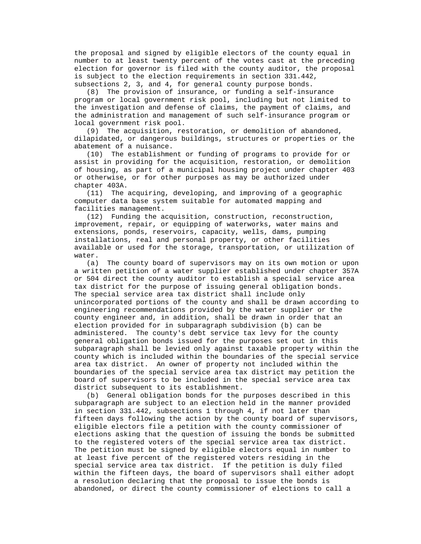the proposal and signed by eligible electors of the county equal in number to at least twenty percent of the votes cast at the preceding election for governor is filed with the county auditor, the proposal is subject to the election requirements in section 331.442, subsections 2, 3, and 4, for general county purpose bonds.

 (8) The provision of insurance, or funding a self-insurance program or local government risk pool, including but not limited to the investigation and defense of claims, the payment of claims, and the administration and management of such self-insurance program or local government risk pool.

 (9) The acquisition, restoration, or demolition of abandoned, dilapidated, or dangerous buildings, structures or properties or the abatement of a nuisance.

 (10) The establishment or funding of programs to provide for or assist in providing for the acquisition, restoration, or demolition of housing, as part of a municipal housing project under chapter 403 or otherwise, or for other purposes as may be authorized under chapter 403A.

 (11) The acquiring, developing, and improving of a geographic computer data base system suitable for automated mapping and facilities management.

 (12) Funding the acquisition, construction, reconstruction, improvement, repair, or equipping of waterworks, water mains and extensions, ponds, reservoirs, capacity, wells, dams, pumping installations, real and personal property, or other facilities available or used for the storage, transportation, or utilization of water.

 (a) The county board of supervisors may on its own motion or upon a written petition of a water supplier established under chapter 357A or 504 direct the county auditor to establish a special service area tax district for the purpose of issuing general obligation bonds. The special service area tax district shall include only unincorporated portions of the county and shall be drawn according to engineering recommendations provided by the water supplier or the county engineer and, in addition, shall be drawn in order that an election provided for in subparagraph subdivision (b) can be administered. The county's debt service tax levy for the county general obligation bonds issued for the purposes set out in this subparagraph shall be levied only against taxable property within the county which is included within the boundaries of the special service area tax district. An owner of property not included within the boundaries of the special service area tax district may petition the board of supervisors to be included in the special service area tax district subsequent to its establishment.

 (b) General obligation bonds for the purposes described in this subparagraph are subject to an election held in the manner provided in section 331.442, subsections 1 through 4, if not later than fifteen days following the action by the county board of supervisors, eligible electors file a petition with the county commissioner of elections asking that the question of issuing the bonds be submitted to the registered voters of the special service area tax district. The petition must be signed by eligible electors equal in number to at least five percent of the registered voters residing in the special service area tax district. If the petition is duly filed within the fifteen days, the board of supervisors shall either adopt a resolution declaring that the proposal to issue the bonds is abandoned, or direct the county commissioner of elections to call a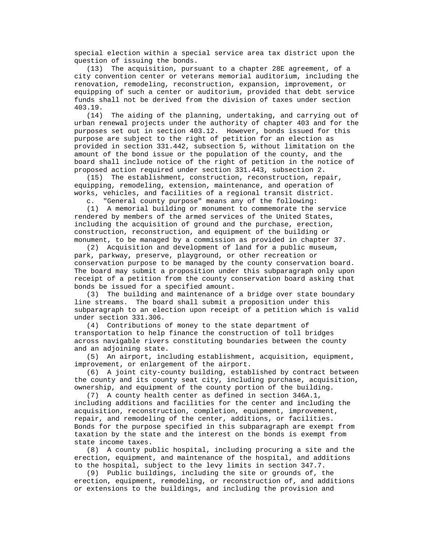special election within a special service area tax district upon the question of issuing the bonds.

 (13) The acquisition, pursuant to a chapter 28E agreement, of a city convention center or veterans memorial auditorium, including the renovation, remodeling, reconstruction, expansion, improvement, or equipping of such a center or auditorium, provided that debt service funds shall not be derived from the division of taxes under section 403.19.

 (14) The aiding of the planning, undertaking, and carrying out of urban renewal projects under the authority of chapter 403 and for the purposes set out in section 403.12. However, bonds issued for this purpose are subject to the right of petition for an election as provided in section 331.442, subsection 5, without limitation on the amount of the bond issue or the population of the county, and the board shall include notice of the right of petition in the notice of proposed action required under section 331.443, subsection 2.

 (15) The establishment, construction, reconstruction, repair, equipping, remodeling, extension, maintenance, and operation of works, vehicles, and facilities of a regional transit district.

c. "General county purpose" means any of the following:

 (1) A memorial building or monument to commemorate the service rendered by members of the armed services of the United States, including the acquisition of ground and the purchase, erection, construction, reconstruction, and equipment of the building or monument, to be managed by a commission as provided in chapter 37.

 (2) Acquisition and development of land for a public museum, park, parkway, preserve, playground, or other recreation or conservation purpose to be managed by the county conservation board. The board may submit a proposition under this subparagraph only upon receipt of a petition from the county conservation board asking that bonds be issued for a specified amount.

 (3) The building and maintenance of a bridge over state boundary line streams. The board shall submit a proposition under this subparagraph to an election upon receipt of a petition which is valid under section 331.306.

 (4) Contributions of money to the state department of transportation to help finance the construction of toll bridges across navigable rivers constituting boundaries between the county and an adjoining state.

 (5) An airport, including establishment, acquisition, equipment, improvement, or enlargement of the airport.

 (6) A joint city-county building, established by contract between the county and its county seat city, including purchase, acquisition, ownership, and equipment of the county portion of the building.

 (7) A county health center as defined in section 346A.1, including additions and facilities for the center and including the acquisition, reconstruction, completion, equipment, improvement, repair, and remodeling of the center, additions, or facilities. Bonds for the purpose specified in this subparagraph are exempt from taxation by the state and the interest on the bonds is exempt from state income taxes.

 (8) A county public hospital, including procuring a site and the erection, equipment, and maintenance of the hospital, and additions to the hospital, subject to the levy limits in section 347.7.

 (9) Public buildings, including the site or grounds of, the erection, equipment, remodeling, or reconstruction of, and additions or extensions to the buildings, and including the provision and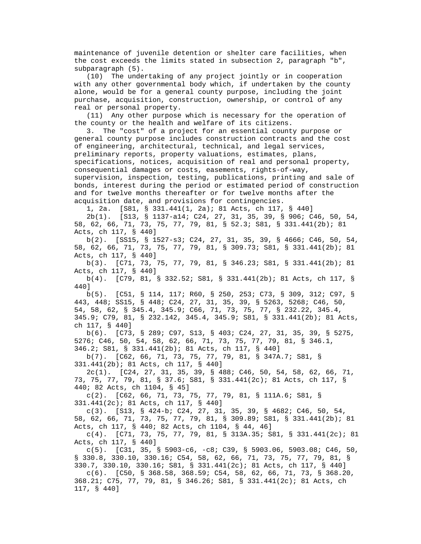maintenance of juvenile detention or shelter care facilities, when the cost exceeds the limits stated in subsection 2, paragraph "b", subparagraph (5).

 (10) The undertaking of any project jointly or in cooperation with any other governmental body which, if undertaken by the county alone, would be for a general county purpose, including the joint purchase, acquisition, construction, ownership, or control of any real or personal property.

 (11) Any other purpose which is necessary for the operation of the county or the health and welfare of its citizens.

 3. The "cost" of a project for an essential county purpose or general county purpose includes construction contracts and the cost of engineering, architectural, technical, and legal services, preliminary reports, property valuations, estimates, plans, specifications, notices, acquisition of real and personal property, consequential damages or costs, easements, rights-of-way, supervision, inspection, testing, publications, printing and sale of bonds, interest during the period or estimated period of construction and for twelve months thereafter or for twelve months after the acquisition date, and provisions for contingencies.

1, 2a. [S81, § 331.441(1, 2a); 81 Acts, ch 117, § 440]

 2b(1). [S13, § 1137-a14; C24, 27, 31, 35, 39, § 906; C46, 50, 54, 58, 62, 66, 71, 73, 75, 77, 79, 81, § 52.3; S81, § 331.441(2b); 81 Acts, ch 117, § 440]

 b(2). [SS15, § 1527-s3; C24, 27, 31, 35, 39, § 4666; C46, 50, 54, 58, 62, 66, 71, 73, 75, 77, 79, 81, § 309.73; S81, § 331.441(2b); 81 Acts, ch 117, § 440]

 b(3). [C71, 73, 75, 77, 79, 81, § 346.23; S81, § 331.441(2b); 81 Acts, ch 117, § 440]

 b(4). [C79, 81, § 332.52; S81, § 331.441(2b); 81 Acts, ch 117, § 440]

 b(5). [C51, § 114, 117; R60, § 250, 253; C73, § 309, 312; C97, § 443, 448; SS15, § 448; C24, 27, 31, 35, 39, § 5263, 5268; C46, 50, 54, 58, 62, § 345.4, 345.9; C66, 71, 73, 75, 77, § 232.22, 345.4, 345.9; C79, 81, § 232.142, 345.4, 345.9; S81, § 331.441(2b); 81 Acts, ch 117, § 440]

 b(6). [C73, § 289; C97, S13, § 403; C24, 27, 31, 35, 39, § 5275, 5276; C46, 50, 54, 58, 62, 66, 71, 73, 75, 77, 79, 81, § 346.1, 346.2; S81, § 331.441(2b); 81 Acts, ch 117, § 440]

 b(7). [C62, 66, 71, 73, 75, 77, 79, 81, § 347A.7; S81, § 331.441(2b); 81 Acts, ch 117, § 440]

 2c(1). [C24, 27, 31, 35, 39, § 488; C46, 50, 54, 58, 62, 66, 71, 73, 75, 77, 79, 81, § 37.6; S81, § 331.441(2c); 81 Acts, ch 117, § 440; 82 Acts, ch 1104, § 45]

 c(2). [C62, 66, 71, 73, 75, 77, 79, 81, § 111A.6; S81, § 331.441(2c); 81 Acts, ch 117, § 440]

 c(3). [S13, § 424-b; C24, 27, 31, 35, 39, § 4682; C46, 50, 54, 58, 62, 66, 71, 73, 75, 77, 79, 81, § 309.89; S81, § 331.441(2b); 81 Acts, ch 117, § 440; 82 Acts, ch 1104, § 44, 46]

 c(4). [C71, 73, 75, 77, 79, 81, § 313A.35; S81, § 331.441(2c); 81 Acts, ch 117, § 440]

 c(5). [C31, 35, § 5903-c6, -c8; C39, § 5903.06, 5903.08; C46, 50, § 330.8, 330.10, 330.16; C54, 58, 62, 66, 71, 73, 75, 77, 79, 81, § 330.7, 330.10, 330.16; S81, § 331.441(2c); 81 Acts, ch 117, § 440]

 c(6). [C50, § 368.58, 368.59; C54, 58, 62, 66, 71, 73, § 368.20, 368.21; C75, 77, 79, 81, § 346.26; S81, § 331.441(2c); 81 Acts, ch 117, § 440]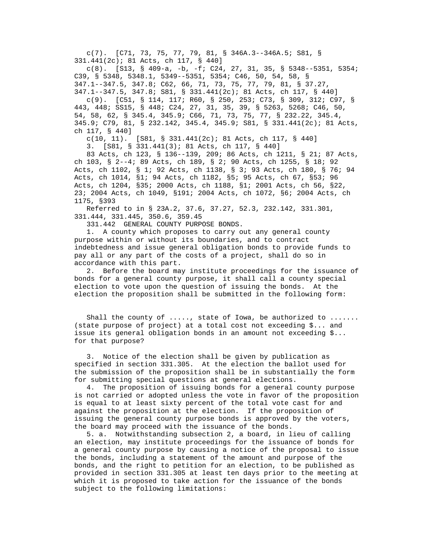c(7). [C71, 73, 75, 77, 79, 81, § 346A.3--346A.5; S81, § 331.441(2c); 81 Acts, ch 117, § 440]

 c(8). [S13, § 409-a, -b, -f; C24, 27, 31, 35, § 5348--5351, 5354; C39, § 5348, 5348.1, 5349--5351, 5354; C46, 50, 54, 58, § 347.1--347.5, 347.8; C62, 66, 71, 73, 75, 77, 79, 81, § 37.27, 347.1--347.5, 347.8; S81, § 331.441(2c); 81 Acts, ch 117, § 440]

 c(9). [C51, § 114, 117; R60, § 250, 253; C73, § 309, 312; C97, § 443, 448; SS15, § 448; C24, 27, 31, 35, 39, § 5263, 5268; C46, 50, 54, 58, 62, § 345.4, 345.9; C66, 71, 73, 75, 77, § 232.22, 345.4, 345.9; C79, 81, § 232.142, 345.4, 345.9; S81, § 331.441(2c); 81 Acts, ch 117, § 440]

c(10, 11). [S81, § 331.441(2c); 81 Acts, ch 117, § 440]

3. [S81, § 331.441(3); 81 Acts, ch 117, § 440]

 83 Acts, ch 123, § 136--139, 209; 86 Acts, ch 1211, § 21; 87 Acts, ch 103, § 2--4; 89 Acts, ch 189, § 2; 90 Acts, ch 1255, § 18; 92 Acts, ch 1102, § 1; 92 Acts, ch 1138, § 3; 93 Acts, ch 180, § 76; 94 Acts, ch 1014, §1; 94 Acts, ch 1182, §5; 95 Acts, ch 67, §53; 96 Acts, ch 1204, §35; 2000 Acts, ch 1188, §1; 2001 Acts, ch 56, §22, 23; 2004 Acts, ch 1049, §191; 2004 Acts, ch 1072, §6; 2004 Acts, ch 1175, §393

 Referred to in § 23A.2, 37.6, 37.27, 52.3, 232.142, 331.301, 331.444, 331.445, 350.6, 359.45

331.442 GENERAL COUNTY PURPOSE BONDS.

 1. A county which proposes to carry out any general county purpose within or without its boundaries, and to contract indebtedness and issue general obligation bonds to provide funds to pay all or any part of the costs of a project, shall do so in accordance with this part.

 2. Before the board may institute proceedings for the issuance of bonds for a general county purpose, it shall call a county special election to vote upon the question of issuing the bonds. At the election the proposition shall be submitted in the following form:

 Shall the county of ....., state of Iowa, be authorized to ....... (state purpose of project) at a total cost not exceeding \$... and issue its general obligation bonds in an amount not exceeding \$... for that purpose?

 3. Notice of the election shall be given by publication as specified in section 331.305. At the election the ballot used for the submission of the proposition shall be in substantially the form for submitting special questions at general elections.

 4. The proposition of issuing bonds for a general county purpose is not carried or adopted unless the vote in favor of the proposition is equal to at least sixty percent of the total vote cast for and against the proposition at the election. If the proposition of issuing the general county purpose bonds is approved by the voters, the board may proceed with the issuance of the bonds.

 5. a. Notwithstanding subsection 2, a board, in lieu of calling an election, may institute proceedings for the issuance of bonds for a general county purpose by causing a notice of the proposal to issue the bonds, including a statement of the amount and purpose of the bonds, and the right to petition for an election, to be published as provided in section 331.305 at least ten days prior to the meeting at which it is proposed to take action for the issuance of the bonds subject to the following limitations: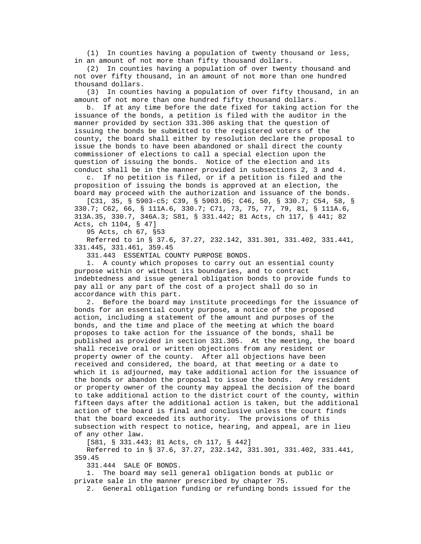(1) In counties having a population of twenty thousand or less, in an amount of not more than fifty thousand dollars.

 (2) In counties having a population of over twenty thousand and not over fifty thousand, in an amount of not more than one hundred thousand dollars.

 (3) In counties having a population of over fifty thousand, in an amount of not more than one hundred fifty thousand dollars.

 b. If at any time before the date fixed for taking action for the issuance of the bonds, a petition is filed with the auditor in the manner provided by section 331.306 asking that the question of issuing the bonds be submitted to the registered voters of the county, the board shall either by resolution declare the proposal to issue the bonds to have been abandoned or shall direct the county commissioner of elections to call a special election upon the question of issuing the bonds. Notice of the election and its conduct shall be in the manner provided in subsections 2, 3 and 4.

 c. If no petition is filed, or if a petition is filed and the proposition of issuing the bonds is approved at an election, the board may proceed with the authorization and issuance of the bonds.

 [C31, 35, § 5903-c5; C39, § 5903.05; C46, 50, § 330.7; C54, 58, § 330.7; C62, 66, § 111A.6, 330.7; C71, 73, 75, 77, 79, 81, § 111A.6, 313A.35, 330.7, 346A.3; S81, § 331.442; 81 Acts, ch 117, § 441; 82 Acts, ch 1104, § 47]

95 Acts, ch 67, §53

 Referred to in § 37.6, 37.27, 232.142, 331.301, 331.402, 331.441, 331.445, 331.461, 359.45

331.443 ESSENTIAL COUNTY PURPOSE BONDS.

 1. A county which proposes to carry out an essential county purpose within or without its boundaries, and to contract indebtedness and issue general obligation bonds to provide funds to pay all or any part of the cost of a project shall do so in accordance with this part.

 2. Before the board may institute proceedings for the issuance of bonds for an essential county purpose, a notice of the proposed action, including a statement of the amount and purposes of the bonds, and the time and place of the meeting at which the board proposes to take action for the issuance of the bonds, shall be published as provided in section 331.305. At the meeting, the board shall receive oral or written objections from any resident or property owner of the county. After all objections have been received and considered, the board, at that meeting or a date to which it is adjourned, may take additional action for the issuance of the bonds or abandon the proposal to issue the bonds. Any resident or property owner of the county may appeal the decision of the board to take additional action to the district court of the county, within fifteen days after the additional action is taken, but the additional action of the board is final and conclusive unless the court finds that the board exceeded its authority. The provisions of this subsection with respect to notice, hearing, and appeal, are in lieu of any other law.

[S81, § 331.443; 81 Acts, ch 117, § 442]

 Referred to in § 37.6, 37.27, 232.142, 331.301, 331.402, 331.441, 359.45

331.444 SALE OF BONDS.

 1. The board may sell general obligation bonds at public or private sale in the manner prescribed by chapter 75.

2. General obligation funding or refunding bonds issued for the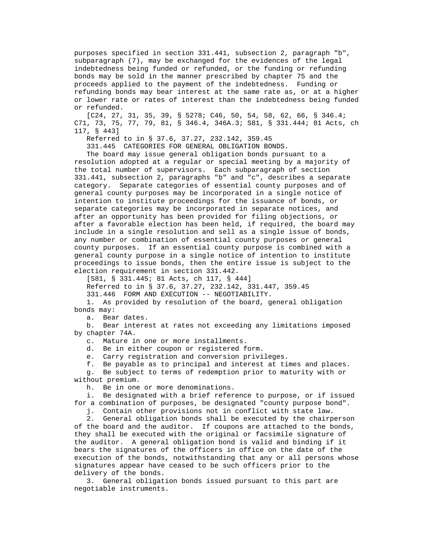purposes specified in section 331.441, subsection 2, paragraph "b", subparagraph (7), may be exchanged for the evidences of the legal indebtedness being funded or refunded, or the funding or refunding bonds may be sold in the manner prescribed by chapter 75 and the proceeds applied to the payment of the indebtedness. Funding or refunding bonds may bear interest at the same rate as, or at a higher or lower rate or rates of interest than the indebtedness being funded or refunded.

 [C24, 27, 31, 35, 39, § 5278; C46, 50, 54, 58, 62, 66, § 346.4; C71, 73, 75, 77, 79, 81, § 346.4, 346A.3; S81, § 331.444; 81 Acts, ch 117, § 443]

Referred to in § 37.6, 37.27, 232.142, 359.45

331.445 CATEGORIES FOR GENERAL OBLIGATION BONDS.

 The board may issue general obligation bonds pursuant to a resolution adopted at a regular or special meeting by a majority of the total number of supervisors. Each subparagraph of section 331.441, subsection 2, paragraphs "b" and "c", describes a separate category. Separate categories of essential county purposes and of general county purposes may be incorporated in a single notice of intention to institute proceedings for the issuance of bonds, or separate categories may be incorporated in separate notices, and after an opportunity has been provided for filing objections, or after a favorable election has been held, if required, the board may include in a single resolution and sell as a single issue of bonds, any number or combination of essential county purposes or general county purposes. If an essential county purpose is combined with a general county purpose in a single notice of intention to institute proceedings to issue bonds, then the entire issue is subject to the election requirement in section 331.442.

[S81, § 331.445; 81 Acts, ch 117, § 444]

Referred to in § 37.6, 37.27, 232.142, 331.447, 359.45

331.446 FORM AND EXECUTION -- NEGOTIABILITY.

 1. As provided by resolution of the board, general obligation bonds may:

a. Bear dates.

 b. Bear interest at rates not exceeding any limitations imposed by chapter 74A.

c. Mature in one or more installments.

d. Be in either coupon or registered form.

e. Carry registration and conversion privileges.

f. Be payable as to principal and interest at times and places.

 g. Be subject to terms of redemption prior to maturity with or without premium.

h. Be in one or more denominations.

 i. Be designated with a brief reference to purpose, or if issued for a combination of purposes, be designated "county purpose bond".

j. Contain other provisions not in conflict with state law.

 2. General obligation bonds shall be executed by the chairperson of the board and the auditor. If coupons are attached to the bonds, they shall be executed with the original or facsimile signature of the auditor. A general obligation bond is valid and binding if it bears the signatures of the officers in office on the date of the execution of the bonds, notwithstanding that any or all persons whose signatures appear have ceased to be such officers prior to the delivery of the bonds.

 3. General obligation bonds issued pursuant to this part are negotiable instruments.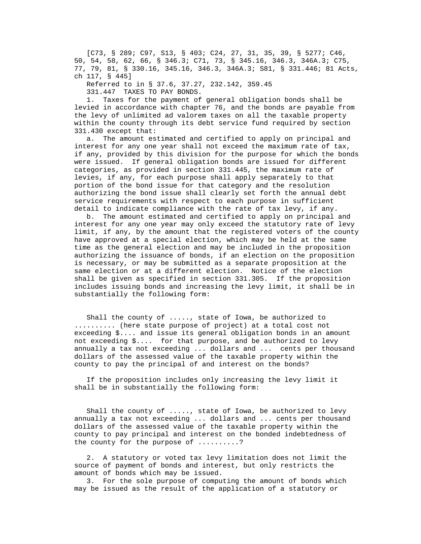[C73, § 289; C97, S13, § 403; C24, 27, 31, 35, 39, § 5277; C46, 50, 54, 58, 62, 66, § 346.3; C71, 73, § 345.16, 346.3, 346A.3; C75, 77, 79, 81, § 330.16, 345.16, 346.3, 346A.3; S81, § 331.446; 81 Acts, ch 117, § 445]

Referred to in § 37.6, 37.27, 232.142, 359.45

331.447 TAXES TO PAY BONDS.

 1. Taxes for the payment of general obligation bonds shall be levied in accordance with chapter 76, and the bonds are payable from the levy of unlimited ad valorem taxes on all the taxable property within the county through its debt service fund required by section 331.430 except that:

 a. The amount estimated and certified to apply on principal and interest for any one year shall not exceed the maximum rate of tax, if any, provided by this division for the purpose for which the bonds were issued. If general obligation bonds are issued for different categories, as provided in section 331.445, the maximum rate of levies, if any, for each purpose shall apply separately to that portion of the bond issue for that category and the resolution authorizing the bond issue shall clearly set forth the annual debt service requirements with respect to each purpose in sufficient detail to indicate compliance with the rate of tax levy, if any.

 b. The amount estimated and certified to apply on principal and interest for any one year may only exceed the statutory rate of levy limit, if any, by the amount that the registered voters of the county have approved at a special election, which may be held at the same time as the general election and may be included in the proposition authorizing the issuance of bonds, if an election on the proposition is necessary, or may be submitted as a separate proposition at the same election or at a different election. Notice of the election shall be given as specified in section 331.305. If the proposition includes issuing bonds and increasing the levy limit, it shall be in substantially the following form:

 Shall the county of ....., state of Iowa, be authorized to .......... (here state purpose of project) at a total cost not exceeding \$.... and issue its general obligation bonds in an amount not exceeding \$.... for that purpose, and be authorized to levy annually a tax not exceeding ... dollars and ... cents per thousand dollars of the assessed value of the taxable property within the county to pay the principal of and interest on the bonds?

 If the proposition includes only increasing the levy limit it shall be in substantially the following form:

 Shall the county of ....., state of Iowa, be authorized to levy annually a tax not exceeding ... dollars and ... cents per thousand dollars of the assessed value of the taxable property within the county to pay principal and interest on the bonded indebtedness of the county for the purpose of ..........?

 2. A statutory or voted tax levy limitation does not limit the source of payment of bonds and interest, but only restricts the amount of bonds which may be issued.

 3. For the sole purpose of computing the amount of bonds which may be issued as the result of the application of a statutory or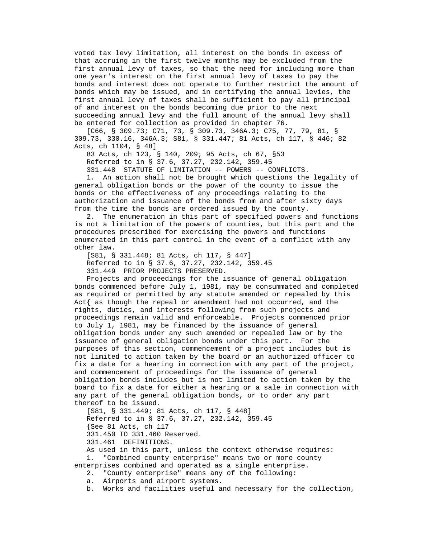voted tax levy limitation, all interest on the bonds in excess of that accruing in the first twelve months may be excluded from the first annual levy of taxes, so that the need for including more than one year's interest on the first annual levy of taxes to pay the bonds and interest does not operate to further restrict the amount of bonds which may be issued, and in certifying the annual levies, the first annual levy of taxes shall be sufficient to pay all principal of and interest on the bonds becoming due prior to the next succeeding annual levy and the full amount of the annual levy shall be entered for collection as provided in chapter 76.

 [C66, § 309.73; C71, 73, § 309.73, 346A.3; C75, 77, 79, 81, § 309.73, 330.16, 346A.3; S81, § 331.447; 81 Acts, ch 117, § 446; 82 Acts, ch 1104, § 48]

83 Acts, ch 123, § 140, 209; 95 Acts, ch 67, §53

Referred to in § 37.6, 37.27, 232.142, 359.45

 331.448 STATUTE OF LIMITATION -- POWERS -- CONFLICTS. 1. An action shall not be brought which questions the legality of general obligation bonds or the power of the county to issue the bonds or the effectiveness of any proceedings relating to the authorization and issuance of the bonds from and after sixty days from the time the bonds are ordered issued by the county.

 2. The enumeration in this part of specified powers and functions is not a limitation of the powers of counties, but this part and the procedures prescribed for exercising the powers and functions enumerated in this part control in the event of a conflict with any other law.

 [S81, § 331.448; 81 Acts, ch 117, § 447] Referred to in § 37.6, 37.27, 232.142, 359.45 331.449 PRIOR PROJECTS PRESERVED.

 Projects and proceedings for the issuance of general obligation bonds commenced before July 1, 1981, may be consummated and completed as required or permitted by any statute amended or repealed by this Act{ as though the repeal or amendment had not occurred, and the rights, duties, and interests following from such projects and proceedings remain valid and enforceable. Projects commenced prior to July 1, 1981, may be financed by the issuance of general obligation bonds under any such amended or repealed law or by the issuance of general obligation bonds under this part. For the purposes of this section, commencement of a project includes but is not limited to action taken by the board or an authorized officer to fix a date for a hearing in connection with any part of the project, and commencement of proceedings for the issuance of general obligation bonds includes but is not limited to action taken by the board to fix a date for either a hearing or a sale in connection with any part of the general obligation bonds, or to order any part thereof to be issued.

 [S81, § 331.449; 81 Acts, ch 117, § 448] Referred to in § 37.6, 37.27, 232.142, 359.45 {See 81 Acts, ch 117 331.450 TO 331.460 Reserved. 331.461 DEFINITIONS. As used in this part, unless the context otherwise requires:

1. "Combined county enterprise" means two or more county

enterprises combined and operated as a single enterprise.

2. "County enterprise" means any of the following:

a. Airports and airport systems.

b. Works and facilities useful and necessary for the collection,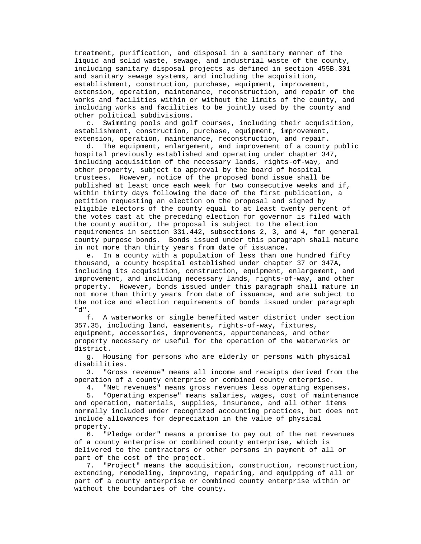treatment, purification, and disposal in a sanitary manner of the liquid and solid waste, sewage, and industrial waste of the county, including sanitary disposal projects as defined in section 455B.301 and sanitary sewage systems, and including the acquisition, establishment, construction, purchase, equipment, improvement, extension, operation, maintenance, reconstruction, and repair of the works and facilities within or without the limits of the county, and including works and facilities to be jointly used by the county and other political subdivisions.

 c. Swimming pools and golf courses, including their acquisition, establishment, construction, purchase, equipment, improvement, extension, operation, maintenance, reconstruction, and repair.

 d. The equipment, enlargement, and improvement of a county public hospital previously established and operating under chapter 347, including acquisition of the necessary lands, rights-of-way, and other property, subject to approval by the board of hospital trustees. However, notice of the proposed bond issue shall be published at least once each week for two consecutive weeks and if, within thirty days following the date of the first publication, a petition requesting an election on the proposal and signed by eligible electors of the county equal to at least twenty percent of the votes cast at the preceding election for governor is filed with the county auditor, the proposal is subject to the election requirements in section 331.442, subsections 2, 3, and 4, for general county purpose bonds. Bonds issued under this paragraph shall mature in not more than thirty years from date of issuance.

 e. In a county with a population of less than one hundred fifty thousand, a county hospital established under chapter 37 or 347A, including its acquisition, construction, equipment, enlargement, and improvement, and including necessary lands, rights-of-way, and other property. However, bonds issued under this paragraph shall mature in not more than thirty years from date of issuance, and are subject to the notice and election requirements of bonds issued under paragraph "d".

 f. A waterworks or single benefited water district under section 357.35, including land, easements, rights-of-way, fixtures, equipment, accessories, improvements, appurtenances, and other property necessary or useful for the operation of the waterworks or district.

 g. Housing for persons who are elderly or persons with physical disabilities.

 3. "Gross revenue" means all income and receipts derived from the operation of a county enterprise or combined county enterprise.

4. "Net revenues" means gross revenues less operating expenses.

 5. "Operating expense" means salaries, wages, cost of maintenance and operation, materials, supplies, insurance, and all other items normally included under recognized accounting practices, but does not include allowances for depreciation in the value of physical property.

 6. "Pledge order" means a promise to pay out of the net revenues of a county enterprise or combined county enterprise, which is delivered to the contractors or other persons in payment of all or part of the cost of the project.

 7. "Project" means the acquisition, construction, reconstruction, extending, remodeling, improving, repairing, and equipping of all or part of a county enterprise or combined county enterprise within or without the boundaries of the county.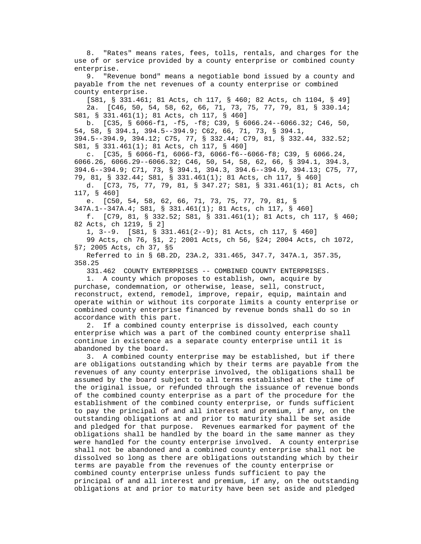8. "Rates" means rates, fees, tolls, rentals, and charges for the use of or service provided by a county enterprise or combined county enterprise.

 9. "Revenue bond" means a negotiable bond issued by a county and payable from the net revenues of a county enterprise or combined county enterprise.

 [S81, § 331.461; 81 Acts, ch 117, § 460; 82 Acts, ch 1104, § 49] 2a. [C46, 50, 54, 58, 62, 66, 71, 73, 75, 77, 79, 81, § 330.14; S81, § 331.461(1); 81 Acts, ch 117, § 460]

 b. [C35, § 6066-f1, -f5, -f8; C39, § 6066.24--6066.32; C46, 50, 54, 58, § 394.1, 394.5--394.9; C62, 66, 71, 73, § 394.1, 394.5--394.9, 394.12; C75, 77, § 332.44; C79, 81, § 332.44, 332.52; S81, § 331.461(1); 81 Acts, ch 117, § 460]

 c. [C35, § 6066-f1, 6066-f3, 6066-f6--6066-f8; C39, § 6066.24, 6066.26, 6066.29--6066.32; C46, 50, 54, 58, 62, 66, § 394.1, 394.3, 394.6--394.9; C71, 73, § 394.1, 394.3, 394.6--394.9, 394.13; C75, 77, 79, 81, § 332.44; S81, § 331.461(1); 81 Acts, ch 117, § 460]

 d. [C73, 75, 77, 79, 81, § 347.27; S81, § 331.461(1); 81 Acts, ch 117, § 460]

e. [C50, 54, 58, 62, 66, 71, 73, 75, 77, 79, 81, §

347A.1--347A.4; S81, § 331.461(1); 81 Acts, ch 117, § 460]

 f. [C79, 81, § 332.52; S81, § 331.461(1); 81 Acts, ch 117, § 460; 82 Acts, ch 1219, § 2]

1, 3--9. [S81, § 331.461(2--9); 81 Acts, ch 117, § 460]

 99 Acts, ch 76, §1, 2; 2001 Acts, ch 56, §24; 2004 Acts, ch 1072, §7; 2005 Acts, ch 37, §5

 Referred to in § 6B.2D, 23A.2, 331.465, 347.7, 347A.1, 357.35, 358.25

331.462 COUNTY ENTERPRISES -- COMBINED COUNTY ENTERPRISES.

 1. A county which proposes to establish, own, acquire by purchase, condemnation, or otherwise, lease, sell, construct, reconstruct, extend, remodel, improve, repair, equip, maintain and operate within or without its corporate limits a county enterprise or combined county enterprise financed by revenue bonds shall do so in accordance with this part.

 2. If a combined county enterprise is dissolved, each county enterprise which was a part of the combined county enterprise shall continue in existence as a separate county enterprise until it is abandoned by the board.

 3. A combined county enterprise may be established, but if there are obligations outstanding which by their terms are payable from the revenues of any county enterprise involved, the obligations shall be assumed by the board subject to all terms established at the time of the original issue, or refunded through the issuance of revenue bonds of the combined county enterprise as a part of the procedure for the establishment of the combined county enterprise, or funds sufficient to pay the principal of and all interest and premium, if any, on the outstanding obligations at and prior to maturity shall be set aside and pledged for that purpose. Revenues earmarked for payment of the obligations shall be handled by the board in the same manner as they were handled for the county enterprise involved. A county enterprise shall not be abandoned and a combined county enterprise shall not be dissolved so long as there are obligations outstanding which by their terms are payable from the revenues of the county enterprise or combined county enterprise unless funds sufficient to pay the principal of and all interest and premium, if any, on the outstanding obligations at and prior to maturity have been set aside and pledged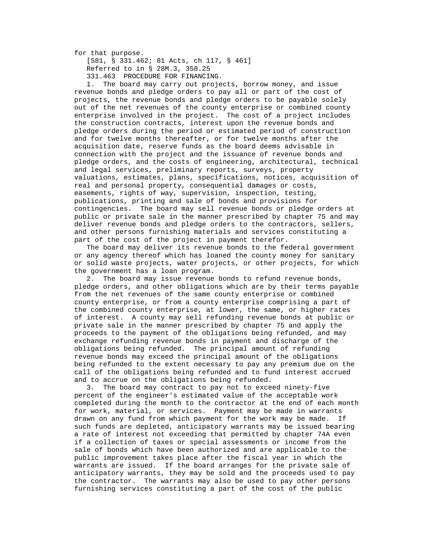for that purpose.

 [S81, § 331.462; 81 Acts, ch 117, § 461] Referred to in § 28M.3, 358.25 331.463 PROCEDURE FOR FINANCING.

 1. The board may carry out projects, borrow money, and issue revenue bonds and pledge orders to pay all or part of the cost of projects, the revenue bonds and pledge orders to be payable solely out of the net revenues of the county enterprise or combined county enterprise involved in the project. The cost of a project includes the construction contracts, interest upon the revenue bonds and pledge orders during the period or estimated period of construction and for twelve months thereafter, or for twelve months after the acquisition date, reserve funds as the board deems advisable in connection with the project and the issuance of revenue bonds and pledge orders, and the costs of engineering, architectural, technical and legal services, preliminary reports, surveys, property valuations, estimates, plans, specifications, notices, acquisition of real and personal property, consequential damages or costs, easements, rights of way, supervision, inspection, testing, publications, printing and sale of bonds and provisions for contingencies. The board may sell revenue bonds or pledge orders at public or private sale in the manner prescribed by chapter 75 and may deliver revenue bonds and pledge orders to the contractors, sellers, and other persons furnishing materials and services constituting a part of the cost of the project in payment therefor.

 The board may deliver its revenue bonds to the federal government or any agency thereof which has loaned the county money for sanitary or solid waste projects, water projects, or other projects, for which the government has a loan program.

 2. The board may issue revenue bonds to refund revenue bonds, pledge orders, and other obligations which are by their terms payable from the net revenues of the same county enterprise or combined county enterprise, or from a county enterprise comprising a part of the combined county enterprise, at lower, the same, or higher rates of interest. A county may sell refunding revenue bonds at public or private sale in the manner prescribed by chapter 75 and apply the proceeds to the payment of the obligations being refunded, and may exchange refunding revenue bonds in payment and discharge of the obligations being refunded. The principal amount of refunding revenue bonds may exceed the principal amount of the obligations being refunded to the extent necessary to pay any premium due on the call of the obligations being refunded and to fund interest accrued and to accrue on the obligations being refunded.

 3. The board may contract to pay not to exceed ninety-five percent of the engineer's estimated value of the acceptable work completed during the month to the contractor at the end of each month for work, material, or services. Payment may be made in warrants drawn on any fund from which payment for the work may be made. If such funds are depleted, anticipatory warrants may be issued bearing a rate of interest not exceeding that permitted by chapter 74A even if a collection of taxes or special assessments or income from the sale of bonds which have been authorized and are applicable to the public improvement takes place after the fiscal year in which the warrants are issued. If the board arranges for the private sale of anticipatory warrants, they may be sold and the proceeds used to pay the contractor. The warrants may also be used to pay other persons furnishing services constituting a part of the cost of the public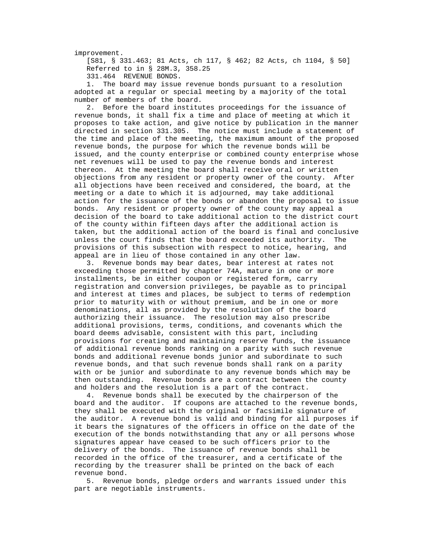improvement.

 [S81, § 331.463; 81 Acts, ch 117, § 462; 82 Acts, ch 1104, § 50] Referred to in § 28M.3, 358.25 331.464 REVENUE BONDS.

 1. The board may issue revenue bonds pursuant to a resolution adopted at a regular or special meeting by a majority of the total number of members of the board.

 2. Before the board institutes proceedings for the issuance of revenue bonds, it shall fix a time and place of meeting at which it proposes to take action, and give notice by publication in the manner directed in section 331.305. The notice must include a statement of the time and place of the meeting, the maximum amount of the proposed revenue bonds, the purpose for which the revenue bonds will be issued, and the county enterprise or combined county enterprise whose net revenues will be used to pay the revenue bonds and interest thereon. At the meeting the board shall receive oral or written objections from any resident or property owner of the county. After all objections have been received and considered, the board, at the meeting or a date to which it is adjourned, may take additional action for the issuance of the bonds or abandon the proposal to issue bonds. Any resident or property owner of the county may appeal a decision of the board to take additional action to the district court of the county within fifteen days after the additional action is taken, but the additional action of the board is final and conclusive unless the court finds that the board exceeded its authority. The provisions of this subsection with respect to notice, hearing, and appeal are in lieu of those contained in any other law.

 3. Revenue bonds may bear dates, bear interest at rates not exceeding those permitted by chapter 74A, mature in one or more installments, be in either coupon or registered form, carry registration and conversion privileges, be payable as to principal and interest at times and places, be subject to terms of redemption prior to maturity with or without premium, and be in one or more denominations, all as provided by the resolution of the board authorizing their issuance. The resolution may also prescribe additional provisions, terms, conditions, and covenants which the board deems advisable, consistent with this part, including provisions for creating and maintaining reserve funds, the issuance of additional revenue bonds ranking on a parity with such revenue bonds and additional revenue bonds junior and subordinate to such revenue bonds, and that such revenue bonds shall rank on a parity with or be junior and subordinate to any revenue bonds which may be then outstanding. Revenue bonds are a contract between the county and holders and the resolution is a part of the contract.

 4. Revenue bonds shall be executed by the chairperson of the board and the auditor. If coupons are attached to the revenue bonds, they shall be executed with the original or facsimile signature of the auditor. A revenue bond is valid and binding for all purposes if it bears the signatures of the officers in office on the date of the execution of the bonds notwithstanding that any or all persons whose signatures appear have ceased to be such officers prior to the delivery of the bonds. The issuance of revenue bonds shall be recorded in the office of the treasurer, and a certificate of the recording by the treasurer shall be printed on the back of each revenue bond.

 5. Revenue bonds, pledge orders and warrants issued under this part are negotiable instruments.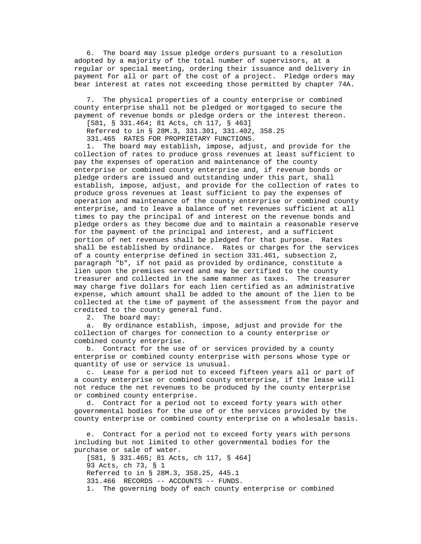6. The board may issue pledge orders pursuant to a resolution adopted by a majority of the total number of supervisors, at a regular or special meeting, ordering their issuance and delivery in payment for all or part of the cost of a project. Pledge orders may bear interest at rates not exceeding those permitted by chapter 74A.

 7. The physical properties of a county enterprise or combined county enterprise shall not be pledged or mortgaged to secure the payment of revenue bonds or pledge orders or the interest thereon.

[S81, § 331.464; 81 Acts, ch 117, § 463]

Referred to in § 28M.3, 331.301, 331.402, 358.25

331.465 RATES FOR PROPRIETARY FUNCTIONS.

 1. The board may establish, impose, adjust, and provide for the collection of rates to produce gross revenues at least sufficient to pay the expenses of operation and maintenance of the county enterprise or combined county enterprise and, if revenue bonds or pledge orders are issued and outstanding under this part, shall establish, impose, adjust, and provide for the collection of rates to produce gross revenues at least sufficient to pay the expenses of operation and maintenance of the county enterprise or combined county enterprise, and to leave a balance of net revenues sufficient at all times to pay the principal of and interest on the revenue bonds and pledge orders as they become due and to maintain a reasonable reserve for the payment of the principal and interest, and a sufficient portion of net revenues shall be pledged for that purpose. Rates shall be established by ordinance. Rates or charges for the services of a county enterprise defined in section 331.461, subsection 2, paragraph "b", if not paid as provided by ordinance, constitute a lien upon the premises served and may be certified to the county treasurer and collected in the same manner as taxes. The treasurer may charge five dollars for each lien certified as an administrative expense, which amount shall be added to the amount of the lien to be collected at the time of payment of the assessment from the payor and credited to the county general fund.

2. The board may:

 a. By ordinance establish, impose, adjust and provide for the collection of charges for connection to a county enterprise or combined county enterprise.

 b. Contract for the use of or services provided by a county enterprise or combined county enterprise with persons whose type or quantity of use or service is unusual.

 c. Lease for a period not to exceed fifteen years all or part of a county enterprise or combined county enterprise, if the lease will not reduce the net revenues to be produced by the county enterprise or combined county enterprise.

 d. Contract for a period not to exceed forty years with other governmental bodies for the use of or the services provided by the county enterprise or combined county enterprise on a wholesale basis.

 e. Contract for a period not to exceed forty years with persons including but not limited to other governmental bodies for the purchase or sale of water.

 [S81, § 331.465; 81 Acts, ch 117, § 464] 93 Acts, ch 73, § 1 Referred to in § 28M.3, 358.25, 445.1 331.466 RECORDS -- ACCOUNTS -- FUNDS. 1. The governing body of each county enterprise or combined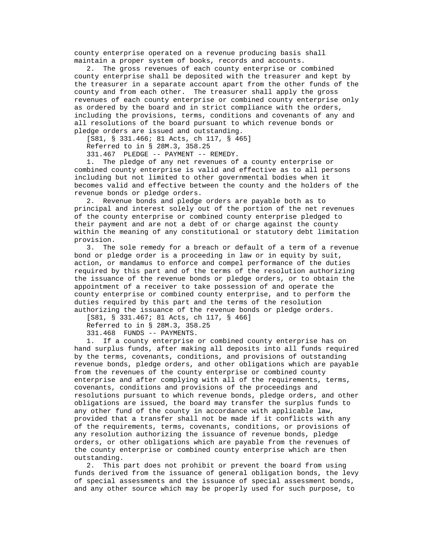county enterprise operated on a revenue producing basis shall maintain a proper system of books, records and accounts.

 2. The gross revenues of each county enterprise or combined county enterprise shall be deposited with the treasurer and kept by the treasurer in a separate account apart from the other funds of the county and from each other. The treasurer shall apply the gross revenues of each county enterprise or combined county enterprise only as ordered by the board and in strict compliance with the orders, including the provisions, terms, conditions and covenants of any and all resolutions of the board pursuant to which revenue bonds or pledge orders are issued and outstanding.

[S81, § 331.466; 81 Acts, ch 117, § 465]

Referred to in § 28M.3, 358.25

331.467 PLEDGE -- PAYMENT -- REMEDY.

 1. The pledge of any net revenues of a county enterprise or combined county enterprise is valid and effective as to all persons including but not limited to other governmental bodies when it becomes valid and effective between the county and the holders of the revenue bonds or pledge orders.

 2. Revenue bonds and pledge orders are payable both as to principal and interest solely out of the portion of the net revenues of the county enterprise or combined county enterprise pledged to their payment and are not a debt of or charge against the county within the meaning of any constitutional or statutory debt limitation provision.

 3. The sole remedy for a breach or default of a term of a revenue bond or pledge order is a proceeding in law or in equity by suit, action, or mandamus to enforce and compel performance of the duties required by this part and of the terms of the resolution authorizing the issuance of the revenue bonds or pledge orders, or to obtain the appointment of a receiver to take possession of and operate the county enterprise or combined county enterprise, and to perform the duties required by this part and the terms of the resolution authorizing the issuance of the revenue bonds or pledge orders.

[S81, § 331.467; 81 Acts, ch 117, § 466]

Referred to in § 28M.3, 358.25

331.468 FUNDS -- PAYMENTS.

 1. If a county enterprise or combined county enterprise has on hand surplus funds, after making all deposits into all funds required by the terms, covenants, conditions, and provisions of outstanding revenue bonds, pledge orders, and other obligations which are payable from the revenues of the county enterprise or combined county enterprise and after complying with all of the requirements, terms, covenants, conditions and provisions of the proceedings and resolutions pursuant to which revenue bonds, pledge orders, and other obligations are issued, the board may transfer the surplus funds to any other fund of the county in accordance with applicable law, provided that a transfer shall not be made if it conflicts with any of the requirements, terms, covenants, conditions, or provisions of any resolution authorizing the issuance of revenue bonds, pledge orders, or other obligations which are payable from the revenues of the county enterprise or combined county enterprise which are then outstanding.

 2. This part does not prohibit or prevent the board from using funds derived from the issuance of general obligation bonds, the levy of special assessments and the issuance of special assessment bonds, and any other source which may be properly used for such purpose, to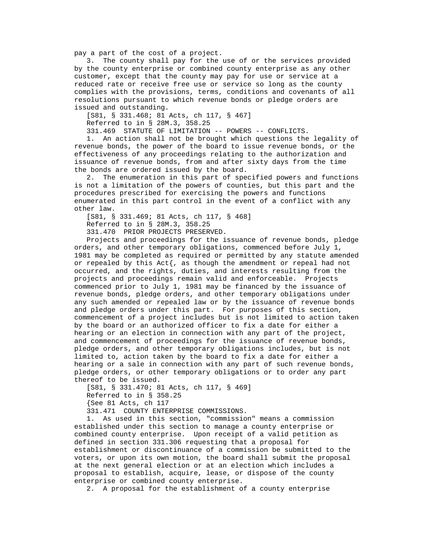pay a part of the cost of a project.

 3. The county shall pay for the use of or the services provided by the county enterprise or combined county enterprise as any other customer, except that the county may pay for use or service at a reduced rate or receive free use or service so long as the county complies with the provisions, terms, conditions and covenants of all resolutions pursuant to which revenue bonds or pledge orders are issued and outstanding.

 [S81, § 331.468; 81 Acts, ch 117, § 467] Referred to in § 28M.3, 358.25

331.469 STATUTE OF LIMITATION -- POWERS -- CONFLICTS.

 1. An action shall not be brought which questions the legality of revenue bonds, the power of the board to issue revenue bonds, or the effectiveness of any proceedings relating to the authorization and issuance of revenue bonds, from and after sixty days from the time the bonds are ordered issued by the board.

 2. The enumeration in this part of specified powers and functions is not a limitation of the powers of counties, but this part and the procedures prescribed for exercising the powers and functions enumerated in this part control in the event of a conflict with any other law.

 [S81, § 331.469; 81 Acts, ch 117, § 468] Referred to in § 28M.3, 358.25

331.470 PRIOR PROJECTS PRESERVED.

 Projects and proceedings for the issuance of revenue bonds, pledge orders, and other temporary obligations, commenced before July 1, 1981 may be completed as required or permitted by any statute amended or repealed by this Act $\{$ , as though the amendment or repeal had not occurred, and the rights, duties, and interests resulting from the projects and proceedings remain valid and enforceable. Projects commenced prior to July 1, 1981 may be financed by the issuance of revenue bonds, pledge orders, and other temporary obligations under any such amended or repealed law or by the issuance of revenue bonds and pledge orders under this part. For purposes of this section, commencement of a project includes but is not limited to action taken by the board or an authorized officer to fix a date for either a hearing or an election in connection with any part of the project, and commencement of proceedings for the issuance of revenue bonds, pledge orders, and other temporary obligations includes, but is not limited to, action taken by the board to fix a date for either a hearing or a sale in connection with any part of such revenue bonds, pledge orders, or other temporary obligations or to order any part thereof to be issued.

 [S81, § 331.470; 81 Acts, ch 117, § 469] Referred to in § 358.25 {See 81 Acts, ch 117 331.471 COUNTY ENTERPRISE COMMISSIONS.

 1. As used in this section, "commission" means a commission established under this section to manage a county enterprise or combined county enterprise. Upon receipt of a valid petition as defined in section 331.306 requesting that a proposal for establishment or discontinuance of a commission be submitted to the voters, or upon its own motion, the board shall submit the proposal at the next general election or at an election which includes a proposal to establish, acquire, lease, or dispose of the county enterprise or combined county enterprise.

2. A proposal for the establishment of a county enterprise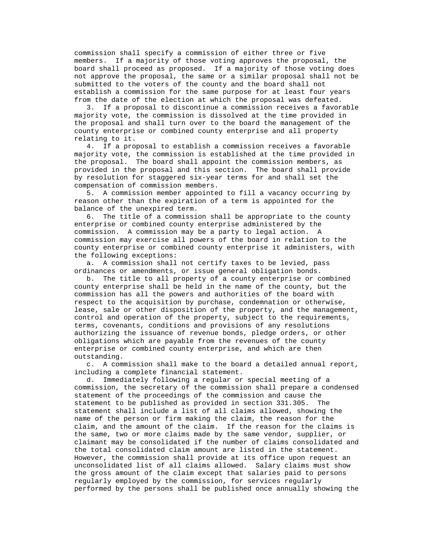commission shall specify a commission of either three or five members. If a majority of those voting approves the proposal, the board shall proceed as proposed. If a majority of those voting does not approve the proposal, the same or a similar proposal shall not be submitted to the voters of the county and the board shall not establish a commission for the same purpose for at least four years from the date of the election at which the proposal was defeated.

 3. If a proposal to discontinue a commission receives a favorable majority vote, the commission is dissolved at the time provided in the proposal and shall turn over to the board the management of the county enterprise or combined county enterprise and all property relating to it.

 4. If a proposal to establish a commission receives a favorable majority vote, the commission is established at the time provided in the proposal. The board shall appoint the commission members, as provided in the proposal and this section. The board shall provide by resolution for staggered six-year terms for and shall set the compensation of commission members.

 5. A commission member appointed to fill a vacancy occurring by reason other than the expiration of a term is appointed for the balance of the unexpired term.

 6. The title of a commission shall be appropriate to the county enterprise or combined county enterprise administered by the commission. A commission may be a party to legal action. A commission may exercise all powers of the board in relation to the county enterprise or combined county enterprise it administers, with the following exceptions:

 a. A commission shall not certify taxes to be levied, pass ordinances or amendments, or issue general obligation bonds.

 b. The title to all property of a county enterprise or combined county enterprise shall be held in the name of the county, but the commission has all the powers and authorities of the board with respect to the acquisition by purchase, condemnation or otherwise, lease, sale or other disposition of the property, and the management, control and operation of the property, subject to the requirements, terms, covenants, conditions and provisions of any resolutions authorizing the issuance of revenue bonds, pledge orders, or other obligations which are payable from the revenues of the county enterprise or combined county enterprise, and which are then outstanding.

 c. A commission shall make to the board a detailed annual report, including a complete financial statement.

 d. Immediately following a regular or special meeting of a commission, the secretary of the commission shall prepare a condensed statement of the proceedings of the commission and cause the statement to be published as provided in section 331.305. The statement shall include a list of all claims allowed, showing the name of the person or firm making the claim, the reason for the claim, and the amount of the claim. If the reason for the claims is the same, two or more claims made by the same vendor, supplier, or claimant may be consolidated if the number of claims consolidated and the total consolidated claim amount are listed in the statement. However, the commission shall provide at its office upon request an unconsolidated list of all claims allowed. Salary claims must show the gross amount of the claim except that salaries paid to persons regularly employed by the commission, for services regularly performed by the persons shall be published once annually showing the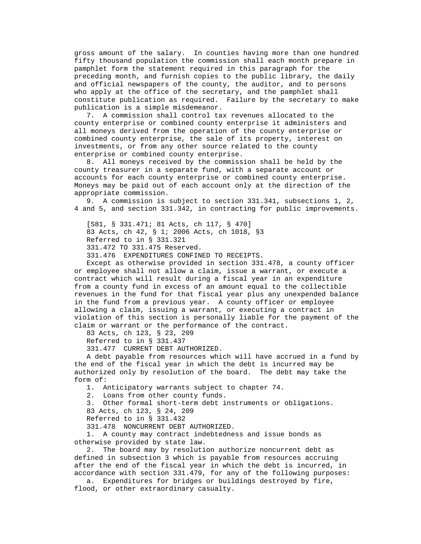gross amount of the salary. In counties having more than one hundred fifty thousand population the commission shall each month prepare in pamphlet form the statement required in this paragraph for the preceding month, and furnish copies to the public library, the daily and official newspapers of the county, the auditor, and to persons who apply at the office of the secretary, and the pamphlet shall constitute publication as required. Failure by the secretary to make publication is a simple misdemeanor.

 7. A commission shall control tax revenues allocated to the county enterprise or combined county enterprise it administers and all moneys derived from the operation of the county enterprise or combined county enterprise, the sale of its property, interest on investments, or from any other source related to the county enterprise or combined county enterprise.

 8. All moneys received by the commission shall be held by the county treasurer in a separate fund, with a separate account or accounts for each county enterprise or combined county enterprise. Moneys may be paid out of each account only at the direction of the appropriate commission.

 9. A commission is subject to section 331.341, subsections 1, 2, 4 and 5, and section 331.342, in contracting for public improvements.

 [S81, § 331.471; 81 Acts, ch 117, § 470] 83 Acts, ch 42, § 1; 2006 Acts, ch 1018, §3 Referred to in § 331.321 331.472 TO 331.475 Reserved.

331.476 EXPENDITURES CONFINED TO RECEIPTS.

 Except as otherwise provided in section 331.478, a county officer or employee shall not allow a claim, issue a warrant, or execute a contract which will result during a fiscal year in an expenditure from a county fund in excess of an amount equal to the collectible revenues in the fund for that fiscal year plus any unexpended balance in the fund from a previous year. A county officer or employee allowing a claim, issuing a warrant, or executing a contract in violation of this section is personally liable for the payment of the claim or warrant or the performance of the contract.

83 Acts, ch 123, § 23, 209

Referred to in § 331.437

331.477 CURRENT DEBT AUTHORIZED.

 A debt payable from resources which will have accrued in a fund by the end of the fiscal year in which the debt is incurred may be authorized only by resolution of the board. The debt may take the form of:

1. Anticipatory warrants subject to chapter 74.

2. Loans from other county funds.

3. Other formal short-term debt instruments or obligations.

83 Acts, ch 123, § 24, 209

Referred to in § 331.432

331.478 NONCURRENT DEBT AUTHORIZED.

 1. A county may contract indebtedness and issue bonds as otherwise provided by state law.

 2. The board may by resolution authorize noncurrent debt as defined in subsection 3 which is payable from resources accruing after the end of the fiscal year in which the debt is incurred, in accordance with section 331.479, for any of the following purposes:

 a. Expenditures for bridges or buildings destroyed by fire, flood, or other extraordinary casualty.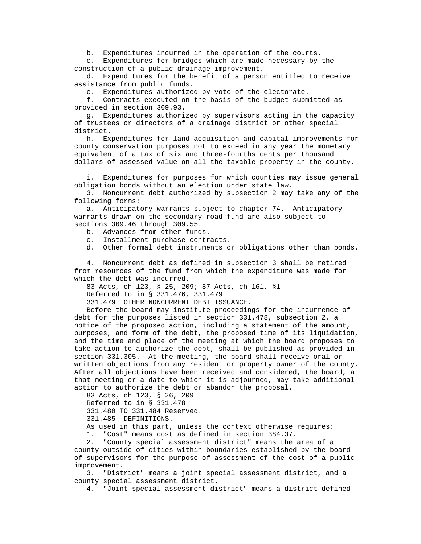b. Expenditures incurred in the operation of the courts.

 c. Expenditures for bridges which are made necessary by the construction of a public drainage improvement.

 d. Expenditures for the benefit of a person entitled to receive assistance from public funds.

e. Expenditures authorized by vote of the electorate.

 f. Contracts executed on the basis of the budget submitted as provided in section 309.93.

 g. Expenditures authorized by supervisors acting in the capacity of trustees or directors of a drainage district or other special district.

 h. Expenditures for land acquisition and capital improvements for county conservation purposes not to exceed in any year the monetary equivalent of a tax of six and three-fourths cents per thousand dollars of assessed value on all the taxable property in the county.

 i. Expenditures for purposes for which counties may issue general obligation bonds without an election under state law.

 3. Noncurrent debt authorized by subsection 2 may take any of the following forms:

 a. Anticipatory warrants subject to chapter 74. Anticipatory warrants drawn on the secondary road fund are also subject to sections 309.46 through 309.55.

- b. Advances from other funds.
- c. Installment purchase contracts.
- d. Other formal debt instruments or obligations other than bonds.

 4. Noncurrent debt as defined in subsection 3 shall be retired from resources of the fund from which the expenditure was made for which the debt was incurred.

83 Acts, ch 123, § 25, 209; 87 Acts, ch 161, §1

Referred to in § 331.476, 331.479

331.479 OTHER NONCURRENT DEBT ISSUANCE.

 Before the board may institute proceedings for the incurrence of debt for the purposes listed in section 331.478, subsection 2, a notice of the proposed action, including a statement of the amount, purposes, and form of the debt, the proposed time of its liquidation, and the time and place of the meeting at which the board proposes to take action to authorize the debt, shall be published as provided in section 331.305. At the meeting, the board shall receive oral or written objections from any resident or property owner of the county. After all objections have been received and considered, the board, at that meeting or a date to which it is adjourned, may take additional action to authorize the debt or abandon the proposal.

 83 Acts, ch 123, § 26, 209 Referred to in § 331.478 331.480 TO 331.484 Reserved. 331.485 DEFINITIONS.

As used in this part, unless the context otherwise requires:

1. "Cost" means cost as defined in section 384.37.

 2. "County special assessment district" means the area of a county outside of cities within boundaries established by the board of supervisors for the purpose of assessment of the cost of a public improvement.

 3. "District" means a joint special assessment district, and a county special assessment district.

4. "Joint special assessment district" means a district defined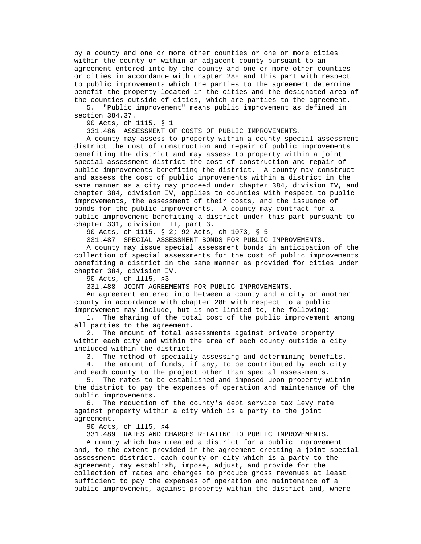by a county and one or more other counties or one or more cities within the county or within an adjacent county pursuant to an agreement entered into by the county and one or more other counties or cities in accordance with chapter 28E and this part with respect to public improvements which the parties to the agreement determine benefit the property located in the cities and the designated area of the counties outside of cities, which are parties to the agreement.

 5. "Public improvement" means public improvement as defined in section 384.37.

90 Acts, ch 1115, § 1

331.486 ASSESSMENT OF COSTS OF PUBLIC IMPROVEMENTS.

 A county may assess to property within a county special assessment district the cost of construction and repair of public improvements benefiting the district and may assess to property within a joint special assessment district the cost of construction and repair of public improvements benefiting the district. A county may construct and assess the cost of public improvements within a district in the same manner as a city may proceed under chapter 384, division IV, and chapter 384, division IV, applies to counties with respect to public improvements, the assessment of their costs, and the issuance of bonds for the public improvements. A county may contract for a public improvement benefiting a district under this part pursuant to chapter 331, division III, part 3.

90 Acts, ch 1115, § 2; 92 Acts, ch 1073, § 5

331.487 SPECIAL ASSESSMENT BONDS FOR PUBLIC IMPROVEMENTS.

 A county may issue special assessment bonds in anticipation of the collection of special assessments for the cost of public improvements benefiting a district in the same manner as provided for cities under chapter 384, division IV.

90 Acts, ch 1115, §3

331.488 JOINT AGREEMENTS FOR PUBLIC IMPROVEMENTS.

 An agreement entered into between a county and a city or another county in accordance with chapter 28E with respect to a public improvement may include, but is not limited to, the following:

 1. The sharing of the total cost of the public improvement among all parties to the agreement.

 2. The amount of total assessments against private property within each city and within the area of each county outside a city included within the district.

3. The method of specially assessing and determining benefits.

 4. The amount of funds, if any, to be contributed by each city and each county to the project other than special assessments.

 5. The rates to be established and imposed upon property within the district to pay the expenses of operation and maintenance of the public improvements.

 6. The reduction of the county's debt service tax levy rate against property within a city which is a party to the joint agreement.

90 Acts, ch 1115, §4

331.489 RATES AND CHARGES RELATING TO PUBLIC IMPROVEMENTS.

 A county which has created a district for a public improvement and, to the extent provided in the agreement creating a joint special assessment district, each county or city which is a party to the agreement, may establish, impose, adjust, and provide for the collection of rates and charges to produce gross revenues at least sufficient to pay the expenses of operation and maintenance of a public improvement, against property within the district and, where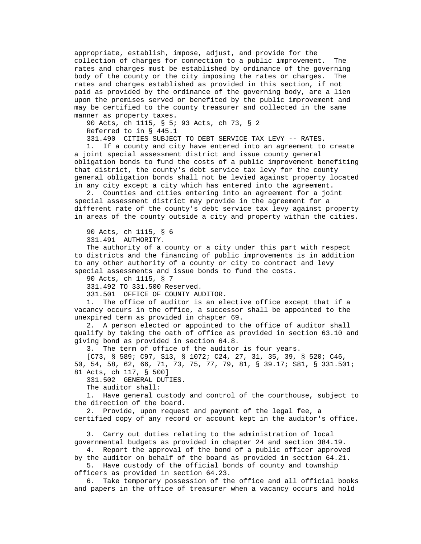appropriate, establish, impose, adjust, and provide for the collection of charges for connection to a public improvement. The rates and charges must be established by ordinance of the governing body of the county or the city imposing the rates or charges. The rates and charges established as provided in this section, if not paid as provided by the ordinance of the governing body, are a lien upon the premises served or benefited by the public improvement and may be certified to the county treasurer and collected in the same manner as property taxes.

 90 Acts, ch 1115, § 5; 93 Acts, ch 73, § 2 Referred to in § 445.1

331.490 CITIES SUBJECT TO DEBT SERVICE TAX LEVY -- RATES.

 1. If a county and city have entered into an agreement to create a joint special assessment district and issue county general obligation bonds to fund the costs of a public improvement benefiting that district, the county's debt service tax levy for the county general obligation bonds shall not be levied against property located in any city except a city which has entered into the agreement.

 2. Counties and cities entering into an agreement for a joint special assessment district may provide in the agreement for a different rate of the county's debt service tax levy against property in areas of the county outside a city and property within the cities.

90 Acts, ch 1115, § 6

331.491 AUTHORITY.

 The authority of a county or a city under this part with respect to districts and the financing of public improvements is in addition to any other authority of a county or city to contract and levy special assessments and issue bonds to fund the costs.

90 Acts, ch 1115, § 7

331.492 TO 331.500 Reserved.

331.501 OFFICE OF COUNTY AUDITOR.

 1. The office of auditor is an elective office except that if a vacancy occurs in the office, a successor shall be appointed to the unexpired term as provided in chapter 69.

 2. A person elected or appointed to the office of auditor shall qualify by taking the oath of office as provided in section 63.10 and giving bond as provided in section 64.8.

3. The term of office of the auditor is four years.

 [C73, § 589; C97, S13, § 1072; C24, 27, 31, 35, 39, § 520; C46, 50, 54, 58, 62, 66, 71, 73, 75, 77, 79, 81, § 39.17; S81, § 331.501; 81 Acts, ch 117, § 500]

331.502 GENERAL DUTIES.

The auditor shall:

 1. Have general custody and control of the courthouse, subject to the direction of the board.

 2. Provide, upon request and payment of the legal fee, a certified copy of any record or account kept in the auditor's office.

 3. Carry out duties relating to the administration of local governmental budgets as provided in chapter 24 and section 384.19.

 4. Report the approval of the bond of a public officer approved by the auditor on behalf of the board as provided in section 64.21.

 5. Have custody of the official bonds of county and township officers as provided in section 64.23.

 6. Take temporary possession of the office and all official books and papers in the office of treasurer when a vacancy occurs and hold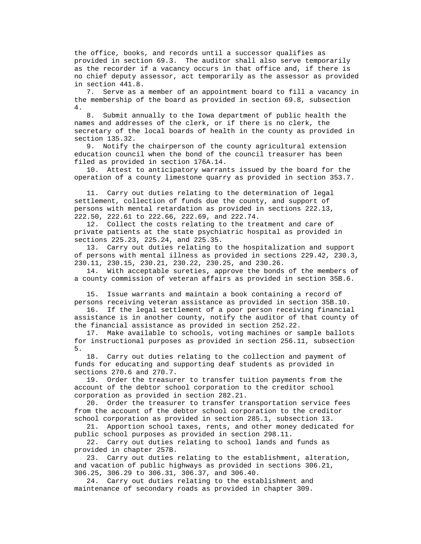the office, books, and records until a successor qualifies as provided in section 69.3. The auditor shall also serve temporarily as the recorder if a vacancy occurs in that office and, if there is no chief deputy assessor, act temporarily as the assessor as provided in section 441.8.

 7. Serve as a member of an appointment board to fill a vacancy in the membership of the board as provided in section 69.8, subsection 4.

 8. Submit annually to the Iowa department of public health the names and addresses of the clerk, or if there is no clerk, the secretary of the local boards of health in the county as provided in section 135.32.

 9. Notify the chairperson of the county agricultural extension education council when the bond of the council treasurer has been filed as provided in section 176A.14.

 10. Attest to anticipatory warrants issued by the board for the operation of a county limestone quarry as provided in section 353.7.

 11. Carry out duties relating to the determination of legal settlement, collection of funds due the county, and support of persons with mental retardation as provided in sections 222.13, 222.50, 222.61 to 222.66, 222.69, and 222.74.

 12. Collect the costs relating to the treatment and care of private patients at the state psychiatric hospital as provided in sections 225.23, 225.24, and 225.35.

 13. Carry out duties relating to the hospitalization and support of persons with mental illness as provided in sections 229.42, 230.3, 230.11, 230.15, 230.21, 230.22, 230.25, and 230.26.

 14. With acceptable sureties, approve the bonds of the members of a county commission of veteran affairs as provided in section 35B.6.

 15. Issue warrants and maintain a book containing a record of persons receiving veteran assistance as provided in section 35B.10.

 16. If the legal settlement of a poor person receiving financial assistance is in another county, notify the auditor of that county of the financial assistance as provided in section 252.22.

 17. Make available to schools, voting machines or sample ballots for instructional purposes as provided in section 256.11, subsection 5.

 18. Carry out duties relating to the collection and payment of funds for educating and supporting deaf students as provided in sections 270.6 and 270.7.

 19. Order the treasurer to transfer tuition payments from the account of the debtor school corporation to the creditor school corporation as provided in section 282.21.

 20. Order the treasurer to transfer transportation service fees from the account of the debtor school corporation to the creditor school corporation as provided in section 285.1, subsection 13.

 21. Apportion school taxes, rents, and other money dedicated for public school purposes as provided in section 298.11.

 22. Carry out duties relating to school lands and funds as provided in chapter 257B.

 23. Carry out duties relating to the establishment, alteration, and vacation of public highways as provided in sections 306.21, 306.25, 306.29 to 306.31, 306.37, and 306.40.

 24. Carry out duties relating to the establishment and maintenance of secondary roads as provided in chapter 309.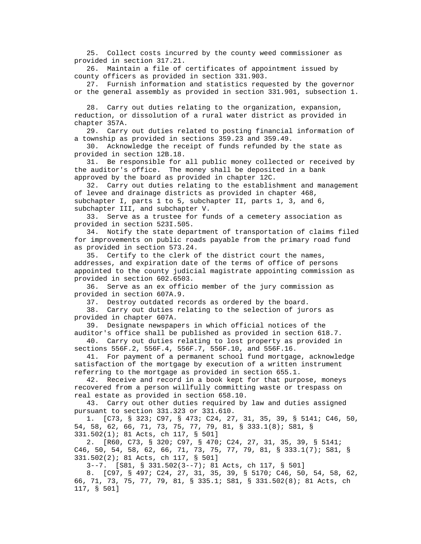25. Collect costs incurred by the county weed commissioner as provided in section 317.21.

 26. Maintain a file of certificates of appointment issued by county officers as provided in section 331.903.

 27. Furnish information and statistics requested by the governor or the general assembly as provided in section 331.901, subsection 1.

 28. Carry out duties relating to the organization, expansion, reduction, or dissolution of a rural water district as provided in chapter 357A.

 29. Carry out duties related to posting financial information of a township as provided in sections 359.23 and 359.49.

 30. Acknowledge the receipt of funds refunded by the state as provided in section 12B.18.

 31. Be responsible for all public money collected or received by the auditor's office. The money shall be deposited in a bank approved by the board as provided in chapter 12C.

 32. Carry out duties relating to the establishment and management of levee and drainage districts as provided in chapter 468, subchapter I, parts 1 to 5, subchapter II, parts 1, 3, and 6, subchapter III, and subchapter V.

 33. Serve as a trustee for funds of a cemetery association as provided in section 523I.505.

 34. Notify the state department of transportation of claims filed for improvements on public roads payable from the primary road fund as provided in section 573.24.

 35. Certify to the clerk of the district court the names, addresses, and expiration date of the terms of office of persons appointed to the county judicial magistrate appointing commission as provided in section 602.6503.

 36. Serve as an ex officio member of the jury commission as provided in section 607A.9.

37. Destroy outdated records as ordered by the board.

 38. Carry out duties relating to the selection of jurors as provided in chapter 607A.

 39. Designate newspapers in which official notices of the auditor's office shall be published as provided in section 618.7.

 40. Carry out duties relating to lost property as provided in sections 556F.2, 556F.4, 556F.7, 556F.10, and 556F.16.

 41. For payment of a permanent school fund mortgage, acknowledge satisfaction of the mortgage by execution of a written instrument referring to the mortgage as provided in section 655.1.

 42. Receive and record in a book kept for that purpose, moneys recovered from a person willfully committing waste or trespass on real estate as provided in section 658.10.

 43. Carry out other duties required by law and duties assigned pursuant to section 331.323 or 331.610.

 1. [C73, § 323; C97, § 473; C24, 27, 31, 35, 39, § 5141; C46, 50, 54, 58, 62, 66, 71, 73, 75, 77, 79, 81, § 333.1(8); S81, § 331.502(1); 81 Acts, ch 117, § 501]

 2. [R60, C73, § 320; C97, § 470; C24, 27, 31, 35, 39, § 5141; C46, 50, 54, 58, 62, 66, 71, 73, 75, 77, 79, 81, § 333.1(7); S81, § 331.502(2); 81 Acts, ch 117, § 501]

3--7. [S81, § 331.502(3--7); 81 Acts, ch 117, § 501]

 8. [C97, § 497; C24, 27, 31, 35, 39, § 5170; C46, 50, 54, 58, 62, 66, 71, 73, 75, 77, 79, 81, § 335.1; S81, § 331.502(8); 81 Acts, ch 117, § 501]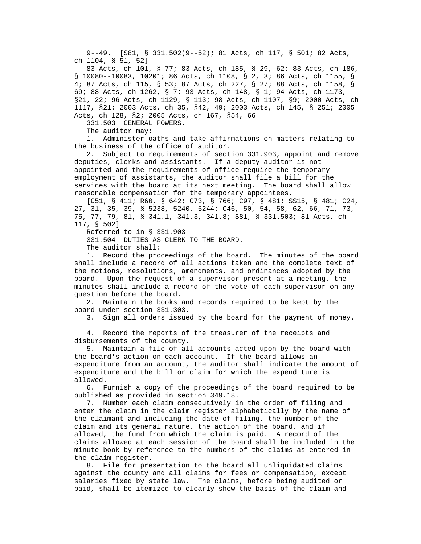9--49. [S81, § 331.502(9--52); 81 Acts, ch 117, § 501; 82 Acts, ch 1104, § 51, 52]

 83 Acts, ch 101, § 77; 83 Acts, ch 185, § 29, 62; 83 Acts, ch 186, § 10080--10083, 10201; 86 Acts, ch 1108, § 2, 3; 86 Acts, ch 1155, § 4; 87 Acts, ch 115, § 53; 87 Acts, ch 227, § 27; 88 Acts, ch 1158, § 69; 88 Acts, ch 1262, § 7; 93 Acts, ch 148, § 1; 94 Acts, ch 1173, §21, 22; 96 Acts, ch 1129, § 113; 98 Acts, ch 1107, §9; 2000 Acts, ch 1117, §21; 2003 Acts, ch 35, §42, 49; 2003 Acts, ch 145, § 251; 2005 Acts, ch 128, §2; 2005 Acts, ch 167, §54, 66

331.503 GENERAL POWERS.

The auditor may:

 1. Administer oaths and take affirmations on matters relating to the business of the office of auditor.

 2. Subject to requirements of section 331.903, appoint and remove deputies, clerks and assistants. If a deputy auditor is not appointed and the requirements of office require the temporary employment of assistants, the auditor shall file a bill for the services with the board at its next meeting. The board shall allow reasonable compensation for the temporary appointees.

 [C51, § 411; R60, § 642; C73, § 766; C97, § 481; SS15, § 481; C24, 27, 31, 35, 39, § 5238, 5240, 5244; C46, 50, 54, 58, 62, 66, 71, 73, 75, 77, 79, 81, § 341.1, 341.3, 341.8; S81, § 331.503; 81 Acts, ch 117, § 502]

Referred to in § 331.903

331.504 DUTIES AS CLERK TO THE BOARD.

The auditor shall:

 1. Record the proceedings of the board. The minutes of the board shall include a record of all actions taken and the complete text of the motions, resolutions, amendments, and ordinances adopted by the board. Upon the request of a supervisor present at a meeting, the minutes shall include a record of the vote of each supervisor on any question before the board.

 2. Maintain the books and records required to be kept by the board under section 331.303.

3. Sign all orders issued by the board for the payment of money.

 4. Record the reports of the treasurer of the receipts and disbursements of the county.

 5. Maintain a file of all accounts acted upon by the board with the board's action on each account. If the board allows an expenditure from an account, the auditor shall indicate the amount of expenditure and the bill or claim for which the expenditure is allowed.

 6. Furnish a copy of the proceedings of the board required to be published as provided in section 349.18.

 7. Number each claim consecutively in the order of filing and enter the claim in the claim register alphabetically by the name of the claimant and including the date of filing, the number of the claim and its general nature, the action of the board, and if allowed, the fund from which the claim is paid. A record of the claims allowed at each session of the board shall be included in the minute book by reference to the numbers of the claims as entered in the claim register.

 8. File for presentation to the board all unliquidated claims against the county and all claims for fees or compensation, except salaries fixed by state law. The claims, before being audited or paid, shall be itemized to clearly show the basis of the claim and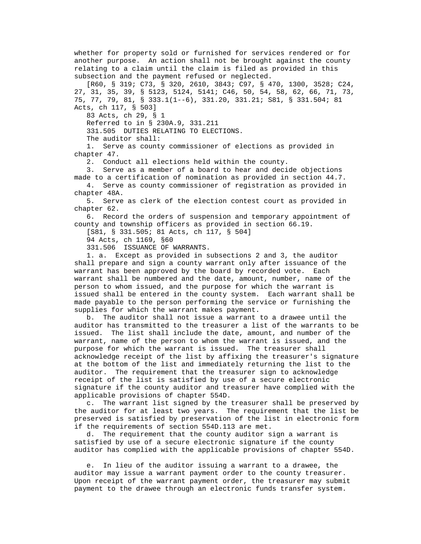whether for property sold or furnished for services rendered or for another purpose. An action shall not be brought against the county relating to a claim until the claim is filed as provided in this subsection and the payment refused or neglected.

 [R60, § 319; C73, § 320, 2610, 3843; C97, § 470, 1300, 3528; C24, 27, 31, 35, 39, § 5123, 5124, 5141; C46, 50, 54, 58, 62, 66, 71, 73, 75, 77, 79, 81, § 333.1(1--6), 331.20, 331.21; S81, § 331.504; 81 Acts, ch 117, § 503]

83 Acts, ch 29, § 1

Referred to in § 230A.9, 331.211

331.505 DUTIES RELATING TO ELECTIONS.

The auditor shall:

 1. Serve as county commissioner of elections as provided in chapter 47.

2. Conduct all elections held within the county.

 3. Serve as a member of a board to hear and decide objections made to a certification of nomination as provided in section 44.7.

 4. Serve as county commissioner of registration as provided in chapter 48A.

 5. Serve as clerk of the election contest court as provided in chapter 62.

 6. Record the orders of suspension and temporary appointment of county and township officers as provided in section 66.19.

[S81, § 331.505; 81 Acts, ch 117, § 504]

94 Acts, ch 1169, §60

331.506 ISSUANCE OF WARRANTS.

 1. a. Except as provided in subsections 2 and 3, the auditor shall prepare and sign a county warrant only after issuance of the warrant has been approved by the board by recorded vote. Each warrant shall be numbered and the date, amount, number, name of the person to whom issued, and the purpose for which the warrant is issued shall be entered in the county system. Each warrant shall be made payable to the person performing the service or furnishing the supplies for which the warrant makes payment.

 b. The auditor shall not issue a warrant to a drawee until the auditor has transmitted to the treasurer a list of the warrants to be issued. The list shall include the date, amount, and number of the warrant, name of the person to whom the warrant is issued, and the purpose for which the warrant is issued. The treasurer shall acknowledge receipt of the list by affixing the treasurer's signature at the bottom of the list and immediately returning the list to the auditor. The requirement that the treasurer sign to acknowledge receipt of the list is satisfied by use of a secure electronic signature if the county auditor and treasurer have complied with the applicable provisions of chapter 554D.

 c. The warrant list signed by the treasurer shall be preserved by the auditor for at least two years. The requirement that the list be preserved is satisfied by preservation of the list in electronic form if the requirements of section 554D.113 are met.

 d. The requirement that the county auditor sign a warrant is satisfied by use of a secure electronic signature if the county auditor has complied with the applicable provisions of chapter 554D.

 e. In lieu of the auditor issuing a warrant to a drawee, the auditor may issue a warrant payment order to the county treasurer. Upon receipt of the warrant payment order, the treasurer may submit payment to the drawee through an electronic funds transfer system.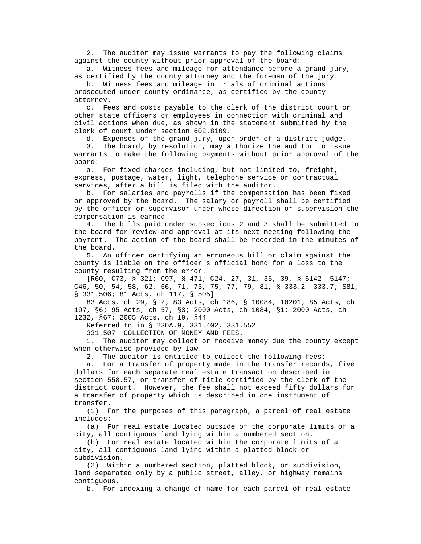2. The auditor may issue warrants to pay the following claims against the county without prior approval of the board:

 a. Witness fees and mileage for attendance before a grand jury, as certified by the county attorney and the foreman of the jury.

 b. Witness fees and mileage in trials of criminal actions prosecuted under county ordinance, as certified by the county attorney.

 c. Fees and costs payable to the clerk of the district court or other state officers or employees in connection with criminal and civil actions when due, as shown in the statement submitted by the clerk of court under section 602.8109.

d. Expenses of the grand jury, upon order of a district judge.

 3. The board, by resolution, may authorize the auditor to issue warrants to make the following payments without prior approval of the board:

 a. For fixed charges including, but not limited to, freight, express, postage, water, light, telephone service or contractual services, after a bill is filed with the auditor.

 b. For salaries and payrolls if the compensation has been fixed or approved by the board. The salary or payroll shall be certified by the officer or supervisor under whose direction or supervision the compensation is earned.

 4. The bills paid under subsections 2 and 3 shall be submitted to the board for review and approval at its next meeting following the payment. The action of the board shall be recorded in the minutes of the board.

 5. An officer certifying an erroneous bill or claim against the county is liable on the officer's official bond for a loss to the county resulting from the error.

 [R60, C73, § 321; C97, § 471; C24, 27, 31, 35, 39, § 5142--5147; C46, 50, 54, 58, 62, 66, 71, 73, 75, 77, 79, 81, § 333.2--333.7; S81, § 331.506; 81 Acts, ch 117, § 505]

 83 Acts, ch 29, § 2; 83 Acts, ch 186, § 10084, 10201; 85 Acts, ch 197, §6; 95 Acts, ch 57, §3; 2000 Acts, ch 1084, §1; 2000 Acts, ch 1232, §67; 2005 Acts, ch 19, §44

Referred to in § 230A.9, 331.402, 331.552

331.507 COLLECTION OF MONEY AND FEES.

 1. The auditor may collect or receive money due the county except when otherwise provided by law.

2. The auditor is entitled to collect the following fees:

 a. For a transfer of property made in the transfer records, five dollars for each separate real estate transaction described in section 558.57, or transfer of title certified by the clerk of the district court. However, the fee shall not exceed fifty dollars for a transfer of property which is described in one instrument of transfer.

 (1) For the purposes of this paragraph, a parcel of real estate includes:

 (a) For real estate located outside of the corporate limits of a city, all contiguous land lying within a numbered section.

 (b) For real estate located within the corporate limits of a city, all contiguous land lying within a platted block or subdivision.

 (2) Within a numbered section, platted block, or subdivision, land separated only by a public street, alley, or highway remains contiguous.

b. For indexing a change of name for each parcel of real estate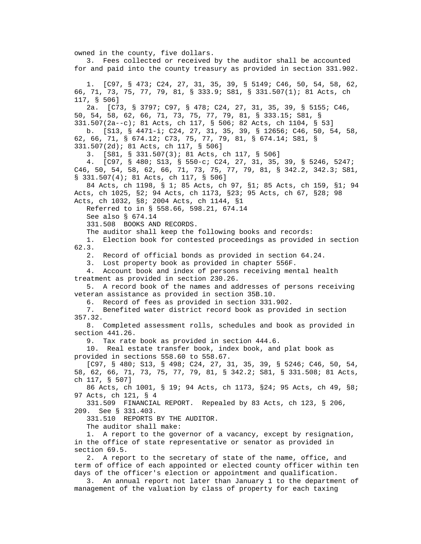owned in the county, five dollars. 3. Fees collected or received by the auditor shall be accounted for and paid into the county treasury as provided in section 331.902. 1. [C97, § 473; C24, 27, 31, 35, 39, § 5149; C46, 50, 54, 58, 62, 66, 71, 73, 75, 77, 79, 81, § 333.9; S81, § 331.507(1); 81 Acts, ch 117, § 506] 2a. [C73, § 3797; C97, § 478; C24, 27, 31, 35, 39, § 5155; C46, 50, 54, 58, 62, 66, 71, 73, 75, 77, 79, 81, § 333.15; S81, § 331.507(2a--c); 81 Acts, ch 117, § 506; 82 Acts, ch 1104, § 53] b. [S13, § 4471-i; C24, 27, 31, 35, 39, § 12656; C46, 50, 54, 58, 62, 66, 71, § 674.12; C73, 75, 77, 79, 81, § 674.14; S81, § 331.507(2d); 81 Acts, ch 117, § 506] 3. [S81, § 331.507(3); 81 Acts, ch 117, § 506] 4. [C97, § 480; S13, § 550-c; C24, 27, 31, 35, 39, § 5246, 5247; C46, 50, 54, 58, 62, 66, 71, 73, 75, 77, 79, 81, § 342.2, 342.3; S81, § 331.507(4); 81 Acts, ch 117, § 506] 84 Acts, ch 1198, § 1; 85 Acts, ch 97, §1; 85 Acts, ch 159, §1; 94 Acts, ch 1025, §2; 94 Acts, ch 1173, §23; 95 Acts, ch 67, §28; 98 Acts, ch 1032, §8; 2004 Acts, ch 1144, §1 Referred to in § 558.66, 598.21, 674.14 See also § 674.14 331.508 BOOKS AND RECORDS. The auditor shall keep the following books and records: 1. Election book for contested proceedings as provided in section 62.3. 2. Record of official bonds as provided in section 64.24. 3. Lost property book as provided in chapter 556F. 4. Account book and index of persons receiving mental health treatment as provided in section 230.26. 5. A record book of the names and addresses of persons receiving veteran assistance as provided in section 35B.10. 6. Record of fees as provided in section 331.902. 7. Benefited water district record book as provided in section 357.32. 8. Completed assessment rolls, schedules and book as provided in section 441.26. 9. Tax rate book as provided in section 444.6. 10. Real estate transfer book, index book, and plat book as provided in sections 558.60 to 558.67. [C97, § 480; S13, § 498; C24, 27, 31, 35, 39, § 5246; C46, 50, 54, 58, 62, 66, 71, 73, 75, 77, 79, 81, § 342.2; S81, § 331.508; 81 Acts, ch 117, § 507] 86 Acts, ch 1001, § 19; 94 Acts, ch 1173, §24; 95 Acts, ch 49, §8; 97 Acts, ch 121, § 4 331.509 FINANCIAL REPORT. Repealed by 83 Acts, ch 123, § 206, 209. See § 331.403. 331.510 REPORTS BY THE AUDITOR. The auditor shall make: 1. A report to the governor of a vacancy, except by resignation, in the office of state representative or senator as provided in section 69.5. 2. A report to the secretary of state of the name, office, and term of office of each appointed or elected county officer within ten days of the officer's election or appointment and qualification. 3. An annual report not later than January 1 to the department of management of the valuation by class of property for each taxing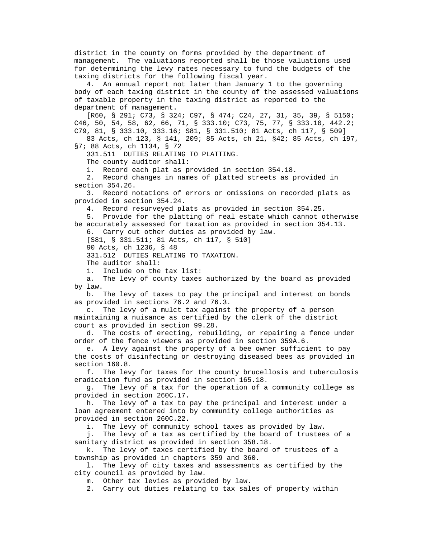district in the county on forms provided by the department of management. The valuations reported shall be those valuations used for determining the levy rates necessary to fund the budgets of the taxing districts for the following fiscal year.

 4. An annual report not later than January 1 to the governing body of each taxing district in the county of the assessed valuations of taxable property in the taxing district as reported to the department of management.

 [R60, § 291; C73, § 324; C97, § 474; C24, 27, 31, 35, 39, § 5150; C46, 50, 54, 58, 62, 66, 71, § 333.10; C73, 75, 77, § 333.10, 442.2; C79, 81, § 333.10, 333.16; S81, § 331.510; 81 Acts, ch 117, § 509] 83 Acts, ch 123, § 141, 209; 85 Acts, ch 21, §42; 85 Acts, ch 197,

§7; 88 Acts, ch 1134, § 72

331.511 DUTIES RELATING TO PLATTING.

The county auditor shall:

1. Record each plat as provided in section 354.18.

 2. Record changes in names of platted streets as provided in section 354.26.

 3. Record notations of errors or omissions on recorded plats as provided in section 354.24.

4. Record resurveyed plats as provided in section 354.25.

 5. Provide for the platting of real estate which cannot otherwise be accurately assessed for taxation as provided in section 354.13.

6. Carry out other duties as provided by law.

[S81, § 331.511; 81 Acts, ch 117, § 510]

90 Acts, ch 1236, § 48

331.512 DUTIES RELATING TO TAXATION.

The auditor shall:

1. Include on the tax list:

 a. The levy of county taxes authorized by the board as provided by law.

 b. The levy of taxes to pay the principal and interest on bonds as provided in sections 76.2 and 76.3.

 c. The levy of a mulct tax against the property of a person maintaining a nuisance as certified by the clerk of the district court as provided in section 99.28.

 d. The costs of erecting, rebuilding, or repairing a fence under order of the fence viewers as provided in section 359A.6.

 e. A levy against the property of a bee owner sufficient to pay the costs of disinfecting or destroying diseased bees as provided in section 160.8.

 f. The levy for taxes for the county brucellosis and tuberculosis eradication fund as provided in section 165.18.

 g. The levy of a tax for the operation of a community college as provided in section 260C.17.

 h. The levy of a tax to pay the principal and interest under a loan agreement entered into by community college authorities as provided in section 260C.22.

i. The levy of community school taxes as provided by law.

 j. The levy of a tax as certified by the board of trustees of a sanitary district as provided in section 358.18.

 k. The levy of taxes certified by the board of trustees of a township as provided in chapters 359 and 360.

 l. The levy of city taxes and assessments as certified by the city council as provided by law.

m. Other tax levies as provided by law.

2. Carry out duties relating to tax sales of property within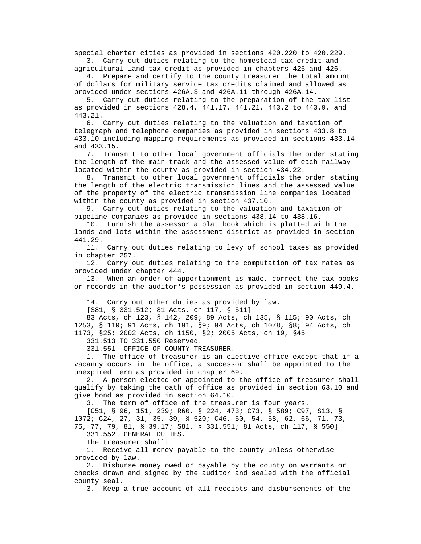special charter cities as provided in sections 420.220 to 420.229.

 3. Carry out duties relating to the homestead tax credit and agricultural land tax credit as provided in chapters 425 and 426.

 4. Prepare and certify to the county treasurer the total amount of dollars for military service tax credits claimed and allowed as provided under sections 426A.3 and 426A.11 through 426A.14.

 5. Carry out duties relating to the preparation of the tax list as provided in sections 428.4, 441.17, 441.21, 443.2 to 443.9, and 443.21.

 6. Carry out duties relating to the valuation and taxation of telegraph and telephone companies as provided in sections 433.8 to 433.10 including mapping requirements as provided in sections 433.14 and 433.15.

 7. Transmit to other local government officials the order stating the length of the main track and the assessed value of each railway located within the county as provided in section 434.22.

 8. Transmit to other local government officials the order stating the length of the electric transmission lines and the assessed value of the property of the electric transmission line companies located within the county as provided in section 437.10.

 9. Carry out duties relating to the valuation and taxation of pipeline companies as provided in sections 438.14 to 438.16.

 10. Furnish the assessor a plat book which is platted with the lands and lots within the assessment district as provided in section 441.29.

 11. Carry out duties relating to levy of school taxes as provided in chapter 257.

 12. Carry out duties relating to the computation of tax rates as provided under chapter 444.

 13. When an order of apportionment is made, correct the tax books or records in the auditor's possession as provided in section 449.4.

14. Carry out other duties as provided by law.

[S81, § 331.512; 81 Acts, ch 117, § 511]

 83 Acts, ch 123, § 142, 209; 89 Acts, ch 135, § 115; 90 Acts, ch 1253, § 110; 91 Acts, ch 191, §9; 94 Acts, ch 1078, §8; 94 Acts, ch 1173, §25; 2002 Acts, ch 1150, §2; 2005 Acts, ch 19, §45

331.513 TO 331.550 Reserved.

331.551 OFFICE OF COUNTY TREASURER.

 1. The office of treasurer is an elective office except that if a vacancy occurs in the office, a successor shall be appointed to the unexpired term as provided in chapter 69.

 2. A person elected or appointed to the office of treasurer shall qualify by taking the oath of office as provided in section 63.10 and give bond as provided in section 64.10.

3. The term of office of the treasurer is four years.

 [C51, § 96, 151, 239; R60, § 224, 473; C73, § 589; C97, S13, § 1072; C24, 27, 31, 35, 39, § 520; C46, 50, 54, 58, 62, 66, 71, 73, 75, 77, 79, 81, § 39.17; S81, § 331.551; 81 Acts, ch 117, § 550]

331.552 GENERAL DUTIES.

The treasurer shall:

 1. Receive all money payable to the county unless otherwise provided by law.

 2. Disburse money owed or payable by the county on warrants or checks drawn and signed by the auditor and sealed with the official county seal.

3. Keep a true account of all receipts and disbursements of the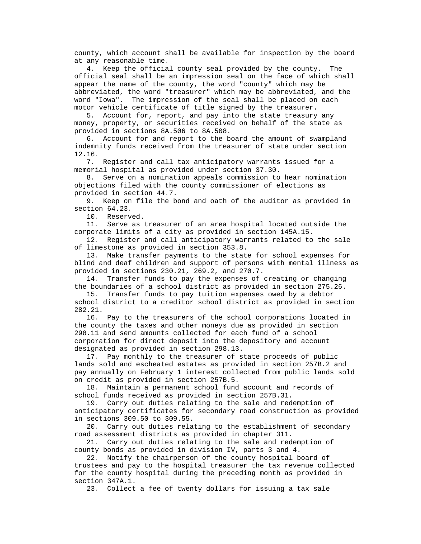county, which account shall be available for inspection by the board at any reasonable time.

 4. Keep the official county seal provided by the county. The official seal shall be an impression seal on the face of which shall appear the name of the county, the word "county" which may be abbreviated, the word "treasurer" which may be abbreviated, and the word "Iowa". The impression of the seal shall be placed on each motor vehicle certificate of title signed by the treasurer.

 5. Account for, report, and pay into the state treasury any money, property, or securities received on behalf of the state as provided in sections 8A.506 to 8A.508.

 6. Account for and report to the board the amount of swampland indemnity funds received from the treasurer of state under section 12.16.

 7. Register and call tax anticipatory warrants issued for a memorial hospital as provided under section 37.30.

 8. Serve on a nomination appeals commission to hear nomination objections filed with the county commissioner of elections as provided in section 44.7.

 9. Keep on file the bond and oath of the auditor as provided in section 64.23.

10. Reserved.

 11. Serve as treasurer of an area hospital located outside the corporate limits of a city as provided in section 145A.15.

 12. Register and call anticipatory warrants related to the sale of limestone as provided in section 353.8.

 13. Make transfer payments to the state for school expenses for blind and deaf children and support of persons with mental illness as provided in sections 230.21, 269.2, and 270.7.

 14. Transfer funds to pay the expenses of creating or changing the boundaries of a school district as provided in section 275.26.

 15. Transfer funds to pay tuition expenses owed by a debtor school district to a creditor school district as provided in section 282.21.

 16. Pay to the treasurers of the school corporations located in the county the taxes and other moneys due as provided in section 298.11 and send amounts collected for each fund of a school corporation for direct deposit into the depository and account designated as provided in section 298.13.

 17. Pay monthly to the treasurer of state proceeds of public lands sold and escheated estates as provided in section 257B.2 and pay annually on February 1 interest collected from public lands sold on credit as provided in section 257B.5.

 18. Maintain a permanent school fund account and records of school funds received as provided in section 257B.31.

 19. Carry out duties relating to the sale and redemption of anticipatory certificates for secondary road construction as provided in sections 309.50 to 309.55.

 20. Carry out duties relating to the establishment of secondary road assessment districts as provided in chapter 311.

 21. Carry out duties relating to the sale and redemption of county bonds as provided in division IV, parts 3 and 4.

 22. Notify the chairperson of the county hospital board of trustees and pay to the hospital treasurer the tax revenue collected for the county hospital during the preceding month as provided in section 347A.1.

23. Collect a fee of twenty dollars for issuing a tax sale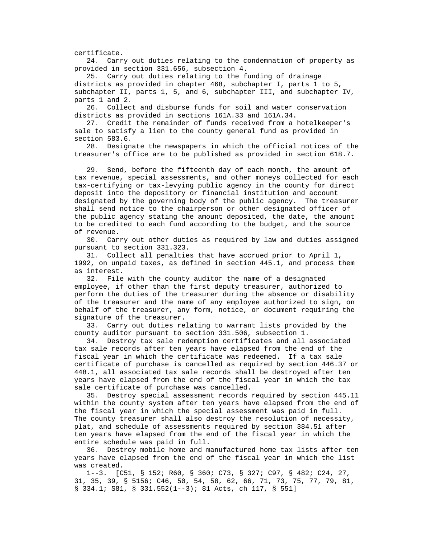certificate.

 24. Carry out duties relating to the condemnation of property as provided in section 331.656, subsection 4.

 25. Carry out duties relating to the funding of drainage districts as provided in chapter 468, subchapter I, parts 1 to 5, subchapter II, parts 1, 5, and 6, subchapter III, and subchapter IV, parts 1 and 2.

 26. Collect and disburse funds for soil and water conservation districts as provided in sections 161A.33 and 161A.34.

 27. Credit the remainder of funds received from a hotelkeeper's sale to satisfy a lien to the county general fund as provided in section 583.6.

 28. Designate the newspapers in which the official notices of the treasurer's office are to be published as provided in section 618.7.

 29. Send, before the fifteenth day of each month, the amount of tax revenue, special assessments, and other moneys collected for each tax-certifying or tax-levying public agency in the county for direct deposit into the depository or financial institution and account designated by the governing body of the public agency. The treasurer shall send notice to the chairperson or other designated officer of the public agency stating the amount deposited, the date, the amount to be credited to each fund according to the budget, and the source of revenue.

 30. Carry out other duties as required by law and duties assigned pursuant to section 331.323.

 31. Collect all penalties that have accrued prior to April 1, 1992, on unpaid taxes, as defined in section 445.1, and process them as interest.

 32. File with the county auditor the name of a designated employee, if other than the first deputy treasurer, authorized to perform the duties of the treasurer during the absence or disability of the treasurer and the name of any employee authorized to sign, on behalf of the treasurer, any form, notice, or document requiring the signature of the treasurer.

 33. Carry out duties relating to warrant lists provided by the county auditor pursuant to section 331.506, subsection 1.

 34. Destroy tax sale redemption certificates and all associated tax sale records after ten years have elapsed from the end of the fiscal year in which the certificate was redeemed. If a tax sale certificate of purchase is cancelled as required by section 446.37 or 448.1, all associated tax sale records shall be destroyed after ten years have elapsed from the end of the fiscal year in which the tax sale certificate of purchase was cancelled.

 35. Destroy special assessment records required by section 445.11 within the county system after ten years have elapsed from the end of the fiscal year in which the special assessment was paid in full. The county treasurer shall also destroy the resolution of necessity, plat, and schedule of assessments required by section 384.51 after ten years have elapsed from the end of the fiscal year in which the entire schedule was paid in full.

 36. Destroy mobile home and manufactured home tax lists after ten years have elapsed from the end of the fiscal year in which the list was created.

 1--3. [C51, § 152; R60, § 360; C73, § 327; C97, § 482; C24, 27, 31, 35, 39, § 5156; C46, 50, 54, 58, 62, 66, 71, 73, 75, 77, 79, 81, § 334.1; S81, § 331.552(1--3); 81 Acts, ch 117, § 551]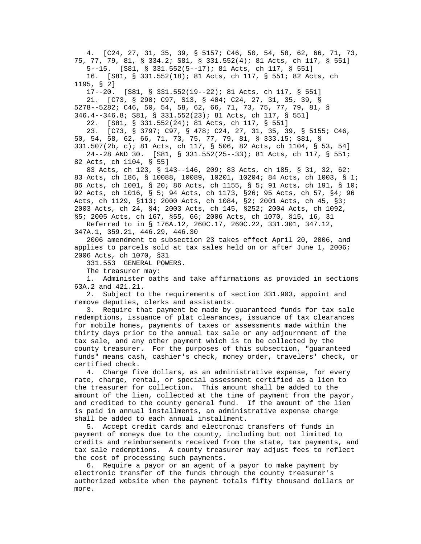4. [C24, 27, 31, 35, 39, § 5157; C46, 50, 54, 58, 62, 66, 71, 73, 75, 77, 79, 81, § 334.2; S81, § 331.552(4); 81 Acts, ch 117, § 551] 5--15. [S81, § 331.552(5--17); 81 Acts, ch 117, § 551] 16. [S81, § 331.552(18); 81 Acts, ch 117, § 551; 82 Acts, ch 1195, § 2] 17--20. [S81, § 331.552(19--22); 81 Acts, ch 117, § 551] 21. [C73, § 290; C97, S13, § 404; C24, 27, 31, 35, 39, § 5278--5282; C46, 50, 54, 58, 62, 66, 71, 73, 75, 77, 79, 81, § 346.4--346.8; S81, § 331.552(23); 81 Acts, ch 117, § 551] 22. [S81, § 331.552(24); 81 Acts, ch 117, § 551] 23. [C73, § 3797; C97, § 478; C24, 27, 31, 35, 39, § 5155; C46, 50, 54, 58, 62, 66, 71, 73, 75, 77, 79, 81, § 333.15; S81, § 331.507(2b, c); 81 Acts, ch 117, § 506, 82 Acts, ch 1104, § 53, 54] 24--28 AND 30. [S81, § 331.552(25--33); 81 Acts, ch 117, § 551; 82 Acts, ch 1104, § 55] 83 Acts, ch 123, § 143--146, 209; 83 Acts, ch 185, § 31, 32, 62; 83 Acts, ch 186, § 10088, 10089, 10201, 10204; 84 Acts, ch 1003, § 1; 86 Acts, ch 1001, § 20; 86 Acts, ch 1155, § 5; 91 Acts, ch 191, § 10; 92 Acts, ch 1016, § 5; 94 Acts, ch 1173, §26; 95 Acts, ch 57, §4; 96 Acts, ch 1129, §113; 2000 Acts, ch 1084, §2; 2001 Acts, ch 45, §3; 2003 Acts, ch 24, §4; 2003 Acts, ch 145, §252; 2004 Acts, ch 1092, §5; 2005 Acts, ch 167, §55, 66; 2006 Acts, ch 1070, §15, 16, 31 Referred to in § 176A.12, 260C.17, 260C.22, 331.301, 347.12,

347A.1, 359.21, 446.29, 446.30

 2006 amendment to subsection 23 takes effect April 20, 2006, and applies to parcels sold at tax sales held on or after June 1, 2006; 2006 Acts, ch 1070, §31

331.553 GENERAL POWERS.

The treasurer may:

 1. Administer oaths and take affirmations as provided in sections 63A.2 and 421.21.

 2. Subject to the requirements of section 331.903, appoint and remove deputies, clerks and assistants.

 3. Require that payment be made by guaranteed funds for tax sale redemptions, issuance of plat clearances, issuance of tax clearances for mobile homes, payments of taxes or assessments made within the thirty days prior to the annual tax sale or any adjournment of the tax sale, and any other payment which is to be collected by the county treasurer. For the purposes of this subsection, "guaranteed funds" means cash, cashier's check, money order, travelers' check, or certified check.

 4. Charge five dollars, as an administrative expense, for every rate, charge, rental, or special assessment certified as a lien to the treasurer for collection. This amount shall be added to the amount of the lien, collected at the time of payment from the payor, and credited to the county general fund. If the amount of the lien is paid in annual installments, an administrative expense charge shall be added to each annual installment.

 5. Accept credit cards and electronic transfers of funds in payment of moneys due to the county, including but not limited to credits and reimbursements received from the state, tax payments, and tax sale redemptions. A county treasurer may adjust fees to reflect the cost of processing such payments.

 6. Require a payor or an agent of a payor to make payment by electronic transfer of the funds through the county treasurer's authorized website when the payment totals fifty thousand dollars or more.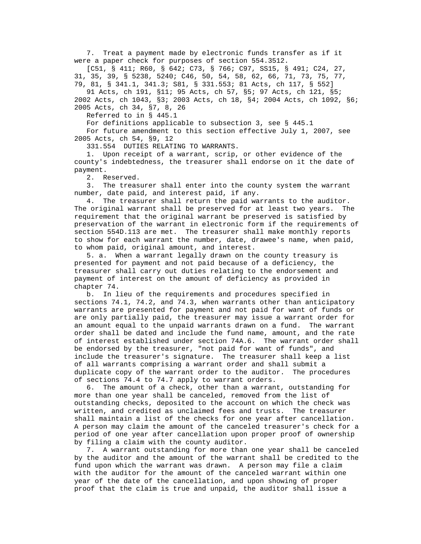7. Treat a payment made by electronic funds transfer as if it were a paper check for purposes of section 554.3512.

 [C51, § 411; R60, § 642; C73, § 766; C97, SS15, § 491; C24, 27, 31, 35, 39, § 5238, 5240; C46, 50, 54, 58, 62, 66, 71, 73, 75, 77, 79, 81, § 341.1, 341.3; S81, § 331.553; 81 Acts, ch 117, § 552]

 91 Acts, ch 191, §11; 95 Acts, ch 57, §5; 97 Acts, ch 121, §5; 2002 Acts, ch 1043, §3; 2003 Acts, ch 18, §4; 2004 Acts, ch 1092, §6; 2005 Acts, ch 34, §7, 8, 26

Referred to in § 445.1

For definitions applicable to subsection 3, see § 445.1

 For future amendment to this section effective July 1, 2007, see 2005 Acts, ch 54, §9, 12

331.554 DUTIES RELATING TO WARRANTS.

 1. Upon receipt of a warrant, scrip, or other evidence of the county's indebtedness, the treasurer shall endorse on it the date of payment.

2. Reserved.

 3. The treasurer shall enter into the county system the warrant number, date paid, and interest paid, if any.

 4. The treasurer shall return the paid warrants to the auditor. The original warrant shall be preserved for at least two years. The requirement that the original warrant be preserved is satisfied by preservation of the warrant in electronic form if the requirements of section 554D.113 are met. The treasurer shall make monthly reports to show for each warrant the number, date, drawee's name, when paid, to whom paid, original amount, and interest.

 5. a. When a warrant legally drawn on the county treasury is presented for payment and not paid because of a deficiency, the treasurer shall carry out duties relating to the endorsement and payment of interest on the amount of deficiency as provided in chapter 74.

 b. In lieu of the requirements and procedures specified in sections 74.1, 74.2, and 74.3, when warrants other than anticipatory warrants are presented for payment and not paid for want of funds or are only partially paid, the treasurer may issue a warrant order for an amount equal to the unpaid warrants drawn on a fund. The warrant order shall be dated and include the fund name, amount, and the rate of interest established under section 74A.6. The warrant order shall be endorsed by the treasurer, "not paid for want of funds", and include the treasurer's signature. The treasurer shall keep a list of all warrants comprising a warrant order and shall submit a duplicate copy of the warrant order to the auditor. The procedures of sections 74.4 to 74.7 apply to warrant orders.

 6. The amount of a check, other than a warrant, outstanding for more than one year shall be canceled, removed from the list of outstanding checks, deposited to the account on which the check was written, and credited as unclaimed fees and trusts. The treasurer shall maintain a list of the checks for one year after cancellation. A person may claim the amount of the canceled treasurer's check for a period of one year after cancellation upon proper proof of ownership by filing a claim with the county auditor.

 7. A warrant outstanding for more than one year shall be canceled by the auditor and the amount of the warrant shall be credited to the fund upon which the warrant was drawn. A person may file a claim with the auditor for the amount of the canceled warrant within one year of the date of the cancellation, and upon showing of proper proof that the claim is true and unpaid, the auditor shall issue a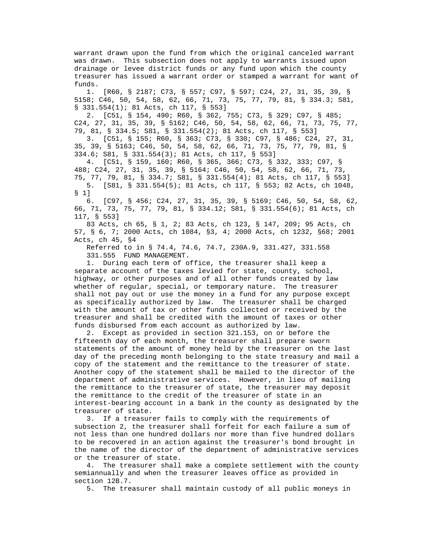warrant drawn upon the fund from which the original canceled warrant was drawn. This subsection does not apply to warrants issued upon drainage or levee district funds or any fund upon which the county treasurer has issued a warrant order or stamped a warrant for want of funds.

 1. [R60, § 2187; C73, § 557; C97, § 597; C24, 27, 31, 35, 39, § 5158; C46, 50, 54, 58, 62, 66, 71, 73, 75, 77, 79, 81, § 334.3; S81, § 331.554(1); 81 Acts, ch 117, § 553]

 2. [C51, § 154, 490; R60, § 362, 755; C73, § 329; C97, § 485; C24, 27, 31, 35, 39, § 5162; C46, 50, 54, 58, 62, 66, 71, 73, 75, 77, 79, 81, § 334.5; S81, § 331.554(2); 81 Acts, ch 117, § 553]

 3. [C51, § 155; R60, § 363; C73, § 330; C97, § 486; C24, 27, 31, 35, 39, § 5163; C46, 50, 54, 58, 62, 66, 71, 73, 75, 77, 79, 81, § 334.6; S81, § 331.554(3); 81 Acts, ch 117, § 553]

 4. [C51, § 159, 160; R60, § 365, 366; C73, § 332, 333; C97, § 488; C24, 27, 31, 35, 39, § 5164; C46, 50, 54, 58, 62, 66, 71, 73, 75, 77, 79, 81, § 334.7; S81, § 331.554(4); 81 Acts, ch 117, § 553] 5. [S81, § 331.554(5); 81 Acts, ch 117, § 553; 82 Acts, ch 1048, § 1]

 6. [C97, § 456; C24, 27, 31, 35, 39, § 5169; C46, 50, 54, 58, 62, 66, 71, 73, 75, 77, 79, 81, § 334.12; S81, § 331.554(6); 81 Acts, ch 117, § 553]

 83 Acts, ch 65, § 1, 2; 83 Acts, ch 123, § 147, 209; 95 Acts, ch 57, § 6, 7; 2000 Acts, ch 1084, §3, 4; 2000 Acts, ch 1232, §68; 2001 Acts, ch 45, §4

 Referred to in § 74.4, 74.6, 74.7, 230A.9, 331.427, 331.558 331.555 FUND MANAGEMENT.

 1. During each term of office, the treasurer shall keep a separate account of the taxes levied for state, county, school, highway, or other purposes and of all other funds created by law whether of regular, special, or temporary nature. The treasurer shall not pay out or use the money in a fund for any purpose except as specifically authorized by law. The treasurer shall be charged with the amount of tax or other funds collected or received by the treasurer and shall be credited with the amount of taxes or other funds disbursed from each account as authorized by law.

 2. Except as provided in section 321.153, on or before the fifteenth day of each month, the treasurer shall prepare sworn statements of the amount of money held by the treasurer on the last day of the preceding month belonging to the state treasury and mail a copy of the statement and the remittance to the treasurer of state. Another copy of the statement shall be mailed to the director of the department of administrative services. However, in lieu of mailing the remittance to the treasurer of state, the treasurer may deposit the remittance to the credit of the treasurer of state in an interest-bearing account in a bank in the county as designated by the treasurer of state.

 3. If a treasurer fails to comply with the requirements of subsection 2, the treasurer shall forfeit for each failure a sum of not less than one hundred dollars nor more than five hundred dollars to be recovered in an action against the treasurer's bond brought in the name of the director of the department of administrative services or the treasurer of state.

 4. The treasurer shall make a complete settlement with the county semiannually and when the treasurer leaves office as provided in section 12B.7.

5. The treasurer shall maintain custody of all public moneys in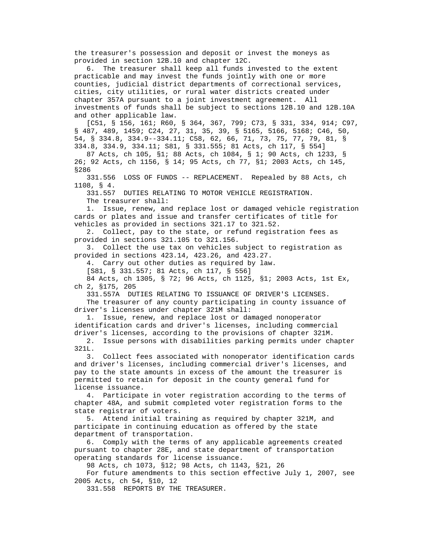the treasurer's possession and deposit or invest the moneys as provided in section 12B.10 and chapter 12C.

 6. The treasurer shall keep all funds invested to the extent practicable and may invest the funds jointly with one or more counties, judicial district departments of correctional services, cities, city utilities, or rural water districts created under chapter 357A pursuant to a joint investment agreement. All investments of funds shall be subject to sections 12B.10 and 12B.10A and other applicable law.

 [C51, § 156, 161; R60, § 364, 367, 799; C73, § 331, 334, 914; C97, § 487, 489, 1459; C24, 27, 31, 35, 39, § 5165, 5166, 5168; C46, 50, 54, § 334.8, 334.9--334.11; C58, 62, 66, 71, 73, 75, 77, 79, 81, § 334.8, 334.9, 334.11; S81, § 331.555; 81 Acts, ch 117, § 554]

 87 Acts, ch 105, §1; 88 Acts, ch 1084, § 1; 90 Acts, ch 1233, § 26; 92 Acts, ch 1156, § 14; 95 Acts, ch 77, §1; 2003 Acts, ch 145, §286

 331.556 LOSS OF FUNDS -- REPLACEMENT. Repealed by 88 Acts, ch 1108, § 4.

331.557 DUTIES RELATING TO MOTOR VEHICLE REGISTRATION.

The treasurer shall:

 1. Issue, renew, and replace lost or damaged vehicle registration cards or plates and issue and transfer certificates of title for vehicles as provided in sections 321.17 to 321.52.

 2. Collect, pay to the state, or refund registration fees as provided in sections 321.105 to 321.156.

 3. Collect the use tax on vehicles subject to registration as provided in sections 423.14, 423.26, and 423.27.

4. Carry out other duties as required by law.

[S81, § 331.557; 81 Acts, ch 117, § 556]

 84 Acts, ch 1305, § 72; 96 Acts, ch 1125, §1; 2003 Acts, 1st Ex, ch 2, §175, 205

331.557A DUTIES RELATING TO ISSUANCE OF DRIVER'S LICENSES.

 The treasurer of any county participating in county issuance of driver's licenses under chapter 321M shall:

 1. Issue, renew, and replace lost or damaged nonoperator identification cards and driver's licenses, including commercial driver's licenses, according to the provisions of chapter 321M.

 2. Issue persons with disabilities parking permits under chapter 321L.

 3. Collect fees associated with nonoperator identification cards and driver's licenses, including commercial driver's licenses, and pay to the state amounts in excess of the amount the treasurer is permitted to retain for deposit in the county general fund for license issuance.

 4. Participate in voter registration according to the terms of chapter 48A, and submit completed voter registration forms to the state registrar of voters.

 5. Attend initial training as required by chapter 321M, and participate in continuing education as offered by the state department of transportation.

 6. Comply with the terms of any applicable agreements created pursuant to chapter 28E, and state department of transportation operating standards for license issuance.

98 Acts, ch 1073, §12; 98 Acts, ch 1143, §21, 26

 For future amendments to this section effective July 1, 2007, see 2005 Acts, ch 54, §10, 12

331.558 REPORTS BY THE TREASURER.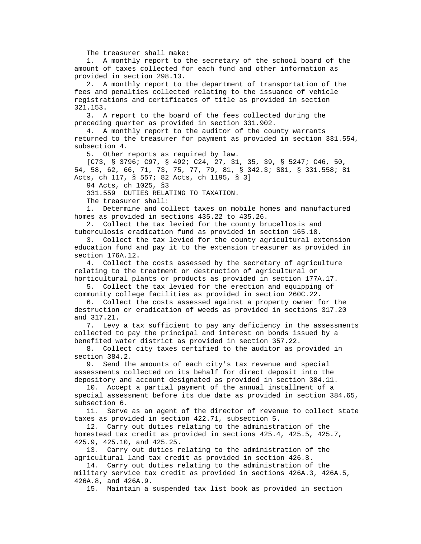The treasurer shall make:

 1. A monthly report to the secretary of the school board of the amount of taxes collected for each fund and other information as provided in section 298.13.

 2. A monthly report to the department of transportation of the fees and penalties collected relating to the issuance of vehicle registrations and certificates of title as provided in section 321.153.

 3. A report to the board of the fees collected during the preceding quarter as provided in section 331.902.

 4. A monthly report to the auditor of the county warrants returned to the treasurer for payment as provided in section 331.554, subsection 4.

5. Other reports as required by law.

 [C73, § 3796; C97, § 492; C24, 27, 31, 35, 39, § 5247; C46, 50, 54, 58, 62, 66, 71, 73, 75, 77, 79, 81, § 342.3; S81, § 331.558; 81 Acts, ch 117, § 557; 82 Acts, ch 1195, § 3]

94 Acts, ch 1025, §3

331.559 DUTIES RELATING TO TAXATION.

The treasurer shall:

 1. Determine and collect taxes on mobile homes and manufactured homes as provided in sections 435.22 to 435.26.

 2. Collect the tax levied for the county brucellosis and tuberculosis eradication fund as provided in section 165.18.

 3. Collect the tax levied for the county agricultural extension education fund and pay it to the extension treasurer as provided in section 176A.12.

 4. Collect the costs assessed by the secretary of agriculture relating to the treatment or destruction of agricultural or horticultural plants or products as provided in section 177A.17.

 5. Collect the tax levied for the erection and equipping of community college facilities as provided in section 260C.22.

 6. Collect the costs assessed against a property owner for the destruction or eradication of weeds as provided in sections 317.20 and 317.21.

 7. Levy a tax sufficient to pay any deficiency in the assessments collected to pay the principal and interest on bonds issued by a benefited water district as provided in section 357.22.

 8. Collect city taxes certified to the auditor as provided in section 384.2.

 9. Send the amounts of each city's tax revenue and special assessments collected on its behalf for direct deposit into the depository and account designated as provided in section 384.11.

 10. Accept a partial payment of the annual installment of a special assessment before its due date as provided in section 384.65, subsection 6.

 11. Serve as an agent of the director of revenue to collect state taxes as provided in section 422.71, subsection 5.

 12. Carry out duties relating to the administration of the homestead tax credit as provided in sections 425.4, 425.5, 425.7, 425.9, 425.10, and 425.25.

 13. Carry out duties relating to the administration of the agricultural land tax credit as provided in section 426.8.

 14. Carry out duties relating to the administration of the military service tax credit as provided in sections 426A.3, 426A.5, 426A.8, and 426A.9.

15. Maintain a suspended tax list book as provided in section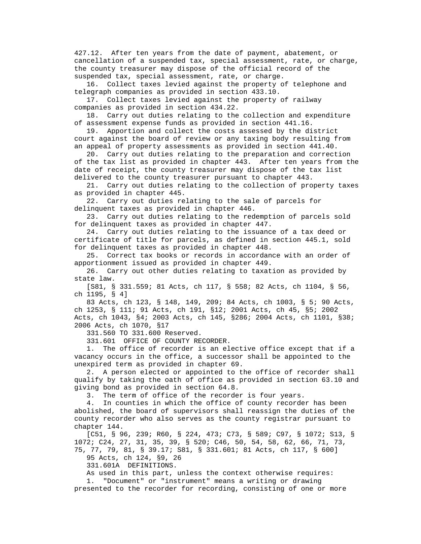427.12. After ten years from the date of payment, abatement, or cancellation of a suspended tax, special assessment, rate, or charge, the county treasurer may dispose of the official record of the suspended tax, special assessment, rate, or charge.

 16. Collect taxes levied against the property of telephone and telegraph companies as provided in section 433.10.

 17. Collect taxes levied against the property of railway companies as provided in section 434.22.

 18. Carry out duties relating to the collection and expenditure of assessment expense funds as provided in section 441.16.

 19. Apportion and collect the costs assessed by the district court against the board of review or any taxing body resulting from an appeal of property assessments as provided in section 441.40.

 20. Carry out duties relating to the preparation and correction of the tax list as provided in chapter 443. After ten years from the date of receipt, the county treasurer may dispose of the tax list delivered to the county treasurer pursuant to chapter 443.

 21. Carry out duties relating to the collection of property taxes as provided in chapter 445.

 22. Carry out duties relating to the sale of parcels for delinquent taxes as provided in chapter 446.

 23. Carry out duties relating to the redemption of parcels sold for delinquent taxes as provided in chapter 447.

 24. Carry out duties relating to the issuance of a tax deed or certificate of title for parcels, as defined in section 445.1, sold for delinquent taxes as provided in chapter 448.

 25. Correct tax books or records in accordance with an order of apportionment issued as provided in chapter 449.

 26. Carry out other duties relating to taxation as provided by state law.

 [S81, § 331.559; 81 Acts, ch 117, § 558; 82 Acts, ch 1104, § 56, ch 1195, § 4]

 83 Acts, ch 123, § 148, 149, 209; 84 Acts, ch 1003, § 5; 90 Acts, ch 1253, § 111; 91 Acts, ch 191, §12; 2001 Acts, ch 45, §5; 2002 Acts, ch 1043, §4; 2003 Acts, ch 145, §286; 2004 Acts, ch 1101, §38; 2006 Acts, ch 1070, §17

331.560 TO 331.600 Reserved.

331.601 OFFICE OF COUNTY RECORDER.

 1. The office of recorder is an elective office except that if a vacancy occurs in the office, a successor shall be appointed to the unexpired term as provided in chapter 69.

 2. A person elected or appointed to the office of recorder shall qualify by taking the oath of office as provided in section 63.10 and giving bond as provided in section 64.8.

3. The term of office of the recorder is four years.

 4. In counties in which the office of county recorder has been abolished, the board of supervisors shall reassign the duties of the county recorder who also serves as the county registrar pursuant to chapter 144.

 [C51, § 96, 239; R60, § 224, 473; C73, § 589; C97, § 1072; S13, § 1072; C24, 27, 31, 35, 39, § 520; C46, 50, 54, 58, 62, 66, 71, 73, 75, 77, 79, 81, § 39.17; S81, § 331.601; 81 Acts, ch 117, § 600]

95 Acts, ch 124, §9, 26

331.601A DEFINITIONS.

As used in this part, unless the context otherwise requires:

 1. "Document" or "instrument" means a writing or drawing presented to the recorder for recording, consisting of one or more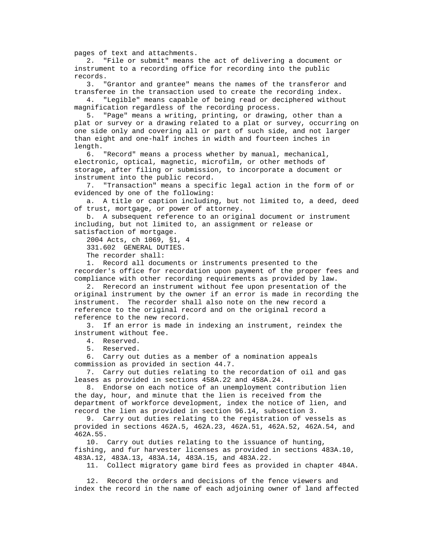pages of text and attachments.

 2. "File or submit" means the act of delivering a document or instrument to a recording office for recording into the public records.

 3. "Grantor and grantee" means the names of the transferor and transferee in the transaction used to create the recording index.

 4. "Legible" means capable of being read or deciphered without magnification regardless of the recording process.

 5. "Page" means a writing, printing, or drawing, other than a plat or survey or a drawing related to a plat or survey, occurring on one side only and covering all or part of such side, and not larger than eight and one-half inches in width and fourteen inches in length.

 6. "Record" means a process whether by manual, mechanical, electronic, optical, magnetic, microfilm, or other methods of storage, after filing or submission, to incorporate a document or instrument into the public record.

 7. "Transaction" means a specific legal action in the form of or evidenced by one of the following:

 a. A title or caption including, but not limited to, a deed, deed of trust, mortgage, or power of attorney.

 b. A subsequent reference to an original document or instrument including, but not limited to, an assignment or release or satisfaction of mortgage.

2004 Acts, ch 1069, §1, 4

331.602 GENERAL DUTIES.

The recorder shall:

 1. Record all documents or instruments presented to the recorder's office for recordation upon payment of the proper fees and compliance with other recording requirements as provided by law.

 2. Rerecord an instrument without fee upon presentation of the original instrument by the owner if an error is made in recording the instrument. The recorder shall also note on the new record a reference to the original record and on the original record a reference to the new record.

 3. If an error is made in indexing an instrument, reindex the instrument without fee.

4. Reserved.

5. Reserved.

 6. Carry out duties as a member of a nomination appeals commission as provided in section 44.7.

 7. Carry out duties relating to the recordation of oil and gas leases as provided in sections 458A.22 and 458A.24.

 8. Endorse on each notice of an unemployment contribution lien the day, hour, and minute that the lien is received from the department of workforce development, index the notice of lien, and record the lien as provided in section 96.14, subsection 3.

 9. Carry out duties relating to the registration of vessels as provided in sections 462A.5, 462A.23, 462A.51, 462A.52, 462A.54, and 462A.55.

 10. Carry out duties relating to the issuance of hunting, fishing, and fur harvester licenses as provided in sections 483A.10, 483A.12, 483A.13, 483A.14, 483A.15, and 483A.22.

11. Collect migratory game bird fees as provided in chapter 484A.

 12. Record the orders and decisions of the fence viewers and index the record in the name of each adjoining owner of land affected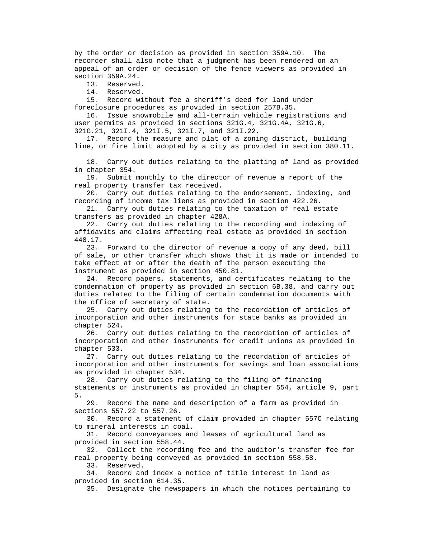by the order or decision as provided in section 359A.10. The recorder shall also note that a judgment has been rendered on an appeal of an order or decision of the fence viewers as provided in section 359A.24.

13. Reserved.

14. Reserved.

 15. Record without fee a sheriff's deed for land under foreclosure procedures as provided in section 257B.35.

 16. Issue snowmobile and all-terrain vehicle registrations and user permits as provided in sections 321G.4, 321G.4A, 321G.6, 321G.21, 321I.4, 321I.5, 321I.7, and 321I.22.

 17. Record the measure and plat of a zoning district, building line, or fire limit adopted by a city as provided in section 380.11.

 18. Carry out duties relating to the platting of land as provided in chapter 354.

 19. Submit monthly to the director of revenue a report of the real property transfer tax received.

 20. Carry out duties relating to the endorsement, indexing, and recording of income tax liens as provided in section 422.26.

 21. Carry out duties relating to the taxation of real estate transfers as provided in chapter 428A.

 22. Carry out duties relating to the recording and indexing of affidavits and claims affecting real estate as provided in section 448.17.

 23. Forward to the director of revenue a copy of any deed, bill of sale, or other transfer which shows that it is made or intended to take effect at or after the death of the person executing the instrument as provided in section 450.81.

 24. Record papers, statements, and certificates relating to the condemnation of property as provided in section 6B.38, and carry out duties related to the filing of certain condemnation documents with the office of secretary of state.

 25. Carry out duties relating to the recordation of articles of incorporation and other instruments for state banks as provided in chapter 524.

 26. Carry out duties relating to the recordation of articles of incorporation and other instruments for credit unions as provided in chapter 533.

 27. Carry out duties relating to the recordation of articles of incorporation and other instruments for savings and loan associations as provided in chapter 534.

 28. Carry out duties relating to the filing of financing statements or instruments as provided in chapter 554, article 9, part 5.

 29. Record the name and description of a farm as provided in sections 557.22 to 557.26.

 30. Record a statement of claim provided in chapter 557C relating to mineral interests in coal.

 31. Record conveyances and leases of agricultural land as provided in section 558.44.

 32. Collect the recording fee and the auditor's transfer fee for real property being conveyed as provided in section 558.58.

33. Reserved.

 34. Record and index a notice of title interest in land as provided in section 614.35.

35. Designate the newspapers in which the notices pertaining to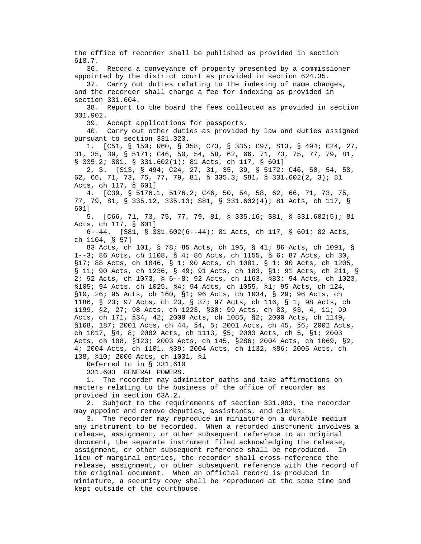the office of recorder shall be published as provided in section 618.7.

 36. Record a conveyance of property presented by a commissioner appointed by the district court as provided in section 624.35.

 37. Carry out duties relating to the indexing of name changes, and the recorder shall charge a fee for indexing as provided in section 331.604.

 38. Report to the board the fees collected as provided in section 331.902.

39. Accept applications for passports.

 40. Carry out other duties as provided by law and duties assigned pursuant to section 331.323.

 1. [C51, § 150; R60, § 358; C73, § 335; C97, S13, § 494; C24, 27, 31, 35, 39, § 5171; C46, 50, 54, 58, 62, 66, 71, 73, 75, 77, 79, 81, § 335.2; S81, § 331.602(1); 81 Acts, ch 117, § 601]

 2, 3. [S13, § 494; C24, 27, 31, 35, 39, § 5172; C46, 50, 54, 58, 62, 66, 71, 73, 75, 77, 79, 81, § 335.3; S81, § 331.602(2, 3); 81 Acts, ch 117, § 601]

 4. [C39, § 5176.1, 5176.2; C46, 50, 54, 58, 62, 66, 71, 73, 75, 77, 79, 81, § 335.12, 335.13; S81, § 331.602(4); 81 Acts, ch 117, § 601]

 5. [C66, 71, 73, 75, 77, 79, 81, § 335.16; S81, § 331.602(5); 81 Acts, ch 117, § 601]

 6--44. [S81, § 331.602(6--44); 81 Acts, ch 117, § 601; 82 Acts, ch 1104, § 57]

 83 Acts, ch 101, § 78; 85 Acts, ch 195, § 41; 86 Acts, ch 1091, § 1--3; 86 Acts, ch 1108, § 4; 86 Acts, ch 1155, § 6; 87 Acts, ch 30, §17; 88 Acts, ch 1046, § 1; 90 Acts, ch 1081, § 1; 90 Acts, ch 1205, § 11; 90 Acts, ch 1236, § 49; 91 Acts, ch 183, §1; 91 Acts, ch 211, § 2; 92 Acts, ch 1073, § 6--8; 92 Acts, ch 1163, §83; 94 Acts, ch 1023, §105; 94 Acts, ch 1025, §4; 94 Acts, ch 1055, §1; 95 Acts, ch 124, §10, 26; 95 Acts, ch 160, §1; 96 Acts, ch 1034, § 29; 96 Acts, ch 1186, § 23; 97 Acts, ch 23, § 37; 97 Acts, ch 116, § 1; 98 Acts, ch 1199, §2, 27; 98 Acts, ch 1223, §30; 99 Acts, ch 83, §3, 4, 11; 99 Acts, ch 171, §34, 42; 2000 Acts, ch 1085, §2; 2000 Acts, ch 1149, §168, 187; 2001 Acts, ch 44, §4, 5; 2001 Acts, ch 45, §6; 2002 Acts, ch 1017, §4, 8; 2002 Acts, ch 1113, §5; 2003 Acts, ch 5, §1; 2003 Acts, ch 108, §123; 2003 Acts, ch 145, §286; 2004 Acts, ch 1069, §2, 4; 2004 Acts, ch 1101, §39; 2004 Acts, ch 1132, §86; 2005 Acts, ch 138, §10; 2006 Acts, ch 1031, §1

Referred to in § 331.610

331.603 GENERAL POWERS.

 1. The recorder may administer oaths and take affirmations on matters relating to the business of the office of recorder as provided in section 63A.2.

 2. Subject to the requirements of section 331.903, the recorder may appoint and remove deputies, assistants, and clerks.

 3. The recorder may reproduce in miniature on a durable medium any instrument to be recorded. When a recorded instrument involves a release, assignment, or other subsequent reference to an original document, the separate instrument filed acknowledging the release, assignment, or other subsequent reference shall be reproduced. In lieu of marginal entries, the recorder shall cross-reference the release, assignment, or other subsequent reference with the record of the original document. When an official record is produced in miniature, a security copy shall be reproduced at the same time and kept outside of the courthouse.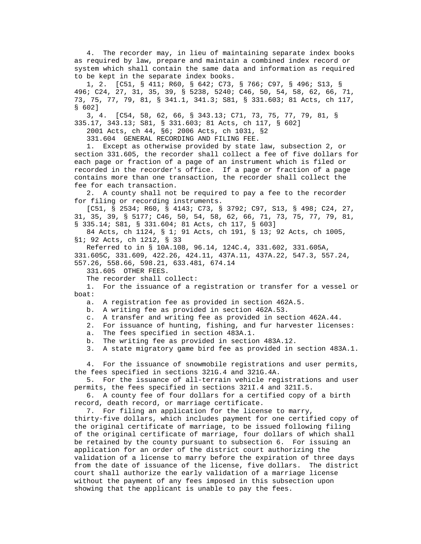4. The recorder may, in lieu of maintaining separate index books as required by law, prepare and maintain a combined index record or system which shall contain the same data and information as required to be kept in the separate index books.

 1, 2. [C51, § 411; R60, § 642; C73, § 766; C97, § 496; S13, § 496; C24, 27, 31, 35, 39, § 5238, 5240; C46, 50, 54, 58, 62, 66, 71, 73, 75, 77, 79, 81, § 341.1, 341.3; S81, § 331.603; 81 Acts, ch 117, § 602]

 3, 4. [C54, 58, 62, 66, § 343.13; C71, 73, 75, 77, 79, 81, § 335.17, 343.13; S81, § 331.603; 81 Acts, ch 117, § 602]

2001 Acts, ch 44, §6; 2006 Acts, ch 1031, §2

331.604 GENERAL RECORDING AND FILING FEE.

 1. Except as otherwise provided by state law, subsection 2, or section 331.605, the recorder shall collect a fee of five dollars for each page or fraction of a page of an instrument which is filed or recorded in the recorder's office. If a page or fraction of a page contains more than one transaction, the recorder shall collect the fee for each transaction.

 2. A county shall not be required to pay a fee to the recorder for filing or recording instruments.

 [C51, § 2534; R60, § 4143; C73, § 3792; C97, S13, § 498; C24, 27, 31, 35, 39, § 5177; C46, 50, 54, 58, 62, 66, 71, 73, 75, 77, 79, 81, § 335.14; S81, § 331.604; 81 Acts, ch 117, § 603]

 84 Acts, ch 1124, § 1; 91 Acts, ch 191, § 13; 92 Acts, ch 1005, §1; 92 Acts, ch 1212, § 33

 Referred to in § 10A.108, 96.14, 124C.4, 331.602, 331.605A, 331.605C, 331.609, 422.26, 424.11, 437A.11, 437A.22, 547.3, 557.24, 557.26, 558.66, 598.21, 633.481, 674.14

331.605 OTHER FEES.

The recorder shall collect:

 1. For the issuance of a registration or transfer for a vessel or boat:

a. A registration fee as provided in section 462A.5.

b. A writing fee as provided in section 462A.53.

c. A transfer and writing fee as provided in section 462A.44.

2. For issuance of hunting, fishing, and fur harvester licenses:

a. The fees specified in section 483A.1.

b. The writing fee as provided in section 483A.12.

3. A state migratory game bird fee as provided in section 483A.1.

 4. For the issuance of snowmobile registrations and user permits, the fees specified in sections 321G.4 and 321G.4A.

 5. For the issuance of all-terrain vehicle registrations and user permits, the fees specified in sections 321I.4 and 321I.5.

 6. A county fee of four dollars for a certified copy of a birth record, death record, or marriage certificate.

7. For filing an application for the license to marry,

 thirty-five dollars, which includes payment for one certified copy of the original certificate of marriage, to be issued following filing of the original certificate of marriage, four dollars of which shall be retained by the county pursuant to subsection 6. For issuing an application for an order of the district court authorizing the validation of a license to marry before the expiration of three days from the date of issuance of the license, five dollars. The district court shall authorize the early validation of a marriage license without the payment of any fees imposed in this subsection upon showing that the applicant is unable to pay the fees.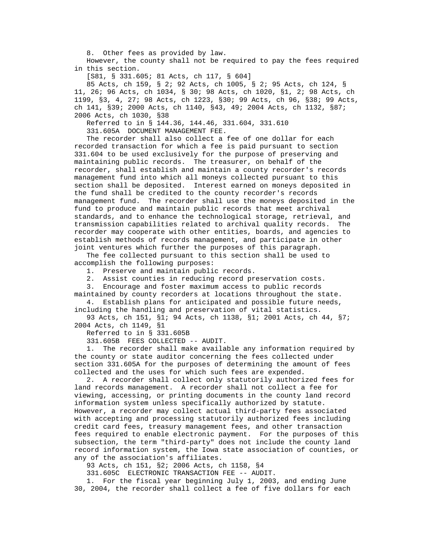8. Other fees as provided by law.

 However, the county shall not be required to pay the fees required in this section.

[S81, § 331.605; 81 Acts, ch 117, § 604]

 85 Acts, ch 159, § 2; 92 Acts, ch 1005, § 2; 95 Acts, ch 124, § 11, 26; 96 Acts, ch 1034, § 30; 98 Acts, ch 1020, §1, 2; 98 Acts, ch 1199, §3, 4, 27; 98 Acts, ch 1223, §30; 99 Acts, ch 96, §38; 99 Acts, ch 141, §39; 2000 Acts, ch 1140, §43, 49; 2004 Acts, ch 1132, §87; 2006 Acts, ch 1030, §38

 Referred to in § 144.36, 144.46, 331.604, 331.610 331.605A DOCUMENT MANAGEMENT FEE.

 The recorder shall also collect a fee of one dollar for each recorded transaction for which a fee is paid pursuant to section 331.604 to be used exclusively for the purpose of preserving and maintaining public records. The treasurer, on behalf of the recorder, shall establish and maintain a county recorder's records management fund into which all moneys collected pursuant to this section shall be deposited. Interest earned on moneys deposited in the fund shall be credited to the county recorder's records management fund. The recorder shall use the moneys deposited in the fund to produce and maintain public records that meet archival standards, and to enhance the technological storage, retrieval, and transmission capabilities related to archival quality records. The recorder may cooperate with other entities, boards, and agencies to establish methods of records management, and participate in other joint ventures which further the purposes of this paragraph.

 The fee collected pursuant to this section shall be used to accomplish the following purposes:

1. Preserve and maintain public records.

2. Assist counties in reducing record preservation costs.

3. Encourage and foster maximum access to public records

 maintained by county recorders at locations throughout the state. 4. Establish plans for anticipated and possible future needs,

 including the handling and preservation of vital statistics. 93 Acts, ch 151, §1; 94 Acts, ch 1138, §1; 2001 Acts, ch 44, §7; 2004 Acts, ch 1149, §1

Referred to in § 331.605B

331.605B FEES COLLECTED -- AUDIT.

 1. The recorder shall make available any information required by the county or state auditor concerning the fees collected under section 331.605A for the purposes of determining the amount of fees collected and the uses for which such fees are expended.

 2. A recorder shall collect only statutorily authorized fees for land records management. A recorder shall not collect a fee for viewing, accessing, or printing documents in the county land record information system unless specifically authorized by statute. However, a recorder may collect actual third-party fees associated with accepting and processing statutorily authorized fees including credit card fees, treasury management fees, and other transaction fees required to enable electronic payment. For the purposes of this subsection, the term "third-party" does not include the county land record information system, the Iowa state association of counties, or any of the association's affiliates.

93 Acts, ch 151, §2; 2006 Acts, ch 1158, §4

331.605C ELECTRONIC TRANSACTION FEE -- AUDIT.

 1. For the fiscal year beginning July 1, 2003, and ending June 30, 2004, the recorder shall collect a fee of five dollars for each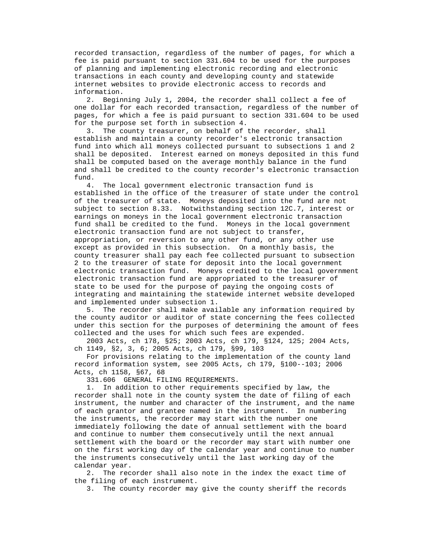recorded transaction, regardless of the number of pages, for which a fee is paid pursuant to section 331.604 to be used for the purposes of planning and implementing electronic recording and electronic transactions in each county and developing county and statewide internet websites to provide electronic access to records and information.

 2. Beginning July 1, 2004, the recorder shall collect a fee of one dollar for each recorded transaction, regardless of the number of pages, for which a fee is paid pursuant to section 331.604 to be used for the purpose set forth in subsection 4.

 3. The county treasurer, on behalf of the recorder, shall establish and maintain a county recorder's electronic transaction fund into which all moneys collected pursuant to subsections 1 and 2 shall be deposited. Interest earned on moneys deposited in this fund shall be computed based on the average monthly balance in the fund and shall be credited to the county recorder's electronic transaction fund.

 4. The local government electronic transaction fund is established in the office of the treasurer of state under the control of the treasurer of state. Moneys deposited into the fund are not subject to section 8.33. Notwithstanding section 12C.7, interest or earnings on moneys in the local government electronic transaction fund shall be credited to the fund. Moneys in the local government electronic transaction fund are not subject to transfer, appropriation, or reversion to any other fund, or any other use except as provided in this subsection. On a monthly basis, the county treasurer shall pay each fee collected pursuant to subsection 2 to the treasurer of state for deposit into the local government electronic transaction fund. Moneys credited to the local government electronic transaction fund are appropriated to the treasurer of state to be used for the purpose of paying the ongoing costs of integrating and maintaining the statewide internet website developed and implemented under subsection 1.

 5. The recorder shall make available any information required by the county auditor or auditor of state concerning the fees collected under this section for the purposes of determining the amount of fees collected and the uses for which such fees are expended.

 2003 Acts, ch 178, §25; 2003 Acts, ch 179, §124, 125; 2004 Acts, ch 1149, §2, 3, 6; 2005 Acts, ch 179, §99, 103

 For provisions relating to the implementation of the county land record information system, see 2005 Acts, ch 179, §100--103; 2006 Acts, ch 1158, §67, 68

331.606 GENERAL FILING REQUIREMENTS.

 1. In addition to other requirements specified by law, the recorder shall note in the county system the date of filing of each instrument, the number and character of the instrument, and the name of each grantor and grantee named in the instrument. In numbering the instruments, the recorder may start with the number one immediately following the date of annual settlement with the board and continue to number them consecutively until the next annual settlement with the board or the recorder may start with number one on the first working day of the calendar year and continue to number the instruments consecutively until the last working day of the calendar year.

 2. The recorder shall also note in the index the exact time of the filing of each instrument.

3. The county recorder may give the county sheriff the records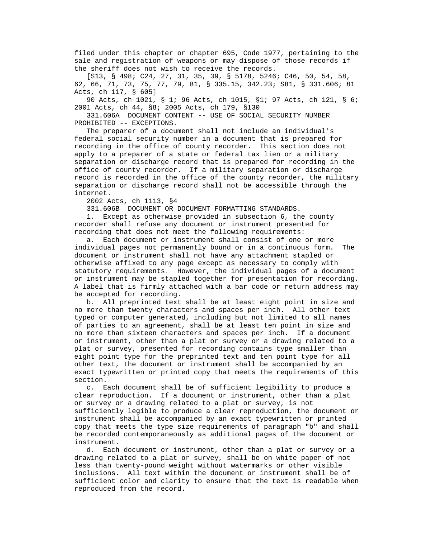filed under this chapter or chapter 695, Code 1977, pertaining to the sale and registration of weapons or may dispose of those records if the sheriff does not wish to receive the records.

 [S13, § 498; C24, 27, 31, 35, 39, § 5178, 5246; C46, 50, 54, 58, 62, 66, 71, 73, 75, 77, 79, 81, § 335.15, 342.23; S81, § 331.606; 81 Acts, ch 117, § 605]

 90 Acts, ch 1021, § 1; 96 Acts, ch 1015, §1; 97 Acts, ch 121, § 6; 2001 Acts, ch 44, §8; 2005 Acts, ch 179, §130

 331.606A DOCUMENT CONTENT -- USE OF SOCIAL SECURITY NUMBER PROHIBITED -- EXCEPTIONS.

 The preparer of a document shall not include an individual's federal social security number in a document that is prepared for recording in the office of county recorder. This section does not apply to a preparer of a state or federal tax lien or a military separation or discharge record that is prepared for recording in the office of county recorder. If a military separation or discharge record is recorded in the office of the county recorder, the military separation or discharge record shall not be accessible through the internet.

2002 Acts, ch 1113, §4

331.606B DOCUMENT OR DOCUMENT FORMATTING STANDARDS.

 1. Except as otherwise provided in subsection 6, the county recorder shall refuse any document or instrument presented for recording that does not meet the following requirements:

 a. Each document or instrument shall consist of one or more individual pages not permanently bound or in a continuous form. The document or instrument shall not have any attachment stapled or otherwise affixed to any page except as necessary to comply with statutory requirements. However, the individual pages of a document or instrument may be stapled together for presentation for recording. A label that is firmly attached with a bar code or return address may be accepted for recording.

 b. All preprinted text shall be at least eight point in size and no more than twenty characters and spaces per inch. All other text typed or computer generated, including but not limited to all names of parties to an agreement, shall be at least ten point in size and no more than sixteen characters and spaces per inch. If a document or instrument, other than a plat or survey or a drawing related to a plat or survey, presented for recording contains type smaller than eight point type for the preprinted text and ten point type for all other text, the document or instrument shall be accompanied by an exact typewritten or printed copy that meets the requirements of this section.

 c. Each document shall be of sufficient legibility to produce a clear reproduction. If a document or instrument, other than a plat or survey or a drawing related to a plat or survey, is not sufficiently legible to produce a clear reproduction, the document or instrument shall be accompanied by an exact typewritten or printed copy that meets the type size requirements of paragraph "b" and shall be recorded contemporaneously as additional pages of the document or instrument.

 d. Each document or instrument, other than a plat or survey or a drawing related to a plat or survey, shall be on white paper of not less than twenty-pound weight without watermarks or other visible inclusions. All text within the document or instrument shall be of sufficient color and clarity to ensure that the text is readable when reproduced from the record.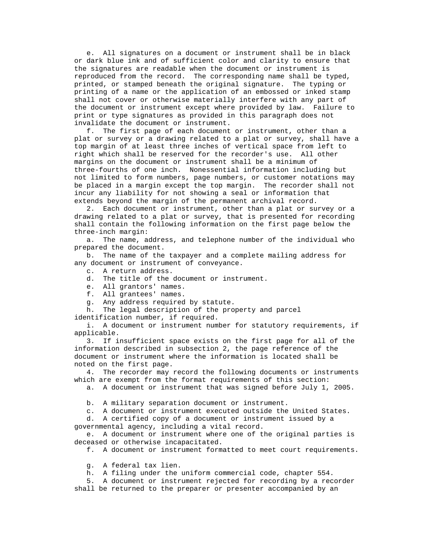e. All signatures on a document or instrument shall be in black or dark blue ink and of sufficient color and clarity to ensure that the signatures are readable when the document or instrument is reproduced from the record. The corresponding name shall be typed, printed, or stamped beneath the original signature. The typing or printing of a name or the application of an embossed or inked stamp shall not cover or otherwise materially interfere with any part of the document or instrument except where provided by law. Failure to print or type signatures as provided in this paragraph does not invalidate the document or instrument.

 f. The first page of each document or instrument, other than a plat or survey or a drawing related to a plat or survey, shall have a top margin of at least three inches of vertical space from left to right which shall be reserved for the recorder's use. All other margins on the document or instrument shall be a minimum of three-fourths of one inch. Nonessential information including but not limited to form numbers, page numbers, or customer notations may be placed in a margin except the top margin. The recorder shall not incur any liability for not showing a seal or information that extends beyond the margin of the permanent archival record.

 2. Each document or instrument, other than a plat or survey or a drawing related to a plat or survey, that is presented for recording shall contain the following information on the first page below the three-inch margin:

 a. The name, address, and telephone number of the individual who prepared the document.

 b. The name of the taxpayer and a complete mailing address for any document or instrument of conveyance.

c. A return address.

d. The title of the document or instrument.

- e. All grantors' names.
- f. All grantees' names.
- g. Any address required by statute.
- h. The legal description of the property and parcel identification number, if required.

 i. A document or instrument number for statutory requirements, if applicable.

 3. If insufficient space exists on the first page for all of the information described in subsection 2, the page reference of the document or instrument where the information is located shall be noted on the first page.

 4. The recorder may record the following documents or instruments which are exempt from the format requirements of this section:

a. A document or instrument that was signed before July 1, 2005.

b. A military separation document or instrument.

c. A document or instrument executed outside the United States.

 d. A certified copy of a document or instrument issued by a governmental agency, including a vital record.

 e. A document or instrument where one of the original parties is deceased or otherwise incapacitated.

f. A document or instrument formatted to meet court requirements.

g. A federal tax lien.

h. A filing under the uniform commercial code, chapter 554.

 5. A document or instrument rejected for recording by a recorder shall be returned to the preparer or presenter accompanied by an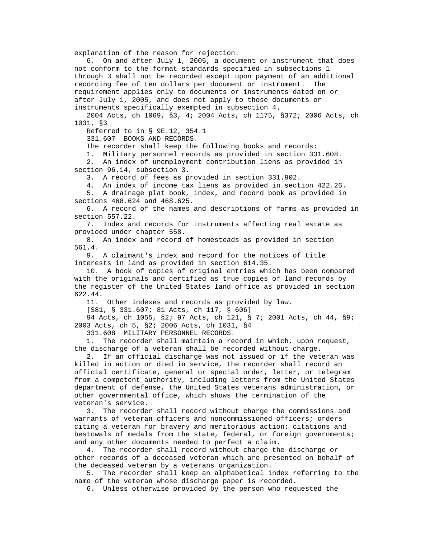explanation of the reason for rejection.

 6. On and after July 1, 2005, a document or instrument that does not conform to the format standards specified in subsections 1 through 3 shall not be recorded except upon payment of an additional recording fee of ten dollars per document or instrument. The requirement applies only to documents or instruments dated on or after July 1, 2005, and does not apply to those documents or instruments specifically exempted in subsection 4.

 2004 Acts, ch 1069, §3, 4; 2004 Acts, ch 1175, §372; 2006 Acts, ch 1031, §3

Referred to in § 9E.12, 354.1

331.607 BOOKS AND RECORDS.

The recorder shall keep the following books and records:

1. Military personnel records as provided in section 331.608.

 2. An index of unemployment contribution liens as provided in section 96.14, subsection 3.

3. A record of fees as provided in section 331.902.

4. An index of income tax liens as provided in section 422.26.

 5. A drainage plat book, index, and record book as provided in sections 468.624 and 468.625.

 6. A record of the names and descriptions of farms as provided in section 557.22.

 7. Index and records for instruments affecting real estate as provided under chapter 558.

 8. An index and record of homesteads as provided in section 561.4.

 9. A claimant's index and record for the notices of title interests in land as provided in section 614.35.

 10. A book of copies of original entries which has been compared with the originals and certified as true copies of land records by the register of the United States land office as provided in section 622.44.

11. Other indexes and records as provided by law.

[S81, § 331.607; 81 Acts, ch 117, § 606]

 94 Acts, ch 1055, §2; 97 Acts, ch 121, § 7; 2001 Acts, ch 44, §9; 2003 Acts, ch 5, §2; 2006 Acts, ch 1031, §4

331.608 MILITARY PERSONNEL RECORDS.

 1. The recorder shall maintain a record in which, upon request, the discharge of a veteran shall be recorded without charge.

 2. If an official discharge was not issued or if the veteran was killed in action or died in service, the recorder shall record an official certificate, general or special order, letter, or telegram from a competent authority, including letters from the United States department of defense, the United States veterans administration, or other governmental office, which shows the termination of the veteran's service.

 3. The recorder shall record without charge the commissions and warrants of veteran officers and noncommissioned officers; orders citing a veteran for bravery and meritorious action; citations and bestowals of medals from the state, federal, or foreign governments; and any other documents needed to perfect a claim.

 4. The recorder shall record without charge the discharge or other records of a deceased veteran which are presented on behalf of the deceased veteran by a veterans organization.

 5. The recorder shall keep an alphabetical index referring to the name of the veteran whose discharge paper is recorded.

6. Unless otherwise provided by the person who requested the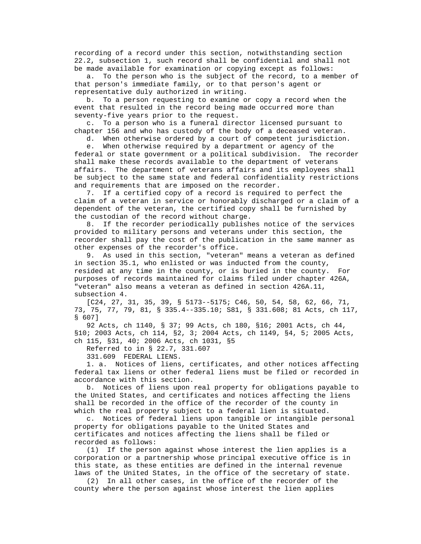recording of a record under this section, notwithstanding section 22.2, subsection 1, such record shall be confidential and shall not be made available for examination or copying except as follows:

 a. To the person who is the subject of the record, to a member of that person's immediate family, or to that person's agent or representative duly authorized in writing.

 b. To a person requesting to examine or copy a record when the event that resulted in the record being made occurred more than seventy-five years prior to the request.

 c. To a person who is a funeral director licensed pursuant to chapter 156 and who has custody of the body of a deceased veteran.

d. When otherwise ordered by a court of competent jurisdiction.

 e. When otherwise required by a department or agency of the federal or state government or a political subdivision. The recorder shall make these records available to the department of veterans affairs. The department of veterans affairs and its employees shall be subject to the same state and federal confidentiality restrictions and requirements that are imposed on the recorder.

 7. If a certified copy of a record is required to perfect the claim of a veteran in service or honorably discharged or a claim of a dependent of the veteran, the certified copy shall be furnished by the custodian of the record without charge.

 8. If the recorder periodically publishes notice of the services provided to military persons and veterans under this section, the recorder shall pay the cost of the publication in the same manner as other expenses of the recorder's office.

 9. As used in this section, "veteran" means a veteran as defined in section 35.1, who enlisted or was inducted from the county, resided at any time in the county, or is buried in the county. For purposes of records maintained for claims filed under chapter 426A, "veteran" also means a veteran as defined in section 426A.11, subsection 4.

 [C24, 27, 31, 35, 39, § 5173--5175; C46, 50, 54, 58, 62, 66, 71, 73, 75, 77, 79, 81, § 335.4--335.10; S81, § 331.608; 81 Acts, ch 117, § 607]

 92 Acts, ch 1140, § 37; 99 Acts, ch 180, §16; 2001 Acts, ch 44, §10; 2003 Acts, ch 114, §2, 3; 2004 Acts, ch 1149, §4, 5; 2005 Acts, ch 115, §31, 40; 2006 Acts, ch 1031, §5

Referred to in § 22.7, 331.607

331.609 FEDERAL LIENS.

 1. a. Notices of liens, certificates, and other notices affecting federal tax liens or other federal liens must be filed or recorded in accordance with this section.

 b. Notices of liens upon real property for obligations payable to the United States, and certificates and notices affecting the liens shall be recorded in the office of the recorder of the county in which the real property subject to a federal lien is situated.

 c. Notices of federal liens upon tangible or intangible personal property for obligations payable to the United States and certificates and notices affecting the liens shall be filed or recorded as follows:

 (1) If the person against whose interest the lien applies is a corporation or a partnership whose principal executive office is in this state, as these entities are defined in the internal revenue laws of the United States, in the office of the secretary of state.

 (2) In all other cases, in the office of the recorder of the county where the person against whose interest the lien applies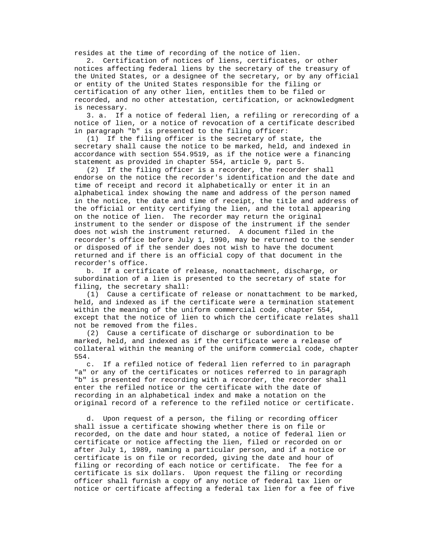resides at the time of recording of the notice of lien.

 2. Certification of notices of liens, certificates, or other notices affecting federal liens by the secretary of the treasury of the United States, or a designee of the secretary, or by any official or entity of the United States responsible for the filing or certification of any other lien, entitles them to be filed or recorded, and no other attestation, certification, or acknowledgment is necessary.

 3. a. If a notice of federal lien, a refiling or rerecording of a notice of lien, or a notice of revocation of a certificate described in paragraph "b" is presented to the filing officer:

 (1) If the filing officer is the secretary of state, the secretary shall cause the notice to be marked, held, and indexed in accordance with section 554.9519, as if the notice were a financing statement as provided in chapter 554, article 9, part 5.

 (2) If the filing officer is a recorder, the recorder shall endorse on the notice the recorder's identification and the date and time of receipt and record it alphabetically or enter it in an alphabetical index showing the name and address of the person named in the notice, the date and time of receipt, the title and address of the official or entity certifying the lien, and the total appearing on the notice of lien. The recorder may return the original instrument to the sender or dispose of the instrument if the sender does not wish the instrument returned. A document filed in the recorder's office before July 1, 1990, may be returned to the sender or disposed of if the sender does not wish to have the document returned and if there is an official copy of that document in the recorder's office.

 b. If a certificate of release, nonattachment, discharge, or subordination of a lien is presented to the secretary of state for filing, the secretary shall:

 (1) Cause a certificate of release or nonattachment to be marked, held, and indexed as if the certificate were a termination statement within the meaning of the uniform commercial code, chapter 554, except that the notice of lien to which the certificate relates shall not be removed from the files.

 (2) Cause a certificate of discharge or subordination to be marked, held, and indexed as if the certificate were a release of collateral within the meaning of the uniform commercial code, chapter 554.

 c. If a refiled notice of federal lien referred to in paragraph "a" or any of the certificates or notices referred to in paragraph "b" is presented for recording with a recorder, the recorder shall enter the refiled notice or the certificate with the date of recording in an alphabetical index and make a notation on the original record of a reference to the refiled notice or certificate.

 d. Upon request of a person, the filing or recording officer shall issue a certificate showing whether there is on file or recorded, on the date and hour stated, a notice of federal lien or certificate or notice affecting the lien, filed or recorded on or after July 1, 1989, naming a particular person, and if a notice or certificate is on file or recorded, giving the date and hour of filing or recording of each notice or certificate. The fee for a certificate is six dollars. Upon request the filing or recording officer shall furnish a copy of any notice of federal tax lien or notice or certificate affecting a federal tax lien for a fee of five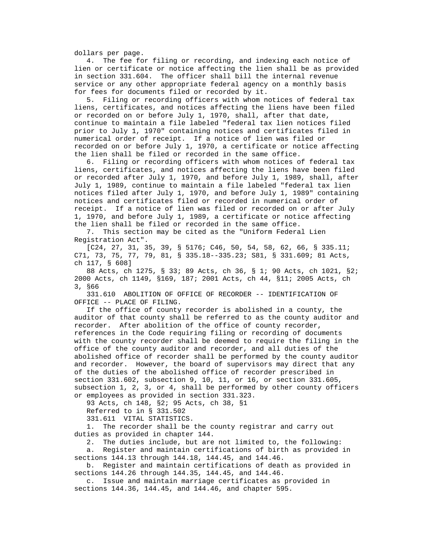dollars per page.

 4. The fee for filing or recording, and indexing each notice of lien or certificate or notice affecting the lien shall be as provided in section 331.604. The officer shall bill the internal revenue service or any other appropriate federal agency on a monthly basis for fees for documents filed or recorded by it.

 5. Filing or recording officers with whom notices of federal tax liens, certificates, and notices affecting the liens have been filed or recorded on or before July 1, 1970, shall, after that date, continue to maintain a file labeled "federal tax lien notices filed prior to July 1, 1970" containing notices and certificates filed in numerical order of receipt. If a notice of lien was filed or recorded on or before July 1, 1970, a certificate or notice affecting the lien shall be filed or recorded in the same office.

 6. Filing or recording officers with whom notices of federal tax liens, certificates, and notices affecting the liens have been filed or recorded after July 1, 1970, and before July 1, 1989, shall, after July 1, 1989, continue to maintain a file labeled "federal tax lien notices filed after July 1, 1970, and before July 1, 1989" containing notices and certificates filed or recorded in numerical order of receipt. If a notice of lien was filed or recorded on or after July 1, 1970, and before July 1, 1989, a certificate or notice affecting the lien shall be filed or recorded in the same office.

 7. This section may be cited as the "Uniform Federal Lien Registration Act".

 [C24, 27, 31, 35, 39, § 5176; C46, 50, 54, 58, 62, 66, § 335.11; C71, 73, 75, 77, 79, 81, § 335.18--335.23; S81, § 331.609; 81 Acts, ch 117, § 608]

 88 Acts, ch 1275, § 33; 89 Acts, ch 36, § 1; 90 Acts, ch 1021, §2; 2000 Acts, ch 1149, §169, 187; 2001 Acts, ch 44, §11; 2005 Acts, ch 3, §66

 331.610 ABOLITION OF OFFICE OF RECORDER -- IDENTIFICATION OF OFFICE -- PLACE OF FILING.

 If the office of county recorder is abolished in a county, the auditor of that county shall be referred to as the county auditor and recorder. After abolition of the office of county recorder, references in the Code requiring filing or recording of documents with the county recorder shall be deemed to require the filing in the office of the county auditor and recorder, and all duties of the abolished office of recorder shall be performed by the county auditor and recorder. However, the board of supervisors may direct that any of the duties of the abolished office of recorder prescribed in section 331.602, subsection 9, 10, 11, or 16, or section 331.605, subsection 1, 2, 3, or 4, shall be performed by other county officers or employees as provided in section 331.323.

93 Acts, ch 148, §2; 95 Acts, ch 38, §1

Referred to in § 331.502

331.611 VITAL STATISTICS.

 1. The recorder shall be the county registrar and carry out duties as provided in chapter 144.

2. The duties include, but are not limited to, the following:

 a. Register and maintain certifications of birth as provided in sections 144.13 through 144.18, 144.45, and 144.46.

 b. Register and maintain certifications of death as provided in sections 144.26 through 144.35, 144.45, and 144.46.

 c. Issue and maintain marriage certificates as provided in sections 144.36, 144.45, and 144.46, and chapter 595.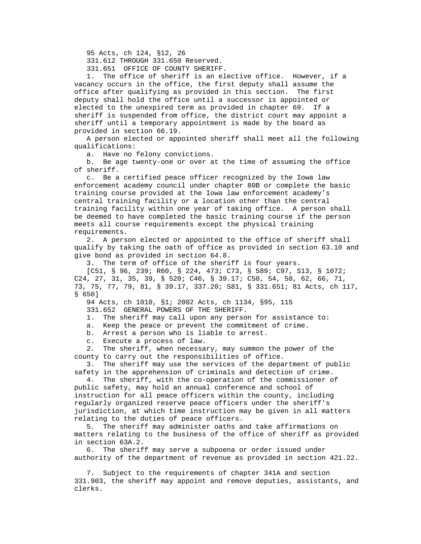95 Acts, ch 124, §12, 26

331.612 THROUGH 331.650 Reserved.

331.651 OFFICE OF COUNTY SHERIFF.

 1. The office of sheriff is an elective office. However, if a vacancy occurs in the office, the first deputy shall assume the office after qualifying as provided in this section. The first deputy shall hold the office until a successor is appointed or elected to the unexpired term as provided in chapter 69. If a sheriff is suspended from office, the district court may appoint a sheriff until a temporary appointment is made by the board as provided in section 66.19.

 A person elected or appointed sheriff shall meet all the following qualifications:

a. Have no felony convictions.

 b. Be age twenty-one or over at the time of assuming the office of sheriff.

 c. Be a certified peace officer recognized by the Iowa law enforcement academy council under chapter 80B or complete the basic training course provided at the Iowa law enforcement academy's central training facility or a location other than the central training facility within one year of taking office. A person shall be deemed to have completed the basic training course if the person meets all course requirements except the physical training requirements.

 2. A person elected or appointed to the office of sheriff shall qualify by taking the oath of office as provided in section 63.10 and give bond as provided in section 64.8.

3. The term of office of the sheriff is four years.

 [C51, § 96, 239; R60, § 224, 473; C73, § 589; C97, S13, § 1072; C24, 27, 31, 35, 39, § 520; C46, § 39.17; C50, 54, 58, 62, 66, 71, 73, 75, 77, 79, 81, § 39.17, 337.20; S81, § 331.651; 81 Acts, ch 117, § 650]

94 Acts, ch 1010, §1; 2002 Acts, ch 1134, §95, 115

331.652 GENERAL POWERS OF THE SHERIFF.

1. The sheriff may call upon any person for assistance to:

a. Keep the peace or prevent the commitment of crime.

b. Arrest a person who is liable to arrest.

c. Execute a process of law.

 2. The sheriff, when necessary, may summon the power of the county to carry out the responsibilities of office.

 3. The sheriff may use the services of the department of public safety in the apprehension of criminals and detection of crime.

 4. The sheriff, with the co-operation of the commissioner of public safety, may hold an annual conference and school of instruction for all peace officers within the county, including regularly organized reserve peace officers under the sheriff's jurisdiction, at which time instruction may be given in all matters relating to the duties of peace officers.

 5. The sheriff may administer oaths and take affirmations on matters relating to the business of the office of sheriff as provided in section 63A.2.

 6. The sheriff may serve a subpoena or order issued under authority of the department of revenue as provided in section 421.22.

 7. Subject to the requirements of chapter 341A and section 331.903, the sheriff may appoint and remove deputies, assistants, and clerks.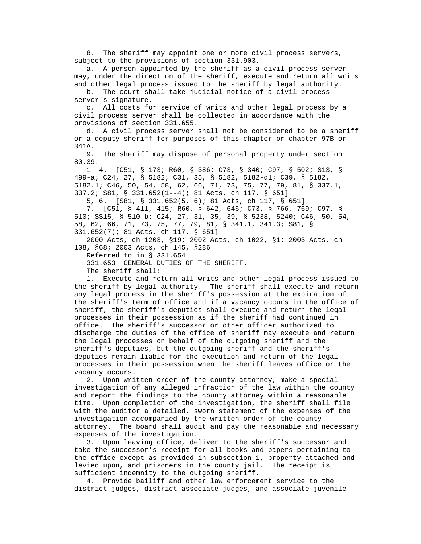8. The sheriff may appoint one or more civil process servers, subject to the provisions of section 331.903.

 a. A person appointed by the sheriff as a civil process server may, under the direction of the sheriff, execute and return all writs and other legal process issued to the sheriff by legal authority.

 b. The court shall take judicial notice of a civil process server's signature.

 c. All costs for service of writs and other legal process by a civil process server shall be collected in accordance with the provisions of section 331.655.

 d. A civil process server shall not be considered to be a sheriff or a deputy sheriff for purposes of this chapter or chapter 97B or 341A.

 9. The sheriff may dispose of personal property under section 80.39.

 1--4. [C51, § 173; R60, § 386; C73, § 340; C97, § 502; S13, § 499-a; C24, 27, § 5182; C31, 35, § 5182, 5182-d1; C39, § 5182, 5182.1; C46, 50, 54, 58, 62, 66, 71, 73, 75, 77, 79, 81, § 337.1, 337.2; S81, § 331.652(1--4); 81 Acts, ch 117, § 651]

5, 6. [S81, § 331.652(5, 6); 81 Acts, ch 117, § 651]

 7. [C51, § 411, 415; R60, § 642, 646; C73, § 766, 769; C97, § 510; SS15, § 510-b; C24, 27, 31, 35, 39, § 5238, 5240; C46, 50, 54, 58, 62, 66, 71, 73, 75, 77, 79, 81, § 341.1, 341.3; S81, § 331.652(7); 81 Acts, ch 117, § 651]

 2000 Acts, ch 1203, §19; 2002 Acts, ch 1022, §1; 2003 Acts, ch 108, §68; 2003 Acts, ch 145, §286

Referred to in § 331.654

331.653 GENERAL DUTIES OF THE SHERIFF.

The sheriff shall:

 1. Execute and return all writs and other legal process issued to the sheriff by legal authority. The sheriff shall execute and return any legal process in the sheriff's possession at the expiration of the sheriff's term of office and if a vacancy occurs in the office of sheriff, the sheriff's deputies shall execute and return the legal processes in their possession as if the sheriff had continued in office. The sheriff's successor or other officer authorized to discharge the duties of the office of sheriff may execute and return the legal processes on behalf of the outgoing sheriff and the sheriff's deputies, but the outgoing sheriff and the sheriff's deputies remain liable for the execution and return of the legal processes in their possession when the sheriff leaves office or the vacancy occurs.

 2. Upon written order of the county attorney, make a special investigation of any alleged infraction of the law within the county and report the findings to the county attorney within a reasonable time. Upon completion of the investigation, the sheriff shall file with the auditor a detailed, sworn statement of the expenses of the investigation accompanied by the written order of the county attorney. The board shall audit and pay the reasonable and necessary expenses of the investigation.

 3. Upon leaving office, deliver to the sheriff's successor and take the successor's receipt for all books and papers pertaining to the office except as provided in subsection 1, property attached and levied upon, and prisoners in the county jail. The receipt is sufficient indemnity to the outgoing sheriff.

 4. Provide bailiff and other law enforcement service to the district judges, district associate judges, and associate juvenile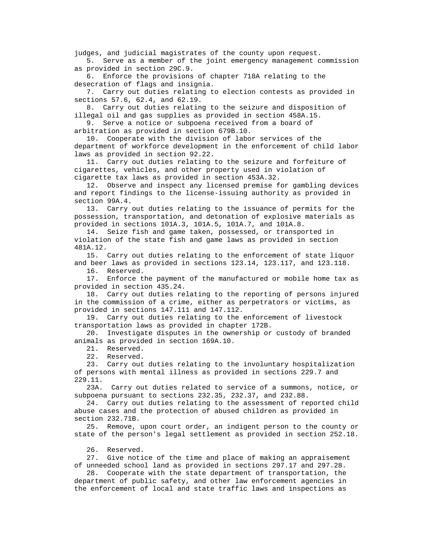judges, and judicial magistrates of the county upon request.

 5. Serve as a member of the joint emergency management commission as provided in section 29C.9.

 6. Enforce the provisions of chapter 718A relating to the desecration of flags and insignia.

 7. Carry out duties relating to election contests as provided in sections 57.6, 62.4, and 62.19.

 8. Carry out duties relating to the seizure and disposition of illegal oil and gas supplies as provided in section 458A.15.

 9. Serve a notice or subpoena received from a board of arbitration as provided in section 679B.10.

 10. Cooperate with the division of labor services of the department of workforce development in the enforcement of child labor laws as provided in section 92.22.

 11. Carry out duties relating to the seizure and forfeiture of cigarettes, vehicles, and other property used in violation of cigarette tax laws as provided in section 453A.32.

 12. Observe and inspect any licensed premise for gambling devices and report findings to the license-issuing authority as provided in section 99A.4.

 13. Carry out duties relating to the issuance of permits for the possession, transportation, and detonation of explosive materials as provided in sections 101A.3, 101A.5, 101A.7, and 101A.8.

 14. Seize fish and game taken, possessed, or transported in violation of the state fish and game laws as provided in section 481A.12.

 15. Carry out duties relating to the enforcement of state liquor and beer laws as provided in sections 123.14, 123.117, and 123.118.

16. Reserved.

 17. Enforce the payment of the manufactured or mobile home tax as provided in section 435.24.

 18. Carry out duties relating to the reporting of persons injured in the commission of a crime, either as perpetrators or victims, as provided in sections 147.111 and 147.112.

 19. Carry out duties relating to the enforcement of livestock transportation laws as provided in chapter 172B.

 20. Investigate disputes in the ownership or custody of branded animals as provided in section 169A.10.

21. Reserved.

22. Reserved.

 23. Carry out duties relating to the involuntary hospitalization of persons with mental illness as provided in sections 229.7 and 229.11.

 23A. Carry out duties related to service of a summons, notice, or subpoena pursuant to sections 232.35, 232.37, and 232.88.

 24. Carry out duties relating to the assessment of reported child abuse cases and the protection of abused children as provided in section 232.71B.

 25. Remove, upon court order, an indigent person to the county or state of the person's legal settlement as provided in section 252.18.

26. Reserved.

 27. Give notice of the time and place of making an appraisement of unneeded school land as provided in sections 297.17 and 297.28.

 28. Cooperate with the state department of transportation, the department of public safety, and other law enforcement agencies in the enforcement of local and state traffic laws and inspections as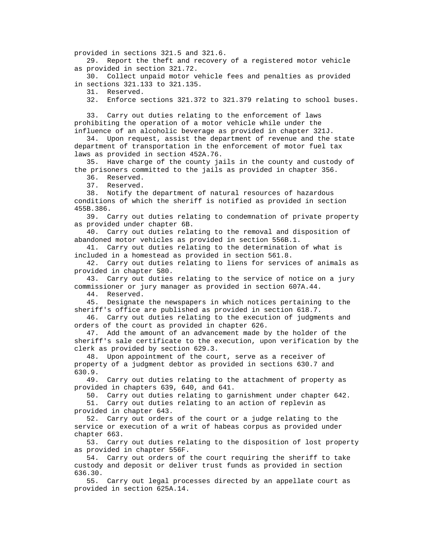provided in sections 321.5 and 321.6.

 29. Report the theft and recovery of a registered motor vehicle as provided in section 321.72.

 30. Collect unpaid motor vehicle fees and penalties as provided in sections 321.133 to 321.135.

31. Reserved.

32. Enforce sections 321.372 to 321.379 relating to school buses.

 33. Carry out duties relating to the enforcement of laws prohibiting the operation of a motor vehicle while under the influence of an alcoholic beverage as provided in chapter 321J.

 34. Upon request, assist the department of revenue and the state department of transportation in the enforcement of motor fuel tax laws as provided in section 452A.76.

 35. Have charge of the county jails in the county and custody of the prisoners committed to the jails as provided in chapter 356.

36. Reserved.

37. Reserved.

 38. Notify the department of natural resources of hazardous conditions of which the sheriff is notified as provided in section 455B.386.

 39. Carry out duties relating to condemnation of private property as provided under chapter 6B.

 40. Carry out duties relating to the removal and disposition of abandoned motor vehicles as provided in section 556B.1.

 41. Carry out duties relating to the determination of what is included in a homestead as provided in section 561.8.

 42. Carry out duties relating to liens for services of animals as provided in chapter 580.

 43. Carry out duties relating to the service of notice on a jury commissioner or jury manager as provided in section 607A.44.

44. Reserved.

 45. Designate the newspapers in which notices pertaining to the sheriff's office are published as provided in section 618.7.

 46. Carry out duties relating to the execution of judgments and orders of the court as provided in chapter 626.

 47. Add the amount of an advancement made by the holder of the sheriff's sale certificate to the execution, upon verification by the clerk as provided by section 629.3.

 48. Upon appointment of the court, serve as a receiver of property of a judgment debtor as provided in sections 630.7 and 630.9.

 49. Carry out duties relating to the attachment of property as provided in chapters 639, 640, and 641.

50. Carry out duties relating to garnishment under chapter 642.

 51. Carry out duties relating to an action of replevin as provided in chapter 643.

 52. Carry out orders of the court or a judge relating to the service or execution of a writ of habeas corpus as provided under chapter 663.

 53. Carry out duties relating to the disposition of lost property as provided in chapter 556F.

 54. Carry out orders of the court requiring the sheriff to take custody and deposit or deliver trust funds as provided in section 636.30.

 55. Carry out legal processes directed by an appellate court as provided in section 625A.14.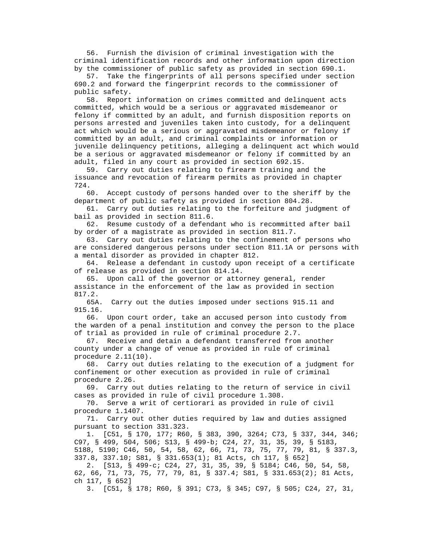56. Furnish the division of criminal investigation with the criminal identification records and other information upon direction by the commissioner of public safety as provided in section 690.1.

 57. Take the fingerprints of all persons specified under section 690.2 and forward the fingerprint records to the commissioner of public safety.

 58. Report information on crimes committed and delinquent acts committed, which would be a serious or aggravated misdemeanor or felony if committed by an adult, and furnish disposition reports on persons arrested and juveniles taken into custody, for a delinquent act which would be a serious or aggravated misdemeanor or felony if committed by an adult, and criminal complaints or information or juvenile delinquency petitions, alleging a delinquent act which would be a serious or aggravated misdemeanor or felony if committed by an adult, filed in any court as provided in section 692.15.

 59. Carry out duties relating to firearm training and the issuance and revocation of firearm permits as provided in chapter 724.

 60. Accept custody of persons handed over to the sheriff by the department of public safety as provided in section 804.28.

 61. Carry out duties relating to the forfeiture and judgment of bail as provided in section 811.6.

 62. Resume custody of a defendant who is recommitted after bail by order of a magistrate as provided in section 811.7.

 63. Carry out duties relating to the confinement of persons who are considered dangerous persons under section 811.1A or persons with a mental disorder as provided in chapter 812.

 64. Release a defendant in custody upon receipt of a certificate of release as provided in section 814.14.

 65. Upon call of the governor or attorney general, render assistance in the enforcement of the law as provided in section 817.2.

 65A. Carry out the duties imposed under sections 915.11 and 915.16.

 66. Upon court order, take an accused person into custody from the warden of a penal institution and convey the person to the place of trial as provided in rule of criminal procedure 2.7.

 67. Receive and detain a defendant transferred from another county under a change of venue as provided in rule of criminal procedure 2.11(10).

 68. Carry out duties relating to the execution of a judgment for confinement or other execution as provided in rule of criminal procedure 2.26.

 69. Carry out duties relating to the return of service in civil cases as provided in rule of civil procedure 1.308.

 70. Serve a writ of certiorari as provided in rule of civil procedure 1.1407.

 71. Carry out other duties required by law and duties assigned pursuant to section 331.323.

 1. [C51, § 170, 177; R60, § 383, 390, 3264; C73, § 337, 344, 346; C97, § 499, 504, 506; S13, § 499-b; C24, 27, 31, 35, 39, § 5183, 5188, 5190; C46, 50, 54, 58, 62, 66, 71, 73, 75, 77, 79, 81, § 337.3, 337.8, 337.10; S81, § 331.653(1); 81 Acts, ch 117, § 652]

 2. [S13, § 499-c; C24, 27, 31, 35, 39, § 5184; C46, 50, 54, 58, 62, 66, 71, 73, 75, 77, 79, 81, § 337.4; S81, § 331.653(2); 81 Acts, ch 117, § 652]

3. [C51, § 178; R60, § 391; C73, § 345; C97, § 505; C24, 27, 31,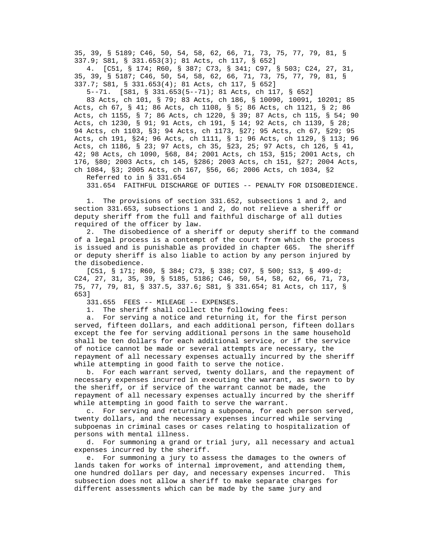35, 39, § 5189; C46, 50, 54, 58, 62, 66, 71, 73, 75, 77, 79, 81, § 337.9; S81, § 331.653(3); 81 Acts, ch 117, § 652]

 4. [C51, § 174; R60, § 387; C73, § 341; C97, § 503; C24, 27, 31, 35, 39, § 5187; C46, 50, 54, 58, 62, 66, 71, 73, 75, 77, 79, 81, § 337.7; S81, § 331.653(4); 81 Acts, ch 117, § 652]

5--71. [S81, § 331.653(5--71); 81 Acts, ch 117, § 652]

 83 Acts, ch 101, § 79; 83 Acts, ch 186, § 10090, 10091, 10201; 85 Acts, ch 67, § 41; 86 Acts, ch 1108, § 5; 86 Acts, ch 1121, § 2; 86 Acts, ch 1155, § 7; 86 Acts, ch 1220, § 39; 87 Acts, ch 115, § 54; 90 Acts, ch 1230, § 91; 91 Acts, ch 191, § 14; 92 Acts, ch 1139, § 28; 94 Acts, ch 1103, §3; 94 Acts, ch 1173, §27; 95 Acts, ch 67, §29; 95 Acts, ch 191, §24; 96 Acts, ch 1111, § 1; 96 Acts, ch 1129, § 113; 96 Acts, ch 1186, § 23; 97 Acts, ch 35, §23, 25; 97 Acts, ch 126, § 41, 42; 98 Acts, ch 1090, §68, 84; 2001 Acts, ch 153, §15; 2001 Acts, ch 176, §80; 2003 Acts, ch 145, §286; 2003 Acts, ch 151, §27; 2004 Acts, ch 1084, §3; 2005 Acts, ch 167, §56, 66; 2006 Acts, ch 1034, §2

Referred to in § 331.654

331.654 FAITHFUL DISCHARGE OF DUTIES -- PENALTY FOR DISOBEDIENCE.

 1. The provisions of section 331.652, subsections 1 and 2, and section 331.653, subsections 1 and 2, do not relieve a sheriff or deputy sheriff from the full and faithful discharge of all duties required of the officer by law.

 2. The disobedience of a sheriff or deputy sheriff to the command of a legal process is a contempt of the court from which the process is issued and is punishable as provided in chapter 665. The sheriff or deputy sheriff is also liable to action by any person injured by the disobedience.

 [C51, § 171; R60, § 384; C73, § 338; C97, § 500; S13, § 499-d; C24, 27, 31, 35, 39, § 5185, 5186; C46, 50, 54, 58, 62, 66, 71, 73, 75, 77, 79, 81, § 337.5, 337.6; S81, § 331.654; 81 Acts, ch 117, § 653]

331.655 FEES -- MILEAGE -- EXPENSES.

1. The sheriff shall collect the following fees:

 a. For serving a notice and returning it, for the first person served, fifteen dollars, and each additional person, fifteen dollars except the fee for serving additional persons in the same household shall be ten dollars for each additional service, or if the service of notice cannot be made or several attempts are necessary, the repayment of all necessary expenses actually incurred by the sheriff while attempting in good faith to serve the notice.

 b. For each warrant served, twenty dollars, and the repayment of necessary expenses incurred in executing the warrant, as sworn to by the sheriff, or if service of the warrant cannot be made, the repayment of all necessary expenses actually incurred by the sheriff while attempting in good faith to serve the warrant.

 c. For serving and returning a subpoena, for each person served, twenty dollars, and the necessary expenses incurred while serving subpoenas in criminal cases or cases relating to hospitalization of persons with mental illness.

 d. For summoning a grand or trial jury, all necessary and actual expenses incurred by the sheriff.

 e. For summoning a jury to assess the damages to the owners of lands taken for works of internal improvement, and attending them, one hundred dollars per day, and necessary expenses incurred. This subsection does not allow a sheriff to make separate charges for different assessments which can be made by the same jury and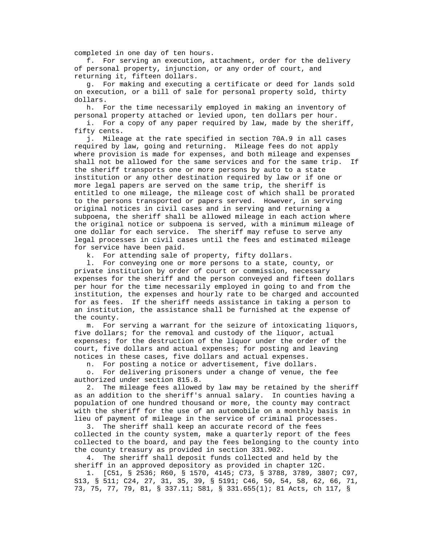completed in one day of ten hours.

 f. For serving an execution, attachment, order for the delivery of personal property, injunction, or any order of court, and returning it, fifteen dollars.

 g. For making and executing a certificate or deed for lands sold on execution, or a bill of sale for personal property sold, thirty dollars.

 h. For the time necessarily employed in making an inventory of personal property attached or levied upon, ten dollars per hour.

 i. For a copy of any paper required by law, made by the sheriff, fifty cents.

 j. Mileage at the rate specified in section 70A.9 in all cases required by law, going and returning. Mileage fees do not apply where provision is made for expenses, and both mileage and expenses shall not be allowed for the same services and for the same trip. If the sheriff transports one or more persons by auto to a state institution or any other destination required by law or if one or more legal papers are served on the same trip, the sheriff is entitled to one mileage, the mileage cost of which shall be prorated to the persons transported or papers served. However, in serving original notices in civil cases and in serving and returning a subpoena, the sheriff shall be allowed mileage in each action where the original notice or subpoena is served, with a minimum mileage of one dollar for each service. The sheriff may refuse to serve any legal processes in civil cases until the fees and estimated mileage for service have been paid.

k. For attending sale of property, fifty dollars.

 l. For conveying one or more persons to a state, county, or private institution by order of court or commission, necessary expenses for the sheriff and the person conveyed and fifteen dollars per hour for the time necessarily employed in going to and from the institution, the expenses and hourly rate to be charged and accounted for as fees. If the sheriff needs assistance in taking a person to an institution, the assistance shall be furnished at the expense of the county.

 m. For serving a warrant for the seizure of intoxicating liquors, five dollars; for the removal and custody of the liquor, actual expenses; for the destruction of the liquor under the order of the court, five dollars and actual expenses; for posting and leaving notices in these cases, five dollars and actual expenses.

n. For posting a notice or advertisement, five dollars.

 o. For delivering prisoners under a change of venue, the fee authorized under section 815.8.

 2. The mileage fees allowed by law may be retained by the sheriff as an addition to the sheriff's annual salary. In counties having a population of one hundred thousand or more, the county may contract with the sheriff for the use of an automobile on a monthly basis in lieu of payment of mileage in the service of criminal processes.

 3. The sheriff shall keep an accurate record of the fees collected in the county system, make a quarterly report of the fees collected to the board, and pay the fees belonging to the county into the county treasury as provided in section 331.902.

 4. The sheriff shall deposit funds collected and held by the sheriff in an approved depository as provided in chapter 12C.

 1. [C51, § 2536; R60, § 1570, 4145; C73, § 3788, 3789, 3807; C97, S13, § 511; C24, 27, 31, 35, 39, § 5191; C46, 50, 54, 58, 62, 66, 71, 73, 75, 77, 79, 81, § 337.11; S81, § 331.655(1); 81 Acts, ch 117, §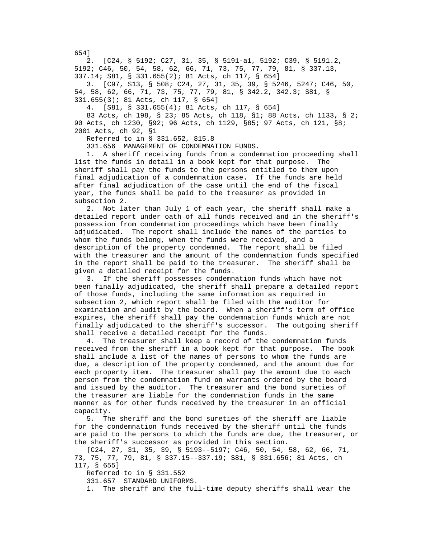2. [C24, § 5192; C27, 31, 35, § 5191-a1, 5192; C39, § 5191.2, 5192; C46, 50, 54, 58, 62, 66, 71, 73, 75, 77, 79, 81, § 337.13, 337.14; S81, § 331.655(2); 81 Acts, ch 117, § 654] 3. [C97, S13, § 508; C24, 27, 31, 35, 39, § 5246, 5247; C46, 50, 54, 58, 62, 66, 71, 73, 75, 77, 79, 81, § 342.2, 342.3; S81, § 331.655(3); 81 Acts, ch 117, § 654]

4. [S81, § 331.655(4); 81 Acts, ch 117, § 654]

 83 Acts, ch 198, § 23; 85 Acts, ch 118, §1; 88 Acts, ch 1133, § 2; 90 Acts, ch 1230, §92; 96 Acts, ch 1129, §85; 97 Acts, ch 121, §8; 2001 Acts, ch 92, §1

Referred to in § 331.652, 815.8

331.656 MANAGEMENT OF CONDEMNATION FUNDS.

 1. A sheriff receiving funds from a condemnation proceeding shall list the funds in detail in a book kept for that purpose. The sheriff shall pay the funds to the persons entitled to them upon final adjudication of a condemnation case. If the funds are held after final adjudication of the case until the end of the fiscal year, the funds shall be paid to the treasurer as provided in subsection 2.

 2. Not later than July 1 of each year, the sheriff shall make a detailed report under oath of all funds received and in the sheriff's possession from condemnation proceedings which have been finally adjudicated. The report shall include the names of the parties to whom the funds belong, when the funds were received, and a description of the property condemned. The report shall be filed with the treasurer and the amount of the condemnation funds specified in the report shall be paid to the treasurer. The sheriff shall be given a detailed receipt for the funds.

 3. If the sheriff possesses condemnation funds which have not been finally adjudicated, the sheriff shall prepare a detailed report of those funds, including the same information as required in subsection 2, which report shall be filed with the auditor for examination and audit by the board. When a sheriff's term of office expires, the sheriff shall pay the condemnation funds which are not finally adjudicated to the sheriff's successor. The outgoing sheriff shall receive a detailed receipt for the funds.

 4. The treasurer shall keep a record of the condemnation funds received from the sheriff in a book kept for that purpose. The book shall include a list of the names of persons to whom the funds are due, a description of the property condemned, and the amount due for each property item. The treasurer shall pay the amount due to each person from the condemnation fund on warrants ordered by the board and issued by the auditor. The treasurer and the bond sureties of the treasurer are liable for the condemnation funds in the same manner as for other funds received by the treasurer in an official capacity.

 5. The sheriff and the bond sureties of the sheriff are liable for the condemnation funds received by the sheriff until the funds are paid to the persons to which the funds are due, the treasurer, or the sheriff's successor as provided in this section.

 [C24, 27, 31, 35, 39, § 5193--5197; C46, 50, 54, 58, 62, 66, 71, 73, 75, 77, 79, 81, § 337.15--337.19; S81, § 331.656; 81 Acts, ch 117, § 655]

Referred to in § 331.552

331.657 STANDARD UNIFORMS.

1. The sheriff and the full-time deputy sheriffs shall wear the

654]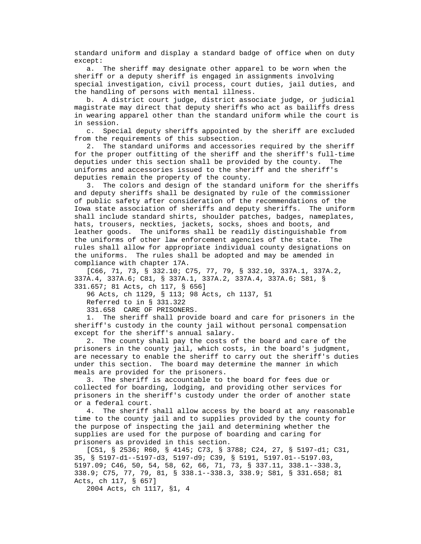standard uniform and display a standard badge of office when on duty except:

 a. The sheriff may designate other apparel to be worn when the sheriff or a deputy sheriff is engaged in assignments involving special investigation, civil process, court duties, jail duties, and the handling of persons with mental illness.

 b. A district court judge, district associate judge, or judicial magistrate may direct that deputy sheriffs who act as bailiffs dress in wearing apparel other than the standard uniform while the court is in session.

 c. Special deputy sheriffs appointed by the sheriff are excluded from the requirements of this subsection.

 2. The standard uniforms and accessories required by the sheriff for the proper outfitting of the sheriff and the sheriff's full-time deputies under this section shall be provided by the county. The uniforms and accessories issued to the sheriff and the sheriff's deputies remain the property of the county.

 3. The colors and design of the standard uniform for the sheriffs and deputy sheriffs shall be designated by rule of the commissioner of public safety after consideration of the recommendations of the Iowa state association of sheriffs and deputy sheriffs. The uniform shall include standard shirts, shoulder patches, badges, nameplates, hats, trousers, neckties, jackets, socks, shoes and boots, and leather goods. The uniforms shall be readily distinguishable from the uniforms of other law enforcement agencies of the state. The rules shall allow for appropriate individual county designations on the uniforms. The rules shall be adopted and may be amended in compliance with chapter 17A.

 [C66, 71, 73, § 332.10; C75, 77, 79, § 332.10, 337A.1, 337A.2, 337A.4, 337A.6; C81, § 337A.1, 337A.2, 337A.4, 337A.6; S81, § 331.657; 81 Acts, ch 117, § 656]

96 Acts, ch 1129, § 113; 98 Acts, ch 1137, §1

Referred to in § 331.322

331.658 CARE OF PRISONERS.

 1. The sheriff shall provide board and care for prisoners in the sheriff's custody in the county jail without personal compensation except for the sheriff's annual salary.

 2. The county shall pay the costs of the board and care of the prisoners in the county jail, which costs, in the board's judgment, are necessary to enable the sheriff to carry out the sheriff's duties under this section. The board may determine the manner in which meals are provided for the prisoners.

 3. The sheriff is accountable to the board for fees due or collected for boarding, lodging, and providing other services for prisoners in the sheriff's custody under the order of another state or a federal court.

 4. The sheriff shall allow access by the board at any reasonable time to the county jail and to supplies provided by the county for the purpose of inspecting the jail and determining whether the supplies are used for the purpose of boarding and caring for prisoners as provided in this section.

 [C51, § 2536; R60, § 4145; C73, § 3788; C24, 27, § 5197-d1; C31, 35, § 5197-d1--5197-d3, 5197-d9; C39, § 5191, 5197.01--5197.03, 5197.09; C46, 50, 54, 58, 62, 66, 71, 73, § 337.11, 338.1--338.3, 338.9; C75, 77, 79, 81, § 338.1--338.3, 338.9; S81, § 331.658; 81 Acts, ch 117, § 657]

2004 Acts, ch 1117, §1, 4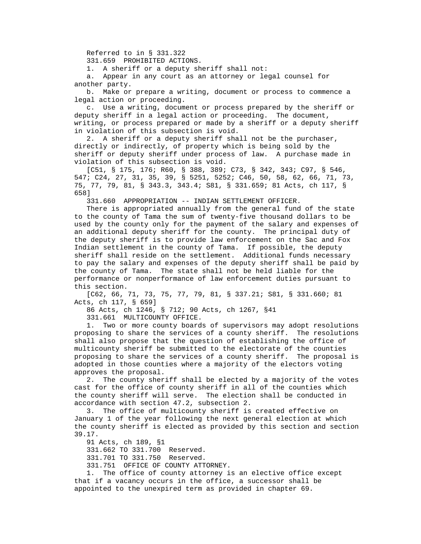Referred to in § 331.322

331.659 PROHIBITED ACTIONS.

1. A sheriff or a deputy sheriff shall not:

 a. Appear in any court as an attorney or legal counsel for another party.

 b. Make or prepare a writing, document or process to commence a legal action or proceeding.

 c. Use a writing, document or process prepared by the sheriff or deputy sheriff in a legal action or proceeding. The document, writing, or process prepared or made by a sheriff or a deputy sheriff in violation of this subsection is void.

 2. A sheriff or a deputy sheriff shall not be the purchaser, directly or indirectly, of property which is being sold by the sheriff or deputy sheriff under process of law. A purchase made in violation of this subsection is void.

 [C51, § 175, 176; R60, § 388, 389; C73, § 342, 343; C97, § 546, 547; C24, 27, 31, 35, 39, § 5251, 5252; C46, 50, 58, 62, 66, 71, 73, 75, 77, 79, 81, § 343.3, 343.4; S81, § 331.659; 81 Acts, ch 117, § 658]

331.660 APPROPRIATION -- INDIAN SETTLEMENT OFFICER.

 There is appropriated annually from the general fund of the state to the county of Tama the sum of twenty-five thousand dollars to be used by the county only for the payment of the salary and expenses of an additional deputy sheriff for the county. The principal duty of the deputy sheriff is to provide law enforcement on the Sac and Fox Indian settlement in the county of Tama. If possible, the deputy sheriff shall reside on the settlement. Additional funds necessary to pay the salary and expenses of the deputy sheriff shall be paid by the county of Tama. The state shall not be held liable for the performance or nonperformance of law enforcement duties pursuant to this section.

 [C62, 66, 71, 73, 75, 77, 79, 81, § 337.21; S81, § 331.660; 81 Acts, ch 117, § 659]

86 Acts, ch 1246, § 712; 90 Acts, ch 1267, §41

331.661 MULTICOUNTY OFFICE.

 1. Two or more county boards of supervisors may adopt resolutions proposing to share the services of a county sheriff. The resolutions shall also propose that the question of establishing the office of multicounty sheriff be submitted to the electorate of the counties proposing to share the services of a county sheriff. The proposal is adopted in those counties where a majority of the electors voting approves the proposal.

 2. The county sheriff shall be elected by a majority of the votes cast for the office of county sheriff in all of the counties which the county sheriff will serve. The election shall be conducted in accordance with section 47.2, subsection 2.

 3. The office of multicounty sheriff is created effective on January 1 of the year following the next general election at which the county sheriff is elected as provided by this section and section 39.17.

91 Acts, ch 189, §1

331.662 TO 331.700 Reserved.

331.701 TO 331.750 Reserved.

331.751 OFFICE OF COUNTY ATTORNEY.

 1. The office of county attorney is an elective office except that if a vacancy occurs in the office, a successor shall be appointed to the unexpired term as provided in chapter 69.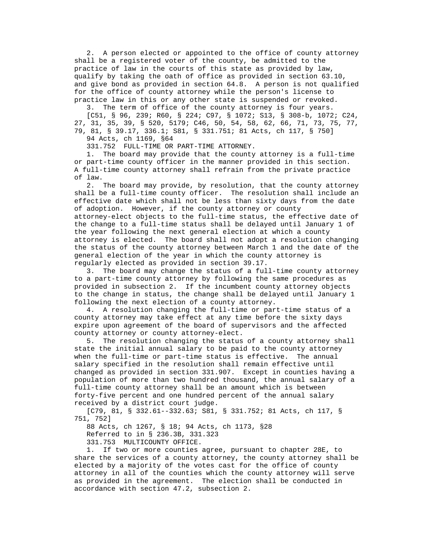2. A person elected or appointed to the office of county attorney shall be a registered voter of the county, be admitted to the practice of law in the courts of this state as provided by law, qualify by taking the oath of office as provided in section 63.10, and give bond as provided in section 64.8. A person is not qualified for the office of county attorney while the person's license to practice law in this or any other state is suspended or revoked.

3. The term of office of the county attorney is four years.

 [C51, § 96, 239; R60, § 224; C97, § 1072; S13, § 308-b, 1072; C24, 27, 31, 35, 39, § 520, 5179; C46, 50, 54, 58, 62, 66, 71, 73, 75, 77, 79, 81, § 39.17, 336.1; S81, § 331.751; 81 Acts, ch 117, § 750] 94 Acts, ch 1169, §64

331.752 FULL-TIME OR PART-TIME ATTORNEY.

 1. The board may provide that the county attorney is a full-time or part-time county officer in the manner provided in this section. A full-time county attorney shall refrain from the private practice of law.

 2. The board may provide, by resolution, that the county attorney shall be a full-time county officer. The resolution shall include an effective date which shall not be less than sixty days from the date of adoption. However, if the county attorney or county attorney-elect objects to the full-time status, the effective date of the change to a full-time status shall be delayed until January 1 of the year following the next general election at which a county attorney is elected. The board shall not adopt a resolution changing the status of the county attorney between March 1 and the date of the general election of the year in which the county attorney is regularly elected as provided in section 39.17.

 3. The board may change the status of a full-time county attorney to a part-time county attorney by following the same procedures as provided in subsection 2. If the incumbent county attorney objects to the change in status, the change shall be delayed until January 1 following the next election of a county attorney.

 4. A resolution changing the full-time or part-time status of a county attorney may take effect at any time before the sixty days expire upon agreement of the board of supervisors and the affected county attorney or county attorney-elect.

 5. The resolution changing the status of a county attorney shall state the initial annual salary to be paid to the county attorney when the full-time or part-time status is effective. The annual salary specified in the resolution shall remain effective until changed as provided in section 331.907. Except in counties having a population of more than two hundred thousand, the annual salary of a full-time county attorney shall be an amount which is between forty-five percent and one hundred percent of the annual salary received by a district court judge.

 [C79, 81, § 332.61--332.63; S81, § 331.752; 81 Acts, ch 117, § 751, 752]

88 Acts, ch 1267, § 18; 94 Acts, ch 1173, §28

Referred to in § 236.3B, 331.323

331.753 MULTICOUNTY OFFICE.

 1. If two or more counties agree, pursuant to chapter 28E, to share the services of a county attorney, the county attorney shall be elected by a majority of the votes cast for the office of county attorney in all of the counties which the county attorney will serve as provided in the agreement. The election shall be conducted in accordance with section 47.2, subsection 2.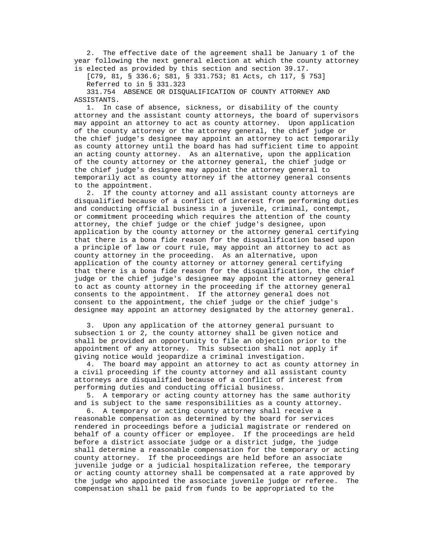2. The effective date of the agreement shall be January 1 of the year following the next general election at which the county attorney is elected as provided by this section and section 39.17.

 [C79, 81, § 336.6; S81, § 331.753; 81 Acts, ch 117, § 753] Referred to in § 331.323

 331.754 ABSENCE OR DISQUALIFICATION OF COUNTY ATTORNEY AND ASSISTANTS.

 1. In case of absence, sickness, or disability of the county attorney and the assistant county attorneys, the board of supervisors may appoint an attorney to act as county attorney. Upon application of the county attorney or the attorney general, the chief judge or the chief judge's designee may appoint an attorney to act temporarily as county attorney until the board has had sufficient time to appoint an acting county attorney. As an alternative, upon the application of the county attorney or the attorney general, the chief judge or the chief judge's designee may appoint the attorney general to temporarily act as county attorney if the attorney general consents to the appointment.

 2. If the county attorney and all assistant county attorneys are disqualified because of a conflict of interest from performing duties and conducting official business in a juvenile, criminal, contempt, or commitment proceeding which requires the attention of the county attorney, the chief judge or the chief judge's designee, upon application by the county attorney or the attorney general certifying that there is a bona fide reason for the disqualification based upon a principle of law or court rule, may appoint an attorney to act as county attorney in the proceeding. As an alternative, upon application of the county attorney or attorney general certifying that there is a bona fide reason for the disqualification, the chief judge or the chief judge's designee may appoint the attorney general to act as county attorney in the proceeding if the attorney general consents to the appointment. If the attorney general does not consent to the appointment, the chief judge or the chief judge's designee may appoint an attorney designated by the attorney general.

 3. Upon any application of the attorney general pursuant to subsection 1 or 2, the county attorney shall be given notice and shall be provided an opportunity to file an objection prior to the appointment of any attorney. This subsection shall not apply if giving notice would jeopardize a criminal investigation.

 4. The board may appoint an attorney to act as county attorney in a civil proceeding if the county attorney and all assistant county attorneys are disqualified because of a conflict of interest from performing duties and conducting official business.

 5. A temporary or acting county attorney has the same authority and is subject to the same responsibilities as a county attorney.

 6. A temporary or acting county attorney shall receive a reasonable compensation as determined by the board for services rendered in proceedings before a judicial magistrate or rendered on behalf of a county officer or employee. If the proceedings are held before a district associate judge or a district judge, the judge shall determine a reasonable compensation for the temporary or acting county attorney. If the proceedings are held before an associate juvenile judge or a judicial hospitalization referee, the temporary or acting county attorney shall be compensated at a rate approved by the judge who appointed the associate juvenile judge or referee. The compensation shall be paid from funds to be appropriated to the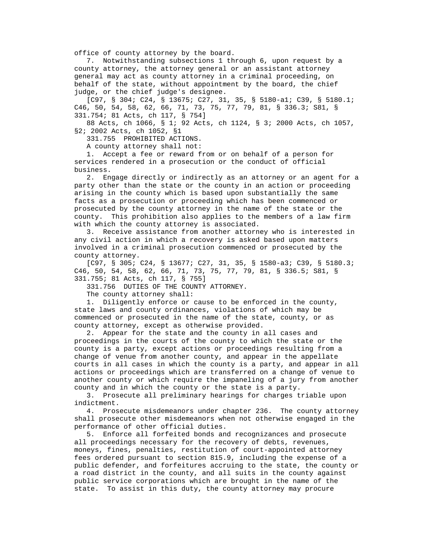office of county attorney by the board.

 7. Notwithstanding subsections 1 through 6, upon request by a county attorney, the attorney general or an assistant attorney general may act as county attorney in a criminal proceeding, on behalf of the state, without appointment by the board, the chief judge, or the chief judge's designee.

 [C97, § 304; C24, § 13675; C27, 31, 35, § 5180-a1; C39, § 5180.1; C46, 50, 54, 58, 62, 66, 71, 73, 75, 77, 79, 81, § 336.3; S81, § 331.754; 81 Acts, ch 117, § 754]

 88 Acts, ch 1066, § 1; 92 Acts, ch 1124, § 3; 2000 Acts, ch 1057, §2; 2002 Acts, ch 1052, §1

331.755 PROHIBITED ACTIONS.

A county attorney shall not:

 1. Accept a fee or reward from or on behalf of a person for services rendered in a prosecution or the conduct of official business.

 2. Engage directly or indirectly as an attorney or an agent for a party other than the state or the county in an action or proceeding arising in the county which is based upon substantially the same facts as a prosecution or proceeding which has been commenced or prosecuted by the county attorney in the name of the state or the county. This prohibition also applies to the members of a law firm with which the county attorney is associated.

 3. Receive assistance from another attorney who is interested in any civil action in which a recovery is asked based upon matters involved in a criminal prosecution commenced or prosecuted by the county attorney.

 [C97, § 305; C24, § 13677; C27, 31, 35, § 1580-a3; C39, § 5180.3; C46, 50, 54, 58, 62, 66, 71, 73, 75, 77, 79, 81, § 336.5; S81, § 331.755; 81 Acts, ch 117, § 755]

331.756 DUTIES OF THE COUNTY ATTORNEY.

The county attorney shall:

 1. Diligently enforce or cause to be enforced in the county, state laws and county ordinances, violations of which may be commenced or prosecuted in the name of the state, county, or as county attorney, except as otherwise provided.

 2. Appear for the state and the county in all cases and proceedings in the courts of the county to which the state or the county is a party, except actions or proceedings resulting from a change of venue from another county, and appear in the appellate courts in all cases in which the county is a party, and appear in all actions or proceedings which are transferred on a change of venue to another county or which require the impaneling of a jury from another county and in which the county or the state is a party.

 3. Prosecute all preliminary hearings for charges triable upon indictment.

 4. Prosecute misdemeanors under chapter 236. The county attorney shall prosecute other misdemeanors when not otherwise engaged in the performance of other official duties.

 5. Enforce all forfeited bonds and recognizances and prosecute all proceedings necessary for the recovery of debts, revenues, moneys, fines, penalties, restitution of court-appointed attorney fees ordered pursuant to section 815.9, including the expense of a public defender, and forfeitures accruing to the state, the county or a road district in the county, and all suits in the county against public service corporations which are brought in the name of the state. To assist in this duty, the county attorney may procure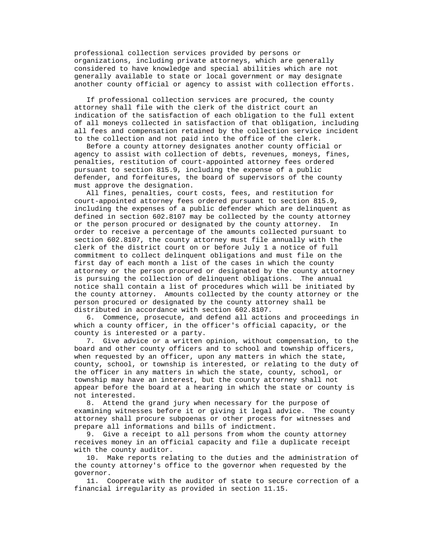professional collection services provided by persons or organizations, including private attorneys, which are generally considered to have knowledge and special abilities which are not generally available to state or local government or may designate another county official or agency to assist with collection efforts.

 If professional collection services are procured, the county attorney shall file with the clerk of the district court an indication of the satisfaction of each obligation to the full extent of all moneys collected in satisfaction of that obligation, including all fees and compensation retained by the collection service incident to the collection and not paid into the office of the clerk.

 Before a county attorney designates another county official or agency to assist with collection of debts, revenues, moneys, fines, penalties, restitution of court-appointed attorney fees ordered pursuant to section 815.9, including the expense of a public defender, and forfeitures, the board of supervisors of the county must approve the designation.

 All fines, penalties, court costs, fees, and restitution for court-appointed attorney fees ordered pursuant to section 815.9, including the expenses of a public defender which are delinquent as defined in section 602.8107 may be collected by the county attorney or the person procured or designated by the county attorney. In order to receive a percentage of the amounts collected pursuant to section 602.8107, the county attorney must file annually with the clerk of the district court on or before July 1 a notice of full commitment to collect delinquent obligations and must file on the first day of each month a list of the cases in which the county attorney or the person procured or designated by the county attorney is pursuing the collection of delinquent obligations. The annual notice shall contain a list of procedures which will be initiated by the county attorney. Amounts collected by the county attorney or the person procured or designated by the county attorney shall be distributed in accordance with section 602.8107.

 6. Commence, prosecute, and defend all actions and proceedings in which a county officer, in the officer's official capacity, or the county is interested or a party.

 7. Give advice or a written opinion, without compensation, to the board and other county officers and to school and township officers, when requested by an officer, upon any matters in which the state, county, school, or township is interested, or relating to the duty of the officer in any matters in which the state, county, school, or township may have an interest, but the county attorney shall not appear before the board at a hearing in which the state or county is not interested.

 8. Attend the grand jury when necessary for the purpose of examining witnesses before it or giving it legal advice. The county attorney shall procure subpoenas or other process for witnesses and prepare all informations and bills of indictment.

 9. Give a receipt to all persons from whom the county attorney receives money in an official capacity and file a duplicate receipt with the county auditor.

 10. Make reports relating to the duties and the administration of the county attorney's office to the governor when requested by the governor.

 11. Cooperate with the auditor of state to secure correction of a financial irregularity as provided in section 11.15.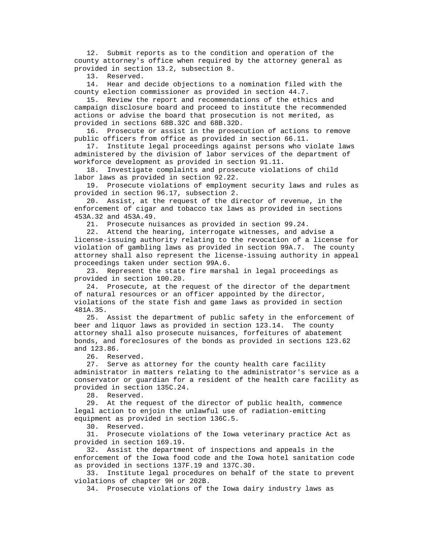12. Submit reports as to the condition and operation of the county attorney's office when required by the attorney general as provided in section 13.2, subsection 8.

13. Reserved.

 14. Hear and decide objections to a nomination filed with the county election commissioner as provided in section 44.7.

 15. Review the report and recommendations of the ethics and campaign disclosure board and proceed to institute the recommended actions or advise the board that prosecution is not merited, as provided in sections 68B.32C and 68B.32D.

 16. Prosecute or assist in the prosecution of actions to remove public officers from office as provided in section 66.11.

 17. Institute legal proceedings against persons who violate laws administered by the division of labor services of the department of workforce development as provided in section 91.11.

 18. Investigate complaints and prosecute violations of child labor laws as provided in section 92.22.

 19. Prosecute violations of employment security laws and rules as provided in section 96.17, subsection 2.

 20. Assist, at the request of the director of revenue, in the enforcement of cigar and tobacco tax laws as provided in sections 453A.32 and 453A.49.

21. Prosecute nuisances as provided in section 99.24.

 22. Attend the hearing, interrogate witnesses, and advise a license-issuing authority relating to the revocation of a license for violation of gambling laws as provided in section 99A.7. The county attorney shall also represent the license-issuing authority in appeal proceedings taken under section 99A.6.

 23. Represent the state fire marshal in legal proceedings as provided in section 100.20.

 24. Prosecute, at the request of the director of the department of natural resources or an officer appointed by the director, violations of the state fish and game laws as provided in section 481A.35.

 25. Assist the department of public safety in the enforcement of beer and liquor laws as provided in section 123.14. The county attorney shall also prosecute nuisances, forfeitures of abatement bonds, and foreclosures of the bonds as provided in sections 123.62 and 123.86.

26. Reserved.

 27. Serve as attorney for the county health care facility administrator in matters relating to the administrator's service as a conservator or guardian for a resident of the health care facility as provided in section 135C.24.

28. Reserved.

 29. At the request of the director of public health, commence legal action to enjoin the unlawful use of radiation-emitting equipment as provided in section 136C.5.

30. Reserved.

 31. Prosecute violations of the Iowa veterinary practice Act as provided in section 169.19.

 32. Assist the department of inspections and appeals in the enforcement of the Iowa food code and the Iowa hotel sanitation code as provided in sections 137F.19 and 137C.30.

 33. Institute legal procedures on behalf of the state to prevent violations of chapter 9H or 202B.

34. Prosecute violations of the Iowa dairy industry laws as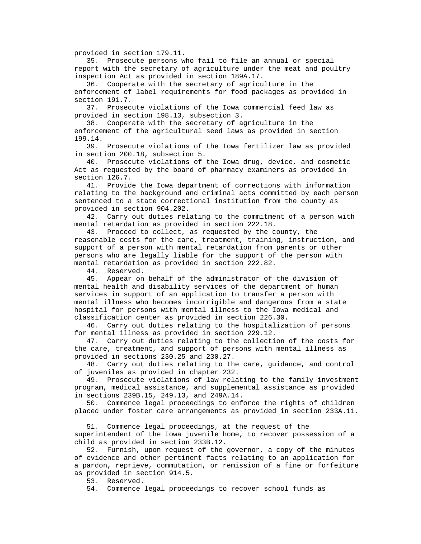provided in section 179.11.

 35. Prosecute persons who fail to file an annual or special report with the secretary of agriculture under the meat and poultry inspection Act as provided in section 189A.17.

 36. Cooperate with the secretary of agriculture in the enforcement of label requirements for food packages as provided in section 191.7.

 37. Prosecute violations of the Iowa commercial feed law as provided in section 198.13, subsection 3.

 38. Cooperate with the secretary of agriculture in the enforcement of the agricultural seed laws as provided in section 199.14.

 39. Prosecute violations of the Iowa fertilizer law as provided in section 200.18, subsection 5.

 40. Prosecute violations of the Iowa drug, device, and cosmetic Act as requested by the board of pharmacy examiners as provided in section 126.7.

 41. Provide the Iowa department of corrections with information relating to the background and criminal acts committed by each person sentenced to a state correctional institution from the county as provided in section 904.202.

 42. Carry out duties relating to the commitment of a person with mental retardation as provided in section 222.18.

 43. Proceed to collect, as requested by the county, the reasonable costs for the care, treatment, training, instruction, and support of a person with mental retardation from parents or other persons who are legally liable for the support of the person with mental retardation as provided in section 222.82.

44. Reserved.

 45. Appear on behalf of the administrator of the division of mental health and disability services of the department of human services in support of an application to transfer a person with mental illness who becomes incorrigible and dangerous from a state hospital for persons with mental illness to the Iowa medical and classification center as provided in section 226.30.

 46. Carry out duties relating to the hospitalization of persons for mental illness as provided in section 229.12.

 47. Carry out duties relating to the collection of the costs for the care, treatment, and support of persons with mental illness as provided in sections 230.25 and 230.27.

 48. Carry out duties relating to the care, guidance, and control of juveniles as provided in chapter 232.

 49. Prosecute violations of law relating to the family investment program, medical assistance, and supplemental assistance as provided in sections 239B.15, 249.13, and 249A.14.

 50. Commence legal proceedings to enforce the rights of children placed under foster care arrangements as provided in section 233A.11.

 51. Commence legal proceedings, at the request of the superintendent of the Iowa juvenile home, to recover possession of a child as provided in section 233B.12.

 52. Furnish, upon request of the governor, a copy of the minutes of evidence and other pertinent facts relating to an application for a pardon, reprieve, commutation, or remission of a fine or forfeiture as provided in section 914.5.

53. Reserved.

54. Commence legal proceedings to recover school funds as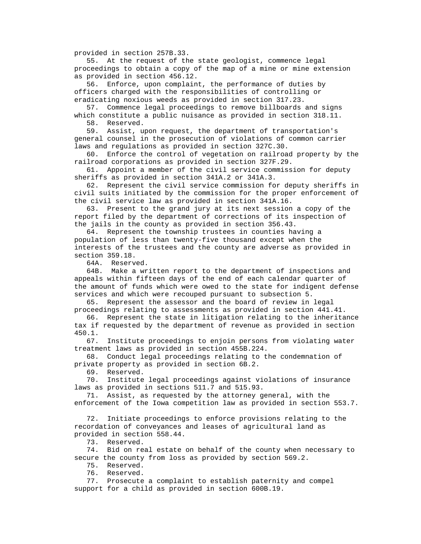provided in section 257B.33.

 55. At the request of the state geologist, commence legal proceedings to obtain a copy of the map of a mine or mine extension as provided in section 456.12.

 56. Enforce, upon complaint, the performance of duties by officers charged with the responsibilities of controlling or eradicating noxious weeds as provided in section 317.23.

 57. Commence legal proceedings to remove billboards and signs which constitute a public nuisance as provided in section 318.11.

58. Reserved.

 59. Assist, upon request, the department of transportation's general counsel in the prosecution of violations of common carrier laws and regulations as provided in section 327C.30.

 60. Enforce the control of vegetation on railroad property by the railroad corporations as provided in section 327F.29.

 61. Appoint a member of the civil service commission for deputy sheriffs as provided in section 341A.2 or 341A.3.

 62. Represent the civil service commission for deputy sheriffs in civil suits initiated by the commission for the proper enforcement of the civil service law as provided in section 341A.16.

 63. Present to the grand jury at its next session a copy of the report filed by the department of corrections of its inspection of the jails in the county as provided in section 356.43.

 64. Represent the township trustees in counties having a population of less than twenty-five thousand except when the interests of the trustees and the county are adverse as provided in section 359.18.

64A. Reserved.

 64B. Make a written report to the department of inspections and appeals within fifteen days of the end of each calendar quarter of the amount of funds which were owed to the state for indigent defense services and which were recouped pursuant to subsection 5.

 65. Represent the assessor and the board of review in legal proceedings relating to assessments as provided in section 441.41.

 66. Represent the state in litigation relating to the inheritance tax if requested by the department of revenue as provided in section 450.1.

 67. Institute proceedings to enjoin persons from violating water treatment laws as provided in section 455B.224.

 68. Conduct legal proceedings relating to the condemnation of private property as provided in section 6B.2.

69. Reserved.

 70. Institute legal proceedings against violations of insurance laws as provided in sections 511.7 and 515.93.

 71. Assist, as requested by the attorney general, with the enforcement of the Iowa competition law as provided in section 553.7.

 72. Initiate proceedings to enforce provisions relating to the recordation of conveyances and leases of agricultural land as provided in section 558.44.

73. Reserved.

 74. Bid on real estate on behalf of the county when necessary to secure the county from loss as provided by section 569.2.

75. Reserved.

76. Reserved.

 77. Prosecute a complaint to establish paternity and compel support for a child as provided in section 600B.19.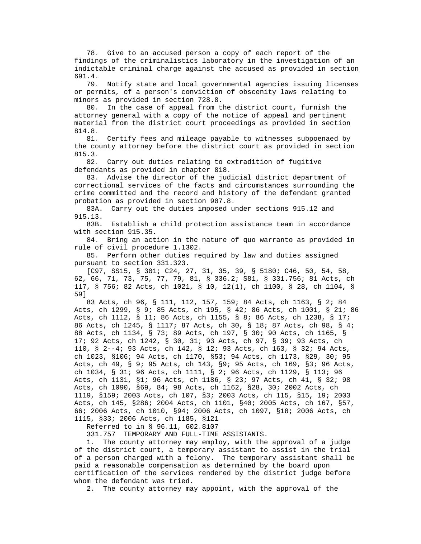78. Give to an accused person a copy of each report of the findings of the criminalistics laboratory in the investigation of an indictable criminal charge against the accused as provided in section 691.4.

 79. Notify state and local governmental agencies issuing licenses or permits, of a person's conviction of obscenity laws relating to minors as provided in section 728.8.

 80. In the case of appeal from the district court, furnish the attorney general with a copy of the notice of appeal and pertinent material from the district court proceedings as provided in section 814.8.

 81. Certify fees and mileage payable to witnesses subpoenaed by the county attorney before the district court as provided in section 815.3.

 82. Carry out duties relating to extradition of fugitive defendants as provided in chapter 818.

 83. Advise the director of the judicial district department of correctional services of the facts and circumstances surrounding the crime committed and the record and history of the defendant granted probation as provided in section 907.8.

 83A. Carry out the duties imposed under sections 915.12 and 915.13.

 83B. Establish a child protection assistance team in accordance with section 915.35.

 84. Bring an action in the nature of quo warranto as provided in rule of civil procedure 1.1302.

 85. Perform other duties required by law and duties assigned pursuant to section 331.323.

 [C97, SS15, § 301; C24, 27, 31, 35, 39, § 5180; C46, 50, 54, 58, 62, 66, 71, 73, 75, 77, 79, 81, § 336.2; S81, § 331.756; 81 Acts, ch 117, § 756; 82 Acts, ch 1021, § 10, 12(1), ch 1100, § 28, ch 1104, § 59]

 83 Acts, ch 96, § 111, 112, 157, 159; 84 Acts, ch 1163, § 2; 84 Acts, ch 1299, § 9; 85 Acts, ch 195, § 42; 86 Acts, ch 1001, § 21; 86 Acts, ch 1112, § 11; 86 Acts, ch 1155, § 8; 86 Acts, ch 1238, § 17; 86 Acts, ch 1245, § 1117; 87 Acts, ch 30, § 18; 87 Acts, ch 98, § 4; 88 Acts, ch 1134, § 73; 89 Acts, ch 197, § 30; 90 Acts, ch 1165, § 17; 92 Acts, ch 1242, § 30, 31; 93 Acts, ch 97, § 39; 93 Acts, ch 110, § 2--4; 93 Acts, ch 142, § 12; 93 Acts, ch 163, § 32; 94 Acts, ch 1023, §106; 94 Acts, ch 1170, §53; 94 Acts, ch 1173, §29, 30; 95 Acts, ch 49, § 9; 95 Acts, ch 143, §9; 95 Acts, ch 169, §3; 96 Acts, ch 1034, § 31; 96 Acts, ch 1111, § 2; 96 Acts, ch 1129, § 113; 96 Acts, ch 1131, §1; 96 Acts, ch 1186, § 23; 97 Acts, ch 41, § 32; 98 Acts, ch 1090, §69, 84; 98 Acts, ch 1162, §28, 30; 2002 Acts, ch 1119, §159; 2003 Acts, ch 107, §3; 2003 Acts, ch 115, §15, 19; 2003 Acts, ch 145, §286; 2004 Acts, ch 1101, §40; 2005 Acts, ch 167, §57, 66; 2006 Acts, ch 1010, §94; 2006 Acts, ch 1097, §18; 2006 Acts, ch 1115, §33; 2006 Acts, ch 1185, §121

Referred to in § 96.11, 602.8107

331.757 TEMPORARY AND FULL-TIME ASSISTANTS.

 1. The county attorney may employ, with the approval of a judge of the district court, a temporary assistant to assist in the trial of a person charged with a felony. The temporary assistant shall be paid a reasonable compensation as determined by the board upon certification of the services rendered by the district judge before whom the defendant was tried.

2. The county attorney may appoint, with the approval of the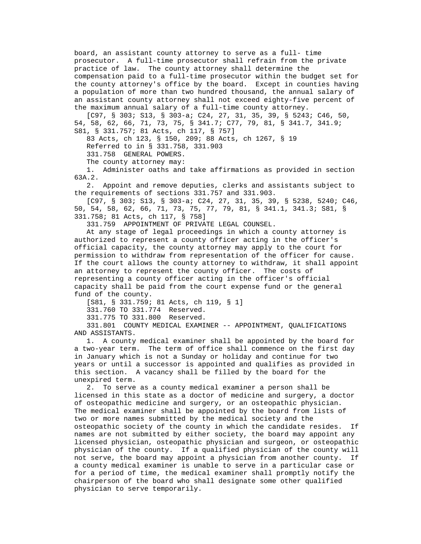board, an assistant county attorney to serve as a full- time prosecutor. A full-time prosecutor shall refrain from the private practice of law. The county attorney shall determine the compensation paid to a full-time prosecutor within the budget set for the county attorney's office by the board. Except in counties having a population of more than two hundred thousand, the annual salary of an assistant county attorney shall not exceed eighty-five percent of the maximum annual salary of a full-time county attorney.

 [C97, § 303; S13, § 303-a; C24, 27, 31, 35, 39, § 5243; C46, 50, 54, 58, 62, 66, 71, 73, 75, § 341.7; C77, 79, 81, § 341.7, 341.9; S81, § 331.757; 81 Acts, ch 117, § 757]

83 Acts, ch 123, § 150, 209; 88 Acts, ch 1267, § 19

Referred to in § 331.758, 331.903

331.758 GENERAL POWERS.

The county attorney may:

 1. Administer oaths and take affirmations as provided in section 63A.2.

 2. Appoint and remove deputies, clerks and assistants subject to the requirements of sections 331.757 and 331.903.

 [C97, § 303; S13, § 303-a; C24, 27, 31, 35, 39, § 5238, 5240; C46, 50, 54, 58, 62, 66, 71, 73, 75, 77, 79, 81, § 341.1, 341.3; S81, § 331.758; 81 Acts, ch 117, § 758]

331.759 APPOINTMENT OF PRIVATE LEGAL COUNSEL.

 At any stage of legal proceedings in which a county attorney is authorized to represent a county officer acting in the officer's official capacity, the county attorney may apply to the court for permission to withdraw from representation of the officer for cause. If the court allows the county attorney to withdraw, it shall appoint an attorney to represent the county officer. The costs of representing a county officer acting in the officer's official capacity shall be paid from the court expense fund or the general fund of the county.

[S81, § 331.759; 81 Acts, ch 119, § 1]

331.760 TO 331.774 Reserved.

331.775 TO 331.800 Reserved.

 331.801 COUNTY MEDICAL EXAMINER -- APPOINTMENT, QUALIFICATIONS AND ASSISTANTS.

 1. A county medical examiner shall be appointed by the board for a two-year term. The term of office shall commence on the first day in January which is not a Sunday or holiday and continue for two years or until a successor is appointed and qualifies as provided in this section. A vacancy shall be filled by the board for the unexpired term.

 2. To serve as a county medical examiner a person shall be licensed in this state as a doctor of medicine and surgery, a doctor of osteopathic medicine and surgery, or an osteopathic physician. The medical examiner shall be appointed by the board from lists of two or more names submitted by the medical society and the osteopathic society of the county in which the candidate resides. If names are not submitted by either society, the board may appoint any licensed physician, osteopathic physician and surgeon, or osteopathic physician of the county. If a qualified physician of the county will not serve, the board may appoint a physician from another county. If a county medical examiner is unable to serve in a particular case or for a period of time, the medical examiner shall promptly notify the chairperson of the board who shall designate some other qualified physician to serve temporarily.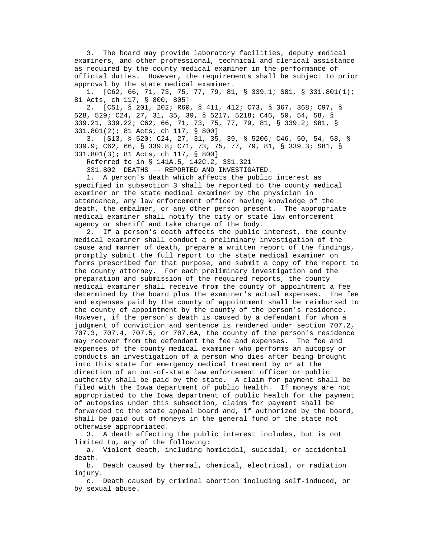3. The board may provide laboratory facilities, deputy medical examiners, and other professional, technical and clerical assistance as required by the county medical examiner in the performance of official duties. However, the requirements shall be subject to prior approval by the state medical examiner.

 1. [C62, 66, 71, 73, 75, 77, 79, 81, § 339.1; S81, § 331.801(1); 81 Acts, ch 117, § 800, 805]

 2. [C51, § 201, 202; R60, § 411, 412; C73, § 367, 368; C97, § 528, 529; C24, 27, 31, 35, 39, § 5217, 5218; C46, 50, 54, 58, § 339.21, 339.22; C62, 66, 71, 73, 75, 77, 79, 81, § 339.2; S81, § 331.801(2); 81 Acts, ch 117, § 800]

 3. [S13, § 520; C24, 27, 31, 35, 39, § 5206; C46, 50, 54, 58, § 339.9; C62, 66, § 339.8; C71, 73, 75, 77, 79, 81, § 339.3; S81, § 331.801(3); 81 Acts, ch 117, § 800]

Referred to in § 141A.5, 142C.2, 331.321

331.802 DEATHS -- REPORTED AND INVESTIGATED.

 1. A person's death which affects the public interest as specified in subsection 3 shall be reported to the county medical examiner or the state medical examiner by the physician in attendance, any law enforcement officer having knowledge of the death, the embalmer, or any other person present. The appropriate medical examiner shall notify the city or state law enforcement agency or sheriff and take charge of the body.

 2. If a person's death affects the public interest, the county medical examiner shall conduct a preliminary investigation of the cause and manner of death, prepare a written report of the findings, promptly submit the full report to the state medical examiner on forms prescribed for that purpose, and submit a copy of the report to the county attorney. For each preliminary investigation and the preparation and submission of the required reports, the county medical examiner shall receive from the county of appointment a fee determined by the board plus the examiner's actual expenses. The fee and expenses paid by the county of appointment shall be reimbursed to the county of appointment by the county of the person's residence. However, if the person's death is caused by a defendant for whom a judgment of conviction and sentence is rendered under section 707.2, 707.3, 707.4, 707.5, or 707.6A, the county of the person's residence may recover from the defendant the fee and expenses. The fee and expenses of the county medical examiner who performs an autopsy or conducts an investigation of a person who dies after being brought into this state for emergency medical treatment by or at the direction of an out-of-state law enforcement officer or public authority shall be paid by the state. A claim for payment shall be filed with the Iowa department of public health. If moneys are not appropriated to the Iowa department of public health for the payment of autopsies under this subsection, claims for payment shall be forwarded to the state appeal board and, if authorized by the board, shall be paid out of moneys in the general fund of the state not otherwise appropriated.

 3. A death affecting the public interest includes, but is not limited to, any of the following:

 a. Violent death, including homicidal, suicidal, or accidental death.

 b. Death caused by thermal, chemical, electrical, or radiation injury.

 c. Death caused by criminal abortion including self-induced, or by sexual abuse.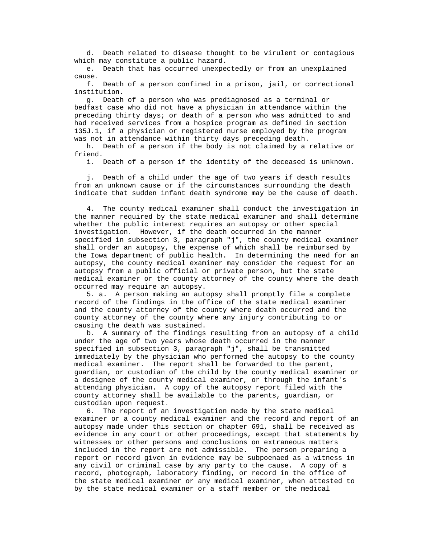d. Death related to disease thought to be virulent or contagious which may constitute a public hazard.

 e. Death that has occurred unexpectedly or from an unexplained cause.

 f. Death of a person confined in a prison, jail, or correctional institution.

 g. Death of a person who was prediagnosed as a terminal or bedfast case who did not have a physician in attendance within the preceding thirty days; or death of a person who was admitted to and had received services from a hospice program as defined in section 135J.1, if a physician or registered nurse employed by the program was not in attendance within thirty days preceding death.

 h. Death of a person if the body is not claimed by a relative or friend.

i. Death of a person if the identity of the deceased is unknown.

 j. Death of a child under the age of two years if death results from an unknown cause or if the circumstances surrounding the death indicate that sudden infant death syndrome may be the cause of death.

 4. The county medical examiner shall conduct the investigation in the manner required by the state medical examiner and shall determine whether the public interest requires an autopsy or other special investigation. However, if the death occurred in the manner specified in subsection 3, paragraph "j", the county medical examiner shall order an autopsy, the expense of which shall be reimbursed by the Iowa department of public health. In determining the need for an autopsy, the county medical examiner may consider the request for an autopsy from a public official or private person, but the state medical examiner or the county attorney of the county where the death occurred may require an autopsy.

 5. a. A person making an autopsy shall promptly file a complete record of the findings in the office of the state medical examiner and the county attorney of the county where death occurred and the county attorney of the county where any injury contributing to or causing the death was sustained.

 b. A summary of the findings resulting from an autopsy of a child under the age of two years whose death occurred in the manner specified in subsection 3, paragraph "j", shall be transmitted immediately by the physician who performed the autopsy to the county medical examiner. The report shall be forwarded to the parent, guardian, or custodian of the child by the county medical examiner or a designee of the county medical examiner, or through the infant's attending physician. A copy of the autopsy report filed with the county attorney shall be available to the parents, guardian, or custodian upon request.

 6. The report of an investigation made by the state medical examiner or a county medical examiner and the record and report of an autopsy made under this section or chapter 691, shall be received as evidence in any court or other proceedings, except that statements by witnesses or other persons and conclusions on extraneous matters included in the report are not admissible. The person preparing a report or record given in evidence may be subpoenaed as a witness in any civil or criminal case by any party to the cause. A copy of a record, photograph, laboratory finding, or record in the office of the state medical examiner or any medical examiner, when attested to by the state medical examiner or a staff member or the medical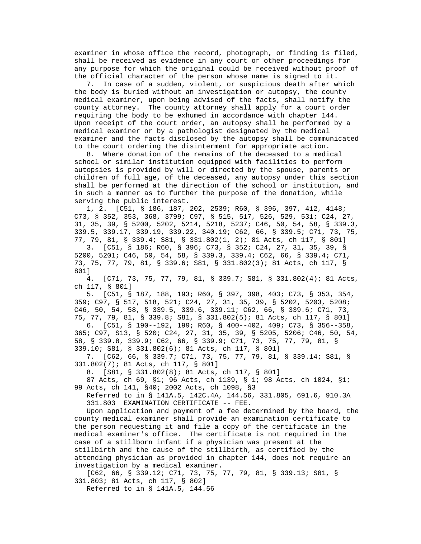examiner in whose office the record, photograph, or finding is filed, shall be received as evidence in any court or other proceedings for any purpose for which the original could be received without proof of the official character of the person whose name is signed to it.

 7. In case of a sudden, violent, or suspicious death after which the body is buried without an investigation or autopsy, the county medical examiner, upon being advised of the facts, shall notify the county attorney. The county attorney shall apply for a court order requiring the body to be exhumed in accordance with chapter 144. Upon receipt of the court order, an autopsy shall be performed by a medical examiner or by a pathologist designated by the medical examiner and the facts disclosed by the autopsy shall be communicated to the court ordering the disinterment for appropriate action.

 8. Where donation of the remains of the deceased to a medical school or similar institution equipped with facilities to perform autopsies is provided by will or directed by the spouse, parents or children of full age, of the deceased, any autopsy under this section shall be performed at the direction of the school or institution, and in such a manner as to further the purpose of the donation, while serving the public interest.

 1, 2. [C51, § 186, 187, 202, 2539; R60, § 396, 397, 412, 4148; C73, § 352, 353, 368, 3799; C97, § 515, 517, 526, 529, 531; C24, 27, 31, 35, 39, § 5200, 5202, 5214, 5218, 5237; C46, 50, 54, 58, § 339.3, 339.5, 339.17, 339.19, 339.22, 340.19; C62, 66, § 339.5; C71, 73, 75, 77, 79, 81, § 339.4; S81, § 331.802(1, 2); 81 Acts, ch 117, § 801] 3. [C51, § 186; R60, § 396; C73, § 352; C24, 27, 31, 35, 39, § 5200, 5201; C46, 50, 54, 58, § 339.3, 339.4; C62, 66, § 339.4; C71, 73, 75, 77, 79, 81, § 339.6; S81, § 331.802(3); 81 Acts, ch 117, §

 801] 4. [C71, 73, 75, 77, 79, 81, § 339.7; S81, § 331.802(4); 81 Acts, ch 117, § 801]

 5. [C51, § 187, 188, 193; R60, § 397, 398, 403; C73, § 353, 354, 359; C97, § 517, 518, 521; C24, 27, 31, 35, 39, § 5202, 5203, 5208; C46, 50, 54, 58, § 339.5, 339.6, 339.11; C62, 66, § 339.6; C71, 73, 75, 77, 79, 81, § 339.8; S81, § 331.802(5); 81 Acts, ch 117, § 801] 6. [C51, § 190--192, 199; R60, § 400--402, 409; C73, § 356--358, 365; C97, S13, § 520; C24, 27, 31, 35, 39, § 5205, 5206; C46, 50, 54, 58, § 339.8, 339.9; C62, 66, § 339.9; C71, 73, 75, 77, 79, 81, § 339.10; S81, § 331.802(6); 81 Acts, ch 117, § 801]

 7. [C62, 66, § 339.7; C71, 73, 75, 77, 79, 81, § 339.14; S81, § 331.802(7); 81 Acts, ch 117, § 801]

8. [S81, § 331.802(8); 81 Acts, ch 117, § 801]

 87 Acts, ch 69, §1; 96 Acts, ch 1139, § 1; 98 Acts, ch 1024, §1; 99 Acts, ch 141, §40; 2002 Acts, ch 1098, §3

 Referred to in § 141A.5, 142C.4A, 144.56, 331.805, 691.6, 910.3A 331.803 EXAMINATION CERTIFICATE -- FEE.

 Upon application and payment of a fee determined by the board, the county medical examiner shall provide an examination certificate to the person requesting it and file a copy of the certificate in the medical examiner's office. The certificate is not required in the case of a stillborn infant if a physician was present at the stillbirth and the cause of the stillbirth, as certified by the attending physician as provided in chapter 144, does not require an investigation by a medical examiner.

 [C62, 66, § 339.12; C71, 73, 75, 77, 79, 81, § 339.13; S81, § 331.803; 81 Acts, ch 117, § 802]

Referred to in § 141A.5, 144.56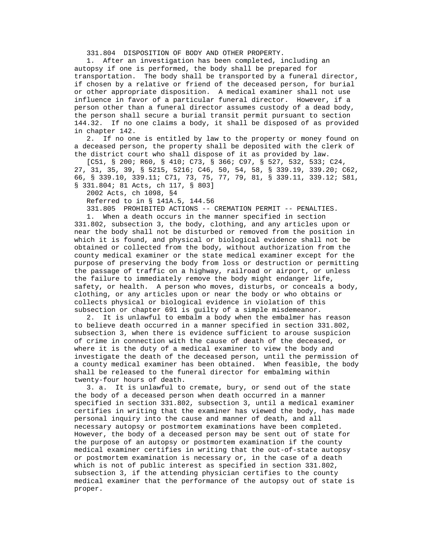331.804 DISPOSITION OF BODY AND OTHER PROPERTY.

 1. After an investigation has been completed, including an autopsy if one is performed, the body shall be prepared for transportation. The body shall be transported by a funeral director, if chosen by a relative or friend of the deceased person, for burial or other appropriate disposition. A medical examiner shall not use influence in favor of a particular funeral director. However, if a person other than a funeral director assumes custody of a dead body, the person shall secure a burial transit permit pursuant to section 144.32. If no one claims a body, it shall be disposed of as provided in chapter 142.

 2. If no one is entitled by law to the property or money found on a deceased person, the property shall be deposited with the clerk of the district court who shall dispose of it as provided by law.

 [C51, § 200; R60, § 410; C73, § 366; C97, § 527, 532, 533; C24, 27, 31, 35, 39, § 5215, 5216; C46, 50, 54, 58, § 339.19, 339.20; C62, 66, § 339.10, 339.11; C71, 73, 75, 77, 79, 81, § 339.11, 339.12; S81, § 331.804; 81 Acts, ch 117, § 803]

2002 Acts, ch 1098, §4

Referred to in § 141A.5, 144.56

331.805 PROHIBITED ACTIONS -- CREMATION PERMIT -- PENALTIES.

 1. When a death occurs in the manner specified in section 331.802, subsection 3, the body, clothing, and any articles upon or near the body shall not be disturbed or removed from the position in which it is found, and physical or biological evidence shall not be obtained or collected from the body, without authorization from the county medical examiner or the state medical examiner except for the purpose of preserving the body from loss or destruction or permitting the passage of traffic on a highway, railroad or airport, or unless the failure to immediately remove the body might endanger life, safety, or health. A person who moves, disturbs, or conceals a body, clothing, or any articles upon or near the body or who obtains or collects physical or biological evidence in violation of this subsection or chapter 691 is guilty of a simple misdemeanor.

 2. It is unlawful to embalm a body when the embalmer has reason to believe death occurred in a manner specified in section 331.802, subsection 3, when there is evidence sufficient to arouse suspicion of crime in connection with the cause of death of the deceased, or where it is the duty of a medical examiner to view the body and investigate the death of the deceased person, until the permission of a county medical examiner has been obtained. When feasible, the body shall be released to the funeral director for embalming within twenty-four hours of death.

 3. a. It is unlawful to cremate, bury, or send out of the state the body of a deceased person when death occurred in a manner specified in section 331.802, subsection 3, until a medical examiner certifies in writing that the examiner has viewed the body, has made personal inquiry into the cause and manner of death, and all necessary autopsy or postmortem examinations have been completed. However, the body of a deceased person may be sent out of state for the purpose of an autopsy or postmortem examination if the county medical examiner certifies in writing that the out-of-state autopsy or postmortem examination is necessary or, in the case of a death which is not of public interest as specified in section 331.802, subsection 3, if the attending physician certifies to the county medical examiner that the performance of the autopsy out of state is proper.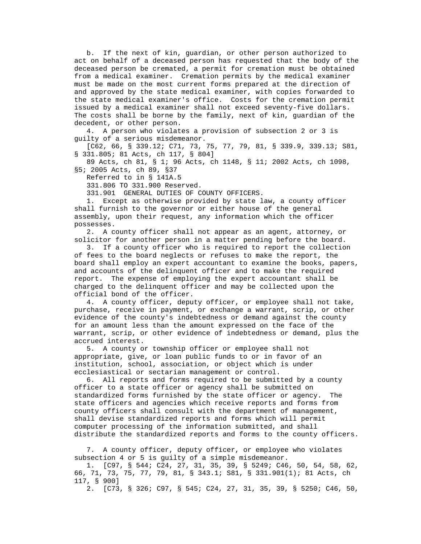b. If the next of kin, guardian, or other person authorized to act on behalf of a deceased person has requested that the body of the deceased person be cremated, a permit for cremation must be obtained from a medical examiner. Cremation permits by the medical examiner must be made on the most current forms prepared at the direction of and approved by the state medical examiner, with copies forwarded to the state medical examiner's office. Costs for the cremation permit issued by a medical examiner shall not exceed seventy-five dollars. The costs shall be borne by the family, next of kin, guardian of the decedent, or other person.

 4. A person who violates a provision of subsection 2 or 3 is guilty of a serious misdemeanor.

 [C62, 66, § 339.12; C71, 73, 75, 77, 79, 81, § 339.9, 339.13; S81, § 331.805; 81 Acts, ch 117, § 804]

 89 Acts, ch 81, § 1; 96 Acts, ch 1148, § 11; 2002 Acts, ch 1098, §5; 2005 Acts, ch 89, §37

Referred to in § 141A.5

331.806 TO 331.900 Reserved.

331.901 GENERAL DUTIES OF COUNTY OFFICERS.

 1. Except as otherwise provided by state law, a county officer shall furnish to the governor or either house of the general assembly, upon their request, any information which the officer possesses.

 2. A county officer shall not appear as an agent, attorney, or solicitor for another person in a matter pending before the board.

 3. If a county officer who is required to report the collection of fees to the board neglects or refuses to make the report, the board shall employ an expert accountant to examine the books, papers, and accounts of the delinquent officer and to make the required report. The expense of employing the expert accountant shall be charged to the delinquent officer and may be collected upon the official bond of the officer.

 4. A county officer, deputy officer, or employee shall not take, purchase, receive in payment, or exchange a warrant, scrip, or other evidence of the county's indebtedness or demand against the county for an amount less than the amount expressed on the face of the warrant, scrip, or other evidence of indebtedness or demand, plus the accrued interest.

 5. A county or township officer or employee shall not appropriate, give, or loan public funds to or in favor of an institution, school, association, or object which is under ecclesiastical or sectarian management or control.

 6. All reports and forms required to be submitted by a county officer to a state officer or agency shall be submitted on standardized forms furnished by the state officer or agency. The state officers and agencies which receive reports and forms from county officers shall consult with the department of management, shall devise standardized reports and forms which will permit computer processing of the information submitted, and shall distribute the standardized reports and forms to the county officers.

 7. A county officer, deputy officer, or employee who violates subsection 4 or 5 is guilty of a simple misdemeanor.

 1. [C97, § 544; C24, 27, 31, 35, 39, § 5249; C46, 50, 54, 58, 62, 66, 71, 73, 75, 77, 79, 81, § 343.1; S81, § 331.901(1); 81 Acts, ch 117, § 900]

2. [C73, § 326; C97, § 545; C24, 27, 31, 35, 39, § 5250; C46, 50,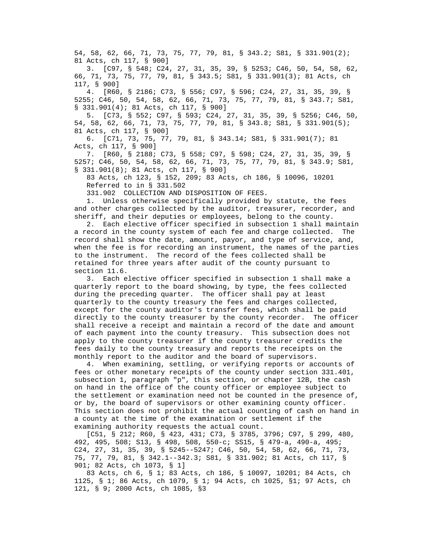54, 58, 62, 66, 71, 73, 75, 77, 79, 81, § 343.2; S81, § 331.901(2); 81 Acts, ch 117, § 900]

 3. [C97, § 548; C24, 27, 31, 35, 39, § 5253; C46, 50, 54, 58, 62, 66, 71, 73, 75, 77, 79, 81, § 343.5; S81, § 331.901(3); 81 Acts, ch 117, § 900]

 4. [R60, § 2186; C73, § 556; C97, § 596; C24, 27, 31, 35, 39, § 5255; C46, 50, 54, 58, 62, 66, 71, 73, 75, 77, 79, 81, § 343.7; S81, § 331.901(4); 81 Acts, ch 117, § 900]

 5. [C73, § 552; C97, § 593; C24, 27, 31, 35, 39, § 5256; C46, 50, 54, 58, 62, 66, 71, 73, 75, 77, 79, 81, § 343.8; S81, § 331.901(5); 81 Acts, ch 117, § 900]

 6. [C71, 73, 75, 77, 79, 81, § 343.14; S81, § 331.901(7); 81 Acts, ch 117, § 900]

 7. [R60, § 2188; C73, § 558; C97, § 598; C24, 27, 31, 35, 39, § 5257; C46, 50, 54, 58, 62, 66, 71, 73, 75, 77, 79, 81, § 343.9; S81, § 331.901(8); 81 Acts, ch 117, § 900]

 83 Acts, ch 123, § 152, 209; 83 Acts, ch 186, § 10096, 10201 Referred to in § 331.502

331.902 COLLECTION AND DISPOSITION OF FEES.

 1. Unless otherwise specifically provided by statute, the fees and other charges collected by the auditor, treasurer, recorder, and sheriff, and their deputies or employees, belong to the county.

 2. Each elective officer specified in subsection 1 shall maintain a record in the county system of each fee and charge collected. The record shall show the date, amount, payor, and type of service, and, when the fee is for recording an instrument, the names of the parties to the instrument. The record of the fees collected shall be retained for three years after audit of the county pursuant to section 11.6.

 3. Each elective officer specified in subsection 1 shall make a quarterly report to the board showing, by type, the fees collected during the preceding quarter. The officer shall pay at least quarterly to the county treasury the fees and charges collected, except for the county auditor's transfer fees, which shall be paid directly to the county treasurer by the county recorder. The officer shall receive a receipt and maintain a record of the date and amount of each payment into the county treasury. This subsection does not apply to the county treasurer if the county treasurer credits the fees daily to the county treasury and reports the receipts on the monthly report to the auditor and the board of supervisors.

 4. When examining, settling, or verifying reports or accounts of fees or other monetary receipts of the county under section 331.401, subsection 1, paragraph "p", this section, or chapter 12B, the cash on hand in the office of the county officer or employee subject to the settlement or examination need not be counted in the presence of, or by, the board of supervisors or other examining county officer. This section does not prohibit the actual counting of cash on hand in a county at the time of the examination or settlement if the examining authority requests the actual count.

 [C51, § 212; R60, § 423, 431; C73, § 3785, 3796; C97, § 299, 480, 492, 495, 508; S13, § 498, 508, 550-c; SS15, § 479-a, 490-a, 495; C24, 27, 31, 35, 39, § 5245--5247; C46, 50, 54, 58, 62, 66, 71, 73, 75, 77, 79, 81, § 342.1--342.3; S81, § 331.902; 81 Acts, ch 117, § 901; 82 Acts, ch 1073, § 1]

 83 Acts, ch 6, § 1; 83 Acts, ch 186, § 10097, 10201; 84 Acts, ch 1125, § 1; 86 Acts, ch 1079, § 1; 94 Acts, ch 1025, §1; 97 Acts, ch 121, § 9; 2000 Acts, ch 1085, §3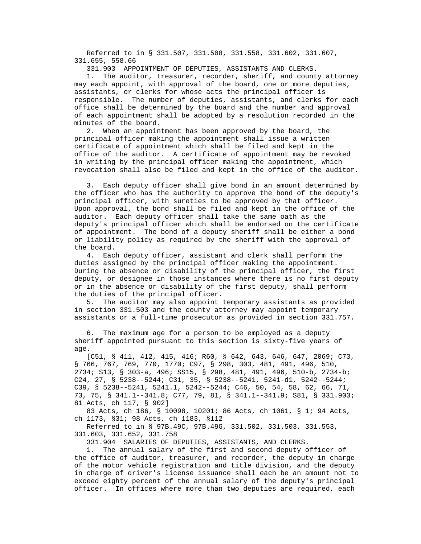Referred to in § 331.507, 331.508, 331.558, 331.602, 331.607, 331.655, 558.66

331.903 APPOINTMENT OF DEPUTIES, ASSISTANTS AND CLERKS.

 1. The auditor, treasurer, recorder, sheriff, and county attorney may each appoint, with approval of the board, one or more deputies, assistants, or clerks for whose acts the principal officer is responsible. The number of deputies, assistants, and clerks for each office shall be determined by the board and the number and approval of each appointment shall be adopted by a resolution recorded in the minutes of the board.

 2. When an appointment has been approved by the board, the principal officer making the appointment shall issue a written certificate of appointment which shall be filed and kept in the office of the auditor. A certificate of appointment may be revoked in writing by the principal officer making the appointment, which revocation shall also be filed and kept in the office of the auditor.

 3. Each deputy officer shall give bond in an amount determined by the officer who has the authority to approve the bond of the deputy's principal officer, with sureties to be approved by that officer. Upon approval, the bond shall be filed and kept in the office of the auditor. Each deputy officer shall take the same oath as the deputy's principal officer which shall be endorsed on the certificate of appointment. The bond of a deputy sheriff shall be either a bond or liability policy as required by the sheriff with the approval of the board.

 4. Each deputy officer, assistant and clerk shall perform the duties assigned by the principal officer making the appointment. During the absence or disability of the principal officer, the first deputy, or designee in those instances where there is no first deputy or in the absence or disability of the first deputy, shall perform the duties of the principal officer.

 5. The auditor may also appoint temporary assistants as provided in section 331.503 and the county attorney may appoint temporary assistants or a full-time prosecutor as provided in section 331.757.

The maximum age for a person to be employed as a deputy sheriff appointed pursuant to this section is sixty-five years of age.

 [C51, § 411, 412, 415, 416; R60, § 642, 643, 646, 647, 2069; C73, § 766, 767, 769, 770, 1770; C97, § 298, 303, 481, 491, 496, 510, 2734; S13, § 303-a, 496; SS15, § 298, 481, 491, 496, 510-b, 2734-b; C24, 27, § 5238--5244; C31, 35, § 5238--5241, 5241-d1, 5242--5244; C39, § 5238--5241, 5241.1, 5242--5244; C46, 50, 54, 58, 62, 66, 71, 73, 75, § 341.1--341.8; C77, 79, 81, § 341.1--341.9; S81, § 331.903; 81 Acts, ch 117, § 902]

 83 Acts, ch 186, § 10098, 10201; 86 Acts, ch 1061, § 1; 94 Acts, ch 1173, §31; 98 Acts, ch 1183, §112

 Referred to in § 97B.49C, 97B.49G, 331.502, 331.503, 331.553, 331.603, 331.652, 331.758

331.904 SALARIES OF DEPUTIES, ASSISTANTS, AND CLERKS.

 1. The annual salary of the first and second deputy officer of the office of auditor, treasurer, and recorder, the deputy in charge of the motor vehicle registration and title division, and the deputy in charge of driver's license issuance shall each be an amount not to exceed eighty percent of the annual salary of the deputy's principal officer. In offices where more than two deputies are required, each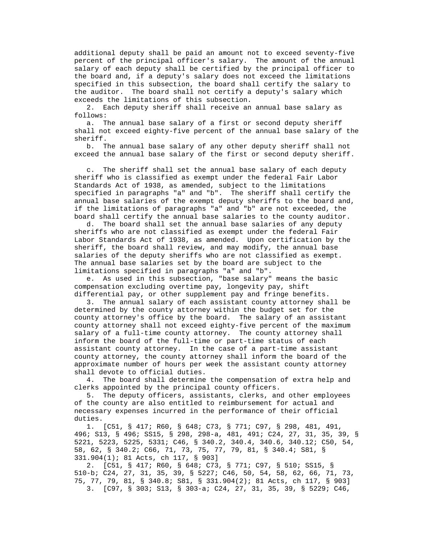additional deputy shall be paid an amount not to exceed seventy-five percent of the principal officer's salary. The amount of the annual salary of each deputy shall be certified by the principal officer to the board and, if a deputy's salary does not exceed the limitations specified in this subsection, the board shall certify the salary to the auditor. The board shall not certify a deputy's salary which exceeds the limitations of this subsection.

 2. Each deputy sheriff shall receive an annual base salary as follows:

 a. The annual base salary of a first or second deputy sheriff shall not exceed eighty-five percent of the annual base salary of the sheriff.

 b. The annual base salary of any other deputy sheriff shall not exceed the annual base salary of the first or second deputy sheriff.

 c. The sheriff shall set the annual base salary of each deputy sheriff who is classified as exempt under the federal Fair Labor Standards Act of 1938, as amended, subject to the limitations specified in paragraphs "a" and "b". The sheriff shall certify the annual base salaries of the exempt deputy sheriffs to the board and, if the limitations of paragraphs "a" and "b" are not exceeded, the board shall certify the annual base salaries to the county auditor.

 d. The board shall set the annual base salaries of any deputy sheriffs who are not classified as exempt under the federal Fair Labor Standards Act of 1938, as amended. Upon certification by the sheriff, the board shall review, and may modify, the annual base salaries of the deputy sheriffs who are not classified as exempt. The annual base salaries set by the board are subject to the limitations specified in paragraphs "a" and "b".

 e. As used in this subsection, "base salary" means the basic compensation excluding overtime pay, longevity pay, shift differential pay, or other supplement pay and fringe benefits.

 3. The annual salary of each assistant county attorney shall be determined by the county attorney within the budget set for the county attorney's office by the board. The salary of an assistant county attorney shall not exceed eighty-five percent of the maximum salary of a full-time county attorney. The county attorney shall inform the board of the full-time or part-time status of each assistant county attorney. In the case of a part-time assistant county attorney, the county attorney shall inform the board of the approximate number of hours per week the assistant county attorney shall devote to official duties.

 4. The board shall determine the compensation of extra help and clerks appointed by the principal county officers.

 5. The deputy officers, assistants, clerks, and other employees of the county are also entitled to reimbursement for actual and necessary expenses incurred in the performance of their official duties.

 1. [C51, § 417; R60, § 648; C73, § 771; C97, § 298, 481, 491, 496; S13, § 496; SS15, § 298, 298-a, 481, 491; C24, 27, 31, 35, 39, § 5221, 5223, 5225, 5331; C46, § 340.2, 340.4, 340.6, 340.12; C50, 54, 58, 62, § 340.2; C66, 71, 73, 75, 77, 79, 81, § 340.4; S81, § 331.904(1); 81 Acts, ch 117, § 903]

 2. [C51, § 417; R60, § 648; C73, § 771; C97, § 510; SS15, § 510-b; C24, 27, 31, 35, 39, § 5227; C46, 50, 54, 58, 62, 66, 71, 73, 75, 77, 79, 81, § 340.8; S81, § 331.904(2); 81 Acts, ch 117, § 903] 3. [C97, § 303; S13, § 303-a; C24, 27, 31, 35, 39, § 5229; C46,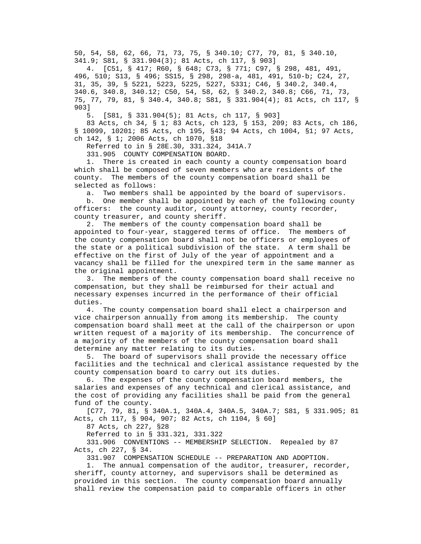50, 54, 58, 62, 66, 71, 73, 75, § 340.10; C77, 79, 81, § 340.10, 341.9; S81, § 331.904(3); 81 Acts, ch 117, § 903]

 4. [C51, § 417; R60, § 648; C73, § 771; C97, § 298, 481, 491, 496, 510; S13, § 496; SS15, § 298, 298-a, 481, 491, 510-b; C24, 27, 31, 35, 39, § 5221, 5223, 5225, 5227, 5331; C46, § 340.2, 340.4, 340.6, 340.8, 340.12; C50, 54, 58, 62, § 340.2, 340.8; C66, 71, 73, 75, 77, 79, 81, § 340.4, 340.8; S81, § 331.904(4); 81 Acts, ch 117, § 903]

5. [S81, § 331.904(5); 81 Acts, ch 117, § 903]

 83 Acts, ch 34, § 1; 83 Acts, ch 123, § 153, 209; 83 Acts, ch 186, § 10099, 10201; 85 Acts, ch 195, §43; 94 Acts, ch 1004, §1; 97 Acts, ch 142, § 1; 2006 Acts, ch 1070, §18

Referred to in § 28E.30, 331.324, 341A.7

331.905 COUNTY COMPENSATION BOARD.

 1. There is created in each county a county compensation board which shall be composed of seven members who are residents of the county. The members of the county compensation board shall be selected as follows:

a. Two members shall be appointed by the board of supervisors.

 b. One member shall be appointed by each of the following county officers: the county auditor, county attorney, county recorder, county treasurer, and county sheriff.

 2. The members of the county compensation board shall be appointed to four-year, staggered terms of office. The members of the county compensation board shall not be officers or employees of the state or a political subdivision of the state. A term shall be effective on the first of July of the year of appointment and a vacancy shall be filled for the unexpired term in the same manner as the original appointment.

 3. The members of the county compensation board shall receive no compensation, but they shall be reimbursed for their actual and necessary expenses incurred in the performance of their official duties.

 4. The county compensation board shall elect a chairperson and vice chairperson annually from among its membership. The county compensation board shall meet at the call of the chairperson or upon written request of a majority of its membership. The concurrence of a majority of the members of the county compensation board shall determine any matter relating to its duties.

 5. The board of supervisors shall provide the necessary office facilities and the technical and clerical assistance requested by the county compensation board to carry out its duties.

 6. The expenses of the county compensation board members, the salaries and expenses of any technical and clerical assistance, and the cost of providing any facilities shall be paid from the general fund of the county.

 [C77, 79, 81, § 340A.1, 340A.4, 340A.5, 340A.7; S81, § 331.905; 81 Acts, ch 117, § 904, 907; 82 Acts, ch 1104, § 60]

87 Acts, ch 227, §28

Referred to in § 331.321, 331.322

 331.906 CONVENTIONS -- MEMBERSHIP SELECTION. Repealed by 87 Acts, ch 227, § 34.

331.907 COMPENSATION SCHEDULE -- PREPARATION AND ADOPTION.

 1. The annual compensation of the auditor, treasurer, recorder, sheriff, county attorney, and supervisors shall be determined as provided in this section. The county compensation board annually shall review the compensation paid to comparable officers in other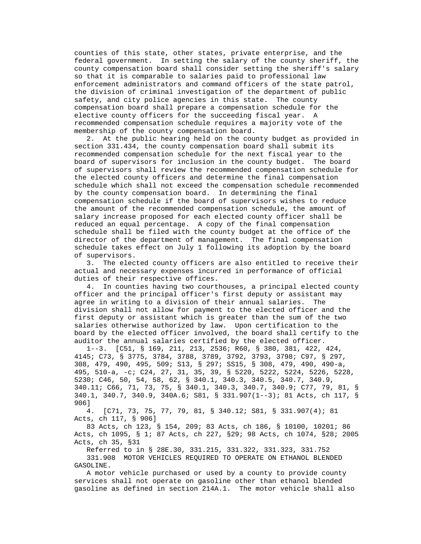counties of this state, other states, private enterprise, and the federal government. In setting the salary of the county sheriff, the county compensation board shall consider setting the sheriff's salary so that it is comparable to salaries paid to professional law enforcement administrators and command officers of the state patrol, the division of criminal investigation of the department of public safety, and city police agencies in this state. The county compensation board shall prepare a compensation schedule for the elective county officers for the succeeding fiscal year. A recommended compensation schedule requires a majority vote of the membership of the county compensation board.

 2. At the public hearing held on the county budget as provided in section 331.434, the county compensation board shall submit its recommended compensation schedule for the next fiscal year to the board of supervisors for inclusion in the county budget. The board of supervisors shall review the recommended compensation schedule for the elected county officers and determine the final compensation schedule which shall not exceed the compensation schedule recommended by the county compensation board. In determining the final compensation schedule if the board of supervisors wishes to reduce the amount of the recommended compensation schedule, the amount of salary increase proposed for each elected county officer shall be reduced an equal percentage. A copy of the final compensation schedule shall be filed with the county budget at the office of the director of the department of management. The final compensation schedule takes effect on July 1 following its adoption by the board of supervisors.

 3. The elected county officers are also entitled to receive their actual and necessary expenses incurred in performance of official duties of their respective offices.

 4. In counties having two courthouses, a principal elected county officer and the principal officer's first deputy or assistant may agree in writing to a division of their annual salaries. The division shall not allow for payment to the elected officer and the first deputy or assistant which is greater than the sum of the two salaries otherwise authorized by law. Upon certification to the board by the elected officer involved, the board shall certify to the auditor the annual salaries certified by the elected officer.

 1--3. [C51, § 169, 211, 213, 2536; R60, § 380, 381, 422, 424, 4145; C73, § 3775, 3784, 3788, 3789, 3792, 3793, 3798; C97, § 297, 308, 479, 490, 495, 509; S13, § 297; SS15, § 308, 479, 490, 490-a, 495, 510-a, -c; C24, 27, 31, 35, 39, § 5220, 5222, 5224, 5226, 5228, 5230; C46, 50, 54, 58, 62, § 340.1, 340.3, 340.5, 340.7, 340.9, 340.11; C66, 71, 73, 75, § 340.1, 340.3, 340.7, 340.9; C77, 79, 81, § 340.1, 340.7, 340.9, 340A.6; S81, § 331.907(1--3); 81 Acts, ch 117, § 906]

 4. [C71, 73, 75, 77, 79, 81, § 340.12; S81, § 331.907(4); 81 Acts, ch 117, § 906]

 83 Acts, ch 123, § 154, 209; 83 Acts, ch 186, § 10100, 10201; 86 Acts, ch 1095, § 1; 87 Acts, ch 227, §29; 98 Acts, ch 1074, §28; 2005 Acts, ch 35, §31

 Referred to in § 28E.30, 331.215, 331.322, 331.323, 331.752 331.908 MOTOR VEHICLES REQUIRED TO OPERATE ON ETHANOL BLENDED GASOLINE.

 A motor vehicle purchased or used by a county to provide county services shall not operate on gasoline other than ethanol blended gasoline as defined in section 214A.1. The motor vehicle shall also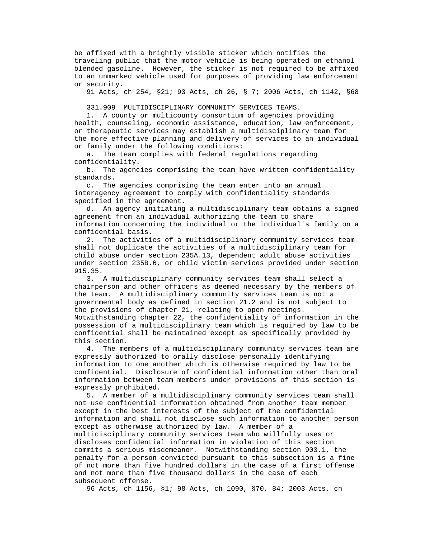be affixed with a brightly visible sticker which notifies the traveling public that the motor vehicle is being operated on ethanol blended gasoline. However, the sticker is not required to be affixed to an unmarked vehicle used for purposes of providing law enforcement or security.

91 Acts, ch 254, §21; 93 Acts, ch 26, § 7; 2006 Acts, ch 1142, §68

331.909 MULTIDISCIPLINARY COMMUNITY SERVICES TEAMS.

 1. A county or multicounty consortium of agencies providing health, counseling, economic assistance, education, law enforcement, or therapeutic services may establish a multidisciplinary team for the more effective planning and delivery of services to an individual or family under the following conditions:

 a. The team complies with federal regulations regarding confidentiality.

 b. The agencies comprising the team have written confidentiality standards.

 c. The agencies comprising the team enter into an annual interagency agreement to comply with confidentiality standards specified in the agreement.

 d. An agency initiating a multidisciplinary team obtains a signed agreement from an individual authorizing the team to share information concerning the individual or the individual's family on a confidential basis.

 2. The activities of a multidisciplinary community services team shall not duplicate the activities of a multidisciplinary team for child abuse under section 235A.13, dependent adult abuse activities under section 235B.6, or child victim services provided under section 915.35.

 3. A multidisciplinary community services team shall select a chairperson and other officers as deemed necessary by the members of the team. A multidisciplinary community services team is not a governmental body as defined in section 21.2 and is not subject to the provisions of chapter 21, relating to open meetings. Notwithstanding chapter 22, the confidentiality of information in the possession of a multidisciplinary team which is required by law to be confidential shall be maintained except as specifically provided by this section.

 4. The members of a multidisciplinary community services team are expressly authorized to orally disclose personally identifying information to one another which is otherwise required by law to be confidential. Disclosure of confidential information other than oral information between team members under provisions of this section is expressly prohibited.

 5. A member of a multidisciplinary community services team shall not use confidential information obtained from another team member except in the best interests of the subject of the confidential information and shall not disclose such information to another person except as otherwise authorized by law. A member of a multidisciplinary community services team who willfully uses or discloses confidential information in violation of this section commits a serious misdemeanor. Notwithstanding section 903.1, the penalty for a person convicted pursuant to this subsection is a fine of not more than five hundred dollars in the case of a first offense and not more than five thousand dollars in the case of each subsequent offense.

96 Acts, ch 1156, §1; 98 Acts, ch 1090, §70, 84; 2003 Acts, ch